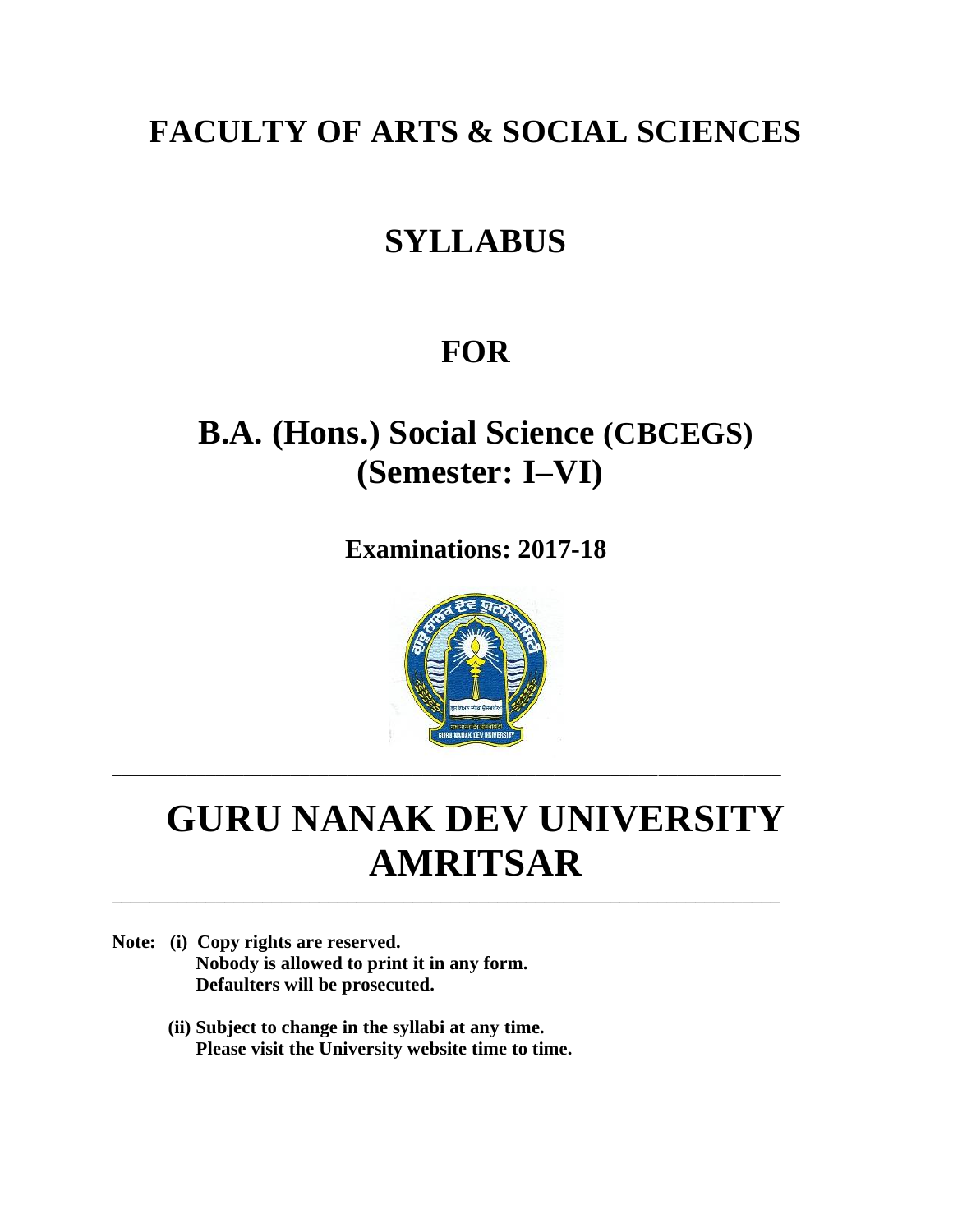## **FACULTY OF ARTS & SOCIAL SCIENCES**

## **SYLLABUS**

## **FOR**

## **B.A. (Hons.) Social Science (CBCEGS) (Semester: I–VI)**

**Examinations: 2017-18**



## **GURU NANAK DEV UNIVERSITY AMRITSAR**

\_\_\_\_\_\_\_\_\_\_\_\_\_\_\_\_\_\_\_\_\_\_\_\_\_\_\_\_\_\_\_\_\_\_\_\_\_\_\_\_\_\_\_\_\_\_\_\_\_\_\_\_\_\_\_\_\_\_\_\_\_\_\_\_\_\_\_\_\_\_\_

\_\_\_\_\_\_\_\_\_\_\_\_\_\_\_\_\_\_\_\_\_\_\_\_\_\_\_\_\_\_\_\_\_\_\_\_\_\_\_\_\_\_\_\_\_\_\_\_\_\_\_\_\_\_\_\_\_\_\_\_\_\_\_\_\_\_\_\_\_\_\_

- **Note: (i) Copy rights are reserved. Nobody is allowed to print it in any form. Defaulters will be prosecuted.**
	- **(ii) Subject to change in the syllabi at any time. Please visit the University website time to time.**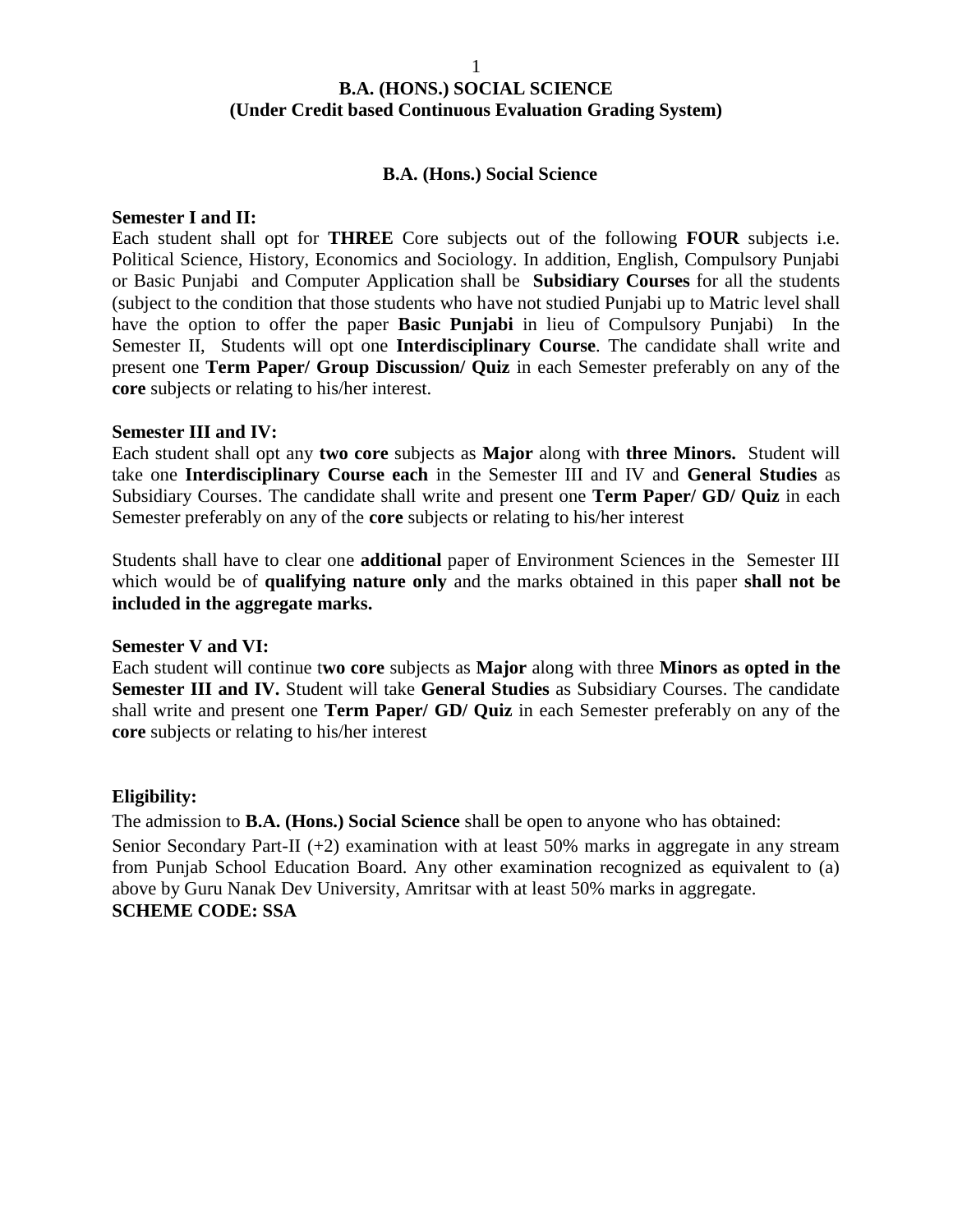#### **B.A. (Hons.) Social Science**

#### **Semester I and II:**

Each student shall opt for **THREE** Core subjects out of the following **FOUR** subjects i.e. Political Science, History, Economics and Sociology. In addition, English, Compulsory Punjabi or Basic Punjabi and Computer Application shall be **Subsidiary Courses** for all the students (subject to the condition that those students who have not studied Punjabi up to Matric level shall have the option to offer the paper **Basic Punjabi** in lieu of Compulsory Punjabi) In the Semester II, Students will opt one **Interdisciplinary Course**. The candidate shall write and present one **Term Paper/ Group Discussion/ Quiz** in each Semester preferably on any of the **core** subjects or relating to his/her interest.

#### **Semester III and IV:**

Each student shall opt any **two core** subjects as **Major** along with **three Minors.** Student will take one **Interdisciplinary Course each** in the Semester III and IV and **General Studies** as Subsidiary Courses. The candidate shall write and present one **Term Paper/ GD/ Quiz** in each Semester preferably on any of the **core** subjects or relating to his/her interest

Students shall have to clear one **additional** paper of Environment Sciences in the Semester III which would be of **qualifying nature only** and the marks obtained in this paper **shall not be included in the aggregate marks.**

#### **Semester V and VI:**

Each student will continue t**wo core** subjects as **Major** along with three **Minors as opted in the Semester III and IV.** Student will take **General Studies** as Subsidiary Courses. The candidate shall write and present one **Term Paper/ GD/ Quiz** in each Semester preferably on any of the **core** subjects or relating to his/her interest

#### **Eligibility:**

The admission to **B.A. (Hons.) Social Science** shall be open to anyone who has obtained:

Senior Secondary Part-II (+2) examination with at least 50% marks in aggregate in any stream from Punjab School Education Board. Any other examination recognized as equivalent to (a) above by Guru Nanak Dev University, Amritsar with at least 50% marks in aggregate. **SCHEME CODE: SSA**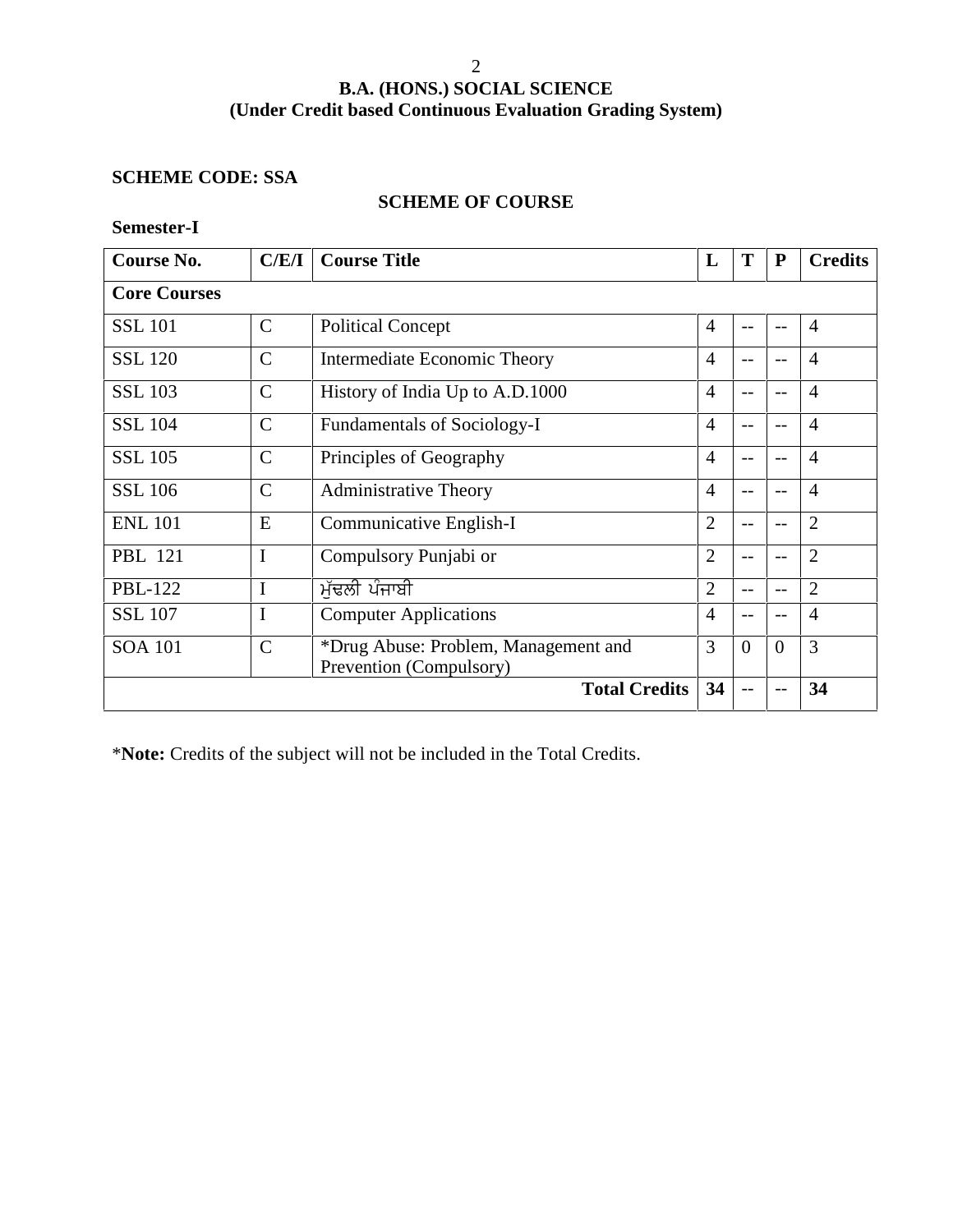#### **SCHEME CODE: SSA**

#### **SCHEME OF COURSE**

**Semester-I**

| Course No.          | C/E/I         | <b>Course Title</b>                                             | L              | T        | ${\bf P}$         | <b>Credits</b> |
|---------------------|---------------|-----------------------------------------------------------------|----------------|----------|-------------------|----------------|
| <b>Core Courses</b> |               |                                                                 |                |          |                   |                |
| <b>SSL 101</b>      | $\mathcal{C}$ | <b>Political Concept</b>                                        | $\overline{4}$ | $-$      | $- -$             | $\overline{4}$ |
| <b>SSL 120</b>      | $\mathcal{C}$ | Intermediate Economic Theory                                    | $\overline{4}$ |          |                   | $\overline{4}$ |
| <b>SSL 103</b>      | $\mathbf C$   | History of India Up to A.D.1000                                 | $\overline{4}$ | $-$      | $-$               | $\overline{4}$ |
| <b>SSL 104</b>      | $\mathcal{C}$ | Fundamentals of Sociology-I                                     | $\overline{4}$ | $-$      | $- -$             | $\overline{4}$ |
| <b>SSL 105</b>      | $\mathbf C$   | Principles of Geography                                         | $\overline{4}$ | $-$      | $\qquad \qquad -$ | $\overline{4}$ |
| <b>SSL 106</b>      | $\mathbf C$   | <b>Administrative Theory</b>                                    | $\overline{4}$ |          | $- -$             | $\overline{4}$ |
| <b>ENL 101</b>      | E             | Communicative English-I                                         | $\overline{2}$ | $-$      | $- -$             | $\overline{2}$ |
| <b>PBL</b> 121      | I             | Compulsory Punjabi or                                           | $\overline{2}$ | $-$      | $\qquad \qquad -$ | $\overline{2}$ |
| <b>PBL-122</b>      | I             | ਮੱਢਲੀ ਪੰਜਾਬੀ                                                    | $\overline{2}$ | $-$      | $\qquad \qquad -$ | $\overline{2}$ |
| <b>SSL 107</b>      | I             | <b>Computer Applications</b>                                    | $\overline{4}$ |          | $- -$             | $\overline{4}$ |
| <b>SOA 101</b>      | $\mathcal{C}$ | *Drug Abuse: Problem, Management and<br>Prevention (Compulsory) | 3              | $\theta$ | $\overline{0}$    | 3              |
|                     |               | <b>Total Credits</b>                                            | 34             |          |                   | 34             |

\***Note:** Credits of the subject will not be included in the Total Credits.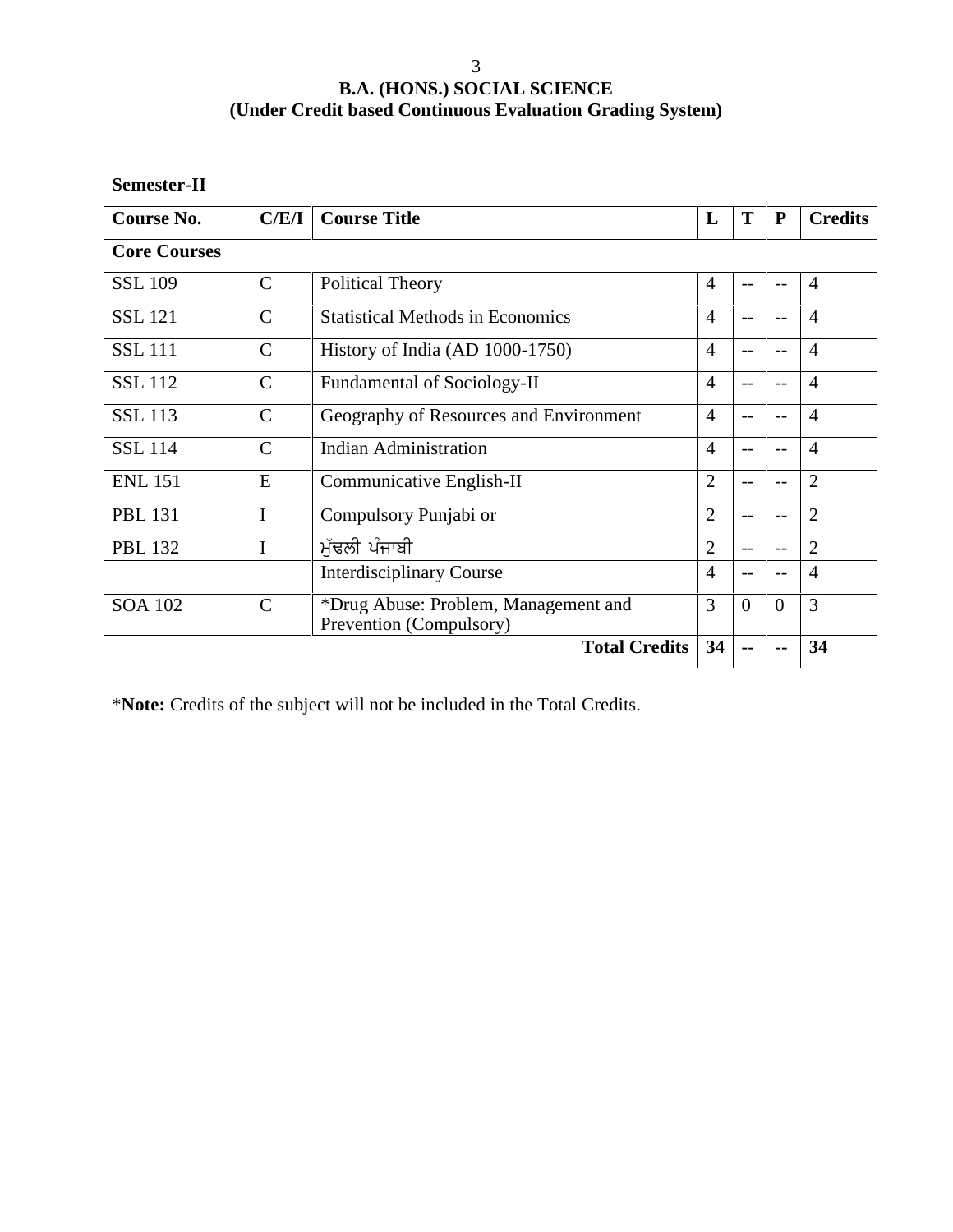**Semester-II**

| Course No.          | C/E/I         | <b>Course Title</b>                                             | L              | T              | ${\bf P}$ | <b>Credits</b> |
|---------------------|---------------|-----------------------------------------------------------------|----------------|----------------|-----------|----------------|
| <b>Core Courses</b> |               |                                                                 |                |                |           |                |
| <b>SSL 109</b>      | $\mathsf{C}$  | Political Theory                                                | $\overline{4}$ | $-$            | $- -$     | $\overline{4}$ |
| <b>SSL 121</b>      | $\mathcal{C}$ | <b>Statistical Methods in Economics</b>                         |                |                | $ -$      | $\overline{4}$ |
| <b>SSL 111</b>      | $\mathbf C$   | History of India (AD $1000-1750$ )                              | $\overline{4}$ | $-$            |           | $\overline{4}$ |
| <b>SSL 112</b>      | $\mathsf{C}$  | <b>Fundamental of Sociology-II</b>                              | 4              | $-$            | $- -$     | $\overline{4}$ |
| <b>SSL 113</b>      | $\mathsf{C}$  | Geography of Resources and Environment                          | $\overline{4}$ |                | $- -$     | $\overline{4}$ |
| <b>SSL 114</b>      | $\mathcal{C}$ | <b>Indian Administration</b>                                    | $\overline{4}$ | $-$            | $- -$     | $\overline{4}$ |
| <b>ENL 151</b>      | E             | Communicative English-II                                        | $\overline{2}$ | $-$            |           | $\overline{2}$ |
| <b>PBL 131</b>      | I             | Compulsory Punjabi or                                           | $\overline{2}$ | $-$            | $- -$     | $\overline{2}$ |
| <b>PBL 132</b>      | $\mathbf I$   | ਮੱਢਲੀ ਪੰਜਾਬੀ                                                    | $\overline{2}$ |                | $-$       | $\overline{2}$ |
|                     |               | <b>Interdisciplinary Course</b>                                 | $\overline{4}$ |                |           | $\overline{4}$ |
| <b>SOA 102</b>      | $\mathcal{C}$ | *Drug Abuse: Problem, Management and<br>Prevention (Compulsory) | 3              | $\overline{0}$ | $\Omega$  | 3              |
|                     |               | <b>Total Credits</b>                                            | 34             |                |           | 34             |

\***Note:** Credits of the subject will not be included in the Total Credits.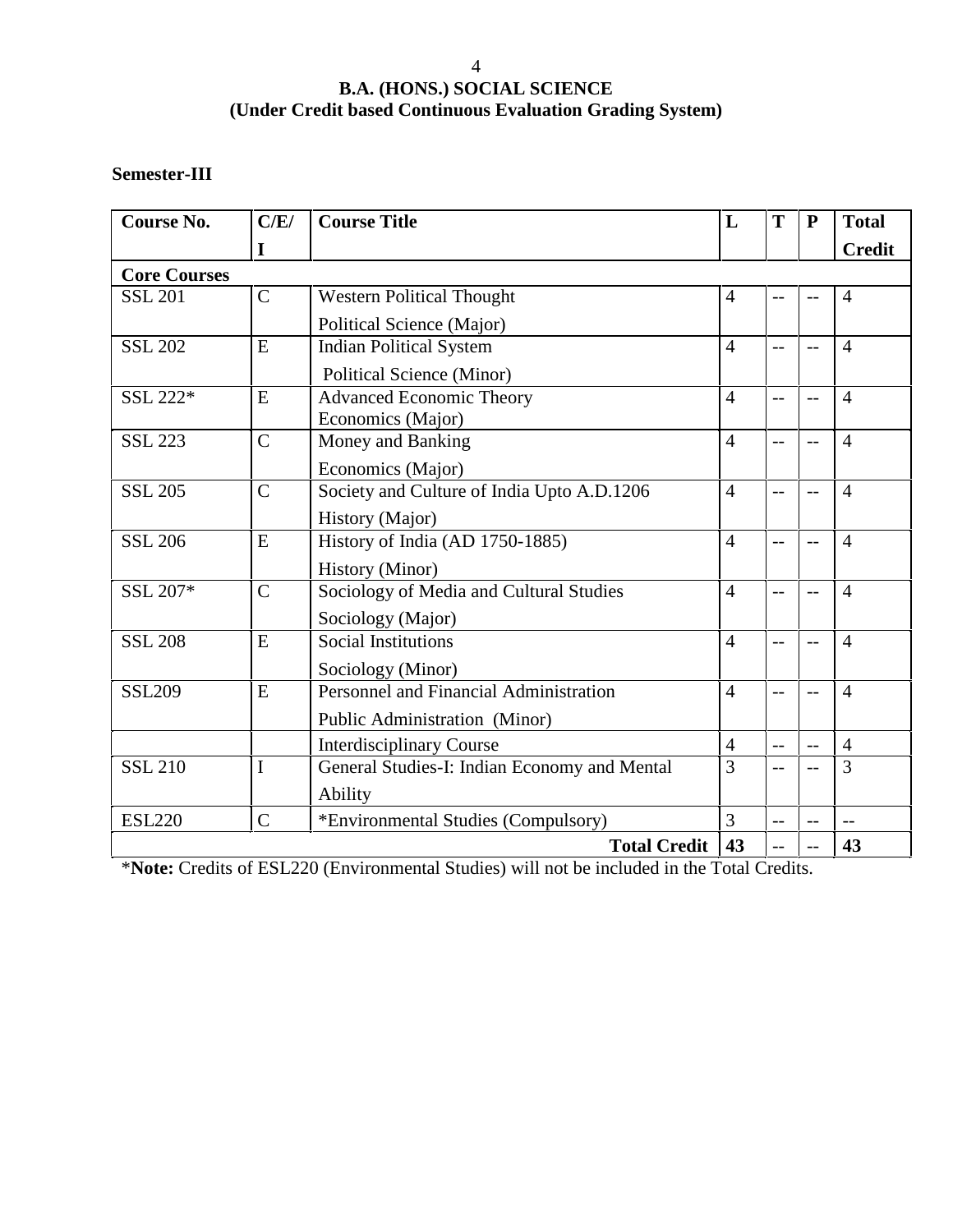#### **Semester-III**

| <b>Course No.</b>   | C/E/           | <b>Course Title</b>                          | L              | T   | $\mathbf{P}$ | <b>Total</b>   |
|---------------------|----------------|----------------------------------------------|----------------|-----|--------------|----------------|
|                     | $\mathbf I$    |                                              |                |     |              | <b>Credit</b>  |
| <b>Core Courses</b> |                |                                              |                |     |              |                |
| <b>SSL 201</b>      | $\mathbf C$    | <b>Western Political Thought</b>             | $\overline{4}$ |     |              | $\overline{4}$ |
|                     |                | Political Science (Major)                    |                |     |              |                |
| <b>SSL 202</b>      | E              | <b>Indian Political System</b>               | $\overline{4}$ | $-$ | $-$          | $\overline{4}$ |
|                     |                | <b>Political Science (Minor)</b>             |                |     |              |                |
| SSL 222*            | E              | <b>Advanced Economic Theory</b>              | $\overline{4}$ | $-$ | $-$          | $\overline{4}$ |
|                     |                | Economics (Major)                            |                |     |              |                |
| <b>SSL 223</b>      | $\mathsf{C}$   | Money and Banking                            | $\overline{4}$ | $-$ | $-$          | $\overline{4}$ |
|                     |                | Economics (Major)                            |                |     |              |                |
| <b>SSL 205</b>      | $\mathsf{C}$   | Society and Culture of India Upto A.D.1206   | $\overline{4}$ | $-$ |              | $\overline{4}$ |
|                     |                | History (Major)                              |                |     |              |                |
| <b>SSL 206</b>      | E              | History of India (AD 1750-1885)              | $\overline{4}$ | $-$ |              | $\overline{4}$ |
|                     |                | <b>History</b> (Minor)                       |                |     |              |                |
| SSL 207*            | $\overline{C}$ | Sociology of Media and Cultural Studies      | $\overline{4}$ | --  | $-$          | $\overline{4}$ |
|                     |                | Sociology (Major)                            |                |     |              |                |
| <b>SSL 208</b>      | E              | <b>Social Institutions</b>                   | $\overline{4}$ | $-$ | $-$          | $\overline{4}$ |
|                     |                | Sociology (Minor)                            |                |     |              |                |
| <b>SSL209</b>       | E              | Personnel and Financial Administration       | $\overline{4}$ | $-$ |              | $\overline{4}$ |
|                     |                | Public Administration (Minor)                |                |     |              |                |
|                     |                | <b>Interdisciplinary Course</b>              | $\overline{4}$ | $-$ |              | $\overline{4}$ |
| <b>SSL 210</b>      | I              | General Studies-I: Indian Economy and Mental | $\overline{3}$ | $-$ |              | 3              |
|                     |                | Ability                                      |                |     |              |                |
| <b>ESL220</b>       | $\overline{C}$ | *Environmental Studies (Compulsory)          | $\overline{3}$ | $-$ | $-$          | $\overline{a}$ |
|                     |                | <b>Total Credit</b>                          | 43             | $-$ | $-$          | 43             |

\***Note:** Credits of ESL220 (Environmental Studies) will not be included in the Total Credits.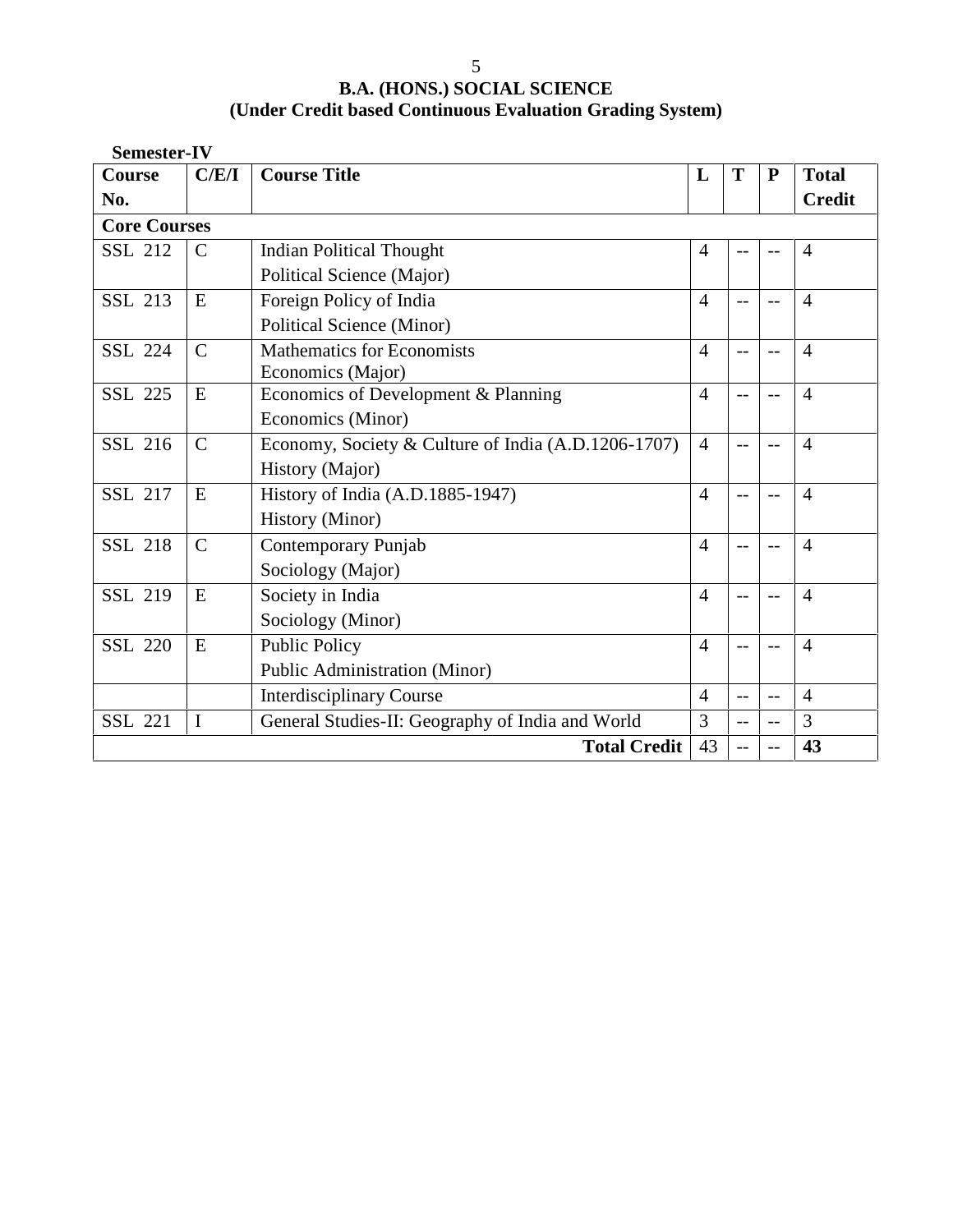5 **B.A. (HONS.) SOCIAL SCIENCE (Under Credit based Continuous Evaluation Grading System)**

| <b>Semester-IV</b>  |               |                                                     |                |                          |           |                |
|---------------------|---------------|-----------------------------------------------------|----------------|--------------------------|-----------|----------------|
| <b>Course</b>       | C/E/I         | <b>Course Title</b>                                 | L              | T                        | ${\bf P}$ | <b>Total</b>   |
| No.                 |               |                                                     |                |                          |           | <b>Credit</b>  |
| <b>Core Courses</b> |               |                                                     |                |                          |           |                |
| <b>SSL 212</b>      | $\mathcal{C}$ | <b>Indian Political Thought</b>                     | $\overline{4}$ | $-$                      | $ -$      | $\overline{4}$ |
|                     |               | Political Science (Major)                           |                |                          |           |                |
| <b>SSL 213</b>      | E             | Foreign Policy of India                             | $\overline{4}$ | $-$                      |           | $\overline{4}$ |
|                     |               | Political Science (Minor)                           |                |                          |           |                |
| <b>SSL 224</b>      | $\mathcal{C}$ | <b>Mathematics for Economists</b>                   | $\overline{4}$ | $\overline{\phantom{a}}$ | $-$       | $\overline{4}$ |
|                     |               | Economics (Major)                                   |                |                          |           |                |
| <b>SSL 225</b>      | E             | Economics of Development & Planning                 | $\overline{4}$ | $-$                      | $-$       | $\overline{4}$ |
|                     |               | Economics (Minor)                                   |                |                          |           |                |
| SSL 216             | $\mathsf{C}$  | Economy, Society & Culture of India (A.D.1206-1707) | $\overline{4}$ | $- -$                    |           | $\overline{4}$ |
|                     |               | History (Major)                                     |                |                          |           |                |
| <b>SSL 217</b>      | E             | History of India (A.D.1885-1947)                    | $\overline{4}$ | $-$                      |           | $\overline{4}$ |
|                     |               | <b>History</b> (Minor)                              |                |                          |           |                |
| <b>SSL 218</b>      | $\mathsf{C}$  | Contemporary Punjab                                 | $\overline{4}$ | $- -$                    |           | $\overline{4}$ |
|                     |               | Sociology (Major)                                   |                |                          |           |                |
| <b>SSL 219</b>      | E             | Society in India                                    | $\overline{4}$ | $-$                      |           | $\overline{4}$ |
|                     |               | Sociology (Minor)                                   |                |                          |           |                |
| <b>SSL 220</b>      | E             | <b>Public Policy</b>                                | $\overline{4}$ | $-$                      |           | $\overline{4}$ |
|                     |               | Public Administration (Minor)                       |                |                          |           |                |
|                     |               | <b>Interdisciplinary Course</b>                     | $\overline{4}$ | $\overline{\phantom{a}}$ | $-$       | $\overline{4}$ |
| <b>SSL 221</b>      | $\mathbf I$   | General Studies-II: Geography of India and World    | 3              | $-$                      | $-$       | 3              |
|                     |               | <b>Total Credit</b>                                 | 43             | $\qquad \qquad -$        |           | 43             |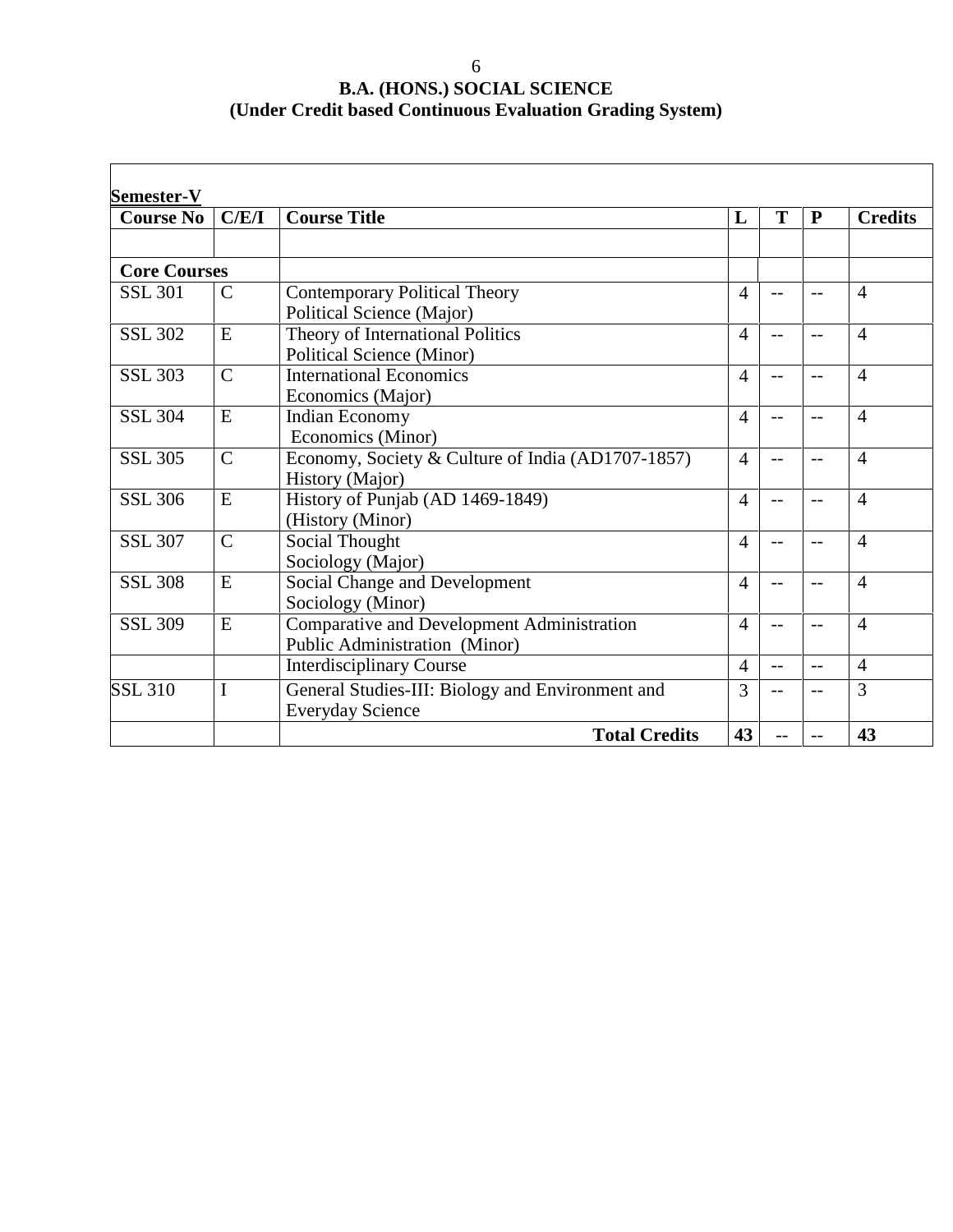| <b>Course No</b>    | C/E/I          | <b>Course Title</b>                                                         | L              | T    | $\mathbf{P}$ | <b>Credits</b> |
|---------------------|----------------|-----------------------------------------------------------------------------|----------------|------|--------------|----------------|
|                     |                |                                                                             |                |      |              |                |
| <b>Core Courses</b> |                |                                                                             |                |      |              |                |
| <b>SSL 301</b>      | $\mathsf{C}$   | <b>Contemporary Political Theory</b><br>Political Science (Major)           | 4              | $-1$ | $-$          | $\overline{4}$ |
| <b>SSL 302</b>      | E              | Theory of International Politics<br><b>Political Science (Minor)</b>        | $\overline{4}$ | $-$  |              | $\overline{4}$ |
| <b>SSL 303</b>      | $\overline{C}$ | <b>International Economics</b><br>Economics (Major)                         | 4              | $-1$ | $-$          | $\overline{4}$ |
| <b>SSL 304</b>      | E              | Indian Economy<br>Economics (Minor)                                         | 4              | $-$  | $-$          | $\overline{4}$ |
| <b>SSL 305</b>      | $\mathcal{C}$  | Economy, Society & Culture of India (AD1707-1857)<br>History (Major)        | 4              | $-$  | $-$          | $\overline{4}$ |
| <b>SSL 306</b>      | E              | History of Punjab (AD 1469-1849)<br>(History (Minor)                        | 4              | $-1$ | $-$          | $\overline{4}$ |
| <b>SSL 307</b>      | $\mathcal{C}$  | Social Thought<br>Sociology (Major)                                         | 4              | $-$  | $-$          | $\overline{4}$ |
| <b>SSL 308</b>      | E              | Social Change and Development<br>Sociology (Minor)                          | $\overline{4}$ | $-1$ | $-$          | $\overline{4}$ |
| <b>SSL 309</b>      | E              | Comparative and Development Administration<br>Public Administration (Minor) | 4              | $-1$ |              | $\overline{4}$ |
|                     |                | <b>Interdisciplinary Course</b>                                             | $\overline{4}$ | $-$  | $-$          | $\overline{4}$ |
| <b>SSL 310</b>      | I              | General Studies-III: Biology and Environment and<br><b>Everyday Science</b> | 3              | $-1$ | $-$          | 3              |
|                     |                | <b>Total Credits</b>                                                        | 43             |      |              | 43             |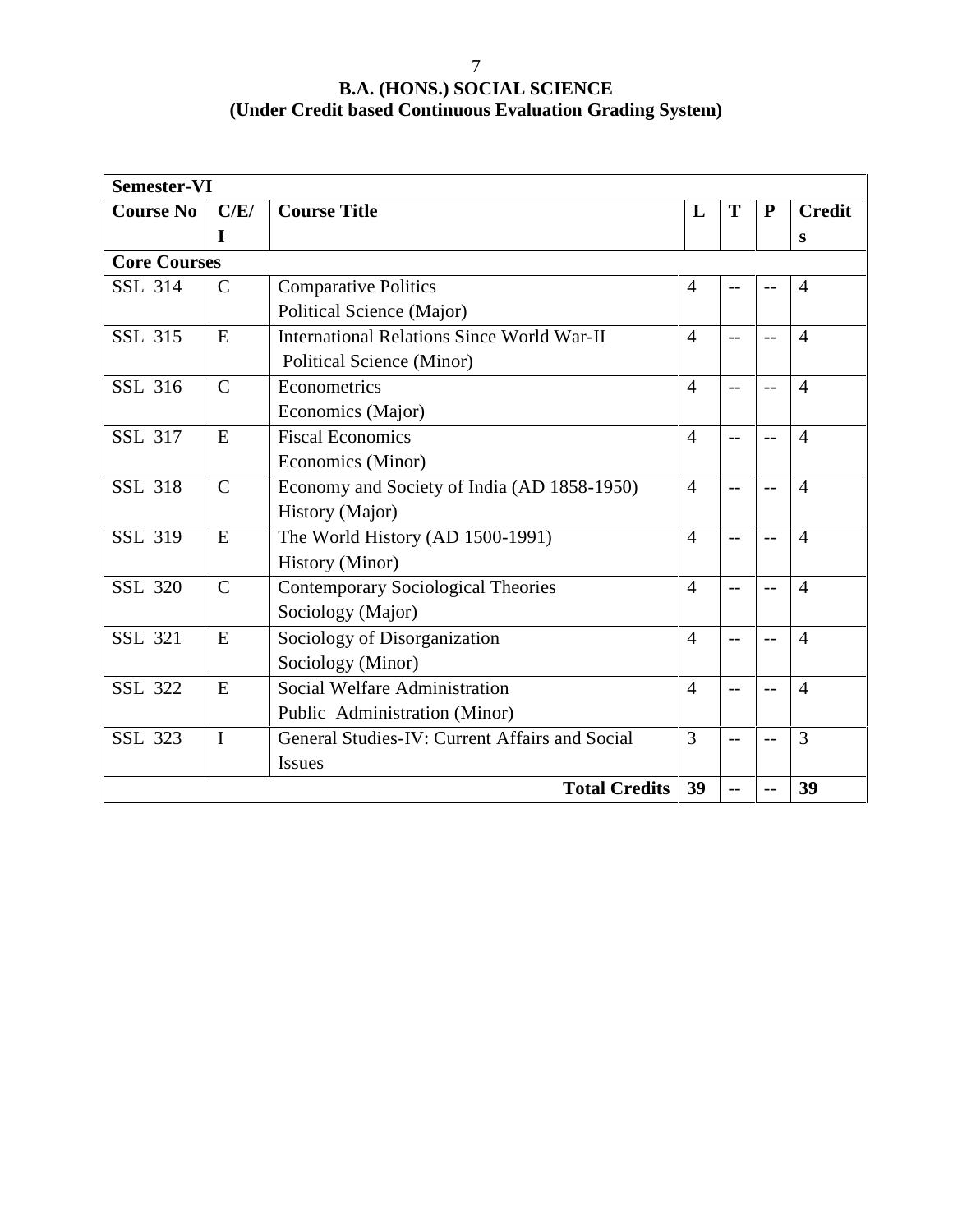| <b>Semester-VI</b>  |               |                                                   |                |         |           |                |
|---------------------|---------------|---------------------------------------------------|----------------|---------|-----------|----------------|
| <b>Course No</b>    | C/E/          | <b>Course Title</b>                               | L              | T       | ${\bf P}$ | <b>Credit</b>  |
|                     | I             |                                                   |                |         |           | S              |
| <b>Core Courses</b> |               |                                                   |                |         |           |                |
| <b>SSL 314</b>      | $\mathsf{C}$  | <b>Comparative Politics</b>                       | $\overline{4}$ |         |           | $\overline{4}$ |
|                     |               | Political Science (Major)                         |                |         |           |                |
| <b>SSL 315</b>      | E             | <b>International Relations Since World War-II</b> | $\overline{4}$ | $=$ $-$ |           | $\overline{4}$ |
|                     |               | <b>Political Science (Minor)</b>                  |                |         |           |                |
| SSL 316             | $\mathcal{C}$ | Econometrics                                      | $\overline{4}$ |         |           | $\overline{4}$ |
|                     |               | Economics (Major)                                 |                |         |           |                |
| SSL 317             | E             | <b>Fiscal Economics</b>                           | $\overline{4}$ | $-$     | $-1$      | $\overline{4}$ |
|                     |               | Economics (Minor)                                 |                |         |           |                |
| <b>SSL 318</b>      | $\mathcal{C}$ | Economy and Society of India (AD 1858-1950)       | $\overline{4}$ | $-$     |           | $\overline{4}$ |
|                     |               | History (Major)                                   |                |         |           |                |
| <b>SSL 319</b>      | E             | The World History (AD 1500-1991)                  | $\overline{4}$ | $-$     | $-1$      | $\overline{4}$ |
|                     |               | History (Minor)                                   |                |         |           |                |
| <b>SSL 320</b>      | $\mathcal{C}$ | <b>Contemporary Sociological Theories</b>         | $\overline{4}$ | $-$     | --        | $\overline{4}$ |
|                     |               | Sociology (Major)                                 |                |         |           |                |
| <b>SSL 321</b>      | E             | Sociology of Disorganization                      | $\overline{4}$ | $-$     | $-$       | $\overline{4}$ |
|                     |               | Sociology (Minor)                                 |                |         |           |                |
| <b>SSL 322</b>      | E             | Social Welfare Administration                     | $\overline{4}$ | $-$     | $-$       | $\overline{4}$ |
|                     |               | Public Administration (Minor)                     |                |         |           |                |
| SSL 323             | I             | General Studies-IV: Current Affairs and Social    | 3              |         |           | 3              |
|                     |               | <b>Issues</b>                                     |                |         |           |                |
|                     |               | <b>Total Credits</b>                              | 39             | $-$     | $-$       | 39             |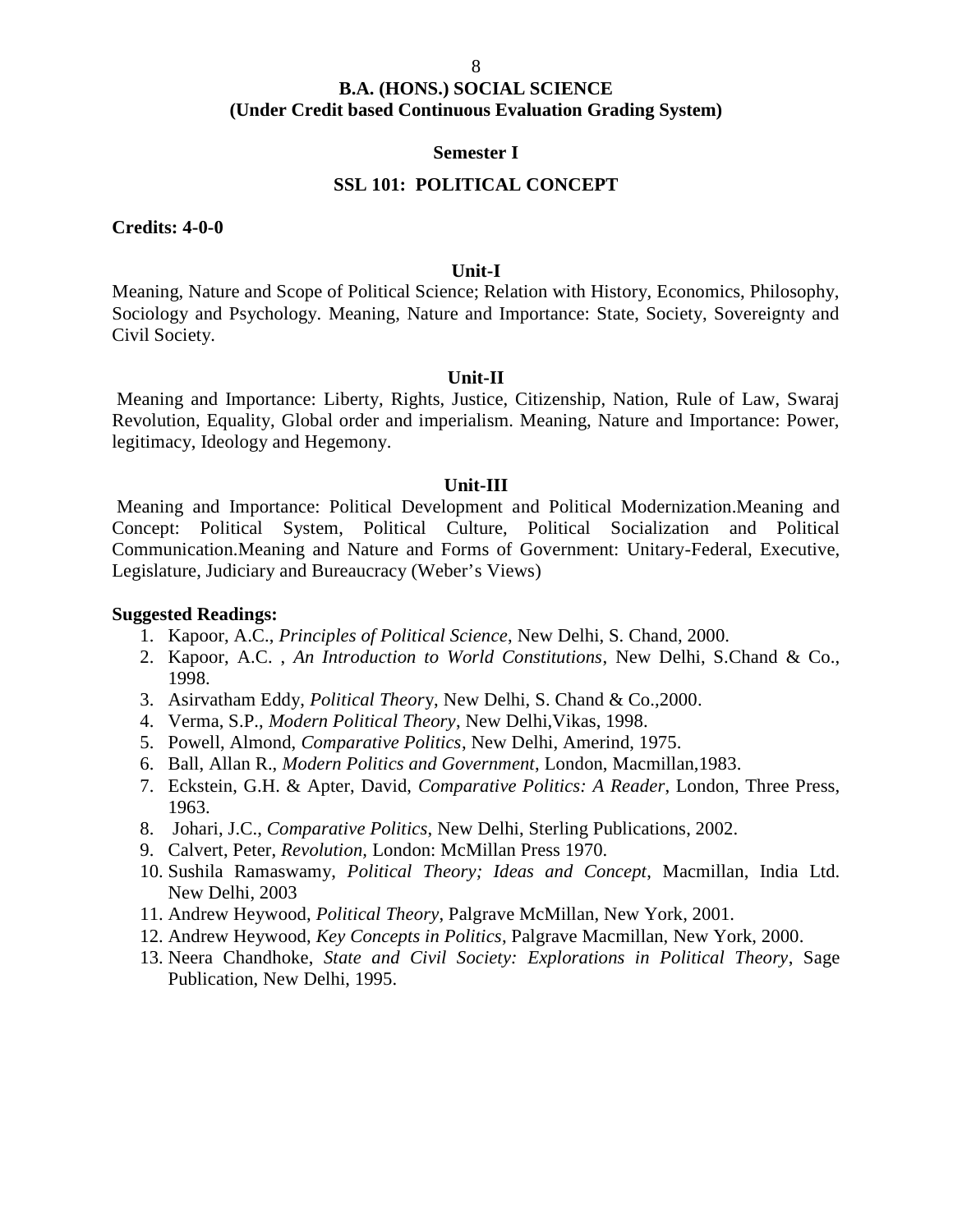#### **Semester I**

#### **SSL 101: POLITICAL CONCEPT**

**Credits: 4-0-0**

#### **Unit-I**

Meaning, Nature and Scope of Political Science; Relation with History, Economics, Philosophy, Sociology and Psychology. Meaning, Nature and Importance: State, Society, Sovereignty and Civil Society.

#### **Unit-II**

Meaning and Importance: Liberty, Rights, Justice, Citizenship, Nation, Rule of Law, Swaraj Revolution, Equality, Global order and imperialism. Meaning, Nature and Importance: Power, legitimacy, Ideology and Hegemony.

#### **Unit-III**

Meaning and Importance: Political Development and Political Modernization.Meaning and Concept: Political System, Political Culture, Political Socialization and Political Communication.Meaning and Nature and Forms of Government: Unitary-Federal, Executive, Legislature, Judiciary and Bureaucracy (Weber's Views)

- 1. Kapoor, A.C., *Principles of Political Science*, New Delhi, S. Chand, 2000.
- 2. Kapoor, A.C. , *An Introduction to World Constitutions*, New Delhi, S.Chand & Co., 1998.
- 3. Asirvatham Eddy, *Political Theor*y, New Delhi, S. Chand & Co.,2000.
- 4. Verma, S.P., *Modern Political Theory*, New Delhi,Vikas, 1998.
- 5. Powell, Almond, *Comparative Politics*, New Delhi, Amerind, 1975.
- 6. Ball, Allan R., *Modern Politics and Government*, London, Macmillan,1983.
- 7. Eckstein, G.H. & Apter, David, *Comparative Politics: A Reader*, London, Three Press, 1963.
- 8. Johari, J.C., *Comparative Politics*, New Delhi, Sterling Publications, 2002.
- 9. Calvert, Peter, *Revolution,* London: McMillan Press 1970.
- 10. Sushila Ramaswamy, *Political Theory; Ideas and Concept*, Macmillan, India Ltd. New Delhi, 2003
- 11. Andrew Heywood, *Political Theory*, Palgrave McMillan, New York, 2001.
- 12. Andrew Heywood, *Key Concepts in Politics*, Palgrave Macmillan, New York, 2000.
- 13. Neera Chandhoke, *State and Civil Society: Explorations in Political Theory*, Sage Publication, New Delhi, 1995.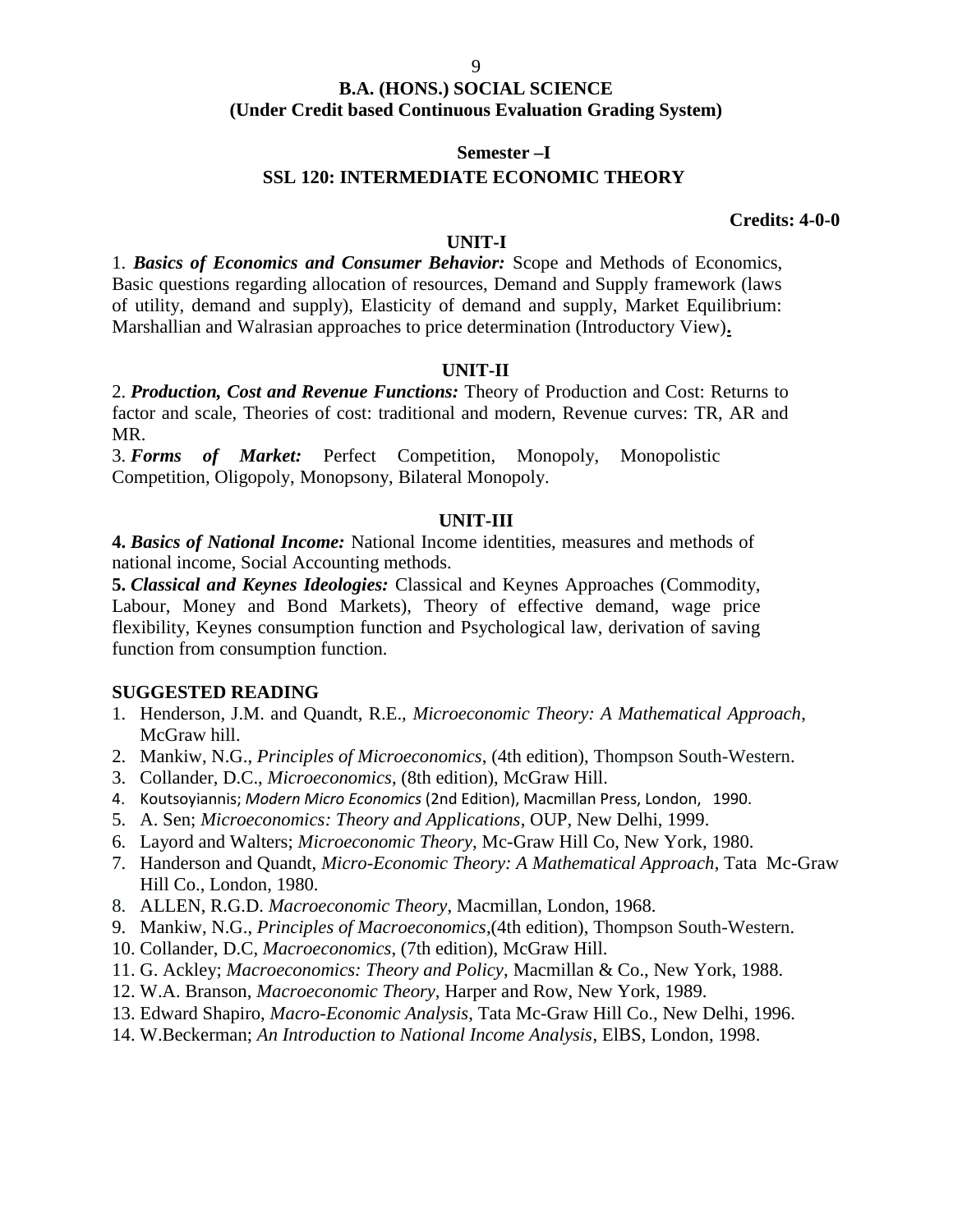#### **Semester –I**

#### **SSL 120: INTERMEDIATE ECONOMIC THEORY**

**Credits: 4-0-0**

#### **UNIT-I**

1. *Basics of Economics and Consumer Behavior:* Scope and Methods of Economics, Basic questions regarding allocation of resources, Demand and Supply framework (laws of utility, demand and supply), Elasticity of demand and supply, Market Equilibrium: Marshallian and Walrasian approaches to price determination (Introductory View)**.**

#### **UNIT-II**

2. *Production, Cost and Revenue Functions:* Theory of Production and Cost: Returns to factor and scale, Theories of cost: traditional and modern, Revenue curves: TR, AR and MR.

3. *Forms of Market:* Perfect Competition, Monopoly, Monopolistic Competition, Oligopoly, Monopsony, Bilateral Monopoly.

#### **UNIT-III**

**4.** *Basics of National Income:* National Income identities, measures and methods of national income, Social Accounting methods.

**5.** *Classical and Keynes Ideologies:* Classical and Keynes Approaches (Commodity, Labour, Money and Bond Markets), Theory of effective demand, wage price flexibility, Keynes consumption function and Psychological law, derivation of saving function from consumption function.

#### **SUGGESTED READING**

- 1. Henderson, J.M. and Quandt, R.E., *Microeconomic Theory: A Mathematical Approach*, McGraw hill.
- 2. Mankiw, N.G., *Principles of Microeconomics*, (4th edition), Thompson South-Western.
- 3. Collander, D.C., *Microeconomics*, (8th edition), McGraw Hill.
- 4. Koutsoyiannis; *Modern Micro Economics* (2nd Edition), Macmillan Press, London, 1990.
- 5. A. Sen; *Microeconomics: Theory and Applications*, OUP, New Delhi, 1999.
- 6. Layord and Walters; *Microeconomic Theory*, Mc-Graw Hill Co, New York, 1980.
- 7. Handerson and Quandt, *Micro-Economic Theory: A Mathematical Approach*, Tata Mc-Graw Hill Co., London, 1980.
- 8. ALLEN, R.G.D. *Macroeconomic Theory*, Macmillan, London, 1968.
- 9. Mankiw, N.G., *Principles of Macroeconomics*,(4th edition), Thompson South-Western.
- 10. Collander, D.C, *Macroeconomics*, (7th edition), McGraw Hill.
- 11. G. Ackley; *Macroeconomics: Theory and Policy*, Macmillan & Co., New York, 1988.
- 12. W.A. Branson, *Macroeconomic Theory,* Harper and Row, New York, 1989.
- 13. Edward Shapiro, *Macro-Economic Analysis*, Tata Mc-Graw Hill Co., New Delhi, 1996.
- 14. W.Beckerman; *An Introduction to National Income Analysis*, ElBS, London, 1998.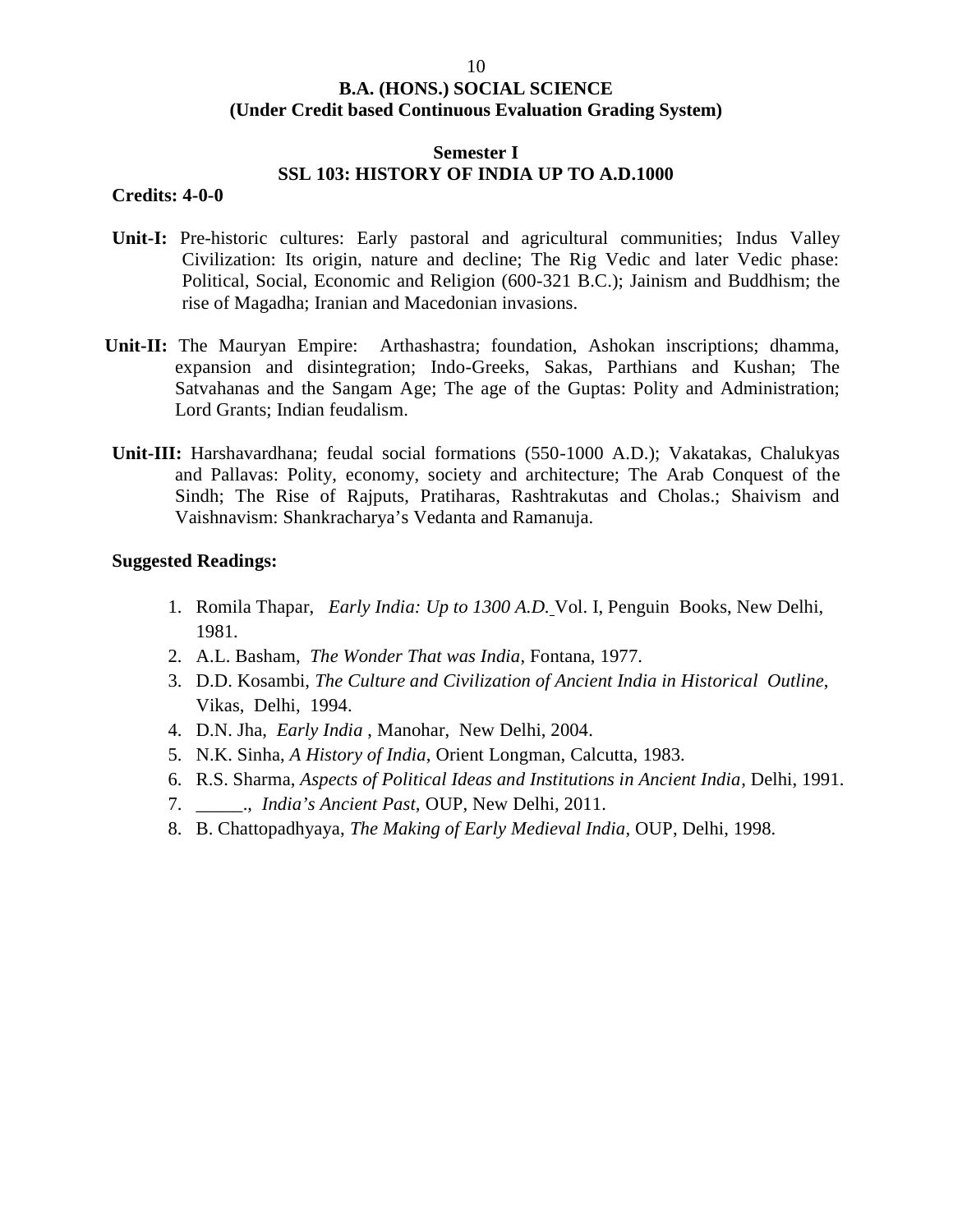#### **Semester I SSL 103: HISTORY OF INDIA UP TO A.D.1000**

#### **Credits: 4-0-0**

- **Unit-I:** Pre-historic cultures: Early pastoral and agricultural communities; Indus Valley Civilization: Its origin, nature and decline; The Rig Vedic and later Vedic phase: Political, Social, Economic and Religion (600-321 B.C.); Jainism and Buddhism; the rise of Magadha; Iranian and Macedonian invasions.
- **Unit-II:** The Mauryan Empire: Arthashastra; foundation, Ashokan inscriptions; dhamma, expansion and disintegration; Indo-Greeks, Sakas, Parthians and Kushan; The Satvahanas and the Sangam Age; The age of the Guptas: Polity and Administration; Lord Grants; Indian feudalism.
- **Unit-III:** Harshavardhana; feudal social formations (550-1000 A.D.); Vakatakas, Chalukyas and Pallavas: Polity, economy, society and architecture; The Arab Conquest of the Sindh; The Rise of Rajputs, Pratiharas, Rashtrakutas and Cholas.; Shaivism and Vaishnavism: Shankracharya's Vedanta and Ramanuja.

- 1. Romila Thapar, *Early India: Up to 1300 A.D.* Vol. I, Penguin Books, New Delhi, 1981.
- 2. A.L. Basham, *The Wonder That was India*, Fontana, 1977.
- 3. D.D. Kosambi, *The Culture and Civilization of Ancient India in Historical Outline*, Vikas, Delhi, 1994.
- 4. D.N. Jha, *Early India* , Manohar, New Delhi, 2004.
- 5. N.K. Sinha, *A History of India*, Orient Longman, Calcutta, 1983.
- 6. R.S. Sharma, *Aspects of Political Ideas and Institutions in Ancient India*, Delhi, 1991.
- 7. \_\_\_\_\_., *India's Ancient Past,* OUP, New Delhi, 2011.
- 8. B. Chattopadhyaya, *The Making of Early Medieval India*, OUP, Delhi, 1998.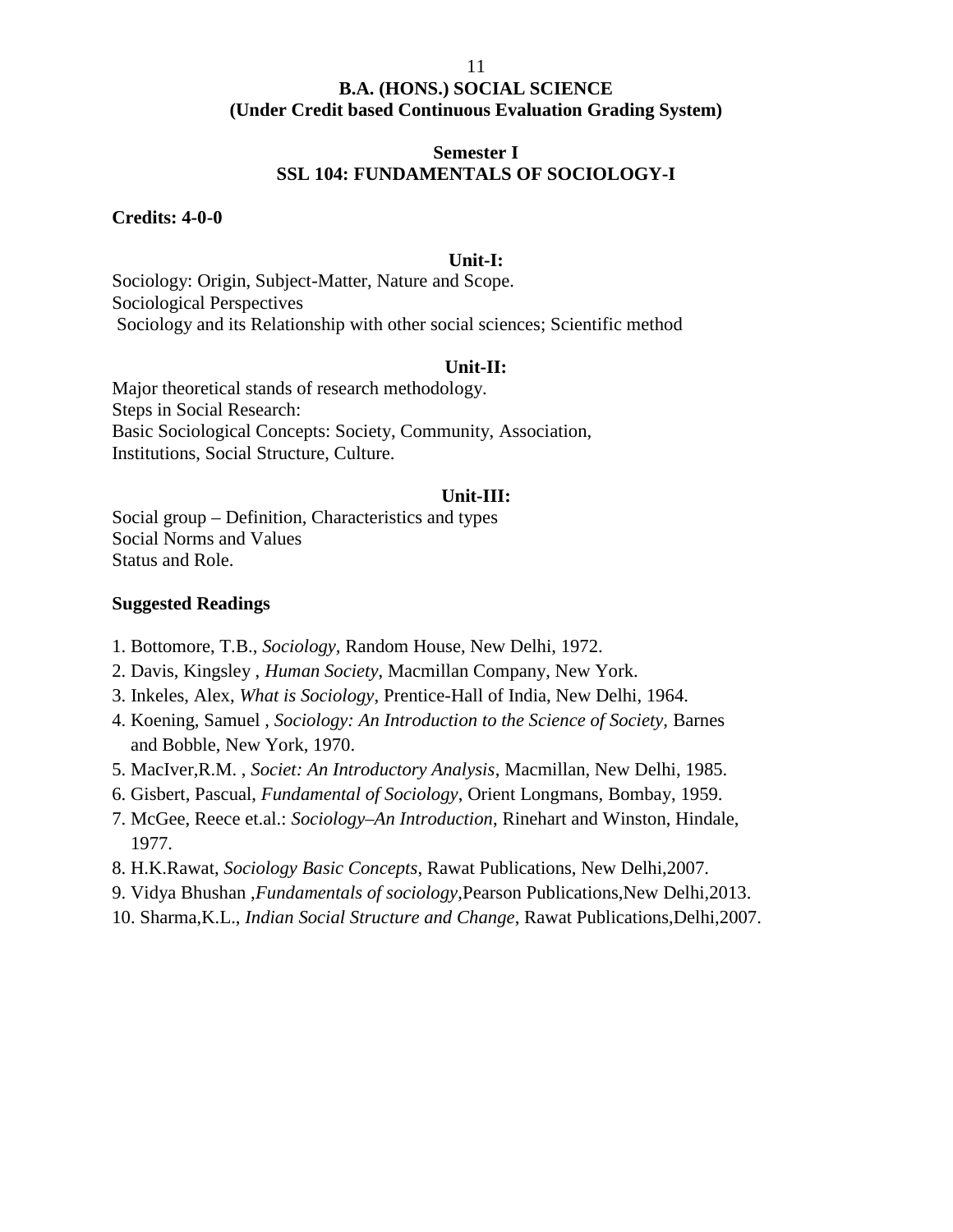#### 11

#### **B.A. (HONS.) SOCIAL SCIENCE (Under Credit based Continuous Evaluation Grading System)**

#### **Semester I SSL 104: FUNDAMENTALS OF SOCIOLOGY-I**

#### **Credits: 4-0-0**

#### **Unit-I:**

Sociology: Origin, Subject-Matter, Nature and Scope. Sociological Perspectives Sociology and its Relationship with other social sciences; Scientific method

#### **Unit-II:**

Major theoretical stands of research methodology. Steps in Social Research: Basic Sociological Concepts: Society, Community, Association, Institutions, Social Structure, Culture.

#### **Unit-III:**

Social group – Definition, Characteristics and types Social Norms and Values Status and Role.

- 1. Bottomore, T.B., *Sociology,* Random House, New Delhi, 1972.
- 2. Davis, Kingsley , *Human Society*, Macmillan Company, New York.
- 3. Inkeles, Alex, *What is Sociology*, Prentice-Hall of India, New Delhi, 1964.
- 4. Koening, Samuel , *Sociology: An Introduction to the Science of Society,* Barnes and Bobble, New York, 1970.
- 5. MacIver,R.M. , *Societ: An Introductory Analysis*, Macmillan, New Delhi, 1985.
- 6. Gisbert, Pascual, *Fundamental of Sociology*, Orient Longmans, Bombay, 1959.
- 7. McGee, Reece et.al.: *Sociology–An Introduction*, Rinehart and Winston, Hindale, 1977.
- 8. H.K.Rawat, *Sociology Basic Concepts*, Rawat Publications, New Delhi,2007.
- 9. Vidya Bhushan ,*Fundamentals of sociology*,Pearson Publications,New Delhi,2013.
- 10. Sharma,K.L., *Indian Social Structure and Change*, Rawat Publications,Delhi,2007.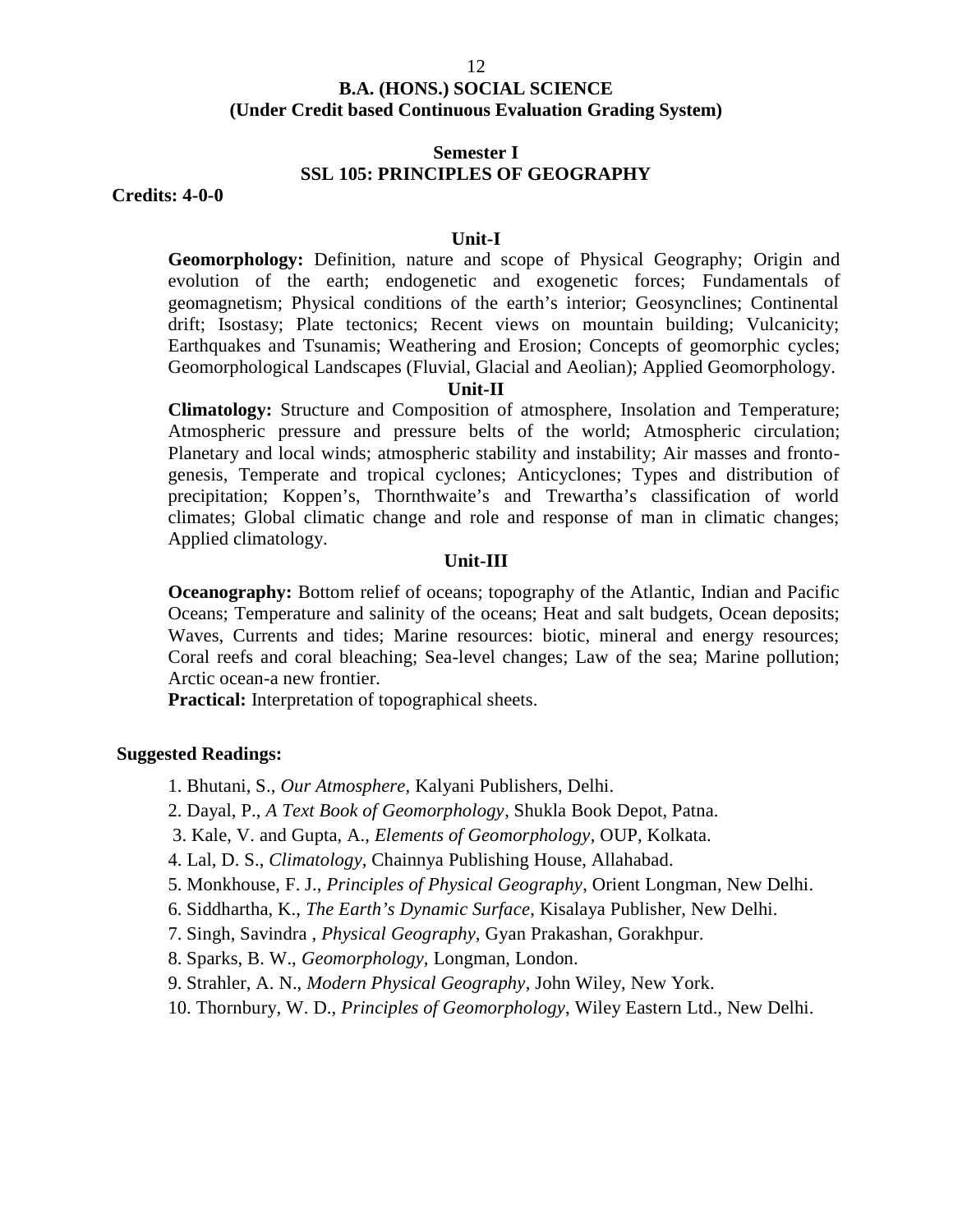#### **Semester I SSL 105: PRINCIPLES OF GEOGRAPHY**

**Credits: 4-0-0**

#### **Unit-I**

**Geomorphology:** Definition, nature and scope of Physical Geography; Origin and evolution of the earth; endogenetic and exogenetic forces; Fundamentals of geomagnetism; Physical conditions of the earth's interior; Geosynclines; Continental drift; Isostasy; Plate tectonics; Recent views on mountain building; Vulcanicity; Earthquakes and Tsunamis; Weathering and Erosion; Concepts of geomorphic cycles; Geomorphological Landscapes (Fluvial, Glacial and Aeolian); Applied Geomorphology.

#### **Unit-II**

**Climatology:** Structure and Composition of atmosphere, Insolation and Temperature; Atmospheric pressure and pressure belts of the world; Atmospheric circulation; Planetary and local winds; atmospheric stability and instability; Air masses and fronto genesis, Temperate and tropical cyclones; Anticyclones; Types and distribution of precipitation; Koppen's, Thornthwaite's and Trewartha's classification of world climates; Global climatic change and role and response of man in climatic changes; Applied climatology.

#### **Unit-III**

**Oceanography:** Bottom relief of oceans; topography of the Atlantic, Indian and Pacific Oceans; Temperature and salinity of the oceans; Heat and salt budgets, Ocean deposits; Waves, Currents and tides; Marine resources: biotic, mineral and energy resources; Coral reefs and coral bleaching; Sea-level changes; Law of the sea; Marine pollution; Arctic ocean-a new frontier.

**Practical:** Interpretation of topographical sheets.

#### **Suggested Readings:**

1. Bhutani, S., *Our Atmosphere,* Kalyani Publishers, Delhi.

- 2. Dayal, P., *A Text Book of Geomorphology*, Shukla Book Depot, Patna.
- 3. Kale, V. and Gupta, A., *Elements of Geomorphology*, OUP, Kolkata.
- 4. Lal, D. S., *Climatology*, Chainnya Publishing House, Allahabad.

5. Monkhouse, F. J., *Principles of Physical Geography*, Orient Longman, New Delhi.

- 6. Siddhartha, K., *The Earth's Dynamic Surface*, Kisalaya Publisher, New Delhi.
- 7. Singh, Savindra , *Physical Geography,* Gyan Prakashan, Gorakhpur.
- 8. Sparks, B. W., *Geomorphology,* Longman, London.
- 9. Strahler, A. N., *Modern Physical Geography*, John Wiley, New York.
- 10. Thornbury, W. D., *Principles of Geomorphology*, Wiley Eastern Ltd., New Delhi.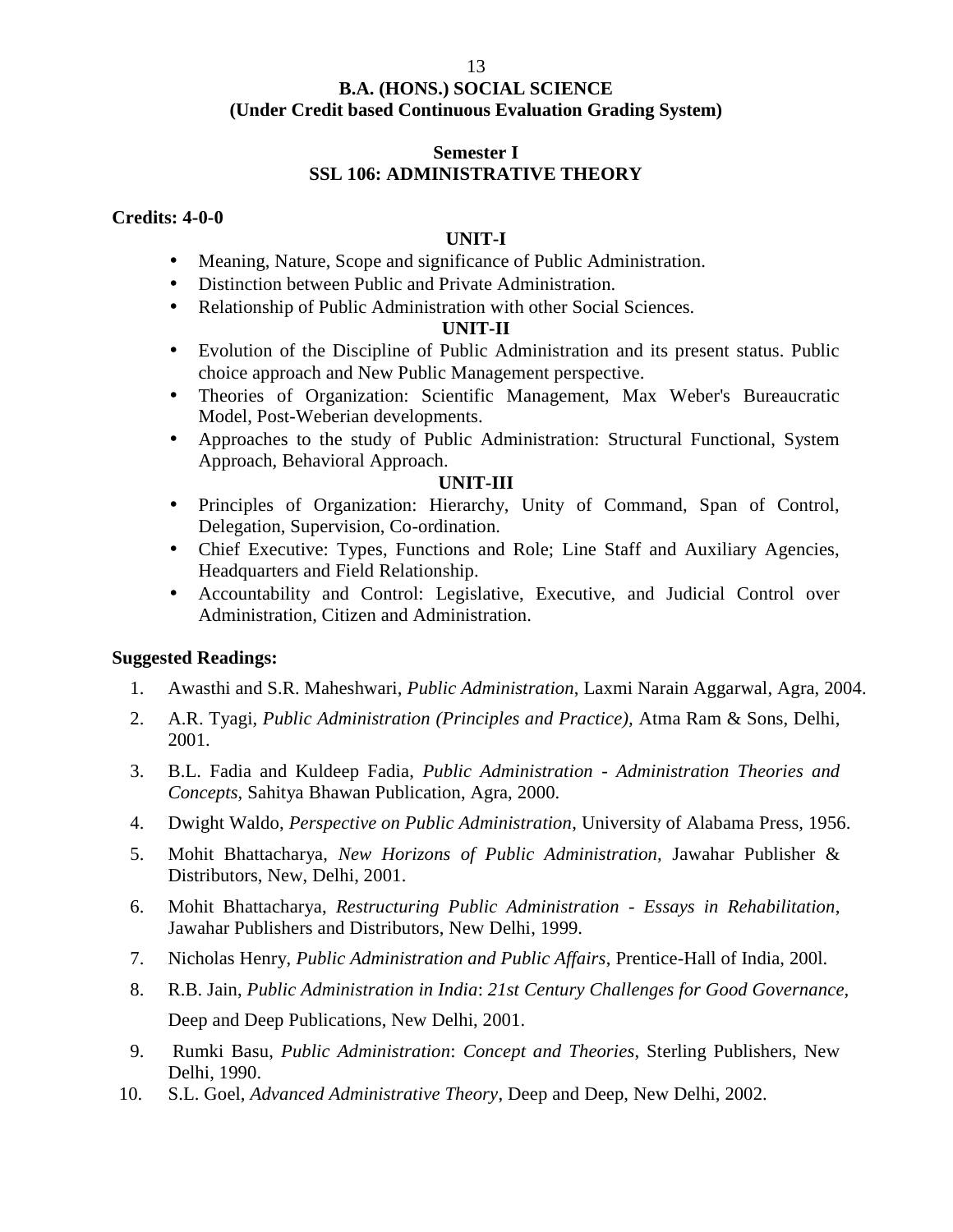#### **Semester I SSL 106: ADMINISTRATIVE THEORY**

#### **Credits: 4-0-0**

#### **UNIT-I**

- Meaning, Nature, Scope and significance of Public Administration.
- Distinction between Public and Private Administration.
- Relationship of Public Administration with other Social Sciences.

#### **UNIT-II**

- Evolution of the Discipline of Public Administration and its present status. Public choice approach and New Public Management perspective.
- Theories of Organization: Scientific Management, Max Weber's Bureaucratic Model, Post-Weberian developments.
- Approaches to the study of Public Administration: Structural Functional, System Approach, Behavioral Approach.

#### **UNIT-III**

- Principles of Organization: Hierarchy, Unity of Command, Span of Control, Delegation, Supervision, Co-ordination.
- Chief Executive: Types, Functions and Role; Line Staff and Auxiliary Agencies, Headquarters and Field Relationship.
- Accountability and Control: Legislative, Executive, and Judicial Control over Administration, Citizen and Administration.

- 1. Awasthi and S.R. Maheshwari, *Public Administration*, Laxmi Narain Aggarwal, Agra, 2004.
- 2. A.R. Tyagi*, Public Administration (Principles and Practice),* Atma Ram & Sons, Delhi, 2001.
- 3. B.L. Fadia and Kuldeep Fadia, *Public Administration Administration Theories and Concepts,* Sahitya Bhawan Publication, Agra, 2000.
- 4. Dwight Waldo, *Perspective on Public Administration*, University of Alabama Press*,* 1956.
- 5. Mohit Bhattacharya, *New Horizons of Public Administration,* Jawahar Publisher & Distributors, New, Delhi, 2001.
- 6. Mohit Bhattacharya, *Restructuring Public Administration - Essays in Rehabilitation*, Jawahar Publishers and Distributors, New Delhi, 1999.
- 7. Nicholas Henry, *Public Administration and Public Affairs*, Prentice-Hall of India, 200l.
- 8. R.B. Jain, *Public Administration in India*: *21st Century Challenges for Good Governance,* Deep and Deep Publications, New Delhi, 2001.
- 9. Rumki Basu, *Public Administration*: *Concept and Theories*, Sterling Publishers, New Delhi, 1990.
- 10. S.L. Goel, *Advanced Administrative Theory*, Deep and Deep, New Delhi, 2002.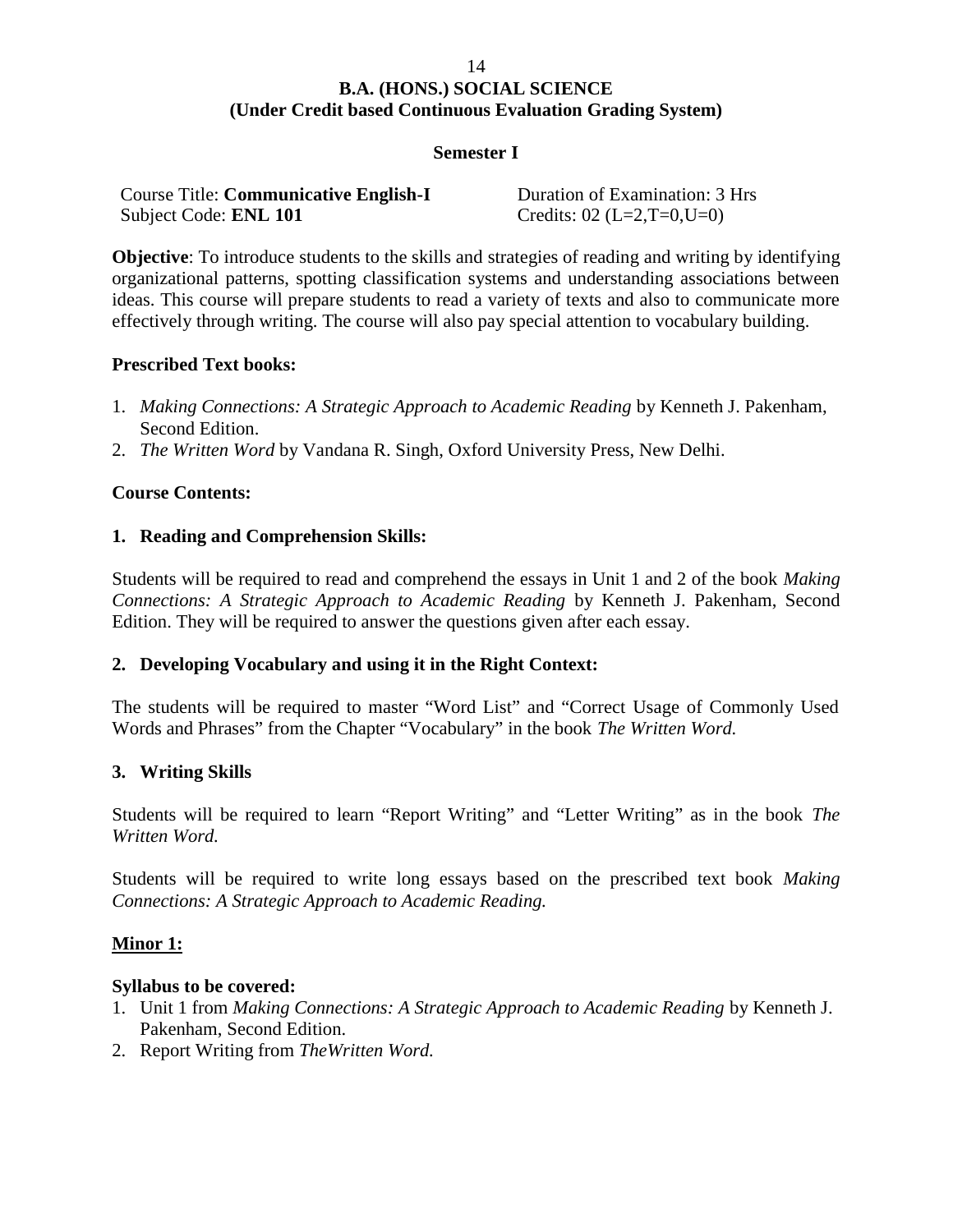#### 14

#### **B.A. (HONS.) SOCIAL SCIENCE (Under Credit based Continuous Evaluation Grading System)**

#### **Semester I**

| <b>Course Title: Communicative English-I</b> | Duration of Examination: 3 Hrs |
|----------------------------------------------|--------------------------------|
| Subject Code: <b>ENL 101</b>                 | Credits: $02$ (L=2,T=0,U=0)    |

**Objective**: To introduce students to the skills and strategies of reading and writing by identifying organizational patterns, spotting classification systems and understanding associations between ideas. This course will prepare students to read a variety of texts and also to communicate more effectively through writing. The course will also pay special attention to vocabulary building.

#### **Prescribed Text books:**

- 1. *Making Connections: A Strategic Approach to Academic Reading* by Kenneth J. Pakenham, Second Edition.
- 2. *The Written Word* by Vandana R. Singh, Oxford University Press, New Delhi.

#### **Course Contents:**

#### **1. Reading and Comprehension Skills:**

Students will be required to read and comprehend the essays in Unit 1 and 2 of the book *Making Connections: A Strategic Approach to Academic Reading* by Kenneth J. Pakenham, Second Edition. They will be required to answer the questions given after each essay.

#### **2. Developing Vocabulary and using it in the Right Context:**

The students will be required to master "Word List" and "Correct Usage of Commonly Used Words and Phrases" from the Chapter "Vocabulary" in the book *The Written Word.*

#### **3. Writing Skills**

Students will be required to learn "Report Writing" and "Letter Writing" as in the book *The Written Word.*

Students will be required to write long essays based on the prescribed text book *Making Connections: A Strategic Approach to Academic Reading.*

#### **Minor 1:**

#### **Syllabus to be covered:**

- 1. Unit 1 from *Making Connections: A Strategic Approach to Academic Reading* by Kenneth J. Pakenham, Second Edition.
- 2. Report Writing from *TheWritten Word.*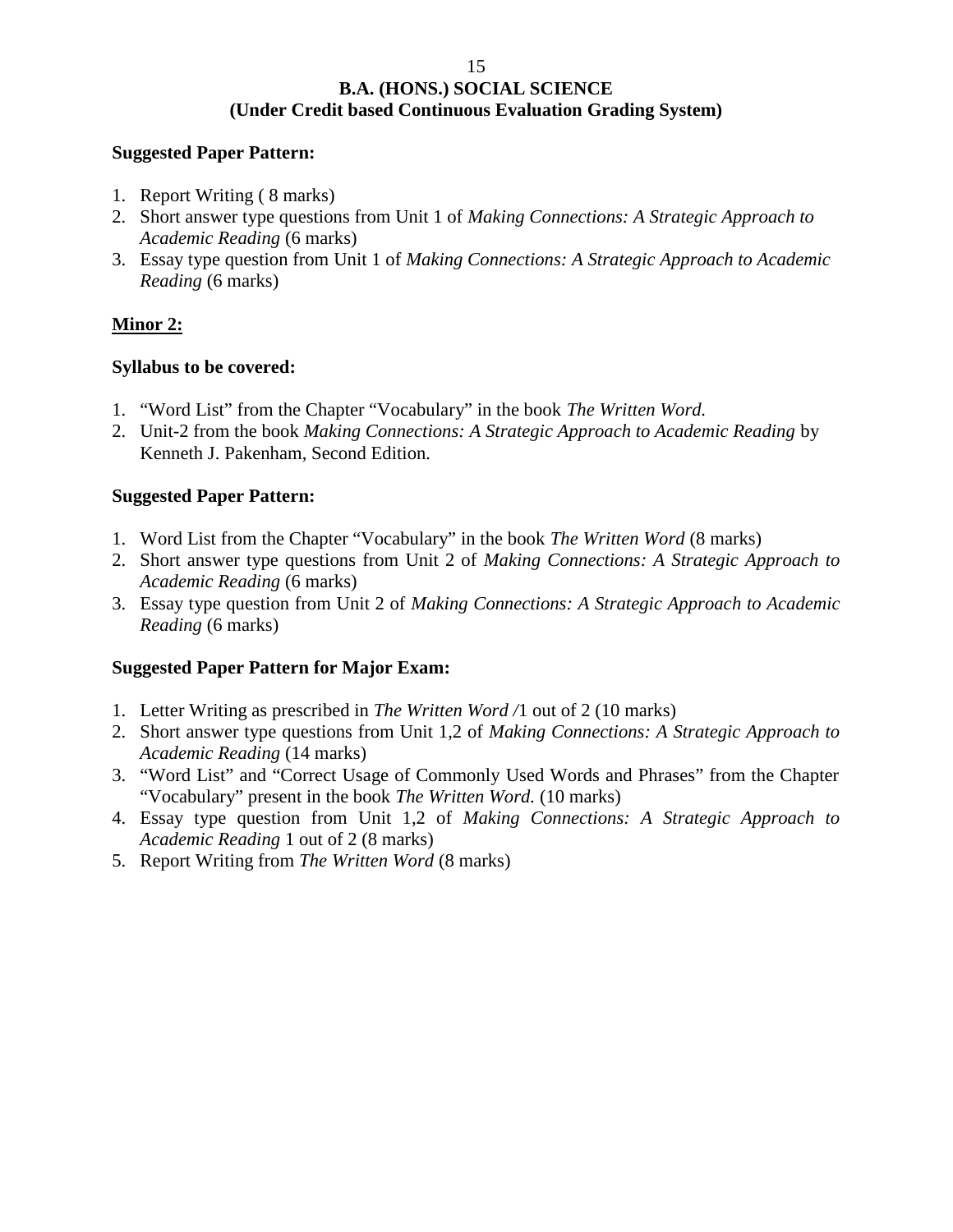#### **Suggested Paper Pattern:**

- 1. Report Writing ( 8 marks)
- 2. Short answer type questions from Unit 1 of *Making Connections: A Strategic Approach to Academic Reading* (6 marks)
- 3. Essay type question from Unit 1 of *Making Connections: A Strategic Approach to Academic Reading* (6 marks)

#### **Minor 2:**

#### **Syllabus to be covered:**

- 1. "Word List" from the Chapter "Vocabulary" in the book *The Written Word.*
- 2. Unit-2 from the book *Making Connections: A Strategic Approach to Academic Reading* by Kenneth J. Pakenham, Second Edition.

#### **Suggested Paper Pattern:**

- 1. Word List from the Chapter "Vocabulary" in the book *The Written Word* (8 marks)
- 2. Short answer type questions from Unit 2 of *Making Connections: A Strategic Approach to Academic Reading* (6 marks)
- 3. Essay type question from Unit 2 of *Making Connections: A Strategic Approach to Academic Reading* (6 marks)

#### **Suggested Paper Pattern for Major Exam:**

- 1. Letter Writing as prescribed in *The Written Word /*1 out of 2 (10 marks)
- 2. Short answer type questions from Unit 1,2 of *Making Connections: A Strategic Approach to Academic Reading* (14 marks)
- 3. "Word List" and "Correct Usage of Commonly Used Words and Phrases" from the Chapter "Vocabulary" present in the book *The Written Word.* (10 marks)
- 4. Essay type question from Unit 1,2 of *Making Connections: A Strategic Approach to Academic Reading* 1 out of 2 (8 marks)
- 5. Report Writing from *The Written Word* (8 marks)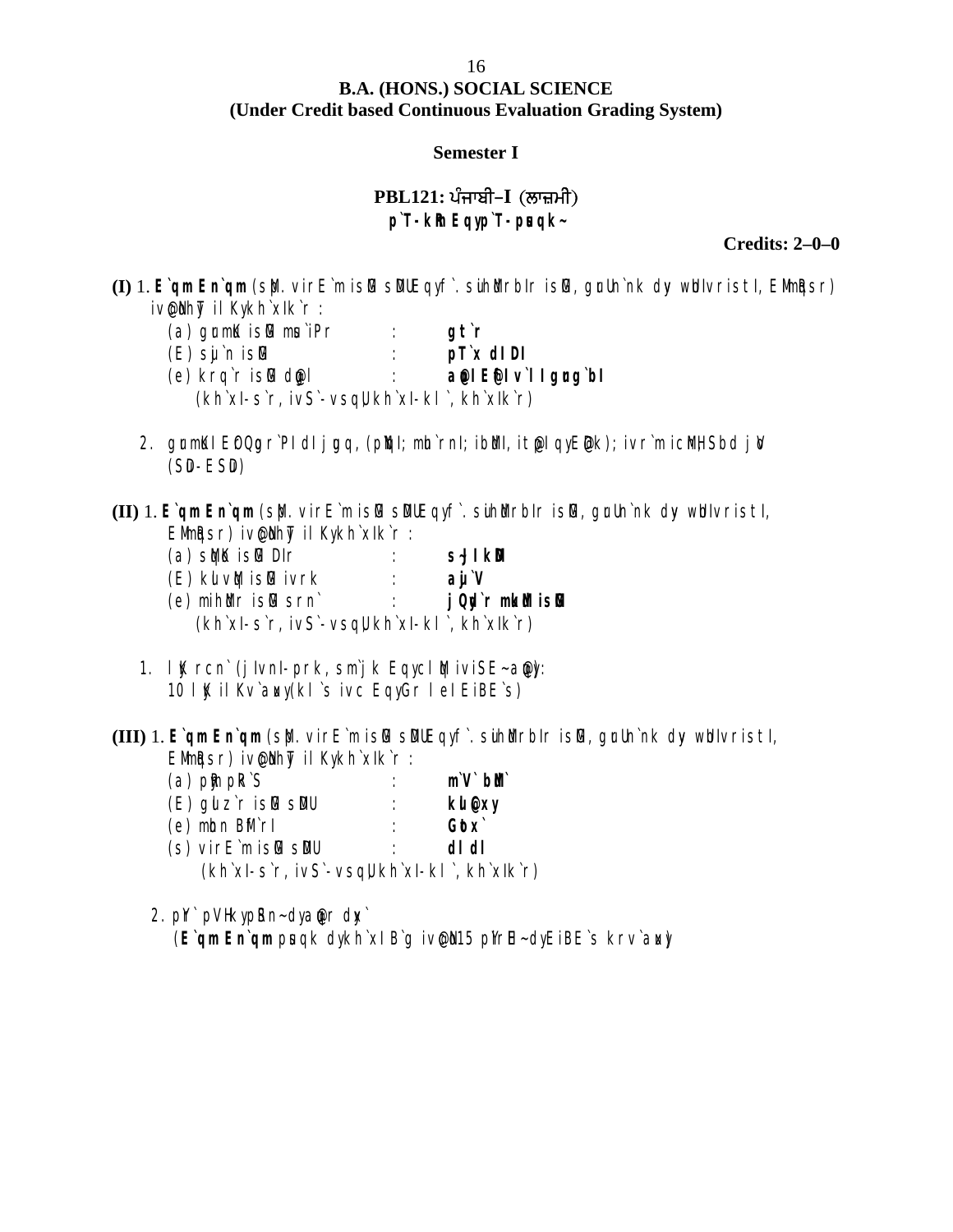# **B.A. (HONS.) SOCIAL SCIENCE** The Credit based Continuous Evaluation Grading System)<br>
Semester I<br>
PBL121: ਪੰਜਾਬੀ–I (ਲਾਜ਼ਮੀ)<br>
p T-kh Eqyp T-pisqk-

#### **Semester I**

**p`T-kRm Eqy p`T-pusqk~**

**Credits: 2–0–0**

**(I)** 1. E`qm En`qm (s $\phi$ . virE`m islG sDUEqyf. suihWrbIr islG, grUn`nk dy whIvristI, EMmigsr) ivelhyt il Kykh`xlk`r :

| $(a)$ grm $K$ is $\mathbb B$ musipr                       | at`r                              |
|-----------------------------------------------------------|-----------------------------------|
| $(E)$ sij `n is $E$                                       | $p\Gamma x$ dl Dl                 |
| (e) krq`r islG dwgl                                       | $\alpha$ el E $\in$ l vill grondl |
| $(kh\$ xl-s`r, ivS`-vsq $\parallel kh\$ xl-kl`, kh`xlk`r) |                                   |

- 2. grmKI EfQgr`PI dI jgq, (pkql; mh`rnI; ibMl, it@I qyE@k); ivr`m icMH, Sbd jiV  $(SD-ESD)$
- **(II)** 1. E`qm En`qm (sb). virE`m islG sDUEqyf. suihbut islG, grun`nk dy whivristi, EMmigsr) iven hyt il Kykh`xIk`r :

| $(a)$ stock is the DIM                                    | S∹JI KD            |
|-----------------------------------------------------------|--------------------|
| (E) kul∨MqisMGivrk                                        | ai V               |
| (e) mih <code>Muris</code> for $\sim$                     | j Qp'r mikibi islG |
| $(kh\$ xl-s`r, ivS`-vsq $\parallel kh\$ xl-kl`, kh`xlk`r) |                    |

- 1.  $IK$  rcn` (j IvnI-prk, sm`j k Eqycl  $M$  iviSE-anot: 10 lK il Kv`awy (kl`s ivc Eqy Gr l el EiBE`s)
- **(III)** 1. E`qm En`qm (s $\phi$ . virE`m islG sDUEqyf. suihMurbIr islG, grUn`nk dyv whIvristI, EMIMARSIT) iven hyT il Kykh`xIk`r :

| $(a)$ pm $pkS$                                            | $m \vee b$ |
|-----------------------------------------------------------|------------|
| $(E)$ gu z`r is $E$ s $D$ u                               | kII @xy    |
| $(e)$ mbn $B$ fr $ f $                                    | $G$ ¢ $x$  |
| $(s)$ vir $E$ m is $\mathbb G$ s $\mathbb D$              | di di      |
| $(kh\$ xl-s`r, ivS`-vsq $\parallel kh\$ xl-kl`, kh`xlk`r) |            |

2. pr` pVH ky pSn-dy angr dw` (E`qm En`qm prsqk dykh`xl B`g iv@l15 pl'rlE-dyEiBE`s krv`aw)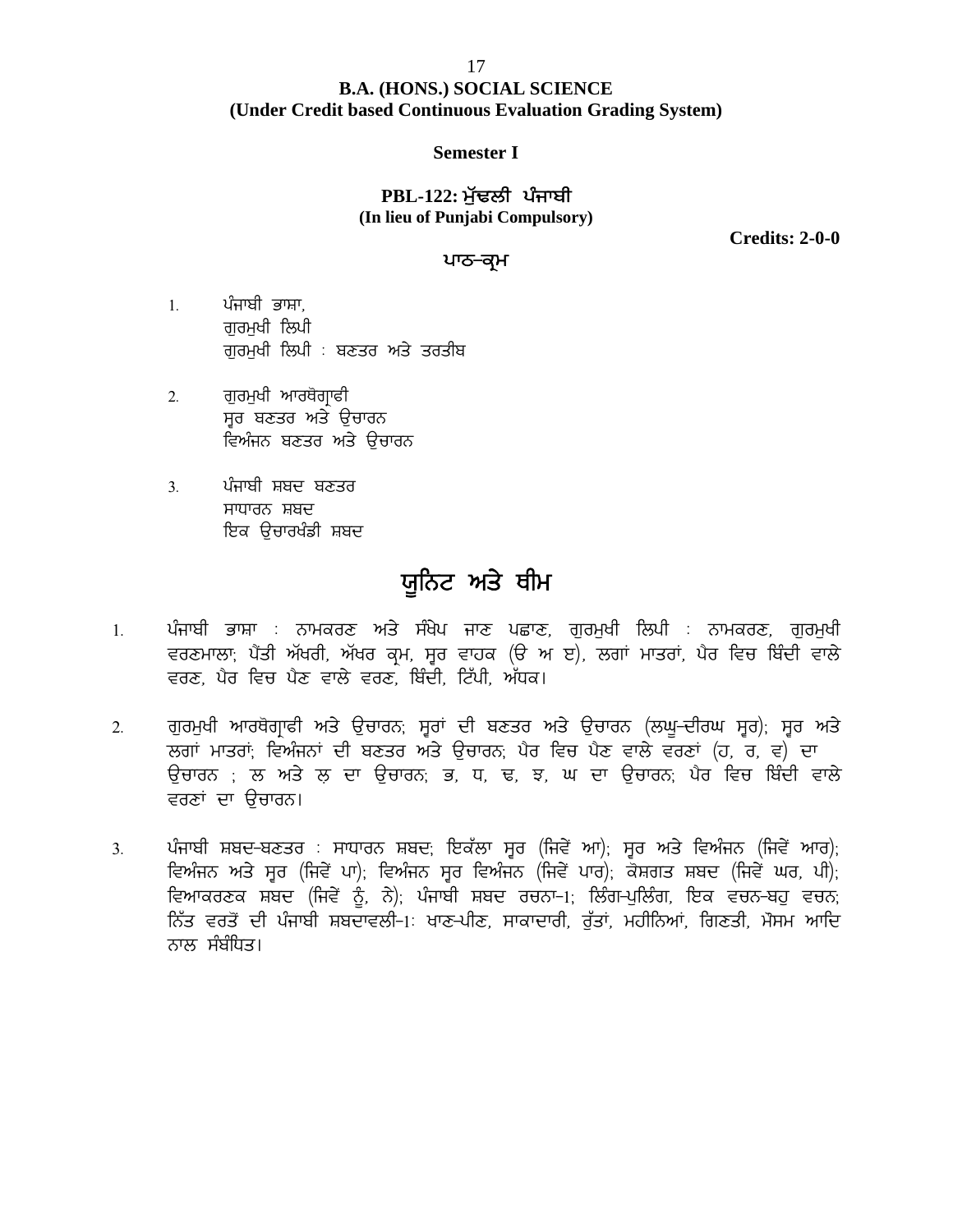# **B.A. (HONS.) SOCIAL SCIENCE (Under Credit based Continuous Evaluation Grading System)** 17<br>**(HONS.) SOCIAL SCIENCE**<br>d Continuous Evaluation Grading<br>Semester I<br>PBL-122: ਮੁੱਢਲੀ ਪੰਜਾਬੀ<br>lieu of Punjabi Compulsory)

#### **Semester I**

**(In lieu of Punjabi Compulsory)**

**Credits: 2-0-0**

#### ਪਾਠ<del>-</del>ਕਮ

- PBL<br>(In lieu)<br>1. ਪੰਜਾਬੀ ਭਾਸ਼ਾ,<br>ਗੁਰਮੁਖੀ ਲਿਪੀ<br>ਗਰਮੁਖੀ ਲਿਪੀ : ਸੁਣਤਰ ਅਤੇ **rвь.-**<br>(In lieu of l)<br>ਪੰਜਾਬੀ ਭਾਸ਼ਾ,<br>ਗੁਰਮੁਖੀ ਲਿਪੀ : ਬਣਤਰ ਅਤੇ ਤਰ **(In heu or Punjabi Comp )**<br>ਪੰਜਾਬੀ ਭਾਸ਼ਾ,<br>ਗੁਰਮੁਖੀ ਲਿਪੀ<br>ਗੁਰਮੁਖੀ ਲਿਪੀ : ਬਣਤਰ ਅਤੇ ਤਰਤੀਬ<br>ਜ਼ਰਮੁਖੀ ਆਰਸੋਗਾਫ਼ੀ 1. ਪੰਜਾਬੀ ਭਾਸ਼ਾ,<br>ਗੁਰਮੁਖੀ ਲਿਪੀ<br>ਗੁਰਮੁਖੀ ਲਿਪੀ : ਬਣਤਰ ਅਤੇ ਤਰ<br>2. ਗੁਰਮੁਖੀ ਆਰਥੋਗ੍ਰਾਫੀ<br>ਸੂਰ ਬਣਤਰ ਅਤੇ ਉਚਾਰਨ<br>ਵਿਅੰਜਨ ਸ਼ਣਤਰ ਅਤੇ ਉਚਾਰਨ
- ਸ੍ਵਰ ਬਣਤਰ ਅਤੇ ਉਚਾਰਨ<br>ਵਿਅੰਜਨ ਬਣਤਰ ਅਤੇ ੳਚਾਰਨ ਗਰਮੁਖੀ ਲਿਪੀ<br>ਗੁਰਮੁਖੀ ਲਿਪੀ : ਬਣਤਰ ਅਤੇ ਤਰਤੀਬ<br>ਗੁਰਮੁਖੀ ਆਰਥੋਗ੍ਰਾਫੀ<br>ਸੂਰ ਬਣਤਰ ਅਤੇ ਉਚਾਰਨ<br>ਵਿਅੰਜਨ ਬਣਤਰ ਅਤੇ ਉਚਾਰਨ<br>ਵਿਅੰਜਨ ਬਣਤਰ ਅਤੇ ਉਚਾਰਨ<br>ਪੰਜਾਬੀ ਸਬਦ ਬਣਤਰ ੁੱਚਰਾਕਾ ਦਿੱਖਾਂ ਦੇ ਖਣਤਰ ਅਤੇ ਹ<br>2. ਗੁਰਮੁਖੀ ਆਰਥੋਗ੍ਰਾਫੀ<br>ਸ੍ਵਰ ਬਣਤਰ ਅਤੇ ਉਚਾਰਨ<br>ਵਿਅੰਜਨ ਬਣਤਰ ਅਤੇ ਉਚਾਰਨ<br>3. ਪੰਜਾਬੀ ਸ਼ਬਦ ਬਣਤਰ<br>ਸਾਧਾਰਨ ਸ਼ਬਦ<br>ਇਕ ਉਜਾਰਖੰਡੀ ਸ਼ਬਦ
- ਸਾਧਾਰਨ ਸ਼ਬਦ ਇਕ ਉਚਾਰਖੰਡੀ ਸ਼ਬਦ

### **:{fBN ns/ Ehw**

- 3. ਪੰਜਾਬੀ ਸ਼ਬਦ ਬਣਤੇਹ<br>ਸਾਧਾਰਨ ਸ਼ਬਦ<br>ਇਕ ਉਚਾਰਖੰਡੀ ਸ਼ਬਦ<br>1. ਪੰਜਾਬੀ ਭਾਸ਼ਾ : ਨਾਮਕਰਣ ਅਤੇ ਸੰਖੇਪ ਜਾਣ ਪਛਾਣ, ਗੁਰਮੁਖੀ ਲਿਪੀ : ਨਾਮਕਰਣ, ਗੁਰਮੁਖੀ<br>ਵਰਣਮਾਲਾ; ਪੈਂਤੀ ਅੱਖਰੀ, ਅੱਖਰ ਕ੍ਰਮ, ਸ੍ਵਰ ਵਾਹਕ (ੳ ਅ ੲ), ਲਗਾਂ ਮਾਤਰਾਂ, ਪੈਰ ਵਿਚ ਬਿੰਦੀ ਵਾਲੇ<br>ਵਰਣ ਪੈਰ ਵਿ ਸਾਕਾਰਨ ਸ਼ਬਦ<br>ਇਕ ਉਚਾਰਖੰਡੀ ਸ਼ਬਦ<br>ਪੰਜਾਬੀ ਭਾਸ਼ਾ : ਨਾਮਕਰਣ ਅਤੇ ਸੰਖੇਪ ਜਾਣ ਪਛਾਣ, ਗੁਰਮੁਖੀ ਲਿਪੀ : ਨਾਮਕਰਣ, ਗੁਰਮੁਖੀ<br>ਵਰਣਮਾਲਾ, ਪੈਂਤੀ ਅੱਖਰੀ, ਅੱਖਰ ਕ੍ਰਮ, ਸੂਰ ਵਾਹਕ (ੳ ਅ ੲ), ਲਗਾਂ ਮਾਤਰਾਂ, ਪੈਰ ਵਿਚ ਬਿੰਦੀ ਵਾਲੇ<br>ਵਰਣ, ਪੈਰ ਵਿਚ ਪੈਣ ਵਾਲੇ ਵਰਣ, ਬਿੰਦੀ, ਟ ੱਟਕ ਫੂੰਦਰੱਖਰਾ ਅਤੇ **ਪਰੂਨਿਟ ਅਤੇ ਬੀਮ**<br>ਪੰਜਾਬੀ ਭਾਸ਼ਾ : ਨਾਮਕਰਣ ਅਤੇ ਸੰਖੇਪ ਜਾਣ ਪਛਾਣ, ਗੁਰਮੁਖੀ ਲਿਪੀ<br>ਵਰਣਮਾਲਾ, ਪੈਂਤੀ ਅੱਖਰੀ, ਅੱਖਰ ਕ੍ਰਮ, ਸੂਰ ਵਾਹਕ (ੳ ਅ ੲ), ਲਗਾਂ ਮਾਤ<br>ਵਰਣ, ਪੈਰ ਵਿਚ ਪੈਣ ਵਾਲੇ ਵਰਣ, ਬਿੰਦੀ, ਟਿੱਪੀ, ਅੱਧਕ।<br>ਗਰਮੁਖੀ ਆਰਥੋਗਾਫੀ ਅਤੇ ਉਚਾ 2 ਪੰਜਾਬੀ ਭਾਸ਼ਾ : ਨਾਮਕਰਣ ਅਤੇ ਸੰਖੇਪ ਜਾਣ ਪਛਾਣ, ਗੁਰਮੁਖੀ ਲਿਪੀ : ਨਾਮਕਰਣ, ਗੁਰਮੁਖੀ<br>ਵਰਣਮਾਲਾ, ਪੈਂਤੀ ਅੱਖਰੀ, ਅੱਖਰ ਕ੍ਰਮ, ਸੂਰ ਵਾਹਕ (ੳ ਅ ੲ), ਲਗਾਂ ਮਾਤਰਾਂ, ਪੈਰ ਵਿਚ ਬਿੰਦੀ ਵਾਲੇ<br>ਵਰਣ, ਪੈਰ ਵਿਚ ਪੈਣ ਵਾਲੇ ਵਰਣ, ਬਿੰਦੀ, ਟਿੱਪੀ, ਅੱਧਕ।<br>2. ਗੁਰਮੁਖੀ ਆਰ
- ਪੰਜਾਬੀ ਭਾਸ਼ਾ : ਨਾਮਕਰਣ ਅਤੇ ਸੰਖੇਪ ਜਾਣ ਪਛਾਣ, ਗੁਰਮੁਖੀ ਲਿਪੀ : ਨਾਮਕਰਣ, ਗੁਰਮੁਖੀ<br>ਵਰਣਮਾਲਾ; ਪੈਂਤੀ ਅੱਖਰੀ, ਅੱਖਰ ਕ੍ਰਮ, ਸ੍ਵਰ ਵਾਹਕ (ੳ ਅ ੲ), ਲਗਾਂ ਮਾਤਰਾਂ, ਪੈਰ ਵਿਚ ਬਿੰਦੀ ਵਾਲੇ<br>ਵਰਣ, ਪੈਰ ਵਿਚ ਪੈਣ ਵਾਲੇ ਵਰਣ, ਬਿੰਦੀ, ਟਿੱਪੀ, ਅੱਧਕ।<br>ਲਗਾਂ ਮਾਤਰਾਂ; ਵਿਅ ਬਜ਼ਾਬਜ ਭਾਸ਼ਾ : ਨਾਮਕਰਣ ਅਤੇ ਸੰਕਥ ਜਾਣ ਪਛਾਣ, ਗੁਰਸੁਖੀ ਨਿਯਮ : ਨਾਮਕਰਣ, ਗੁਰਸੁਖੀ<br>ਵਰਣਮਾਲਾ; ਪੈਂਤੀ ਅੱਖਰੀ, ਅੱਖਰ ਕ੍ਰਮ, ਸੂਰ ਵਾਹਕ (ੳ ਅ ੲ), ਲਗਾਂ ਮਾਤਰਾਂ, ਪੈਰ ਵਿਚ ਬਿੰਦੀ ਵਾਲੇ<br>ਵਰਣ, ਪੈਰ ਵਿਚ ਪੈਣ ਵਾਲੇ ਵਰਣ, ਬਿੰਦੀ, ਟਿੱਪੀ, ਅੱਧਕ।<br>ਲਗਾਂ ਮਾਤਰਾਂ; ਵਿਅੰਜ ਵਰਣਸਾਲਾ, ਖੰਤੀ ਅਖੰਗ, ਅਖੰਗ ਪ੍ਰਸ, ਸ੍ਵਰ<br>ਵਰਣ, ਪੈਰ ਵਿਚ ਪੈਣ ਵਾਲੇ ਵਰਣ, ਬਿੰਦੀ,<br>ਗੁਰਮੁਖੀ ਆਰਥੋਗ੍ਰਾਫੀ ਅਤੇ ਉਚਾਰਨ, ਸ੍ਵਰਾਂ<br>ਲਗਾਂ ਮਾਤਰਾਂ, ਵਿਅੰਜਨਾਂ ਦੀ ਬਣਤਰ ਅਤੇ<br>ਉਚਾਰਨ ; ਲ ਅਤੇ ਲ ਦਾ ਉਚਾਰਨ, ਭ<br>ਵਰਣਾਂ ਦਾ ਉਚਾਰਨ।<br>ਅੰਜ਼ਾਬੀ ਸਬਦ-ਬਣਤਰ : ਸਾਧਾਰਨ ਸ਼ਬਦ ਜਿ 2. ਗੁਰਮੁਖੀ ਆਰਥੋਗ੍ਰਾਫੀ ਅਤੇ ਉਚਾਰਨ; ਸੂਰਾਂ ਦੀ ਬਣਤਰ ਅਤੇ ਉਚਾਰਨ (ਲਘੂ-ਦੀਰਘ ਸ੍ਵਰ); ਸੂਰ ਅਤੇ<br>ਲਗਾਂ ਮਾਤਰਾਂ; ਵਿਅੰਜਨਾਂ ਦੀ ਬਣਤਰ ਅਤੇ ਉਚਾਰਨ; ਪੈਰ ਵਿਚ ਪੈਣ ਵਾਲੇ ਵਰਣਾਂ (ਹ. ਰ. ਵ) ਦਾ<br>ਉਚਾਰਨ ; ਲ ਅਤੇ ਲ ਦਾ ਉਚਾਰਨ; ਭ, ਧ, ਢ, ਝ, ਘ ਦਾ ਉਚਾਰਨ; ਪੈਰ ਵਿਚ ਬ
- ਧੁੱਧਰਾਜ ਨਾਰਕਰ੍ਰਾਂਗ ਨਾਤ ਚੁੱਕਾਨਾ, ਸ਼੍ਰੂਰ ਦਾ ਕੁਦਤਰ ਨਾਤ ਚੁੱਕਾਨਾ (ਲੰਭੂ ਦਾਰਜ ਸ਼੍ਰੂਕ), ਸ਼੍ਰੂਰ ਨਾਤ<br>ਲਗਾਂ ਮਾਤਰਾਂ; ਵਿਅੰਜਨਾਂ ਦੀ ਬਣਤਰ ਅਤੇ ਉਚਾਰਨ; ਪੈਰ ਵਿਚ ਪੈਣ ਵਾਲੇ ਵਰਣਾਂ (ਹ, ਰ, ਵ) ਦਾ<br>ਉਚਾਰਨ ; ਲ ਅਤੇ ਲ ਦਾ ਉਚਾਰਨ; ਭ, ਧ, ਢ, ਝ, ਘ ਦਾ ਉਚਾਰਨ; ਪੈ ਹਗਾ ਸਾਤਰਾਂ, ਜ਼ਿਆਜਨਾਂ ਦਾ ਖਣਤਰ ਅਤੇ ਚੂਨਾਗਲ, ਖਰ ਜ਼ਿਰ ਖਣ ਵਾਲ ਵਰਣਾ (ਲ, ਚ, ਵ) ਦਾ<br>ਉਚਾਰਨ ; ਲ ਅਤੇ ਲ ਦਾ ਉਚਾਰਨ; ਭ, ਧ, ਢ, ਝ, ਘ ਦਾ ਉਚਾਰਨ; ਪੈਰ ਵਿਚ ਬਿੰਦੀ ਵਾਲੇ<br>ਵਰਣਾਂ ਦਾ ਉਚਾਰਨ।<br>ਵਿਅੰਜਨ ਅਤੇ ਸੂਰ (ਜਿਵੇਂ ਪਾ); ਵਿਅੰਜਨ ਸੂਰ ਵਿਅੰਜਨ (ਜਿਵੇਂ ਆ); ਸੂਰ ਦੁੱਚ ਹਨਾਂ , 'ਚ ਅਤੇ ਦੋਸ਼ਾ ਦੁੱਚ ਹਨ, 'ਤੇ, 'ਚ, 'ਫੋ, 'ਚ, 'ਚ 'ਦ 'ਚੂੰਚ ਹਨ, 'ਚਰ ਜਵਰ ਜ਼ਿਵਜ਼ਾ ਦਾ ਦੋਸ਼ਾ<br>ਵਰਣਾਂ ਦਾ ਉਚਾਰਨ।<br>ਪੰਜਾਬੀ ਸ਼ਬਦ-ਬਣਤਰ : ਸਾਧਾਰਨ ਸ਼ਬਦ: ਇਕੱਲਾ ਸੂਰ (ਜਿਵੇਂ ਆ): ਸੂਰ ਅਤੇ ਵਿਅੰਜਨ (ਜਿਵੇਂ ਆਰ);<br>ਵਿਆਕਰਣਕ ਸ਼ਬਦ (ਜਿਵੇਂ ਨੂੰ, ਨੇ): ਪ ਨਾਲ ਸੰਬੰਧਿਤ।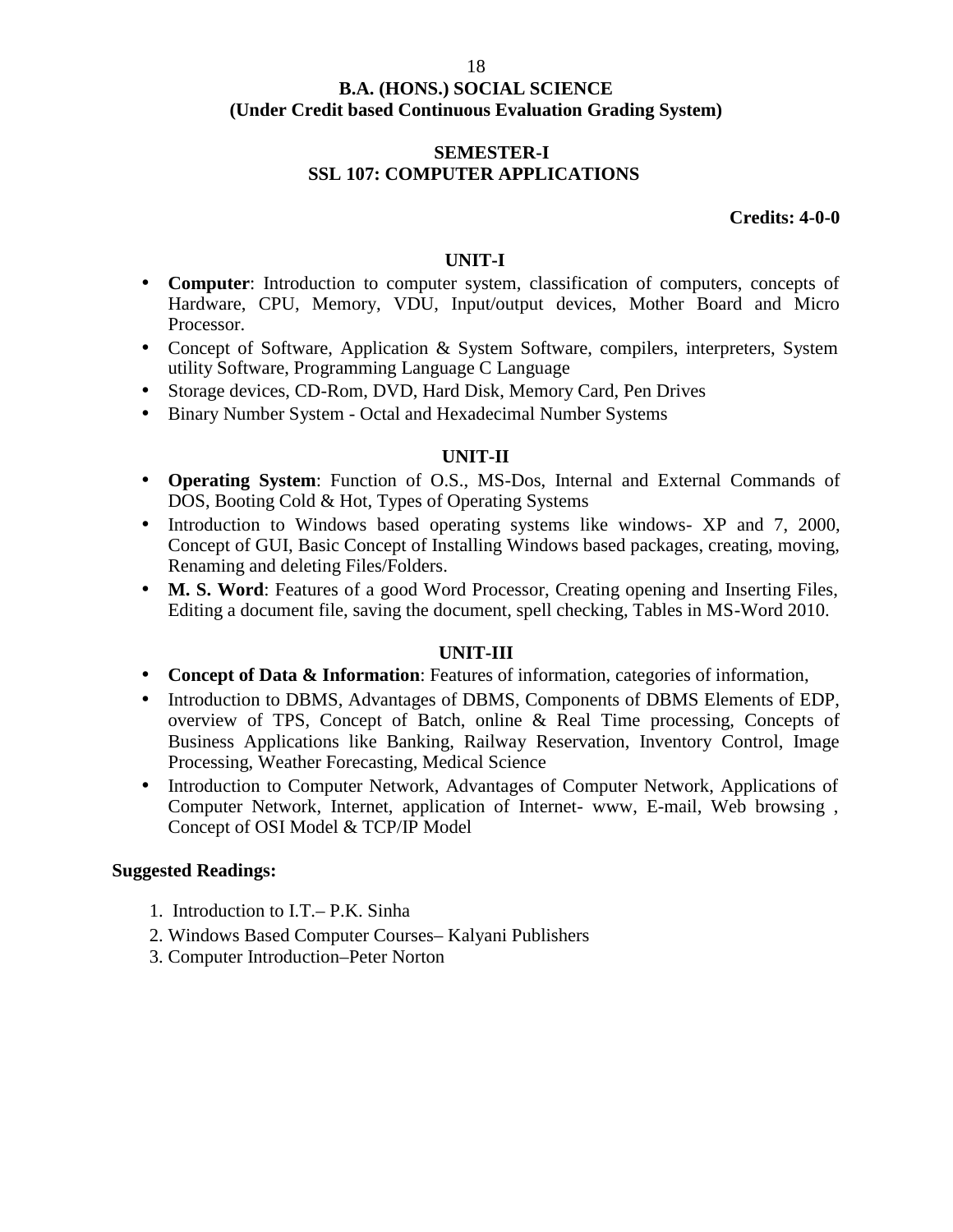#### **SEMESTER-I SSL 107: COMPUTER APPLICATIONS**

**Credits: 4-0-0**

#### **UNIT-I**

- **Computer**: Introduction to computer system, classification of computers, concepts of Hardware, CPU, Memory, VDU, Input/output devices, Mother Board and Micro Processor.
- Concept of Software, Application & System Software, compilers, interpreters, System utility Software, Programming Language C Language
- Storage devices, CD-Rom, DVD, Hard Disk, Memory Card, Pen Drives
- Binary Number System Octal and Hexadecimal Number Systems

#### **UNIT-II**

- **Operating System**: Function of O.S., MS-Dos, Internal and External Commands of DOS, Booting Cold & Hot, Types of Operating Systems
- Introduction to Windows based operating systems like windows- XP and 7, 2000, Concept of GUI, Basic Concept of Installing Windows based packages, creating, moving, Renaming and deleting Files/Folders.
- **M. S. Word**: Features of a good Word Processor, Creating opening and Inserting Files, Editing a document file, saving the document, spell checking, Tables in MS-Word 2010.

#### **UNIT-III**

- **Concept of Data & Information**: Features of information, categories of information,
- Introduction to DBMS, Advantages of DBMS, Components of DBMS Elements of EDP, overview of TPS, Concept of Batch, online & Real Time processing, Concepts of Business Applications like Banking, Railway Reservation, Inventory Control, Image Processing, Weather Forecasting, Medical Science
- Introduction to Computer Network, Advantages of Computer Network, Applications of Computer Network, Internet, application of Internet- www, E-mail, Web browsing , Concept of OSI Model & TCP/IP Model

- 1. Introduction to I.T.– P.K. Sinha
- 2. Windows Based Computer Courses– Kalyani Publishers
- 3. Computer Introduction–Peter Norton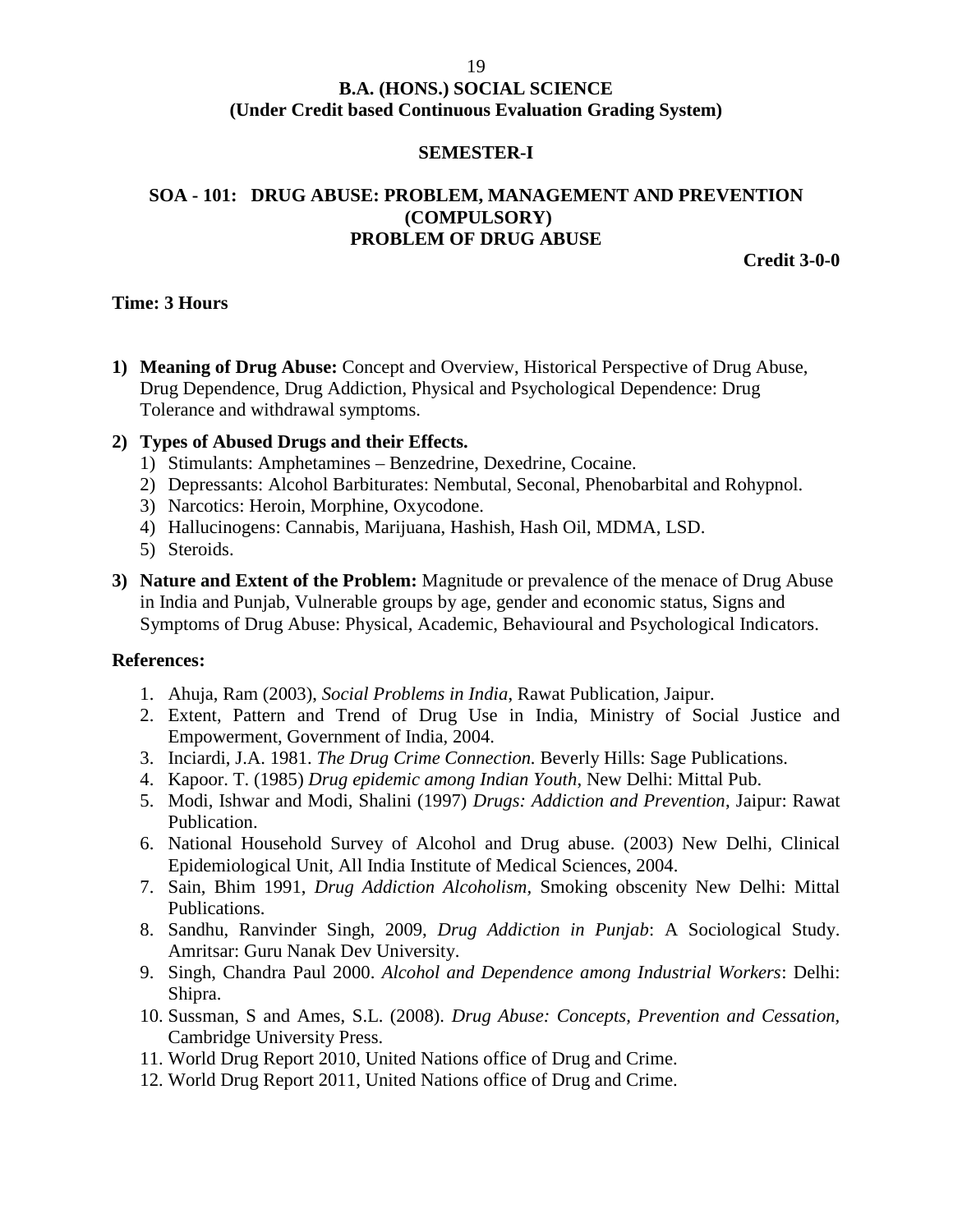#### 19

#### **B.A. (HONS.) SOCIAL SCIENCE (Under Credit based Continuous Evaluation Grading System)**

#### **SEMESTER-I**

#### **SOA - 101: DRUG ABUSE: PROBLEM, MANAGEMENT AND PREVENTION (COMPULSORY) PROBLEM OF DRUG ABUSE**

**Credit 3-0-0**

#### **Time: 3 Hours**

**1) Meaning of Drug Abuse:** Concept and Overview, Historical Perspective of Drug Abuse, Drug Dependence, Drug Addiction, Physical and Psychological Dependence: Drug Tolerance and withdrawal symptoms.

#### **2) Types of Abused Drugs and their Effects.**

- 1) Stimulants: Amphetamines Benzedrine, Dexedrine, Cocaine.
- 2) Depressants: Alcohol Barbiturates: Nembutal, Seconal, Phenobarbital and Rohypnol.
- 3) Narcotics: Heroin, Morphine, Oxycodone.
- 4) Hallucinogens: Cannabis, Marijuana, Hashish, Hash Oil, MDMA, LSD.
- 5) Steroids.
- **3) Nature and Extent of the Problem:** Magnitude or prevalence of the menace of Drug Abuse in India and Punjab, Vulnerable groups by age, gender and economic status, Signs and Symptoms of Drug Abuse: Physical, Academic, Behavioural and Psychological Indicators.

#### **References:**

- 1. Ahuja, Ram (2003), *Social Problems in India*, Rawat Publication, Jaipur.
- 2. Extent, Pattern and Trend of Drug Use in India, Ministry of Social Justice and Empowerment, Government of India, 2004.
- 3. Inciardi, J.A. 1981. *The Drug Crime Connection.* Beverly Hills: Sage Publications.
- 4. Kapoor. T. (1985) *Drug epidemic among Indian Youth*, New Delhi: Mittal Pub.
- 5. Modi, Ishwar and Modi, Shalini (1997) *Drugs: Addiction and Prevention*, Jaipur: Rawat Publication.
- 6. National Household Survey of Alcohol and Drug abuse. (2003) New Delhi, Clinical Epidemiological Unit, All India Institute of Medical Sciences, 2004.
- 7. Sain, Bhim 1991, *Drug Addiction Alcoholism,* Smoking obscenity New Delhi: Mittal Publications.
- 8. Sandhu, Ranvinder Singh, 2009, *Drug Addiction in Punjab*: A Sociological Study. Amritsar: Guru Nanak Dev University.
- 9. Singh, Chandra Paul 2000. *Alcohol and Dependence among Industrial Workers*: Delhi: Shipra.
- 10. Sussman, S and Ames, S.L. (2008). *Drug Abuse: Concepts, Prevention and Cessation,* Cambridge University Press.
- 11. World Drug Report 2010, United Nations office of Drug and Crime.
- 12. World Drug Report 2011, United Nations office of Drug and Crime.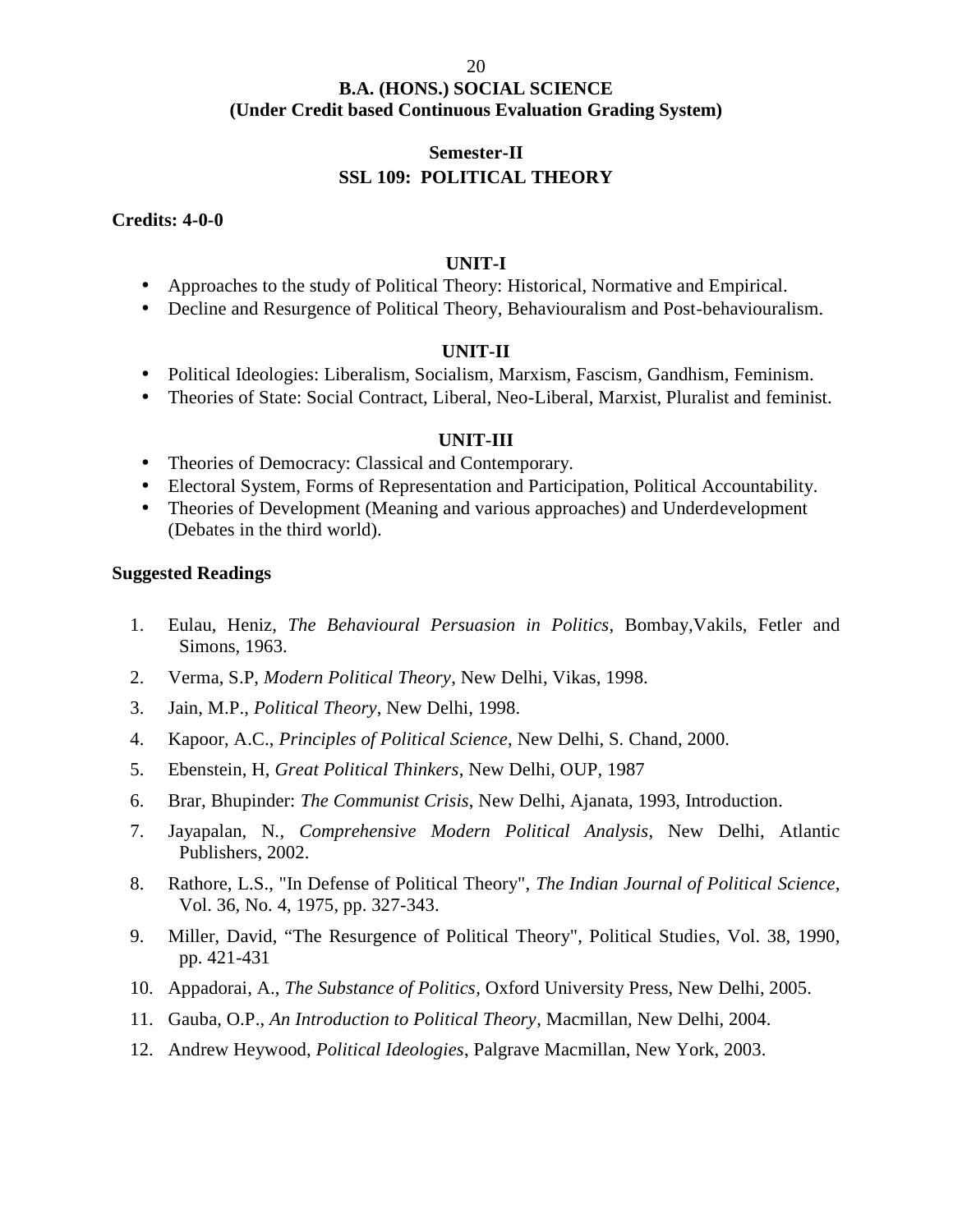#### **Semester-II SSL 109: POLITICAL THEORY**

**Credits: 4-0-0**

#### **UNIT-I**

- Approaches to the study of Political Theory: Historical, Normative and Empirical.
- Decline and Resurgence of Political Theory, Behaviouralism and Post-behaviouralism.

#### **UNIT-II**

- Political Ideologies: Liberalism, Socialism, Marxism, Fascism, Gandhism, Feminism.
- Theories of State: Social Contract, Liberal, Neo-Liberal, Marxist, Pluralist and feminist.

#### **UNIT-III**

- Theories of Democracy: Classical and Contemporary.
- Electoral System, Forms of Representation and Participation, Political Accountability.
- Theories of Development (Meaning and various approaches) and Underdevelopment (Debates in the third world).

- 1. Eulau, Heniz, *The Behavioural Persuasion in Politics*, Bombay,Vakils, Fetler and Simons, 1963.
- 2. Verma, S.P, *Modern Political Theory*, New Delhi, Vikas, 1998.
- 3. Jain, M.P., *Political Theory*, New Delhi, 1998.
- 4. Kapoor, A.C., *Principles of Political Science*, New Delhi, S. Chand, 2000.
- 5. Ebenstein, H, *Great Political Thinkers*, New Delhi, OUP, 1987
- 6. Brar, Bhupinder: *The Communist Crisis*, New Delhi, Ajanata, 1993, Introduction.
- 7. Jayapalan, N*., Comprehensive Modern Political Analysis*, New Delhi, Atlantic Publishers, 2002.
- 8. Rathore, L.S., "In Defense of Political Theory", *The Indian Journal of Political Science*, Vol. 36, No. 4, 1975, pp. 327-343.
- 9. Miller, David, "The Resurgence of Political Theory", Political Studies, Vol. 38, 1990, pp. 421-431
- 10. Appadorai, A., *The Substance of Politics*, Oxford University Press, New Delhi, 2005.
- 11. Gauba, O.P., *An Introduction to Political Theory*, Macmillan, New Delhi, 2004.
- 12. Andrew Heywood, *Political Ideologies*, Palgrave Macmillan, New York, 2003.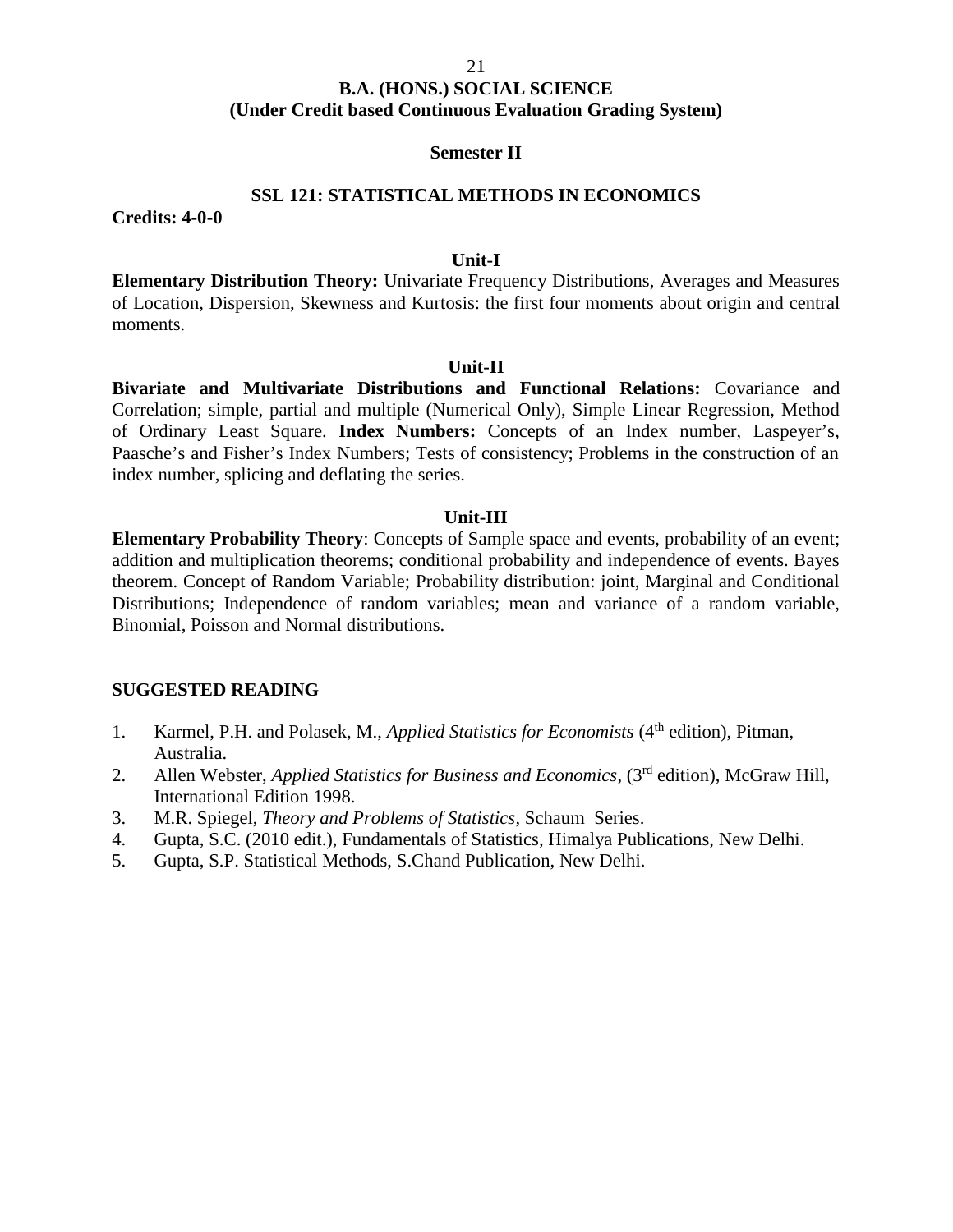#### 21

#### **B.A. (HONS.) SOCIAL SCIENCE (Under Credit based Continuous Evaluation Grading System)**

#### **Semester II**

#### **SSL 121: STATISTICAL METHODS IN ECONOMICS**

**Credits: 4-0-0**

#### **Unit-I**

**Elementary Distribution Theory:** Univariate Frequency Distributions, Averages and Measures of Location, Dispersion, Skewness and Kurtosis: the first four moments about origin and central moments.

#### **Unit-II**

**Bivariate and Multivariate Distributions and Functional Relations:** Covariance and Correlation; simple, partial and multiple (Numerical Only), Simple Linear Regression, Method of Ordinary Least Square. **Index Numbers:** Concepts of an Index number, Laspeyer's, Paasche's and Fisher's Index Numbers; Tests of consistency; Problems in the construction of an index number, splicing and deflating the series.

#### **Unit-III**

**Elementary Probability Theory**: Concepts of Sample space and events, probability of an event; addition and multiplication theorems; conditional probability and independence of events. Bayes theorem. Concept of Random Variable; Probability distribution: joint, Marginal and Conditional Distributions; Independence of random variables; mean and variance of a random variable, Binomial, Poisson and Normal distributions.

#### **SUGGESTED READING**

- 1. Karmel, P.H. and Polasek, M., *Applied Statistics for Economists* (4<sup>th</sup> edition), Pitman, Australia.
- 2. Allen Webster, *Applied Statistics for Business and Economics*, (3rd edition), McGraw Hill, International Edition 1998.
- 3. M.R. Spiegel, *Theory and Problems of Statistics*, Schaum Series.
- 4. Gupta, S.C. (2010 edit.), Fundamentals of Statistics, Himalya Publications, New Delhi.
- 5. Gupta, S.P. Statistical Methods, S.Chand Publication, New Delhi.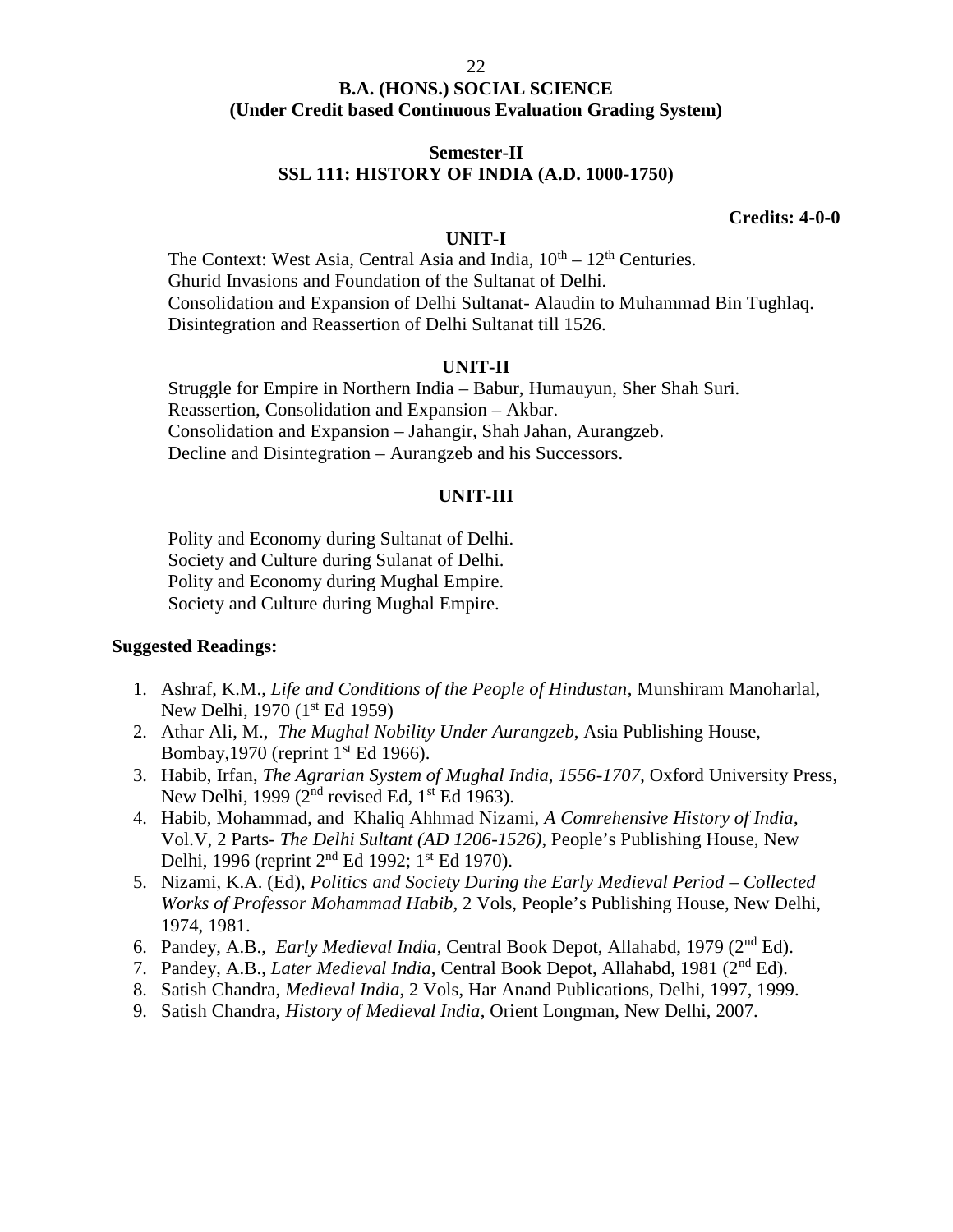#### **Semester-II SSL 111: HISTORY OF INDIA (A.D. 1000-1750)**

#### **Credits: 4-0-0**

#### **UNIT-I**

The Context: West Asia, Central Asia and India,  $10^{th} - 12^{th}$  Centuries. Ghurid Invasions and Foundation of the Sultanat of Delhi. Consolidation and Expansion of Delhi Sultanat- Alaudin to Muhammad Bin Tughlaq. Disintegration and Reassertion of Delhi Sultanat till 1526.

#### **UNIT-II**

Struggle for Empire in Northern India – Babur, Humauyun, Sher Shah Suri. Reassertion, Consolidation and Expansion – Akbar. Consolidation and Expansion – Jahangir, Shah Jahan, Aurangzeb. Decline and Disintegration – Aurangzeb and his Successors.

#### **UNIT-III**

Polity and Economy during Sultanat of Delhi. Society and Culture during Sulanat of Delhi. Polity and Economy during Mughal Empire. Society and Culture during Mughal Empire.

- 1. Ashraf, K.M., *Life and Conditions of the People of Hindustan*, Munshiram Manoharlal, New Delhi, 1970 (1<sup>st</sup> Ed 1959)
- 2. Athar Ali, M., *The Mughal Nobility Under Aurangzeb*, Asia Publishing House, Bombay, 1970 (reprint  $1<sup>st</sup>$  Ed 1966).
- 3. Habib, Irfan, *The Agrarian System of Mughal India, 1556-1707*, Oxford University Press, New Delhi, 1999 ( $2<sup>nd</sup>$  revised Ed,  $1<sup>st</sup>$  Ed 1963).
- 4. Habib, Mohammad, and Khaliq Ahhmad Nizami, *A Comrehensive History of India*, Vol.V, 2 Parts- *The Delhi Sultant (AD 1206-1526)*, People's Publishing House, New Delhi, 1996 (reprint 2<sup>nd</sup> Ed 1992; 1<sup>st</sup> Ed 1970).
- 5. Nizami, K.A. (Ed), *Politics and Society During the Early Medieval Period – Collected Works of Professor Mohammad Habib*, 2 Vols, People's Publishing House, New Delhi, 1974, 1981.
- 6. Pandey, A.B., *Early Medieval India*, Central Book Depot, Allahabd, 1979 (2nd Ed).
- 7. Pandey, A.B., *Later Medieval India*, Central Book Depot, Allahabd, 1981 (2nd Ed).
- 8. Satish Chandra, *Medieval India*, 2 Vols, Har Anand Publications, Delhi, 1997, 1999.
- 9. Satish Chandra, *History of Medieval India*, Orient Longman, New Delhi, 2007.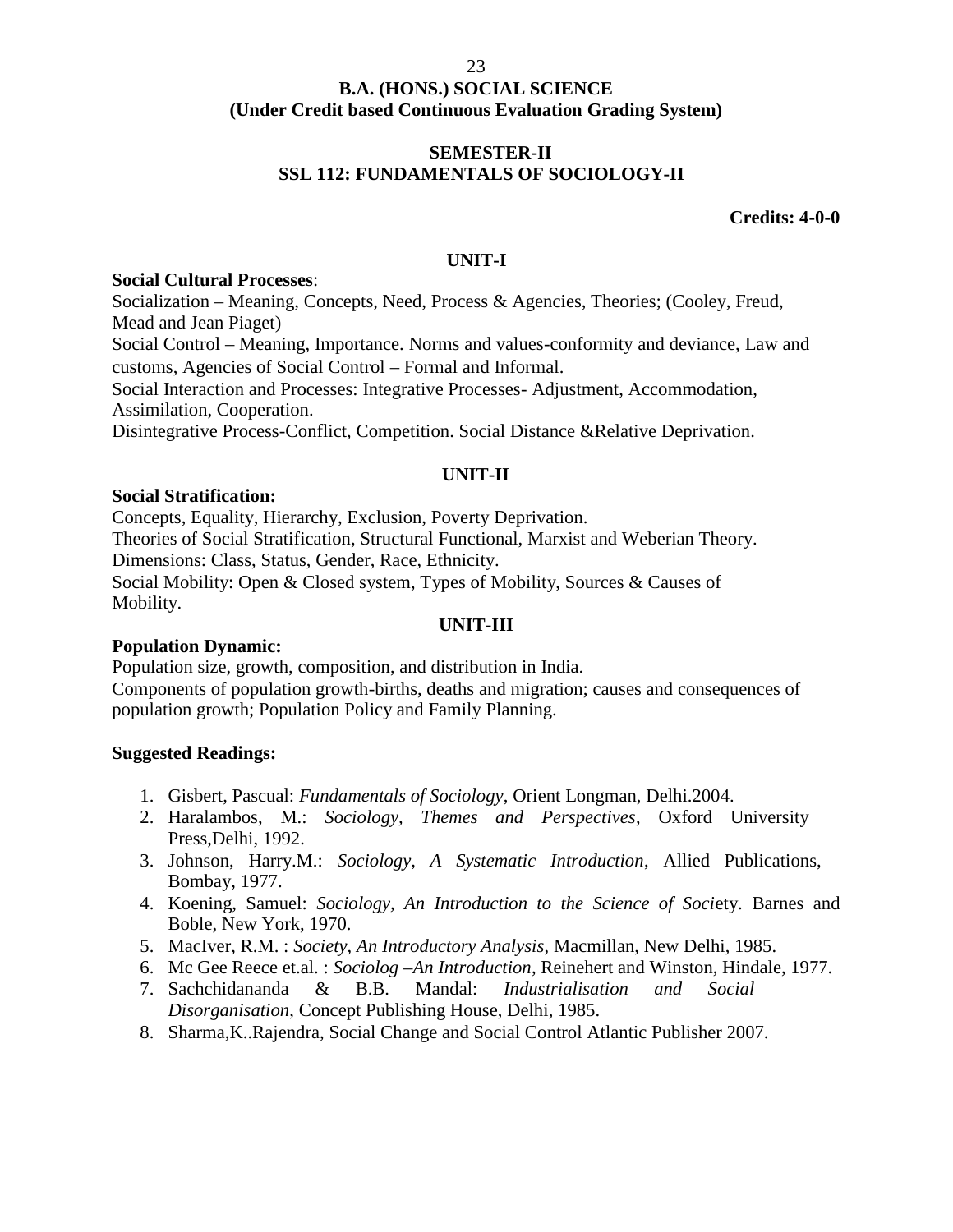#### **SEMESTER-II SSL 112: FUNDAMENTALS OF SOCIOLOGY-II**

**Credits: 4-0-0**

#### **UNIT-I**

#### **Social Cultural Processes**:

Socialization – Meaning, Concepts, Need, Process & Agencies, Theories; (Cooley, Freud, Mead and Jean Piaget)

Social Control – Meaning, Importance. Norms and values-conformity and deviance, Law and customs, Agencies of Social Control – Formal and Informal.

Social Interaction and Processes: Integrative Processes- Adjustment, Accommodation, Assimilation, Cooperation.

Disintegrative Process-Conflict, Competition. Social Distance &Relative Deprivation.

#### **UNIT-II**

#### **Social Stratification:**

Concepts, Equality, Hierarchy, Exclusion, Poverty Deprivation. Theories of Social Stratification, Structural Functional, Marxist and Weberian Theory. Dimensions: Class, Status, Gender, Race, Ethnicity. Social Mobility: Open & Closed system, Types of Mobility, Sources & Causes of Mobility.

#### **UNIT-III**

#### **Population Dynamic:**

Population size, growth, composition, and distribution in India. Components of population growth-births, deaths and migration; causes and consequences of population growth; Population Policy and Family Planning.

- 1. Gisbert, Pascual: *Fundamentals of Sociology*, Orient Longman, Delhi.2004.
- 2. Haralambos, M.: *Sociology, Themes and Perspectives*, Oxford University Press,Delhi, 1992.
- 3. Johnson, Harry.M.: *Sociology, A Systematic Introduction*, Allied Publications, Bombay, 1977.
- 4. Koening, Samuel: *Sociology, An Introduction to the Science of Soci*ety. Barnes and Boble, New York, 1970.
- 5. MacIver, R.M. : *Society, An Introductory Analysis*, Macmillan, New Delhi, 1985.
- 6. Mc Gee Reece et.al. : *Sociolog –An Introduction*, Reinehert and Winston, Hindale, 1977.
- 7. Sachchidananda & B.B. Mandal: *Industrialisation and Social Disorganisation*, Concept Publishing House, Delhi, 1985.
- 8. Sharma,K..Rajendra, Social Change and Social Control Atlantic Publisher 2007.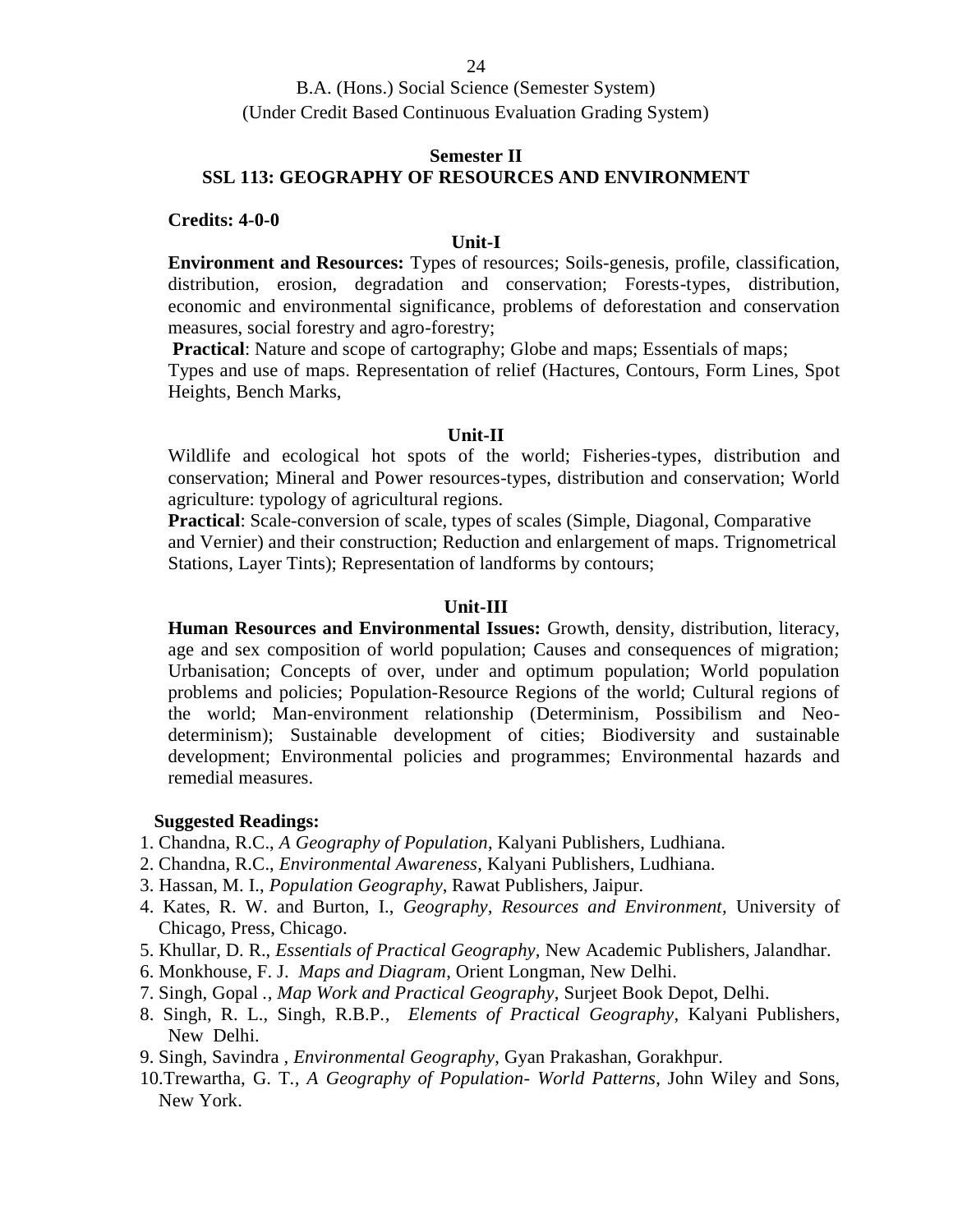#### **Semester II SSL 113: GEOGRAPHY OF RESOURCES AND ENVIRONMENT**

#### **Credits: 4-0-0**

#### **Unit-I**

**Environment and Resources:** Types of resources; Soils-genesis, profile, classification, distribution, erosion, degradation and conservation; Forests-types, distribution, economic and environmental significance, problems of deforestation and conservation measures, social forestry and agro-forestry;

**Practical:** Nature and scope of cartography; Globe and maps; Essentials of maps;

Types and use of maps. Representation of relief (Hactures, Contours, Form Lines, Spot Heights, Bench Marks,

#### **Unit-II**

Wildlife and ecological hot spots of the world; Fisheries-types, distribution and conservation; Mineral and Power resources-types, distribution and conservation; World agriculture: typology of agricultural regions.

**Practical**: Scale-conversion of scale, types of scales (Simple, Diagonal, Comparative and Vernier) and their construction; Reduction and enlargement of maps. Trignometrical Stations, Layer Tints); Representation of landforms by contours;

#### **Unit-III**

**Human Resources and Environmental Issues:** Growth, density, distribution, literacy, age and sex composition of world population; Causes and consequences of migration; Urbanisation; Concepts of over, under and optimum population; World population problems and policies; Population-Resource Regions of the world; Cultural regions of the world; Man-environment relationship (Determinism, Possibilism and Neo determinism); Sustainable development of cities; Biodiversity and sustainable development; Environmental policies and programmes; Environmental hazards and remedial measures.

#### **Suggested Readings:**

- 1. Chandna, R.C., *A Geography of Population*, Kalyani Publishers, Ludhiana.
- 2. Chandna, R.C., *Environmental Awareness*, Kalyani Publishers, Ludhiana.
- 3. Hassan, M. I., *Population Geography*, Rawat Publishers, Jaipur.
- 4. Kates, R. W. and Burton, I., *Geography, Resources and Environment,* University of Chicago, Press, Chicago.
- 5. Khullar, D. R., *Essentials of Practical Geography,* New Academic Publishers, Jalandhar.
- 6. Monkhouse, F. J. *Maps and Diagram*, Orient Longman, New Delhi.
- 7. Singh, Gopal *., Map Work and Practical Geography*, Surjeet Book Depot, Delhi.
- 8. Singh, R. L., Singh, R.B.P*., Elements of Practical Geography*, Kalyani Publishers, New Delhi.

9. Singh, Savindra *, Environmental Geography*, Gyan Prakashan, Gorakhpur.

10.Trewartha, G. T*., A Geography of Population*- *World Patterns*, John Wiley and Sons, New York.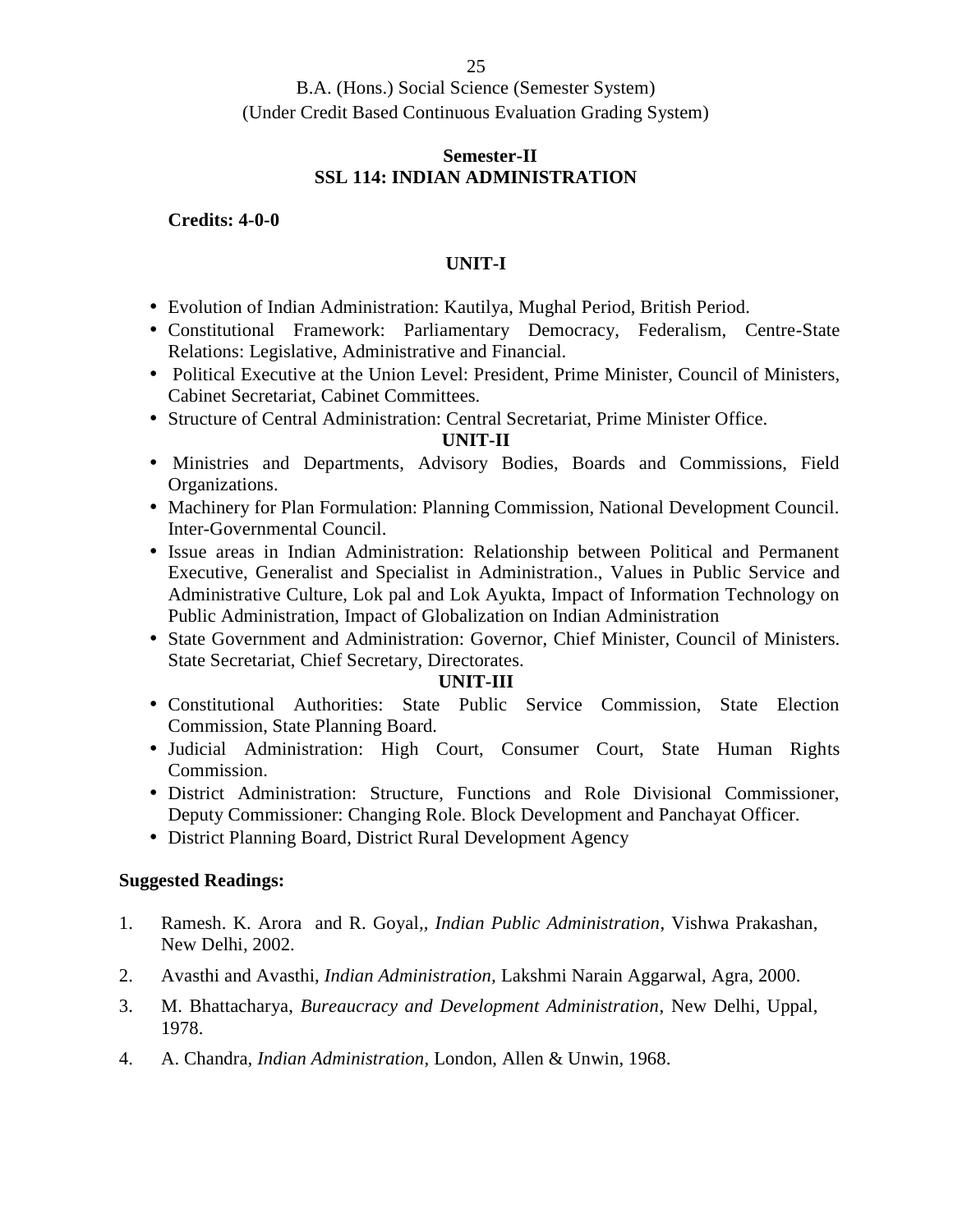#### **Semester-II SSL 114: INDIAN ADMINISTRATION**

#### **Credits: 4-0-0**

#### **UNIT-I**

- Evolution of Indian Administration: Kautilya, Mughal Period, British Period.
- Constitutional Framework: Parliamentary Democracy, Federalism, Centre-State Relations: Legislative, Administrative and Financial.
- Political Executive at the Union Level: President, Prime Minister, Council of Ministers, Cabinet Secretariat, Cabinet Committees.
- Structure of Central Administration: Central Secretariat, Prime Minister Office.

#### **UNIT-II**

- Ministries and Departments, Advisory Bodies, Boards and Commissions, Field Organizations.
- Machinery for Plan Formulation: Planning Commission, National Development Council. Inter-Governmental Council.
- Issue areas in Indian Administration: Relationship between Political and Permanent Executive, Generalist and Specialist in Administration., Values in Public Service and Administrative Culture, Lok pal and Lok Ayukta, Impact of Information Technology on Public Administration, Impact of Globalization on Indian Administration
- State Government and Administration: Governor, Chief Minister, Council of Ministers. State Secretariat, Chief Secretary, Directorates.

#### **UNIT-III**

- Constitutional Authorities: State Public Service Commission, State Election Commission, State Planning Board.
- Judicial Administration: High Court, Consumer Court, State Human Rights Commission.
- District Administration: Structure, Functions and Role Divisional Commissioner, Deputy Commissioner: Changing Role. Block Development and Panchayat Officer.
- District Planning Board, District Rural Development Agency

- 1. Ramesh. K. Arora and R. Goyal*,, Indian Public Administration*, Vishwa Prakashan, New Delhi, 2002.
- 2. Avasthi and Avasthi, *Indian Administration,* Lakshmi Narain Aggarwal, Agra, 2000.
- 3. M. Bhattacharya, *Bureaucracy and Development Administration*, New Delhi, Uppal, 1978.
- 4. A. Chandra, *Indian Administration*, London, Allen & Unwin, 1968.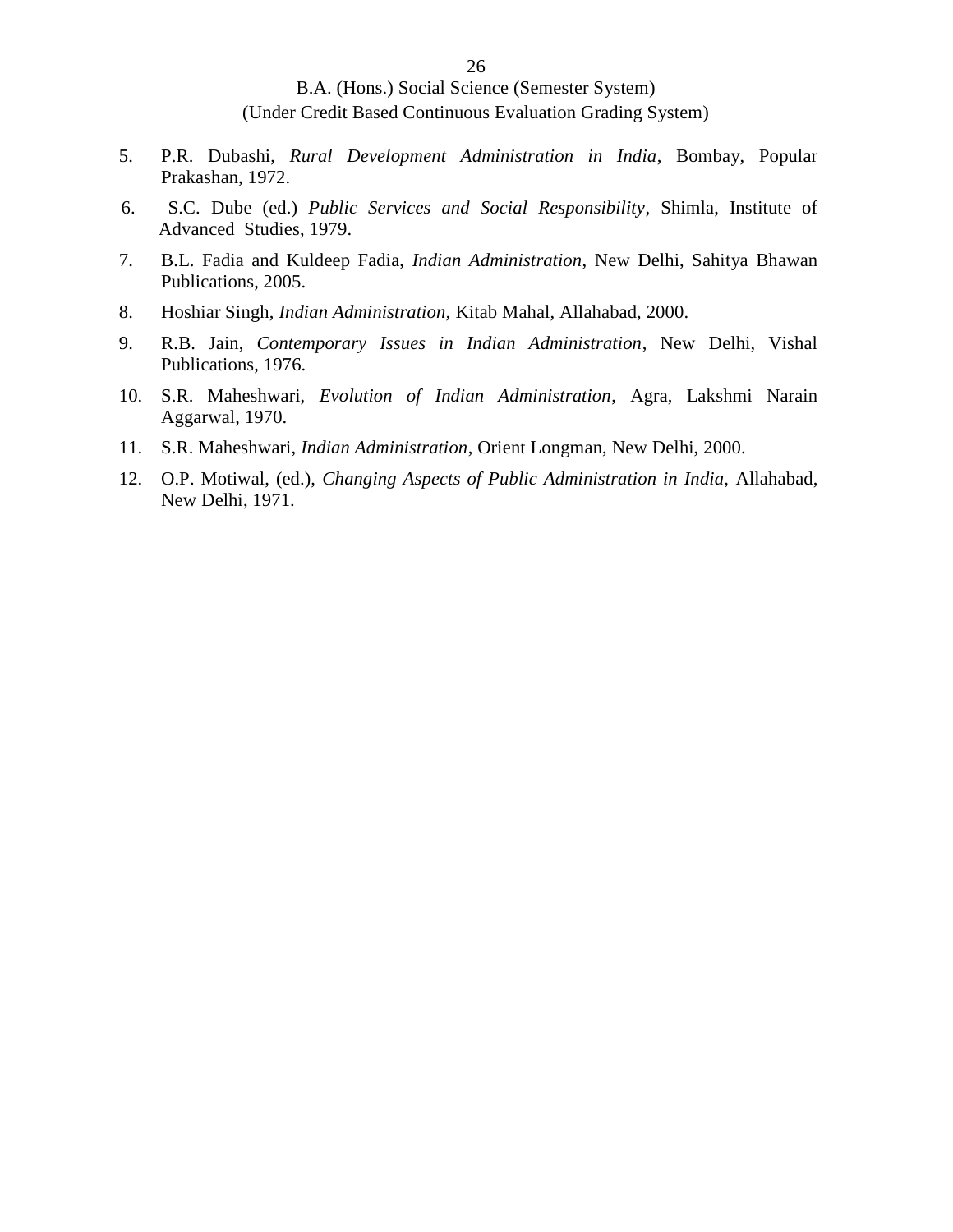- 5. P.R. Dubashi, *Rural Development Administration in India*, Bombay, Popular Prakashan, 1972.
- 6. S.C. Dube (ed.) *Public Services and Social Responsibility*, Shimla, Institute of Advanced Studies, 1979.
- 7. B.L. Fadia and Kuldeep Fadia, *Indian Administration*, New Delhi, Sahitya Bhawan Publications, 2005.
- 8. Hoshiar Singh, *Indian Administration,* Kitab Mahal, Allahabad, 2000.
- 9. R.B. Jain, *Contemporary Issues in Indian Administration*, New Delhi, Vishal Publications, 1976.
- 10. S.R. Maheshwari, *Evolution of Indian Administration*, Agra, Lakshmi Narain Aggarwal, 1970.
- 11. S.R. Maheshwari, *Indian Administration*, Orient Longman, New Delhi, 2000.
- 12. O.P. Motiwal, (ed.), *Changing Aspects of Public Administration in India,* Allahabad, New Delhi, 1971.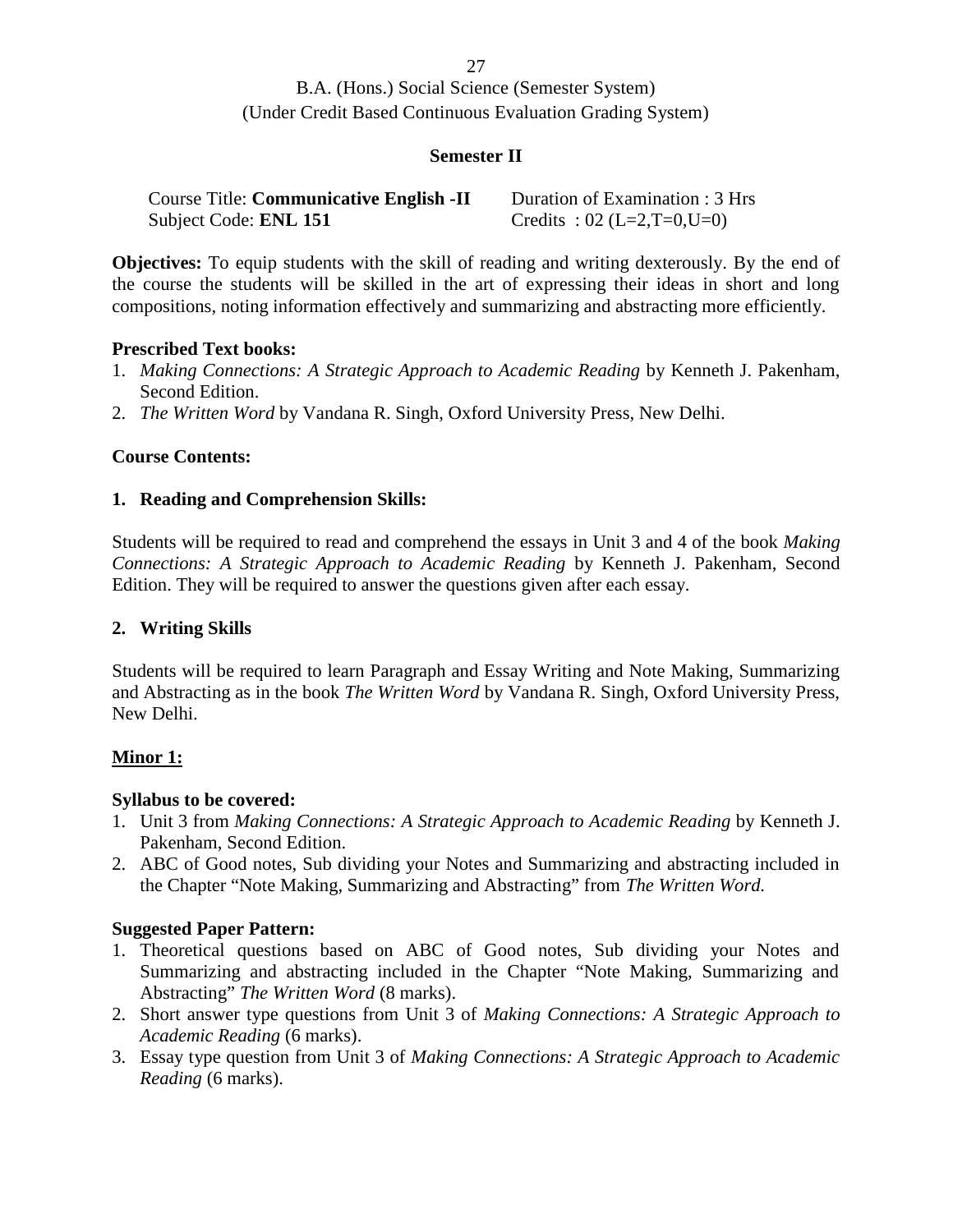27

B.A. (Hons.) Social Science (Semester System) (Under Credit Based Continuous Evaluation Grading System)

#### **Semester II**

| <b>Course Title: Communicative English -II</b> | Duration of Examination : 3 Hrs |
|------------------------------------------------|---------------------------------|
| Subject Code: <b>ENL 151</b>                   | Credits: $02$ (L=2,T=0,U=0)     |

**Objectives:** To equip students with the skill of reading and writing dexterously. By the end of the course the students will be skilled in the art of expressing their ideas in short and long compositions, noting information effectively and summarizing and abstracting more efficiently.

#### **Prescribed Text books:**

- 1. *Making Connections: A Strategic Approach to Academic Reading* by Kenneth J. Pakenham, Second Edition.
- 2. *The Written Word* by Vandana R. Singh, Oxford University Press, New Delhi.

#### **Course Contents:**

#### **1. Reading and Comprehension Skills:**

Students will be required to read and comprehend the essays in Unit 3 and 4 of the book *Making Connections: A Strategic Approach to Academic Reading* by Kenneth J. Pakenham, Second Edition. They will be required to answer the questions given after each essay.

#### **2. Writing Skills**

Students will be required to learn Paragraph and Essay Writing and Note Making, Summarizing and Abstracting as in the book *The Written Word* by Vandana R. Singh, Oxford University Press, New Delhi.

#### **Minor 1:**

#### **Syllabus to be covered:**

- 1. Unit 3 from *Making Connections: A Strategic Approach to Academic Reading* by Kenneth J. Pakenham, Second Edition.
- 2. ABC of Good notes, Sub dividing your Notes and Summarizing and abstracting included in the Chapter "Note Making, Summarizing and Abstracting" from *The Written Word.*

#### **Suggested Paper Pattern:**

- 1. Theoretical questions based on ABC of Good notes, Sub dividing your Notes and Summarizing and abstracting included in the Chapter "Note Making, Summarizing and Abstracting" *The Written Word* (8 marks).
- 2. Short answer type questions from Unit 3 of *Making Connections: A Strategic Approach to Academic Reading* (6 marks).
- 3. Essay type question from Unit 3 of *Making Connections: A Strategic Approach to Academic Reading* (6 marks).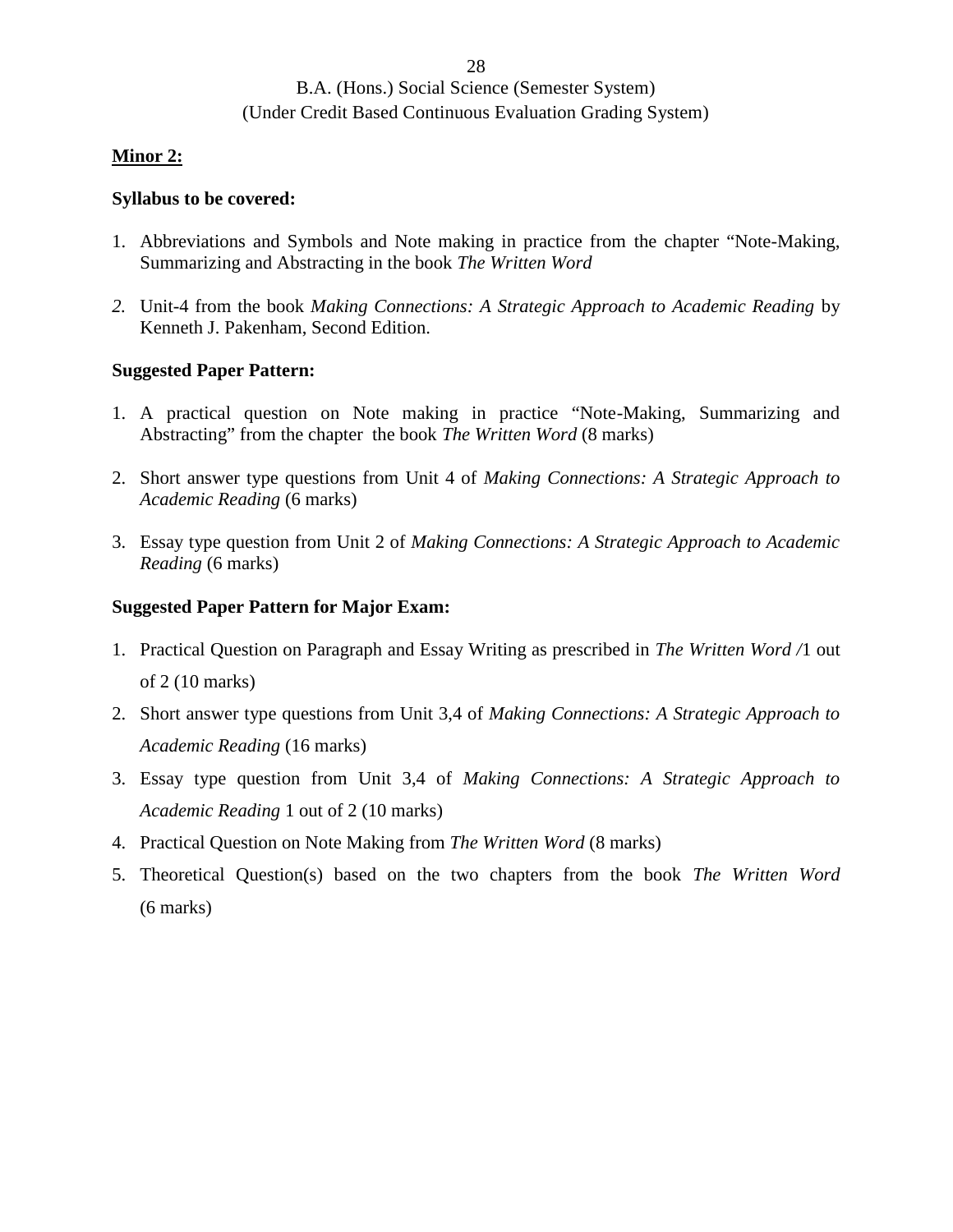#### **Minor 2:**

#### **Syllabus to be covered:**

- 1. Abbreviations and Symbols and Note making in practice from the chapter "Note-Making, Summarizing and Abstracting in the book *The Written Word*
- *2.* Unit-4 from the book *Making Connections: A Strategic Approach to Academic Reading* by Kenneth J. Pakenham, Second Edition.

#### **Suggested Paper Pattern:**

- 1. A practical question on Note making in practice "Note-Making, Summarizing and Abstracting" from the chapter the book *The Written Word* (8 marks)
- 2. Short answer type questions from Unit 4 of *Making Connections: A Strategic Approach to Academic Reading* (6 marks)
- 3. Essay type question from Unit 2 of *Making Connections: A Strategic Approach to Academic Reading* (6 marks)

#### **Suggested Paper Pattern for Major Exam:**

- 1. Practical Question on Paragraph and Essay Writing as prescribed in *The Written Word /*1 out of 2 (10 marks)
- 2. Short answer type questions from Unit 3,4 of *Making Connections: A Strategic Approach to Academic Reading* (16 marks)
- 3. Essay type question from Unit 3,4 of *Making Connections: A Strategic Approach to Academic Reading* 1 out of 2 (10 marks)
- 4. Practical Question on Note Making from *The Written Word* (8 marks)
- 5. Theoretical Question(s) based on the two chapters from the book *The Written Word* (6 marks)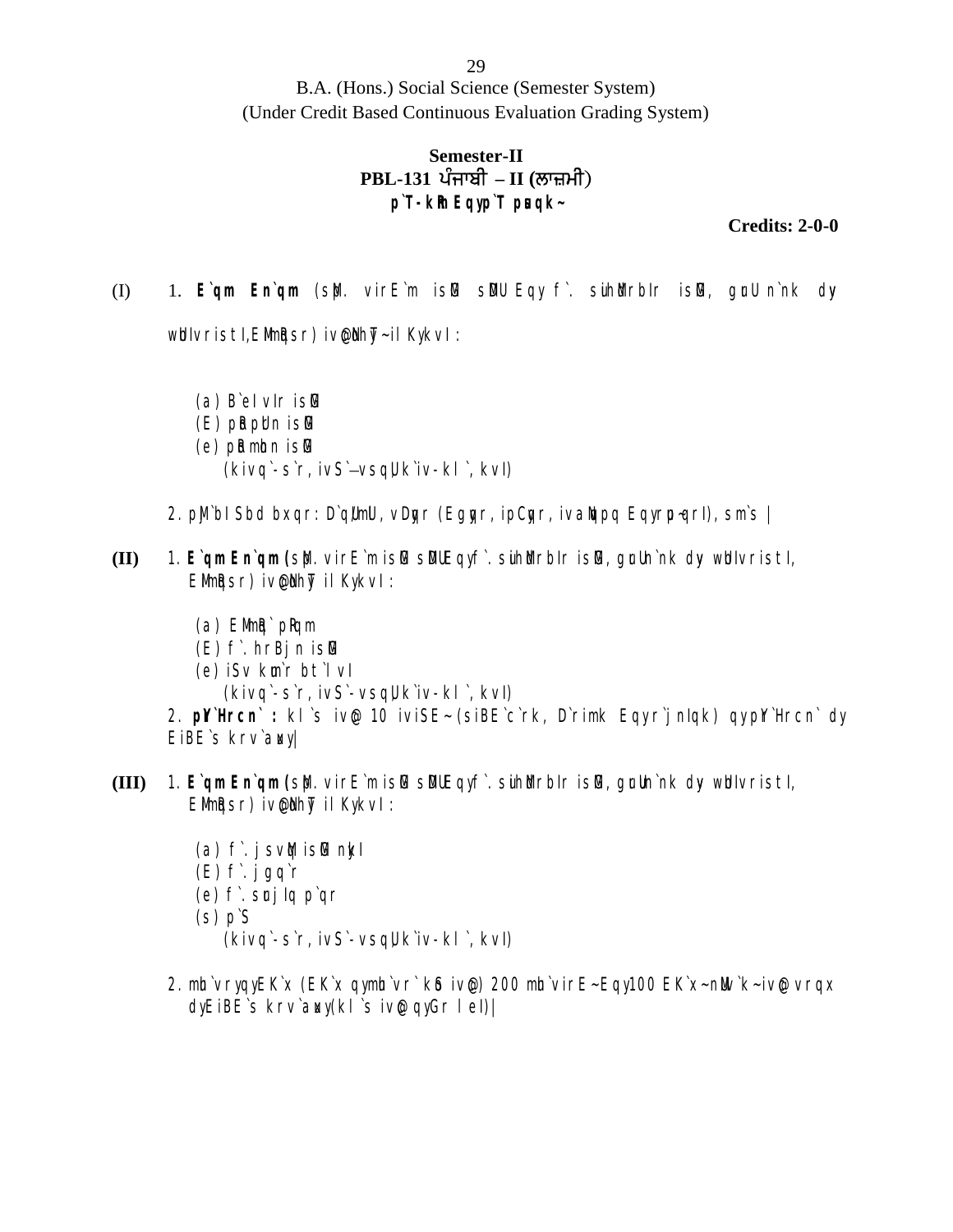## Semester-II<br>PBL-131 ਪੰਜਾਬੀ – II (ਲਾਜ਼ਮੀ) pons.) Social Science (Semester System)<br>Based Continuous Evaluation Grading ;<br>**PBL-131 ਪੰਜਾਬੀ – II (ਲਾਜ਼ਮੀ)**<br>p`T-km Eqyp`T pஙqk**p`T-kRm Eqy p`T pusqk~**

**Credits: 2-0-0**

(I) 1. **E`qm En`qm** (sMp. virE`m isMG sMDU Eqy f`. suihMdrbIr isMG, gurU n`nk dyv

whivristi, Elimigsr) ivelihy-il KykvI:

(a) B`eI vIr isMG

- $(E)$  put put n is  $E$
- $(e)$  put minn is G

(kivq`-s`r, ivS`–vsqU, k`iv-kl`, kvI)

- 2. pli bI Sbd bxqr: D`ql/mll, vDgr (Eggr, ipCgr, ivallapq Eqyrp-qrI), sm`s |
- **(II)** 1. **E`qm En`qm (**sMp. virE`m isMG sMDU Eqy f`. suihMdrbIr isMG, gurU n`nk dyv wUnIvristI,  $E$ Mim $k$ qsr) ive $\ell$ I hy $\bar{\ell}$  il KykvI :
	- $(a)$  Elimita products
	- $(E)$  f. hrBjn is $E$
	- (e) iSv km'r bt'l vl
		- (kivq`-s`r, ivS`-vsqU, k`iv-kl`, kvI)

2. p<sup>rili</sup> rcn` : kl`s ive 10 iviSE~ (siBE`c`rk, D`rimk Eqy r`jnlqk) qy pr`ll rcn` dy EiBE's krv'awy

- **(III)** 1. E`qm En`qm (s), virE`m is/G sDUEqyf. suihMurbIr is/G, grun`nk dyv who littleshing EMIMARST) iven hyT il KykvI :
	- $(a)$  f. jsv $\mathbf{M}$  is  $\mathbf{F}$  nkl
	- $(E)$  f. jgq`r
	- (e) f. srj Iq p`qr
	- $(s)$   $pS$ 
		- (kivq`-s`r, ivS`-vsqU, k`iv-kl`, kvI)
	- 2. mh`vryqy $EK$ x ( $EK$ x qymh`vr`  $k\delta$  ive) 200 mh`vir $E$ ~ $Eqy$ 100  $EK$  x~ nMv $k$ ~ ive vrqx dy EiBE`s krv`awy (kl`s ive qy Gr lel)|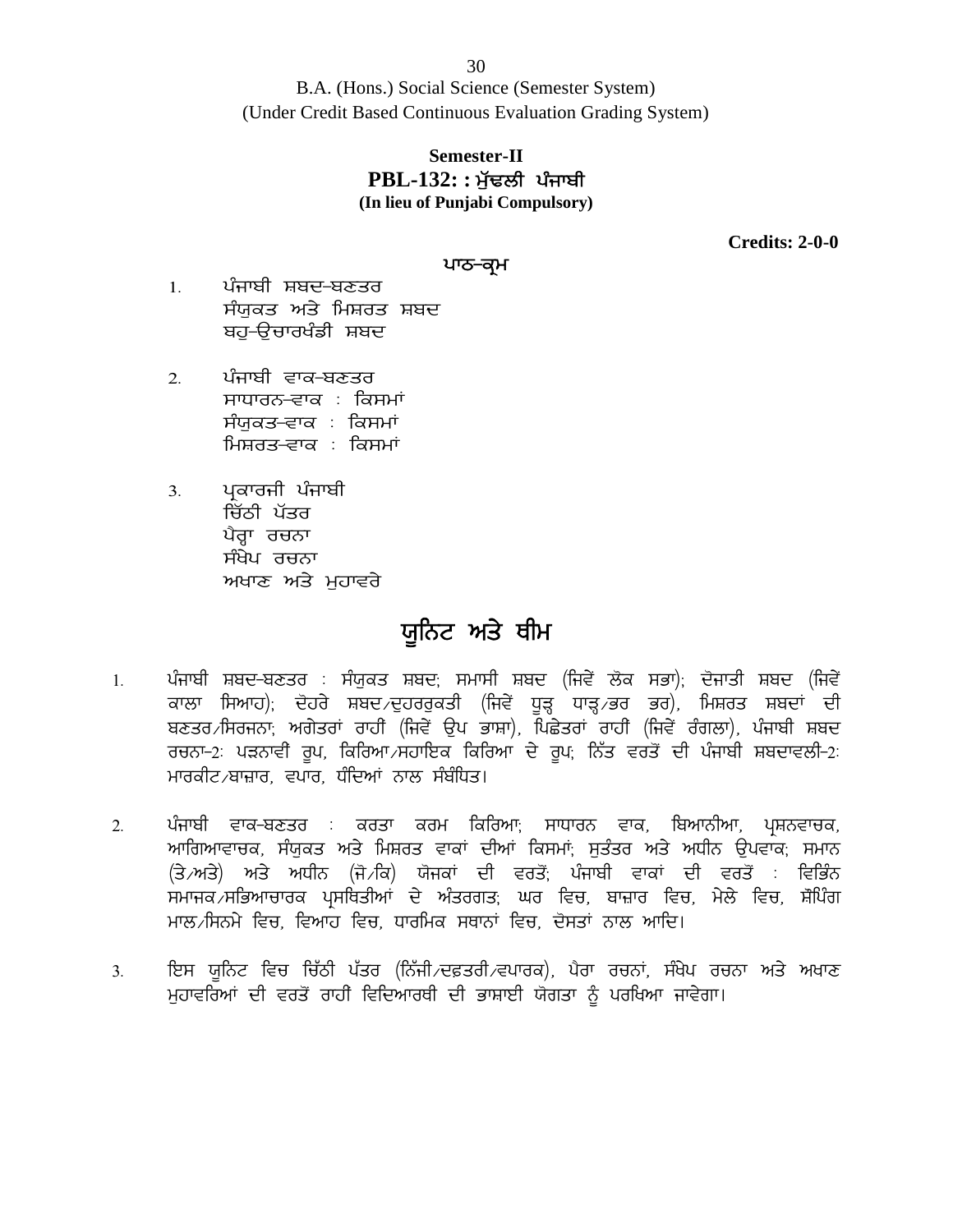B.A. (Hons.) Social Science (Semester System) (Under Credit Based Continuous Evaluation Grading System) 30<br>ns.) Social Science (Semester System)<br>ased Continuous Evaluation Grading System)<br>**Semester-II<br>PBL-132: : ਮੁੱਢਲੀ ਪੰਜਾਬੀ**<br>In lieu of Punjabi Compulsory)

## **Semester-II (In lieu of Punjabi Compulsory)**

**Credits: 2-0-0**

#### ਪਾਠ<del>-</del>ਕ੍ਰਮ

- 1. ਪੰਜਾਬੀ ਸ਼ਬਦ-ਬਣਤਰ لا PBL-1*32*: : ਮੁਢਲਾ<br>In lieu of Punjabi Comp)<br>ਪੰਜਾਬੀ ਸ਼ਬਦ-ਬਣਤਰ<br>ਸੰਯੁਕਤ ਅਤੇ ਮਿਸ਼ਰਤ ਸ਼ਬਦ<br>ਬਹੁ–ਉਚਾਰਖੰਡੀ ਸ਼ਬਦ ਬਹ-ੳਚਾਰਖੰਡੀ ਸ਼ਬਦ
- 2. ਪੰਜਾਬੀ ਵਾਕ-ਬਣਤਰ ਸਾਧਾਰਨ<del>-ਵਾ</del>ਕ : ਕਿਸਮਾਂ<br>ਸੰਯੁਕਤ<del>-</del>ਵਾਕ : ਕਿਸਮਾਂ ਖੰਜ ਯਾਖਣ ਖਣਤਰ<br>ਸੰਯੁਕਤ ਅਤੇ ਮਿਸ਼ਰਤ ਸ਼ਬਦ<br>ਬਹੁ-ਉਚਾਰਖੰਡੀ ਸ਼ਬਦ<br>ਮਾਧਾਰਨ-ਵਾਕ : ਕਿਸਮਾਂ<br>ਸੰਯੁਕਤ-ਵਾਕ : ਕਿਸਮਾਂ<br>ਮਿਸ਼ਰਤ-ਵਾਕ : ਕਿਸਮਾਂ ਮਿਸ਼ਰਤ–ਵਾਕ : ਕਿਸਮਾਂ ਖਜਾਬਾ ਵਾਕ ਬਣਤਰ<br>ਸਾਧਾਰਨ-ਵਾਕ : ਕਿਸਮਾਂ<br>ਸੰਯੁਕਤ-ਵਾਕ : ਕਿਸਮਾਂ<br>ਮਿਸ਼ਰਤ-ਵਾਕ : ਕਿਸਮਾਂ<br>ਪ੍ਰਕਾਰਜੀ ਪੰਜਾਬੀ<br>ਖੇਰ੍ਹਾ ਰਚਨਾ<br>ਪੈਰ੍ਹਾ ਰਚਨਾ
- 3. ਪ੍ਰਕਾਰਜੀ ਪੰਜਾਬੀ<br> ਚਿੱਠੀ ਪੱਤਰ ਸੰਧਾਰਨਾ ਦਾ ਕਾਲੀਸਾ<br>ਸੰਯੁਕਤ-ਵਾਕ : ਕਿਸਮਾਂ<br>ਮਿਸ਼ਰਤ-ਵਾਕ : ਕਿਸਮਾਂ<br>ਪ੍ਰਿਕਾਰਜੀ ਪੰਜਾਬੀ<br>ਪਿੰਰ੍ਹਾ ਰਚਨਾ<br>ਮੰਖੇਪ ਰਚਨਾ<br>ਸੰਖੇਪ ਰਚਨਾ ਸੰਗੁਕਤ ਵਾਕਾ : ਕਿਸਮਾਂ<br>ਮਿਸ਼ਰਤ-ਵਾਕ : ਕਿਸਮਾਂ<br>ਪ੍ਰਕਾਰਜੀ ਪੰਜਾਬੀ<br>ਚਿੱਠੀ ਪੱਤਰ<br>ਪੈਰ੍ਹਾ ਰਚਨਾ<br>ਸੰਖੇਪ ਰਚਨਾ ਸਮਾਰਤ ਵਾਕਾ ਸਕਸਮ<br>ਪ੍ਰਕਾਰਜੀ ਪੰਜਾਬੀ<br>ਚਿੱਠੀ ਪੱਤਰ<br>ਪੈਰ੍ਹਾ ਰਚਨਾ<br>ਸੰਖੇਪ ਰਚਨਾ<br>ਅਖਾਣ ਅਤੇ ਮੁਹਾਵਰੇ<br>ਅਖਾਣ ਅਤੇ ਮੁਹਾਵਰੇ

## **ਯੁਨਿਟ ਅਤੇ ਥੀਮ**

- ' ਪਰ ਦਿਨਾਂ<br>ਸੰਖੇਪ ਰਚਨਾ<br>ਅਖਾਣ ਅਤੇ ਮੁਹਾਵਰੇ<br>1. ਪੰਜਾਬੀ ਸ਼ਬਦ-ਬਣਤਰ : ਸੰਯੁਕਤ ਸ਼ਬਦ, ਸਮਾਸੀ ਸ਼ਬਦ (ਜਿਵੇਂ ਲੋਕ ਸਭਾ), ਦੋਜਾਤੀ ਸ਼ਬਦ (ਜਿਵੇਂ<br>ਕਾਲਾ ਸਿਆਹ), ਦੋਹਰੇ ਸ਼ਬਦ ਦੁਹਰਰੁਕਤੀ (ਜਿਵੇਂ ਧੂੜ੍ਹ ਧਾੜ੍ਹ ਭਰ ਭਰ), ਮਿਸ਼ਰਤ ਸ਼ਬਦਾਂ ਦੀ<br>ਸ਼ਣਤਰ ਸਿਰਜਨਾ: ਅਗੇਤਰਾਂ ਕਾਲਾ ਸਿਆਹ); ਦੋਹਰੇ ਸ਼ਬਦ ਦੁਹਰਰੁਕਤੀ (ਜਿਵੇਂ ਧੁੜ੍ਹ ਧਾੜ੍ਹ ਭਰ ਭਰ), ਮਿਸ਼ਰਤ ਸ਼ਬਦਾਂ ਦੀ <sup>ੱਜਿਤ</sup>ੁਲਾ ਦੁਲਾ ਦੁਲਾ ਦਾ ਪ੍ਰ**ਿੰਨਟ ਅਤੇ ਬੀਮ**<br>ਪੰਜਾਬੀ ਸ਼ਬਦ-ਬਣਤਰ : ਸੰਯੁਕਤ ਸ਼ਬਦ; ਸਮਾਸੀ ਸ਼ਬਦ (ਜਿਵੇਂ ਲੋਕ ਸਭਾ); ਦੋਜਾਤੀ ਸ਼ਬਦ (ਜਿਵੇਂ<br>ਕਾਲਾ ਸਿਆਹ); ਦੋਹਰੇ ਸ਼ਬਦ ਦੁਹਰਰੁਕਤੀ (ਜਿਵੇਂ ਧੂੜ੍ਹ ਧਾੜ੍ਹ ਭਰ ਭਰ), ਮਿਸ਼ਰਤ ਸ਼ਬਦਾਂ ਦੀ<br>ਬਣਤਰ /ਸਿਰਜਨਾ; ਅਗੇਤਰਾਂ **ਯੂਨਿਟ ਅਤੇ ਥੀਮ**<br>ਪੰਜਾਬੀ ਸ਼ਬਦ-ਬਣਤਰ : ਸੰਯੁਕਤ ਸ਼ਬਦ; ਸਮਾਸੀ ਸ਼ਬਦ (ਜਿਵੇਂ ਲੋਕ ਸਭਾ); ਦੋਜਾਤੀ ਸ਼ਬਦ (ਜਿਵੇਂ<br>ਕਾਲਾ ਸਿਆਹ); ਦੋਹਰੇ ਸ਼ਬਦ ਦੁਹਰਰੁਕਤੀ (ਜਿਵੇਂ ਧੂੜ੍ਹ ਧਾੜ੍ਹ ਭਰ ਭਰ), ਮਿਸ਼ਰਤ ਸ਼ਬਦਾਂ ਦੀ<br>ਬਣਤਰ ਸਿਰਜਨਾ; ਅਗੇਤਰਾਂ ਰਾਹੀਂ (ਜਿਵੇਂ ਉਪ ਭਾਸ਼ਾ), ਪਿਛ ਪੰਜਾਬੀ ਸ਼ਬਦ-ਬਣਤਰ : ਸੰਯੁਕਤ ਸ਼ਬਦ, ਸਮਾਸੀ ਸ਼ਬਦ<br>ਕਾਲਾ ਸਿਆਹ), ਦੋਹਰੇ ਸ਼ਬਦ ਵਹਰਰੁਕਤੀ (ਜਿਵੇਂ ਧੂੜ੍ਹ<br>ਬਣਤਰ ਸਿਆਹ), ਦੋਹਰੇ ਸ਼ਬਦ ਦੁਹਰਰੁਕਤੀ (ਜਿਵੇਂ ਧੂੜ੍ਹ<br>ਰਚਨਾ–2: ਪੜਨਾਵੀ ਰੂਪ, ਕਿਰਿਆ ਸਹਾਇਕ ਕਿਰਿਆ ਦੇ ਰੂ<br>ਮਾਰਕੀਟ ਬਾਜ਼ਾਰ, ਵਪਾਰ, ਧੰਦਿਆਂ ਨਾਲ ਸੰਬੰਧਿਤ।<br> ਬਣਤਰ ਸਿਰਜਨਾ, ਅਗੇਤਰਾਂ ਰਾਹੀਂ (ਜਿਵੇਂ ਉਪ ਭਾਸ਼ਾ), ਪਿਛੇਤਰਾਂ ਰਾਹੀਂ (ਜਿਵੇਂ ਰੰਗਲਾ), ਪੰਜਾਬੀ ਸ਼ਬਦ<br>ਰਚਨਾ–੭: ਪੜਨਾਵੀਂ ਰੂਪ, ਕਿਰਿਆ ਸਹਾਇਕ ਕਿਰਿਆ ਦੇ ਰੂਪ, ਨਿੱਤ ਵਰਤੋਂ ਦੀ ਪੰਜਾਬੀ ਸ਼ਬਦਾਵਲੀ–੭:<br>ਮਾਰਕੀਟ ਬਾਜ਼ਾਰ, ਵਪਾਰ, ਧੰਦਿਆਂ ਨਾਲ ਸੰਬੰਧਿਤ।<br>ਅਾਗਿਆਵਾਚਕ,
- 2. ਪੰਜਾਬੀ ਵਾਕ-ਬਣਤਰ : ਕਰਤਾ ਕਰਮ ਕਿਰਿਆ<sub>ਂ</sub> ਸਾਧਾਰਨ ਵਾਕ, ਬਿਆਨੀਆ, ਪ੍ਰਸ਼ਨਵਾਚਕ,<br>ਅਾਗਿਆਵਾਚਕ, ਸੰਯਕਤ ਅਤੇ ਮਿਸ਼ਰਤ ਵਾਕਾਂ ਦੀਆਂ ਕਿਸਮਾਂ: ਸਤੰਤਰ ਅਤੇ ਅਧੀਨ ੳਪਵਾਕ: ਸਮਾਨ ਖਦਤਰਸੰਸੰਗੀਨ, ਅੰਗਤਰ ਚੈਂਤਾ (ਜਿਵੇਂ ਦੁੱਖ ਤਾਂਸ), ਖਛਤਰ ਚੈਂਤਾ (ਜਿਵੇਂ ਚਗੈਂਟ), ਖਜ਼ਾਬੀ ਸ਼ਬਦ<br>ਰਚਨਾ–2: ਪੜਨਾਵੀਂ ਰੂਪ, ਕਿਰਿਆ,ਸਹਾਇਕ ਕਿਰਿਆ ਦੇ ਰੂਪ; ਨਿੱਤ ਵਰਤੋਂ ਦੀ ਪੰਜਾਬੀ ਸ਼ਬਦਾਵਲੀ–2:<br>ਮਾਰਕੀਟ,ਬਾਜ਼ਾਰ, ਵਪਾਰ, ਧੰਦਿਆਂ ਨਾਲ ਸੰਬੰਧਿਤ।<br>ਆਗਿਆਵਾਚਕ, ਸੰਯੁਕਤ ਹਰਨਾ 2. ਪੁੱਕਨਾਵਾਂ ਭੂੰਪ, ਸਿਰਿਆ ਸਰਾਦਕ ਸਿਰਿਆਂ ਦੇ ਭੂੰਪ, ਨਿਤ ਵਰਤ ਦਾ ਪੰਜਾਬੀ ਸ਼ਾਪਦੇ ਵਨਾ 2.<br>ਮਾਰਕੀਟ ਬਾਜ਼ਾਰ, ਵਪਾਰ, ਧੰਦਿਆਂ ਨਾਲ ਸੰਬੰਧਿਤ।<br>ਅੰਗਿਆਵਾਚਕ, ਸੰਯੁਕਤ ਅਤੇ ਮਿਸ਼ਰਤ ਵਾਕਾਂ ਦੀਆਂ ਕਿਸਮਾਂ; ਸੁਤੰਤਰ ਅਤੇ ਅਧੀਨ ਉਪਵਾਕ; ਸਮਾਨ<br>(ਤੇ ਅਤੇ) ਅਤੇ ਅਧੀਨ ਮਾਲ ਸਿਨਮੇ ਵਿਚ. ਵਿਆਹ ਵਿਚ. ਧਾਰਮਿਕ ਸਥਾਨਾਂ ਵਿਚ, ਦੋਸਤਾਂ ਨਾਲ ਆਦਿ। <sub>2.</sub> ਪੰਜਾਬੀ ਵਿੱਖ ਪੱਤਰ ਦੇ ਪੱਤਰ ਪੱਤਰਾਂ ਕਿਸਰਾਂ, ਸੰਖੇਤਰਾਂ ਵਿੱਖ, ਕਿਸਰਾਂਸਾ, ਜ਼੍ਰੋਜ਼ਰਵਾਰਕ, ਸਮਾਨ<br>ਆਗਿਆਵਾਚਕ, ਸੰਯੁਕਤ ਅਤੇ ਮਿਸ਼ਰਤ ਵਾਕਾਂ ਦੀਆਂ ਕਿਸਮਾਂ, ਸੁਤੰਤਰ ਅਤੇ ਅਧੀਨ ਉਪਵਾਕ, ਸਮਾਨ<br>ਸਮਾਜਕ ਸਭਿਆਚਾਰਕ ਪ੍ਰਸਥਿਤੀਆਂ ਦੇ ਅੰਤਰਗਤ, ਘਰ ਵਿਚ, ਬਾਜ਼ਾਰ ਵਿਚ ਸਮਾਜਕ<sup>੍ਰ</sup>ਸਭਿਆਚਾਰਕ ਪ੍ਰਸਥਿਤੀਆਂ ਦੇ ਅੰਤਰਗਤ; ਘਰ ਵਿਚ, ਬਾਜ਼ਾਰ ਵਿਚ, ਮੇਲੇ ਵਿਚ, ਸ਼ੋਪਿੰਗ<br>ਮਾਲ ਸਿਨਮੇ ਵਿਚ, ਵਿਆਹ ਵਿਚ, ਧਾਰਮਿਕ ਸਥਾਨਾਂ ਵਿਚ, ਦੋਸਤਾਂ ਨਾਲ ਆਦਿ।<br>ਇਸ ਯੂਨਿਟ ਵਿਚ ਚਿੱਠੀ ਪੱਤਰ (ਨਿੱਜੀ ਦਫ਼ਤਰੀ ਵਪਾਰਕ), ਪੈਰਾ ਰਚਨਾਂ, ਸੰਖੇਪ ਰਚਨਾ ਅਤੇ ਅਖਾਣ<br>ਮੁਹਾ
-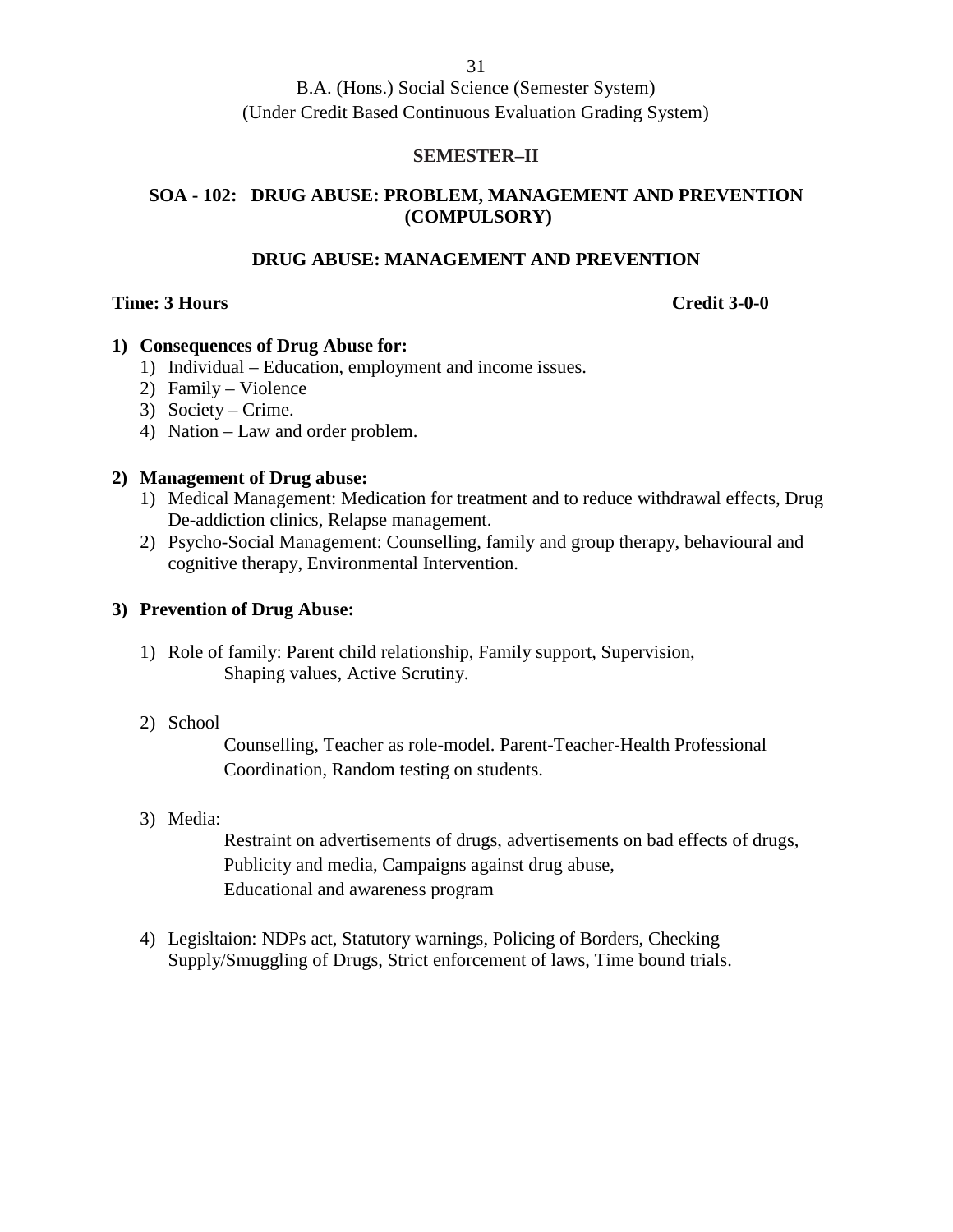#### **SEMESTER–II**

#### **SOA - 102: DRUG ABUSE: PROBLEM, MANAGEMENT AND PREVENTION (COMPULSORY)**

#### **DRUG ABUSE: MANAGEMENT AND PREVENTION**

#### **Time: 3 Hours Credit 3-0-0**

#### **1) Consequences of Drug Abuse for:**

- 1) Individual Education, employment and income issues.
- 2) Family Violence
- 3) Society Crime.
- 4) Nation Law and order problem.

#### **2) Management of Drug abuse:**

- 1) Medical Management: Medication for treatment and to reduce withdrawal effects, Drug De-addiction clinics, Relapse management.
- 2) Psycho-Social Management: Counselling, family and group therapy, behavioural and cognitive therapy, Environmental Intervention.

#### **3) Prevention of Drug Abuse:**

- 1) Role of family: Parent child relationship, Family support, Supervision, Shaping values, Active Scrutiny.
- 2) School

Counselling, Teacher as role-model. Parent-Teacher-Health Professional Coordination, Random testing on students.

#### 3) Media:

Restraint on advertisements of drugs, advertisements on bad effects of drugs, Publicity and media, Campaigns against drug abuse, Educational and awareness program

4) Legisltaion: NDPs act, Statutory warnings, Policing of Borders, Checking Supply/Smuggling of Drugs, Strict enforcement of laws, Time bound trials.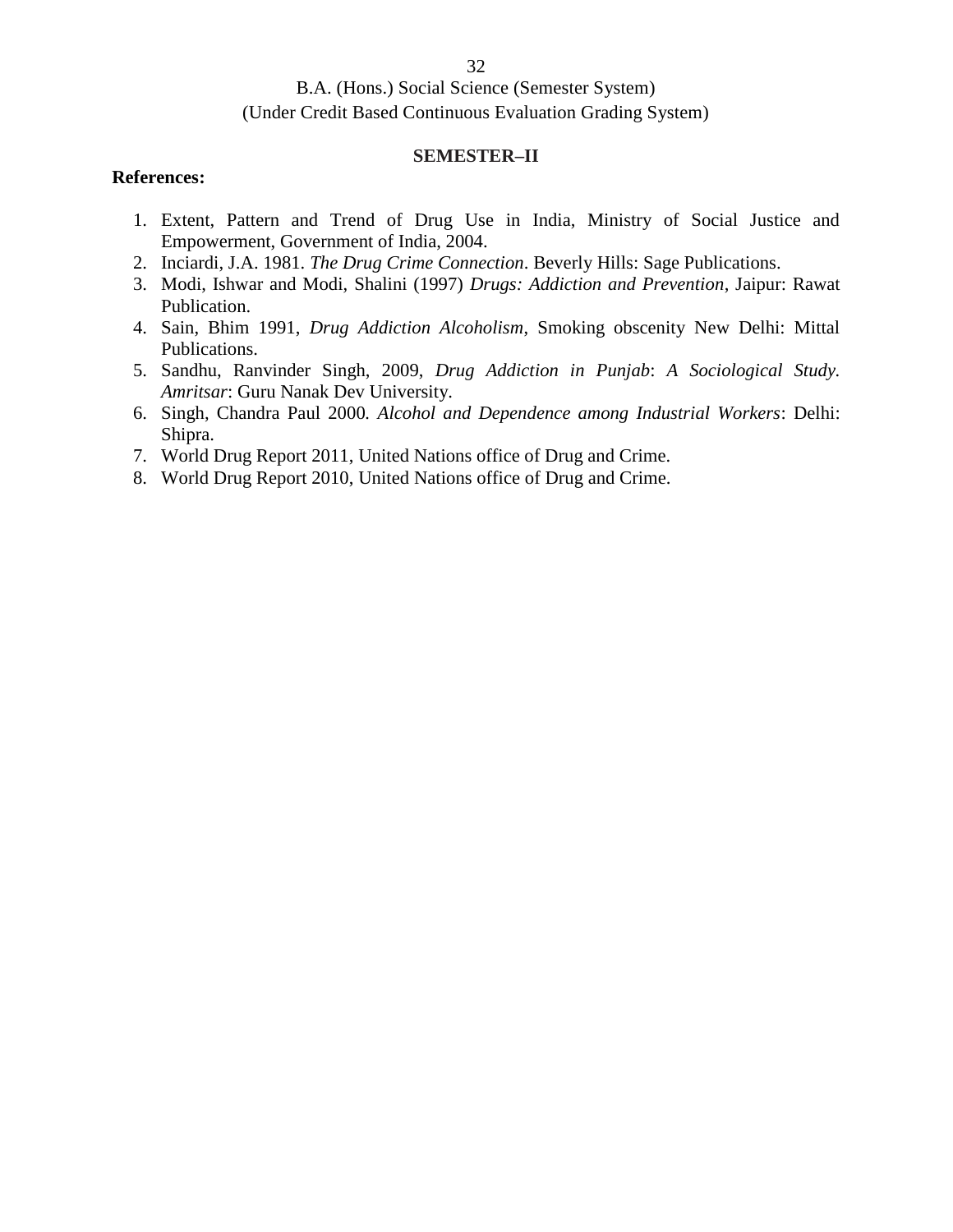#### **SEMESTER–II**

#### **References:**

- 1. Extent, Pattern and Trend of Drug Use in India, Ministry of Social Justice and Empowerment, Government of India, 2004.
- 2. Inciardi, J.A. 1981. *The Drug Crime Connection*. Beverly Hills: Sage Publications.
- 3. Modi, Ishwar and Modi, Shalini (1997) *Drugs: Addiction and Prevention*, Jaipur: Rawat Publication.
- 4. Sain, Bhim 1991, *Drug Addiction Alcoholism*, Smoking obscenity New Delhi: Mittal Publications.
- 5. Sandhu, Ranvinder Singh, 2009, *Drug Addiction in Punjab*: *A Sociological Study. Amritsar*: Guru Nanak Dev University.
- 6. Singh, Chandra Paul 2000*. Alcohol and Dependence among Industrial Workers*: Delhi: Shipra.
- 7. World Drug Report 2011, United Nations office of Drug and Crime.
- 8. World Drug Report 2010, United Nations office of Drug and Crime.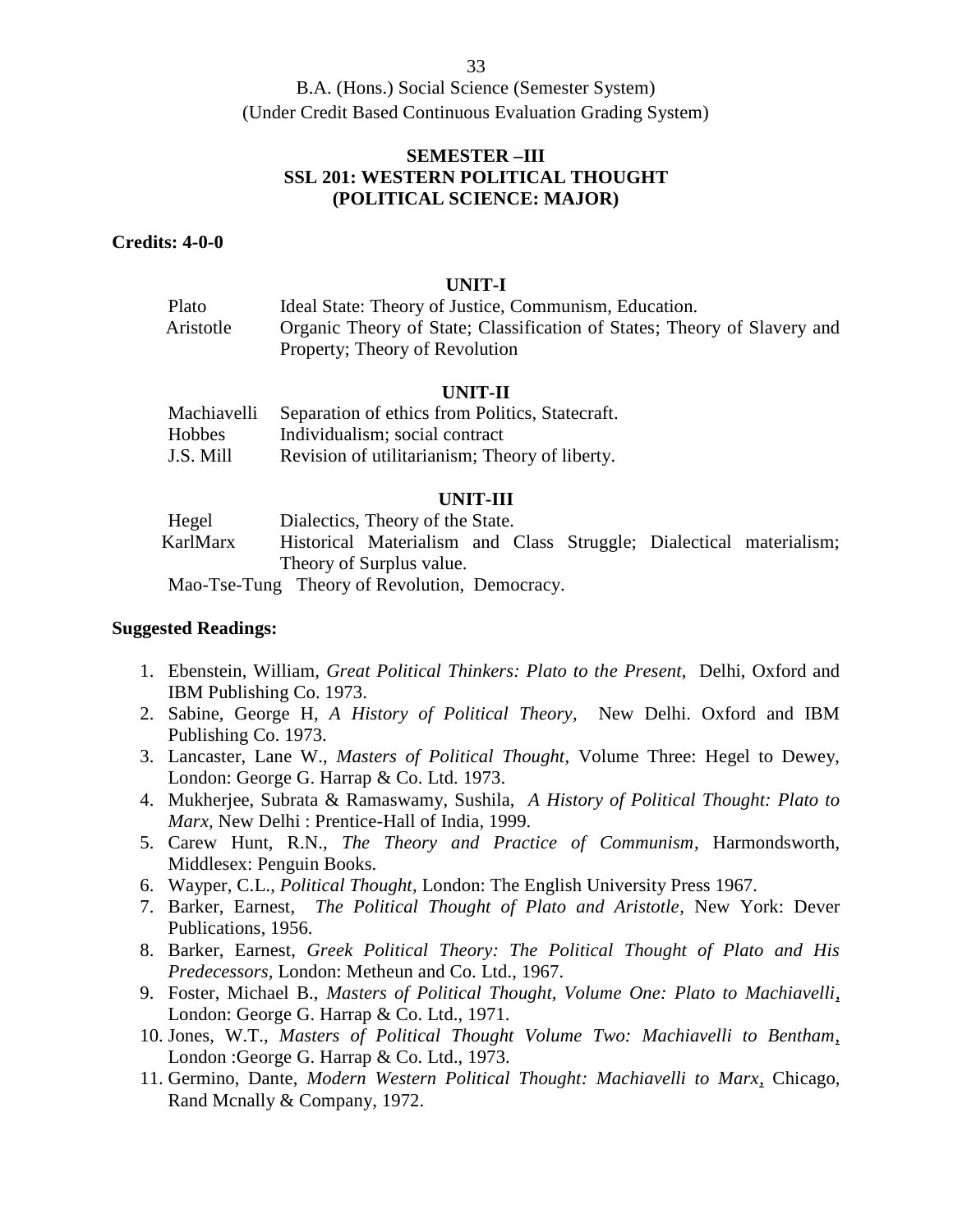33

B.A. (Hons.) Social Science (Semester System) (Under Credit Based Continuous Evaluation Grading System)

#### **SEMESTER –III SSL 201: WESTERN POLITICAL THOUGHT (POLITICAL SCIENCE: MAJOR)**

#### **Credits: 4-0-0**

#### **UNIT-I**

| Plato     | Ideal State: Theory of Justice, Communism, Education.                    |
|-----------|--------------------------------------------------------------------------|
| Aristotle | Organic Theory of State; Classification of States; Theory of Slavery and |
|           | Property; Theory of Revolution                                           |

#### **UNIT-II**

| Machiavelli | Separation of ethics from Politics, Statecraft. |
|-------------|-------------------------------------------------|
| Hobbes      | Individualism; social contract                  |
| J.S. Mill   | Revision of utilitarianism; Theory of liberty.  |

#### **UNIT-III**

| Hegel                                         | Dialectics, Theory of the State. |  |  |  |  |  |                                                                     |  |
|-----------------------------------------------|----------------------------------|--|--|--|--|--|---------------------------------------------------------------------|--|
| KarlMarx                                      |                                  |  |  |  |  |  | Historical Materialism and Class Struggle; Dialectical materialism; |  |
| Theory of Surplus value.                      |                                  |  |  |  |  |  |                                                                     |  |
| Mao-Tse-Tung Theory of Revolution, Democracy. |                                  |  |  |  |  |  |                                                                     |  |

- 1. Ebenstein, William, *Great Political Thinkers: Plato to the Present*, Delhi, Oxford and IBM Publishing Co. 1973.
- 2. Sabine, George H, *A History of Political Theory*, New Delhi. Oxford and IBM Publishing Co. 1973.
- 3. Lancaster, Lane W., *Masters of Political Thought*, Volume Three: Hegel to Dewey, London: George G. Harrap & Co. Ltd. 1973.
- 4. Mukherjee, Subrata & Ramaswamy, Sushila, *A History of Political Thought: Plato to Marx,* New Delhi : Prentice-Hall of India, 1999.
- 5. Carew Hunt, R.N., *The Theory and Practice of Communism*, Harmondsworth, Middlesex: Penguin Books.
- 6. Wayper, C.L., *Political Thought*, London: The English University Press 1967.
- 7. Barker, Earnest, *The Political Thought of Plato and Aristotle*, New York: Dever Publications, 1956.
- 8. Barker, Earnest, *Greek Political Theory: The Political Thought of Plato and His Predecessors,* London: Metheun and Co. Ltd., 1967.
- 9. Foster, Michael B., *Masters of Political Thought, Volume One: Plato to Machiavelli*, London: George G. Harrap & Co. Ltd., 1971.
- 10. Jones, W.T., *Masters of Political Thought Volume Two: Machiavelli to Bentham*, London :George G. Harrap & Co. Ltd., 1973.
- 11. Germino, Dante, *Modern Western Political Thought: Machiavelli to Marx*, Chicago, Rand Mcnally & Company, 1972.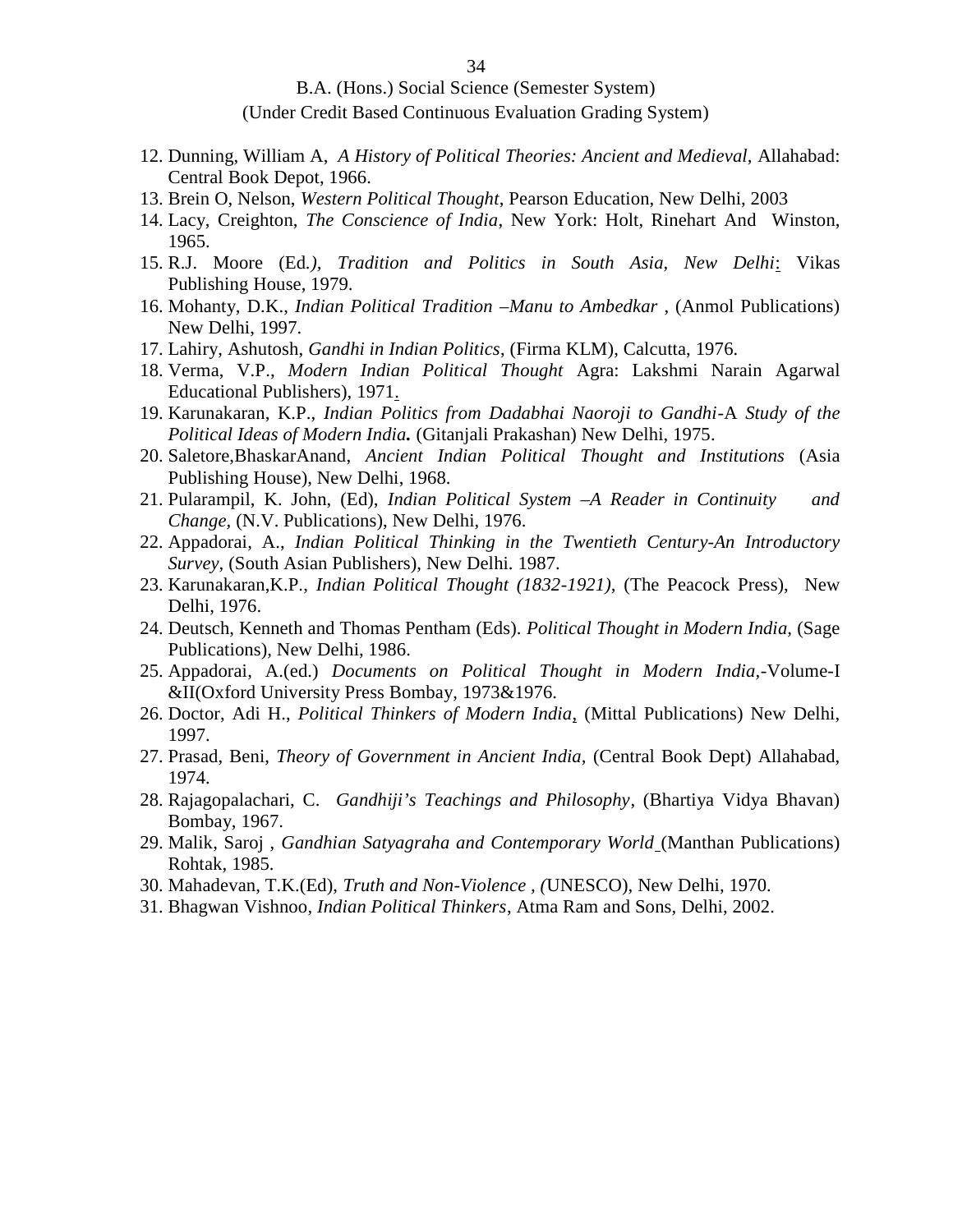#### B.A. (Hons.) Social Science (Semester System)

#### (Under Credit Based Continuous Evaluation Grading System)

- 12. Dunning, William A, *A History of Political Theories: Ancient and Medieval,* Allahabad: Central Book Depot, 1966.
- 13. Brein O, Nelson, *Western Political Thought*, Pearson Education, New Delhi, 2003
- 14. Lacy, Creighton, *The Conscience of India*, New York: Holt, Rinehart And Winston, 1965.
- 15. R.J. Moore (Ed*.), Tradition and Politics in South Asia, New Delhi*: Vikas Publishing House, 1979.
- 16. Mohanty, D.K., *Indian Political Tradition –Manu to Ambedkar* , (Anmol Publications) New Delhi, 1997.
- 17. Lahiry, Ashutosh, *Gandhi in Indian Politics*, (Firma KLM), Calcutta, 1976.
- 18. Verma, V.P., *Modern Indian Political Thought* Agra: Lakshmi Narain Agarwal Educational Publishers), 1971.
- 19. Karunakaran, K.P., *Indian Politics from Dadabhai Naoroji to Gandhi*-A *Study of the Political Ideas of Modern India.* (Gitanjali Prakashan) New Delhi, 1975.
- 20. Saletore,BhaskarAnand, *Ancient Indian Political Thought and Institutions* (Asia Publishing House), New Delhi, 1968.
- 21. Pularampil, K. John, (Ed), *Indian Political System –A Reader in Continuity and Change,* (N.V. Publications), New Delhi, 1976.
- 22. Appadorai, A., *Indian Political Thinking in the Twentieth Century-An Introductory Survey,* (South Asian Publishers), New Delhi. 1987.
- 23. Karunakaran,K.P., *Indian Political Thought (1832-1921),* (The Peacock Press), New Delhi, 1976.
- 24. Deutsch, Kenneth and Thomas Pentham (Eds). *Political Thought in Modern India,* (Sage Publications), New Delhi, 1986.
- 25. Appadorai, A.(ed.) *Documents on Political Thought in Modern India,-*Volume-I &II(Oxford University Press Bombay, 1973&1976.
- 26. Doctor, Adi H., *Political Thinkers of Modern India*, (Mittal Publications) New Delhi, 1997.
- 27. Prasad, Beni, *Theory of Government in Ancient India,* (Central Book Dept) Allahabad, 1974.
- 28. Rajagopalachari, C. *Gandhiji's Teachings and Philosophy*, (Bhartiya Vidya Bhavan) Bombay, 1967.
- 29. Malik, Saroj , *Gandhian Satyagraha and Contemporary World* (Manthan Publications) Rohtak, 1985.
- 30. Mahadevan, T.K.(Ed), *Truth and Non-Violence , (*UNESCO), New Delhi, 1970.
- 31. Bhagwan Vishnoo*, Indian Political Thinkers*, Atma Ram and Sons, Delhi, 2002.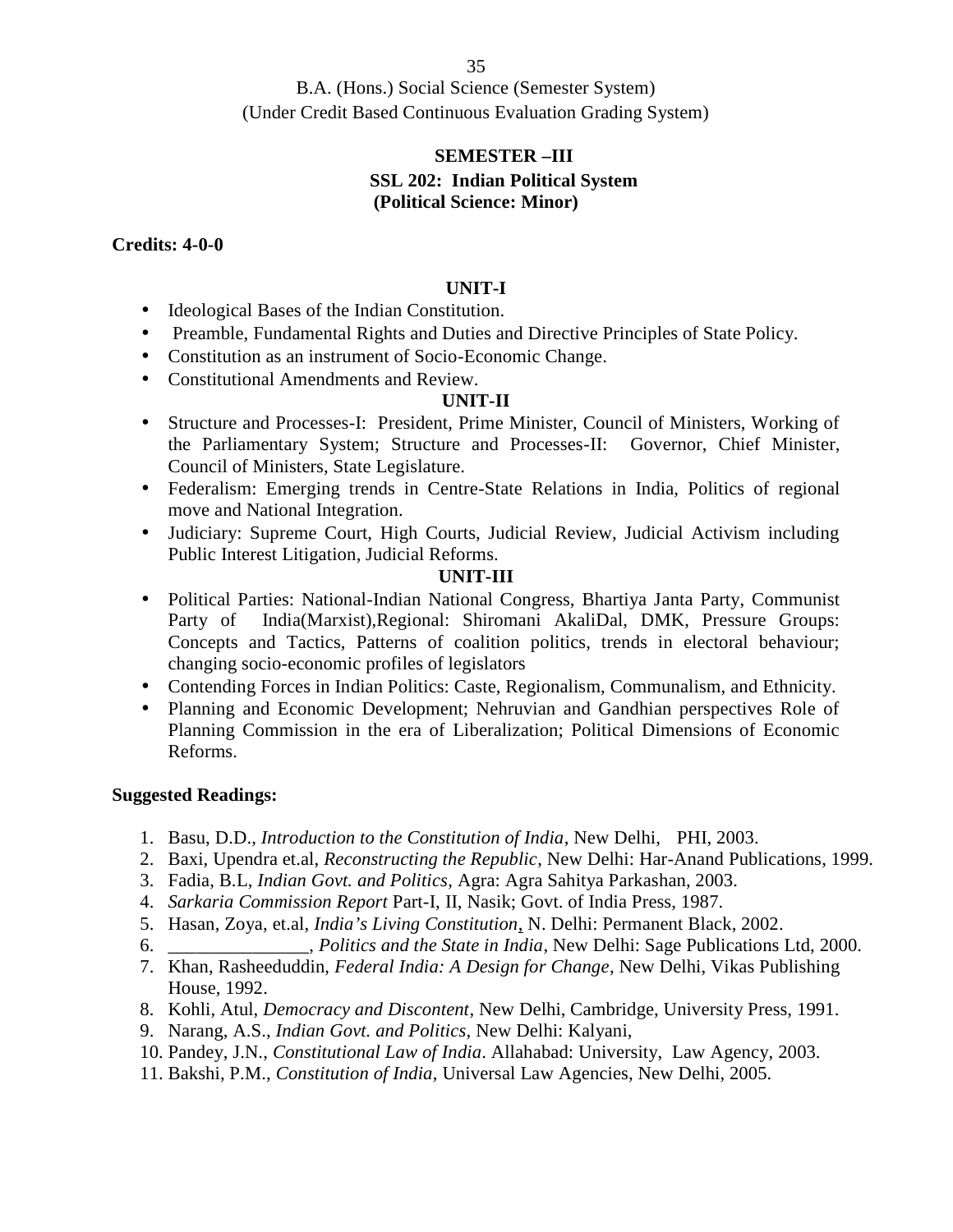#### **SEMESTER –III SSL 202: Indian Political System (Political Science: Minor)**

**Credits: 4-0-0**

#### **UNIT-I**

- Ideological Bases of the Indian Constitution.
- Preamble, Fundamental Rights and Duties and Directive Principles of State Policy.
- Constitution as an instrument of Socio-Economic Change.
- Constitutional Amendments and Review.

#### **UNIT-II**

- Structure and Processes-I: President, Prime Minister, Council of Ministers, Working of the Parliamentary System; Structure and Processes-II: Governor, Chief Minister, Council of Ministers, State Legislature.
- Federalism: Emerging trends in Centre-State Relations in India, Politics of regional move and National Integration.
- Judiciary: Supreme Court, High Courts, Judicial Review, Judicial Activism including Public Interest Litigation, Judicial Reforms.

#### **UNIT-III**

- Political Parties: National-Indian National Congress, Bhartiya Janta Party, Communist Party of India(Marxist),Regional: Shiromani AkaliDal, DMK, Pressure Groups: Concepts and Tactics, Patterns of coalition politics, trends in electoral behaviour; changing socio-economic profiles of legislators
- Contending Forces in Indian Politics: Caste, Regionalism, Communalism, and Ethnicity.
- Planning and Economic Development; Nehruvian and Gandhian perspectives Role of Planning Commission in the era of Liberalization; Political Dimensions of Economic Reforms.

- 1. Basu, D.D., *Introduction to the Constitution of India*, New Delhi, PHI, 2003.
- 2. Baxi, Upendra et.al, *Reconstructing the Republic*, New Delhi: Har-Anand Publications, 1999.
- 3. Fadia, B.L, *Indian Govt. and Politics*, Agra: Agra Sahitya Parkashan, 2003.
- 4. *Sarkaria Commission Report* Part-I, II, Nasik; Govt. of India Press, 1987.
- 5. Hasan, Zoya, et.al, *India's Living Constitution*, N. Delhi: Permanent Black, 2002.
- 6. \_\_\_\_\_\_\_\_\_\_\_\_\_\_\_, *Politics and the State in India*, New Delhi: Sage Publications Ltd, 2000.
- 7. Khan, Rasheeduddin, *Federal India: A Design for Change*, New Delhi, Vikas Publishing House, 1992.
- 8. Kohli, Atul, *Democracy and Discontent*, New Delhi, Cambridge, University Press, 1991.
- 9. Narang, A.S., *Indian Govt. and Politics*, New Delhi: Kalyani,
- 10. Pandey, J.N., *Constitutional Law of India*. Allahabad: University, Law Agency, 2003.
- 11. Bakshi, P.M., *Constitution of India*, Universal Law Agencies, New Delhi, 2005.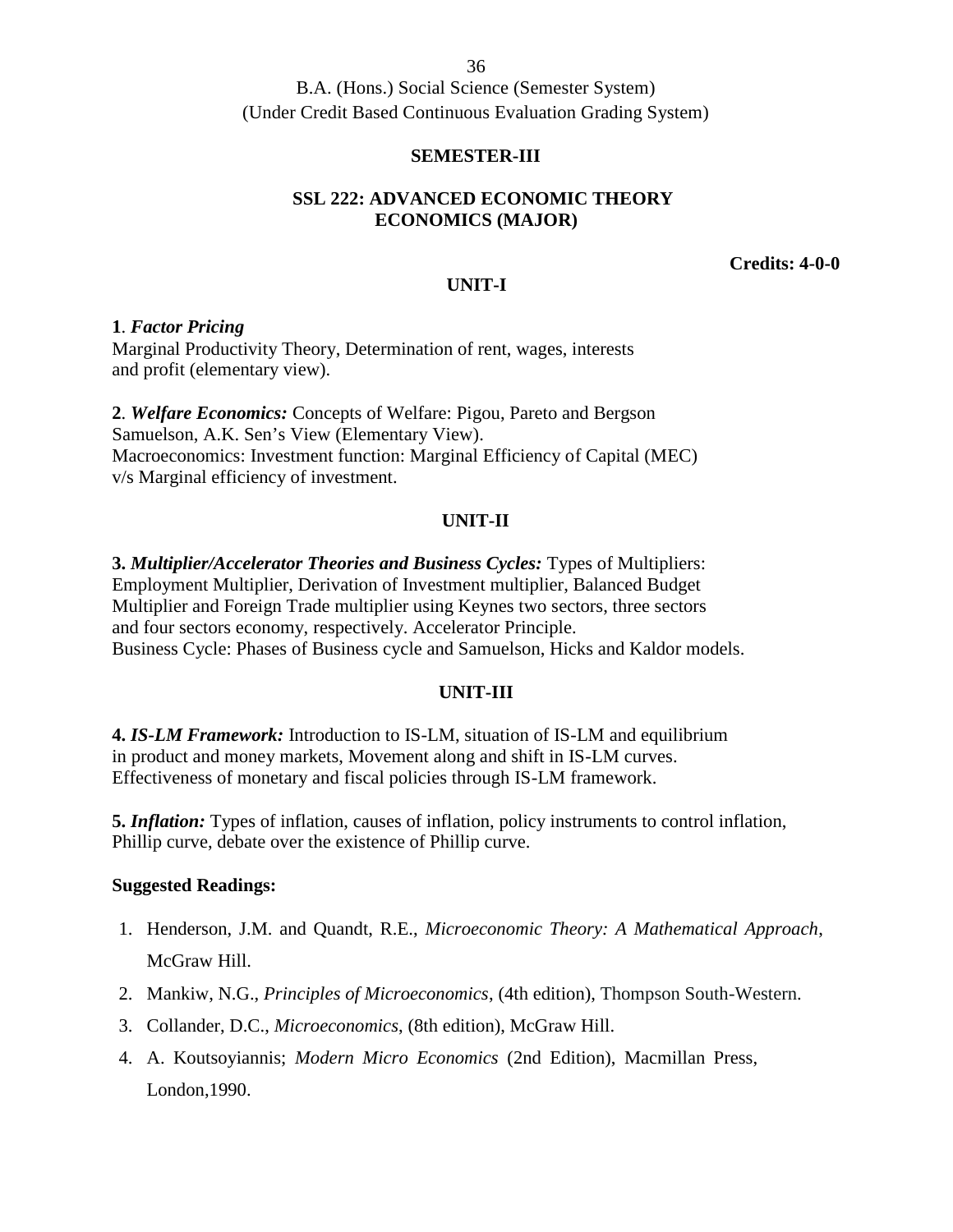B.A. (Hons.) Social Science (Semester System) (Under Credit Based Continuous Evaluation Grading System)

## **SEMESTER-III**

## **SSL 222: ADVANCED ECONOMIC THEORY ECONOMICS (MAJOR)**

**Credits: 4-0-0**

## **UNIT-I**

## **1**. *Factor Pricing*

Marginal Productivity Theory, Determination of rent, wages, interests and profit (elementary view).

**2**. *Welfare Economics:* Concepts of Welfare: Pigou, Pareto and Bergson Samuelson, A.K. Sen's View (Elementary View). Macroeconomics: Investment function: Marginal Efficiency of Capital (MEC) v/s Marginal efficiency of investment.

## **UNIT-II**

**3.** *Multiplier/Accelerator Theories and Business Cycles:* Types of Multipliers: Employment Multiplier, Derivation of Investment multiplier, Balanced Budget Multiplier and Foreign Trade multiplier using Keynes two sectors, three sectors and four sectors economy, respectively. Accelerator Principle. Business Cycle: Phases of Business cycle and Samuelson, Hicks and Kaldor models.

## **UNIT-III**

**4.** *IS-LM Framework:* Introduction to IS-LM, situation of IS-LM and equilibrium in product and money markets, Movement along and shift in IS-LM curves. Effectiveness of monetary and fiscal policies through IS-LM framework.

**5.** *Inflation:* Types of inflation, causes of inflation, policy instruments to control inflation, Phillip curve, debate over the existence of Phillip curve.

- 1. Henderson, J.M. and Quandt, R.E., *Microeconomic Theory: A Mathematical Approach*, McGraw Hill.
- 2. Mankiw, N.G., *Principles of Microeconomics*, (4th edition), Thompson South-Western.
- 3. Collander, D.C., *Microeconomics*, (8th edition), McGraw Hill.
- 4. A. Koutsoyiannis; *Modern Micro Economics* (2nd Edition), Macmillan Press, London,1990.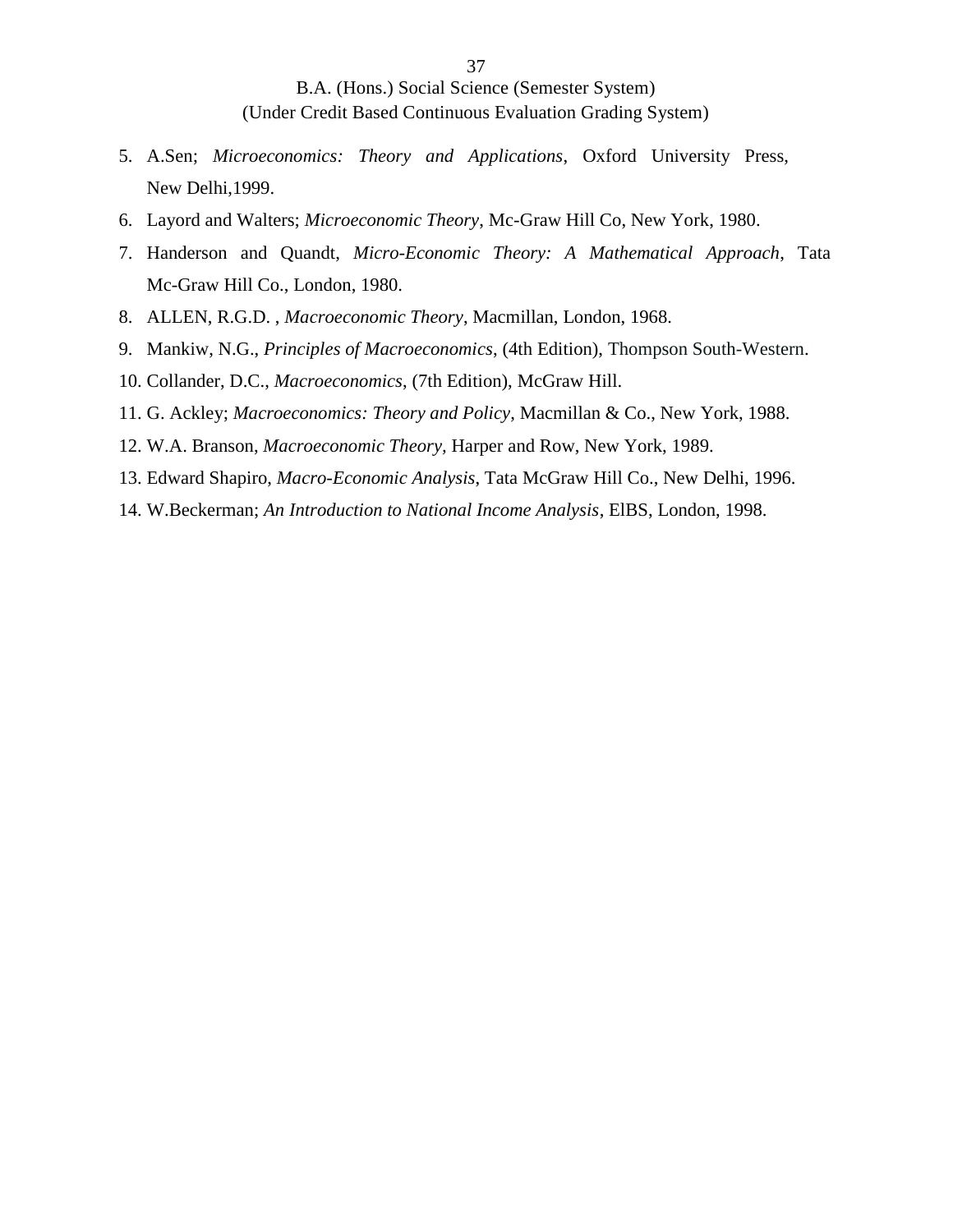- 5. A.Sen; *Microeconomics: Theory and Applications*, Oxford University Press, New Delhi,1999.
- 6. Layord and Walters; *Microeconomic Theory*, Mc-Graw Hill Co, New York, 1980.
- 7. Handerson and Quandt, *Micro-Economic Theory: A Mathematical Approach*, Tata Mc-Graw Hill Co., London, 1980.
- 8. ALLEN, R.G.D. , *Macroeconomic Theory*, Macmillan, London, 1968.
- 9. Mankiw, N.G., *Principles of Macroeconomics*, (4th Edition), Thompson South-Western.
- 10. Collander, D.C., *Macroeconomics*, (7th Edition), McGraw Hill.
- 11. G. Ackley; *Macroeconomics: Theory and Policy*, Macmillan & Co., New York, 1988.
- 12. W.A. Branson, *Macroeconomic Theory,* Harper and Row, New York, 1989.
- 13. Edward Shapiro, *Macro-Economic Analysis*, Tata McGraw Hill Co., New Delhi, 1996.
- 14. W.Beckerman; *An Introduction to National Income Analysis*, ElBS, London, 1998.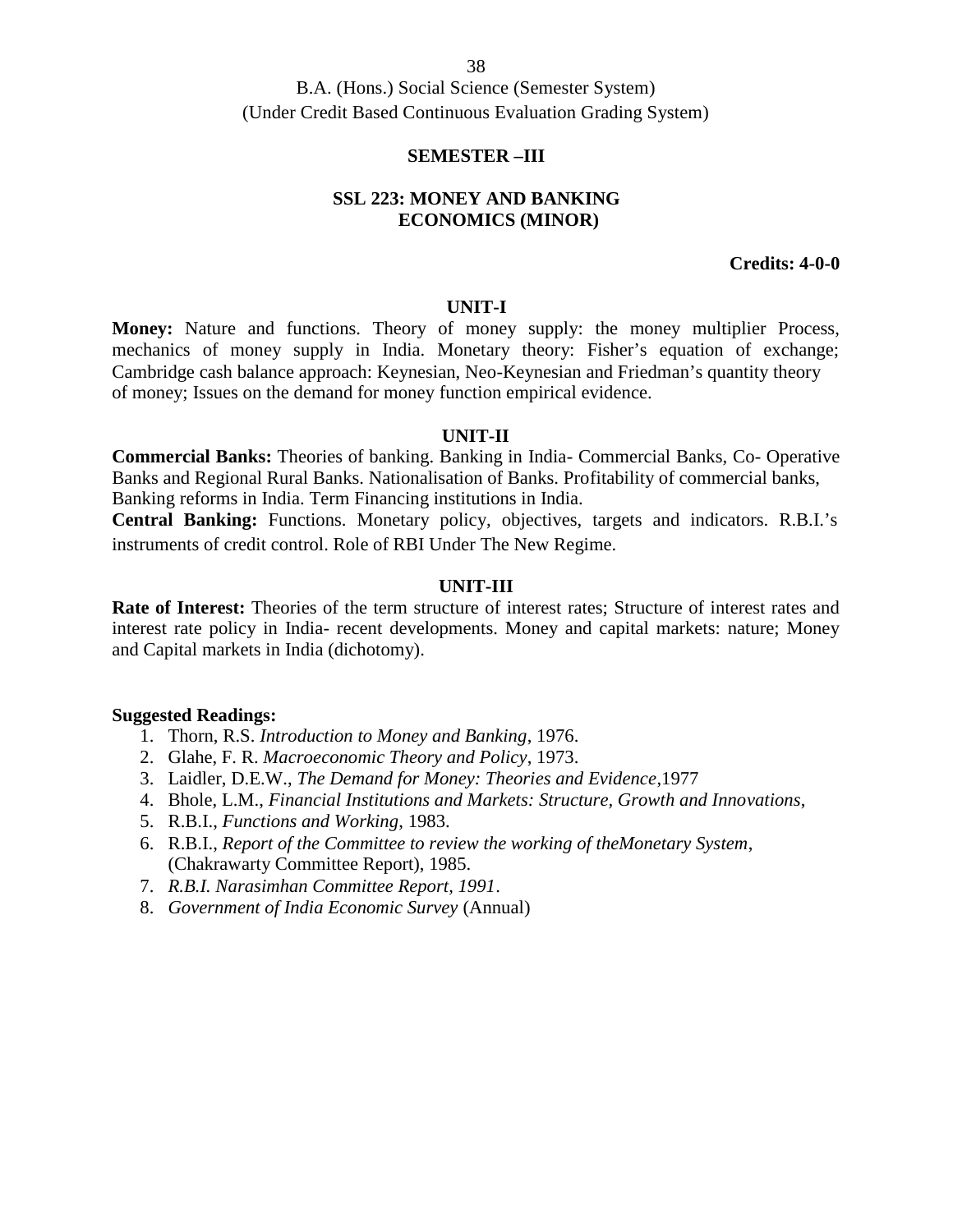#### **SEMESTER –III**

### **SSL 223: MONEY AND BANKING ECONOMICS (MINOR)**

**Credits: 4-0-0**

#### **UNIT-I**

**Money:** Nature and functions. Theory of money supply: the money multiplier Process, mechanics of money supply in India. Monetary theory: Fisher's equation of exchange; Cambridge cash balance approach: Keynesian, Neo-Keynesian and Friedman's quantity theory of money; Issues on the demand for money function empirical evidence.

### **UNIT-II**

**Commercial Banks:** Theories of banking. Banking in India- Commercial Banks, Co- Operative Banks and Regional Rural Banks. Nationalisation of Banks. Profitability of commercial banks, Banking reforms in India. Term Financing institutions in India. **Central Banking:** Functions. Monetary policy, objectives, targets and indicators. R.B.I.'s instruments of credit control. Role of RBI Under The New Regime.

#### **UNIT-III**

**Rate of Interest:** Theories of the term structure of interest rates; Structure of interest rates and interest rate policy in India- recent developments. Money and capital markets: nature; Money and Capital markets in India (dichotomy).

- 1. Thorn, R.S. *Introduction to Money and Banking*, 1976.
- 2. Glahe, F. R. *Macroeconomic Theory and Policy*, 1973.
- 3. Laidler, D.E.W., *The Demand for Money: Theories and Evidence*,1977
- 4. Bhole, L.M., *Financial Institutions and Markets: Structure, Growth and Innovations*,
- 5. R.B.I., *Functions and Working*, 1983.
- 6. R.B.I., *Report of the Committee to review the working of theMonetary System*, (Chakrawarty Committee Report), 1985.
- 7. *R.B.I. Narasimhan Committee Report, 1991*.
- 8. *Government of India Economic Survey* (Annual)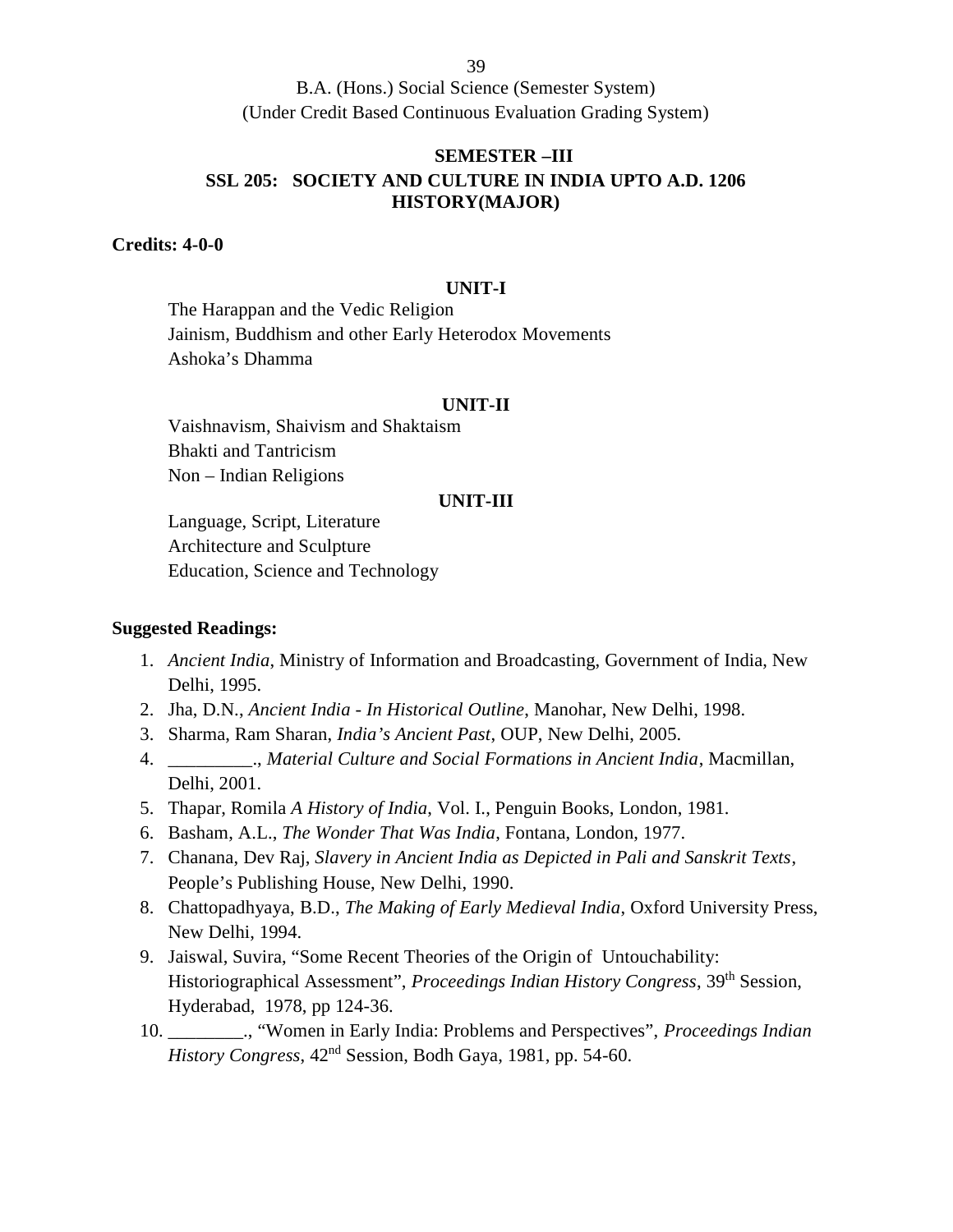B.A. (Hons.) Social Science (Semester System) (Under Credit Based Continuous Evaluation Grading System)

# **SEMESTER –III SSL 205: SOCIETY AND CULTURE IN INDIA UPTO A.D. 1206 HISTORY(MAJOR)**

**Credits: 4-0-0**

#### **UNIT-I**

The Harappan and the Vedic Religion Jainism, Buddhism and other Early Heterodox Movements Ashoka's Dhamma

#### **UNIT-II**

Vaishnavism, Shaivism and Shaktaism Bhakti and Tantricism Non – Indian Religions

#### **UNIT-III**

Language, Script, Literature Architecture and Sculpture Education, Science and Technology

- 1. *Ancient India*, Ministry of Information and Broadcasting, Government of India, New Delhi, 1995.
- 2. Jha, D.N., *Ancient India - In Historical Outline*, Manohar, New Delhi, 1998.
- 3. Sharma, Ram Sharan, *India's Ancient Past*, OUP, New Delhi, 2005.
- 4. \_\_\_\_\_\_\_\_\_., *Material Culture and Social Formations in Ancient India*, Macmillan, Delhi, 2001.
- 5. Thapar, Romila *A History of India*, Vol. I., Penguin Books, London, 1981.
- 6. Basham, A.L., *The Wonder That Was India*, Fontana, London, 1977.
- 7. Chanana, Dev Raj, *Slavery in Ancient India as Depicted in Pali and Sanskrit Texts*, People's Publishing House, New Delhi, 1990.
- 8. Chattopadhyaya, B.D., *The Making of Early Medieval India*, Oxford University Press, New Delhi, 1994.
- 9. Jaiswal, Suvira, "Some Recent Theories of the Origin of Untouchability: Historiographical Assessment", *Proceedings Indian History Congress*, 39th Session, Hyderabad, 1978, pp 124-36.
- 10. \_\_\_\_\_\_\_\_., "Women in Early India: Problems and Perspectives", *Proceedings Indian History Congress*, 42nd Session, Bodh Gaya, 1981, pp. 54-60.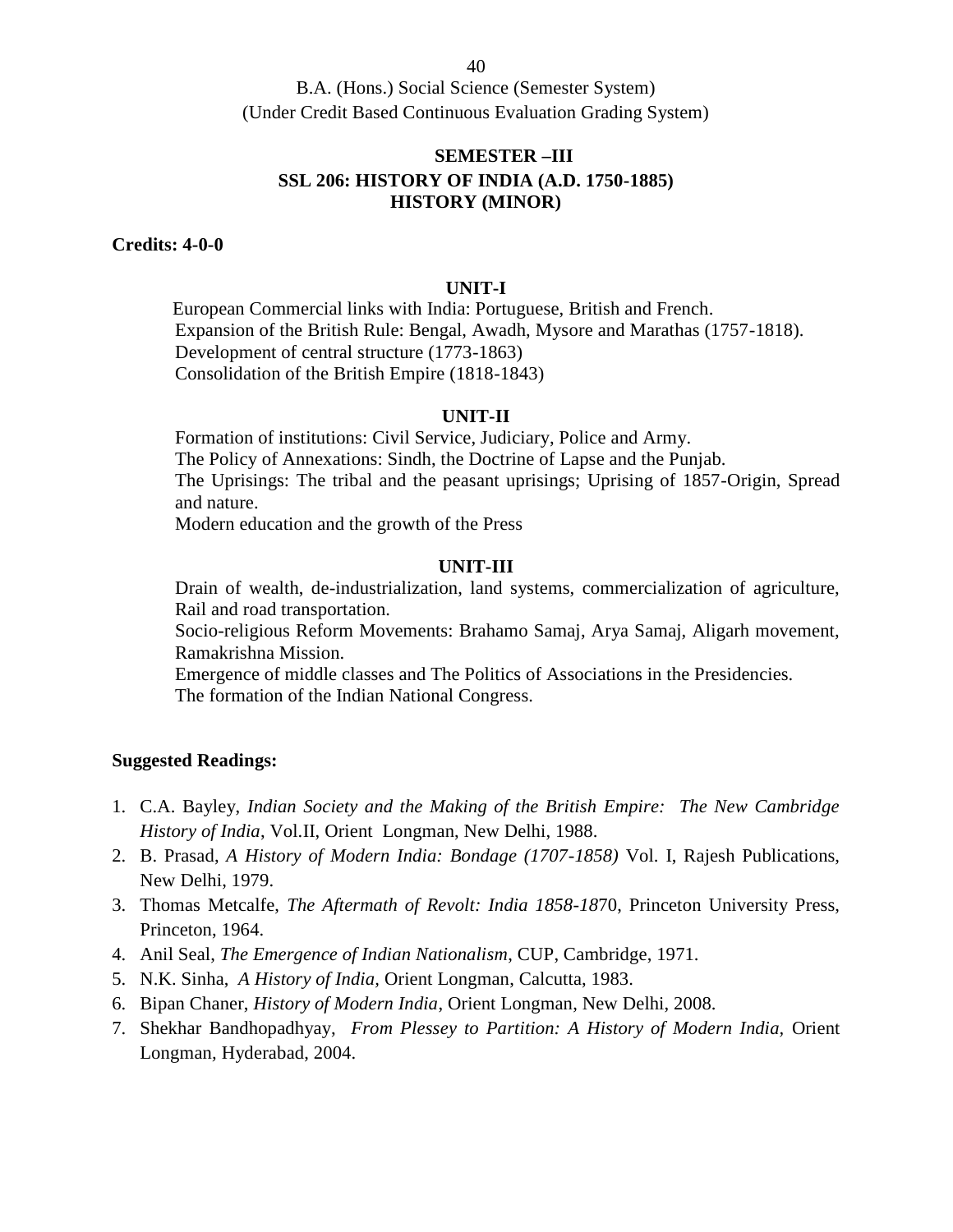## **SEMESTER –III SSL 206: HISTORY OF INDIA (A.D. 1750-1885) HISTORY (MINOR)**

**Credits: 4-0-0**

#### **UNIT-I**

European Commercial links with India: Portuguese, British and French. Expansion of the British Rule: Bengal, Awadh, Mysore and Marathas (1757-1818). Development of central structure (1773-1863) Consolidation of the British Empire (1818-1843)

#### **UNIT-II**

Formation of institutions: Civil Service, Judiciary, Police and Army. The Policy of Annexations: Sindh, the Doctrine of Lapse and the Punjab. The Uprisings: The tribal and the peasant uprisings; Uprising of 1857-Origin, Spread and nature.

Modern education and the growth of the Press

#### **UNIT-III**

Drain of wealth, de-industrialization, land systems, commercialization of agriculture, Rail and road transportation.

Socio-religious Reform Movements: Brahamo Samaj, Arya Samaj, Aligarh movement, Ramakrishna Mission.

Emergence of middle classes and The Politics of Associations in the Presidencies. The formation of the Indian National Congress.

- 1. C.A. Bayley, *Indian Society and the Making of the British Empire: The New Cambridge History of India*, Vol.II, Orient Longman, New Delhi, 1988.
- 2. B. Prasad, *A History of Modern India: Bondage (1707-1858)* Vol. I, Rajesh Publications, New Delhi, 1979.
- 3. Thomas Metcalfe, *The Aftermath of Revolt: India 1858-18*70, Princeton University Press, Princeton, 1964.
- 4. Anil Seal, *The Emergence of Indian Nationalism*, CUP, Cambridge, 1971.
- 5. N.K. Sinha, *A History of India,* Orient Longman, Calcutta, 1983.
- 6. Bipan Chaner, *History of Modern India*, Orient Longman, New Delhi, 2008.
- 7. Shekhar Bandhopadhyay, *From Plessey to Partition: A History of Modern India,* Orient Longman*,* Hyderabad, 2004.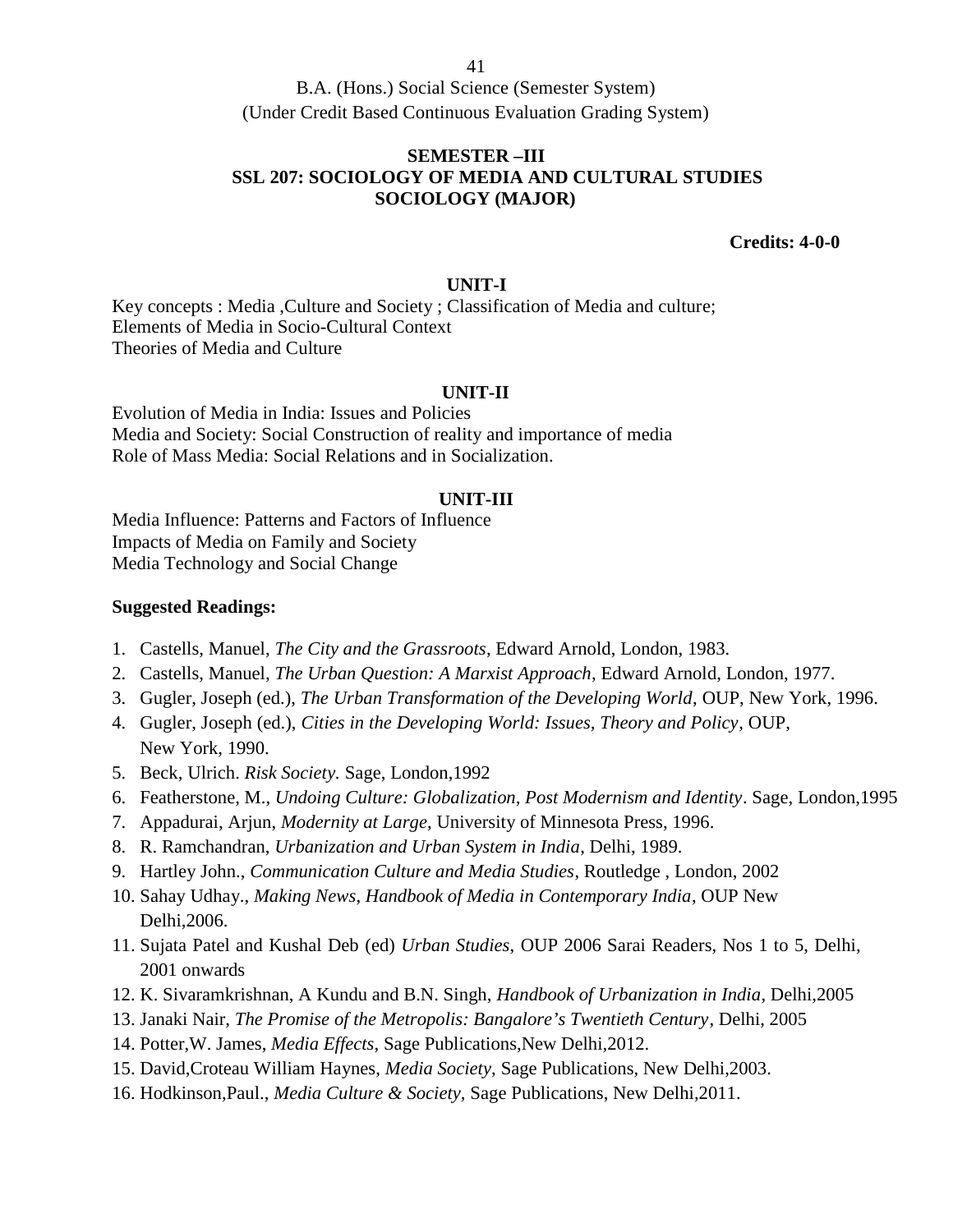## **SEMESTER –III SSL 207: SOCIOLOGY OF MEDIA AND CULTURAL STUDIES SOCIOLOGY (MAJOR)**

**Credits: 4-0-0**

### **UNIT-I**

Key concepts : Media ,Culture and Society ; Classification of Media and culture; Elements of Media in Socio-Cultural Context Theories of Media and Culture

#### **UNIT-II**

Evolution of Media in India: Issues and Policies Media and Society: Social Construction of reality and importance of media Role of Mass Media: Social Relations and in Socialization.

### **UNIT-III**

Media Influence: Patterns and Factors of Influence Impacts of Media on Family and Society Media Technology and Social Change

- 1. Castells, Manuel, *The City and the Grassroots*, Edward Arnold, London, 1983.
- 2. Castells, Manuel, *The Urban Question: A Marxist Approach*, Edward Arnold, London, 1977.
- 3. Gugler, Joseph (ed.), *The Urban Transformation of the Developing World*, OUP, New York, 1996.
- 4. Gugler, Joseph (ed.), *Cities in the Developing World: Issues, Theory and Policy*, OUP, New York, 1990.
- 5. Beck, Ulrich. *Risk Society.* Sage, London,1992
- 6. Featherstone, M., *Undoing Culture: Globalization, Post Modernism and Identity*. Sage, London,1995
- 7. Appadurai, Arjun, *Modernity at Large*, University of Minnesota Press, 1996.
- 8. R. Ramchandran, *Urbanization and Urban System in India*, Delhi, 1989.
- 9. Hartley John., *Communication Culture and Media Studies*, Routledge , London, 2002
- 10. Sahay Udhay., *Making News, Handbook of Media in Contemporary India*, OUP New Delhi,2006.
- 11. Sujata Patel and Kushal Deb (ed) *Urban Studies*, OUP 2006 Sarai Readers, Nos 1 to 5, Delhi, 2001 onwards
- 12. K. Sivaramkrishnan, A Kundu and B.N. Singh, *Handbook of Urbanization in India*, Delhi,2005
- 13. Janaki Nair, *The Promise of the Metropolis: Bangalore's Twentieth Century*, Delhi, 2005
- 14. Potter,W. James, *Media Effects*, Sage Publications,New Delhi,2012.
- 15. David,Croteau William Haynes, *Media Society*, Sage Publications, New Delhi,2003.
- 16. Hodkinson,Paul., *Media Culture & Society,* Sage Publications, New Delhi,2011.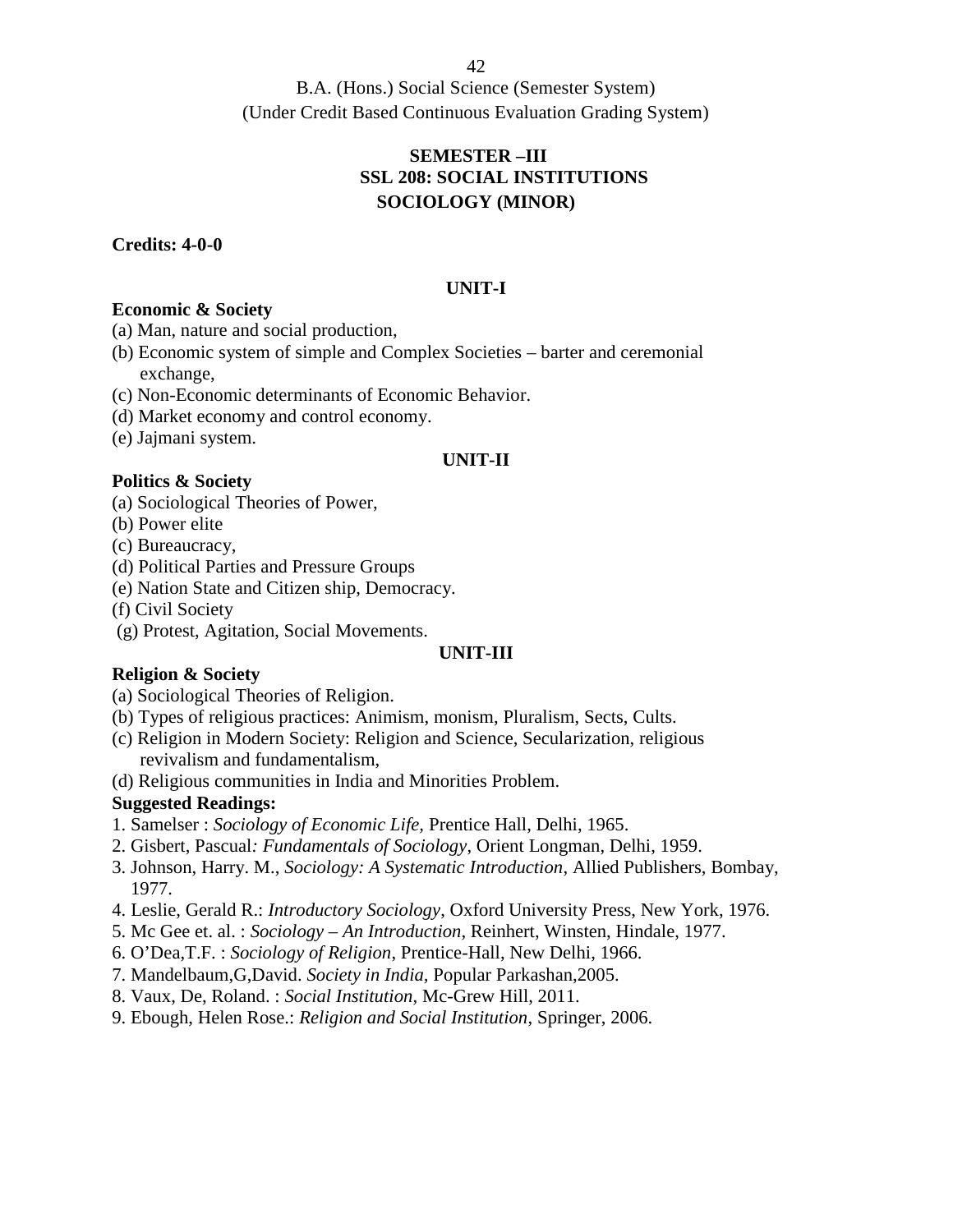B.A. (Hons.) Social Science (Semester System) (Under Credit Based Continuous Evaluation Grading System)

# **SEMESTER –III SSL 208: SOCIAL INSTITUTIONS SOCIOLOGY (MINOR)**

## **Credits: 4-0-0**

## **UNIT-I**

## **Economic & Society**

(a) Man, nature and social production,

- (b) Economic system of simple and Complex Societies barter and ceremonial exchange,
- (c) Non-Economic determinants of Economic Behavior.
- (d) Market economy and control economy.
- (e) Jajmani system.

### **UNIT-II**

## **Politics & Society**

- (a) Sociological Theories of Power,
- (b) Power elite
- (c) Bureaucracy,
- (d) Political Parties and Pressure Groups
- (e) Nation State and Citizen ship, Democracy.
- (f) Civil Society
- (g) Protest, Agitation, Social Movements.

### **UNIT-III**

## **Religion & Society**

- (a) Sociological Theories of Religion.
- (b) Types of religious practices: Animism, monism, Pluralism, Sects, Cults.
- (c) Religion in Modern Society: Religion and Science, Secularization, religious revivalism and fundamentalism,
- (d) Religious communities in India and Minorities Problem.

- 1. Samelser : *Sociology of Economic Life,* Prentice Hall, Delhi, 1965.
- 2. Gisbert, Pascual*: Fundamentals of Sociology*, Orient Longman, Delhi, 1959.
- 3. Johnson, Harry. M., *Sociology: A Systematic Introduction*, Allied Publishers, Bombay, 1977.
- 4. Leslie, Gerald R.: *Introductory Sociology*, Oxford University Press, New York, 1976.
- 5. Mc Gee et. al. : *Sociology – An Introduction*, Reinhert, Winsten, Hindale, 1977.
- 6. O'Dea,T.F. : *Sociology of Religion*, Prentice-Hall, New Delhi, 1966.
- 7. Mandelbaum,G,David. *Society in India,* Popular Parkashan,2005.
- 8. Vaux, De, Roland. : *Social Institution*, Mc-Grew Hill, 2011.
- 9. Ebough, Helen Rose.: *Religion and Social Institution*, Springer, 2006.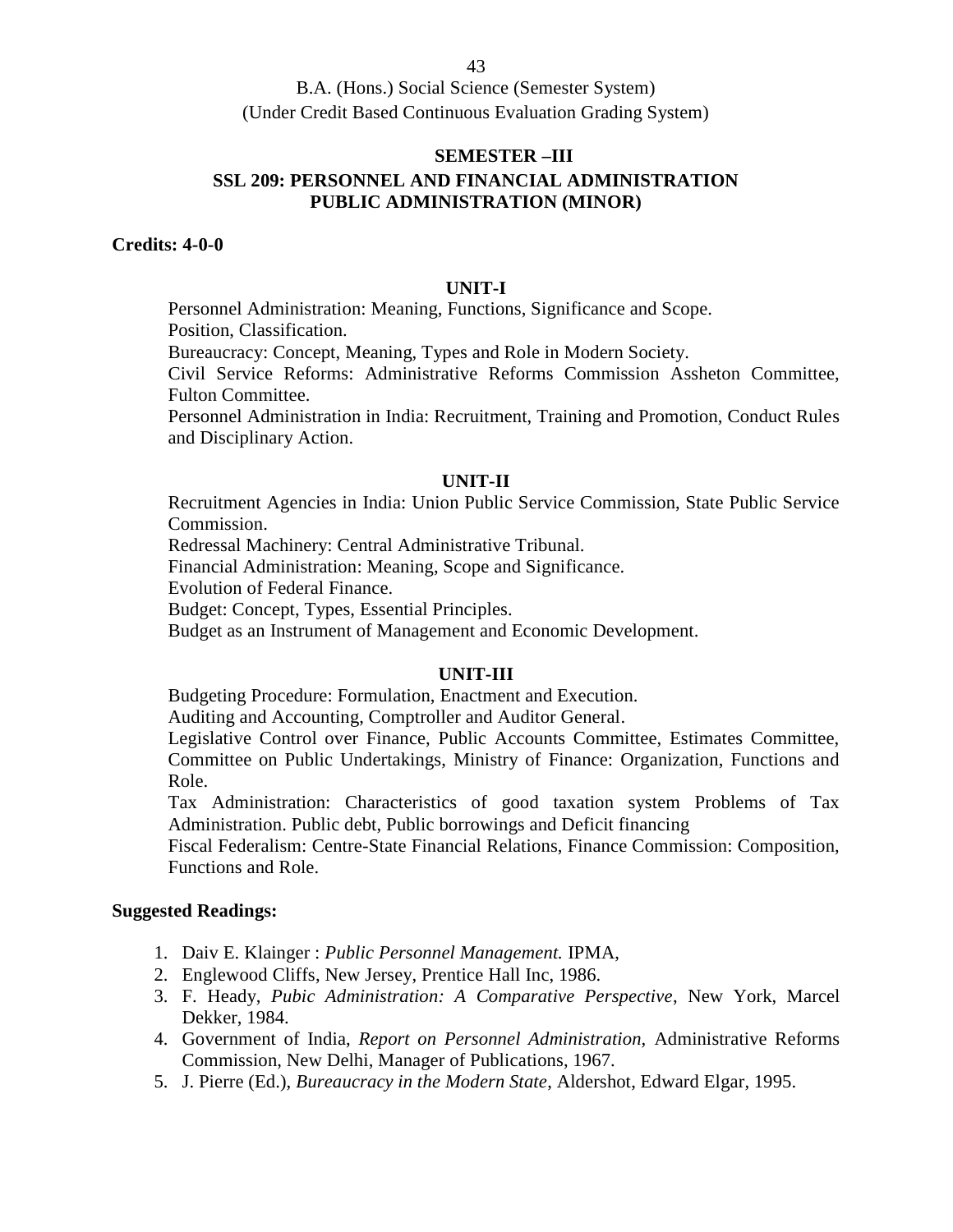# **SEMESTER –III SSL 209: PERSONNEL AND FINANCIAL ADMINISTRATION PUBLIC ADMINISTRATION (MINOR)**

## **Credits: 4-0-0**

#### **UNIT-I**

Personnel Administration: Meaning, Functions, Significance and Scope. Position, Classification.

Bureaucracy: Concept, Meaning, Types and Role in Modern Society.

Civil Service Reforms: Administrative Reforms Commission Assheton Committee, Fulton Committee.

Personnel Administration in India: Recruitment, Training and Promotion, Conduct Rules and Disciplinary Action.

#### **UNIT-II**

Recruitment Agencies in India: Union Public Service Commission, State Public Service Commission.

Redressal Machinery: Central Administrative Tribunal.

Financial Administration: Meaning, Scope and Significance.

Evolution of Federal Finance.

Budget: Concept, Types, Essential Principles.

Budget as an Instrument of Management and Economic Development.

### **UNIT-III**

Budgeting Procedure: Formulation, Enactment and Execution.

Auditing and Accounting, Comptroller and Auditor General.

Legislative Control over Finance, Public Accounts Committee, Estimates Committee, Committee on Public Undertakings, Ministry of Finance: Organization, Functions and Role.

Tax Administration: Characteristics of good taxation system Problems of Tax Administration. Public debt, Public borrowings and Deficit financing

Fiscal Federalism: Centre-State Financial Relations, Finance Commission: Composition, Functions and Role.

- 1. Daiv E. Klainger : *Public Personnel Management.* IPMA,
- 2. Englewood Cliffs, New Jersey, Prentice Hall Inc, 1986.
- 3. F. Heady, *Pubic Administration: A Comparative Perspective*, New York, Marcel Dekker, 1984.
- 4. Government of India, *Report on Personnel Administration,* Administrative Reforms Commission, New Delhi, Manager of Publications, 1967.
- 5. J. Pierre (Ed.), *Bureaucracy in the Modern State*, Aldershot, Edward Elgar, 1995.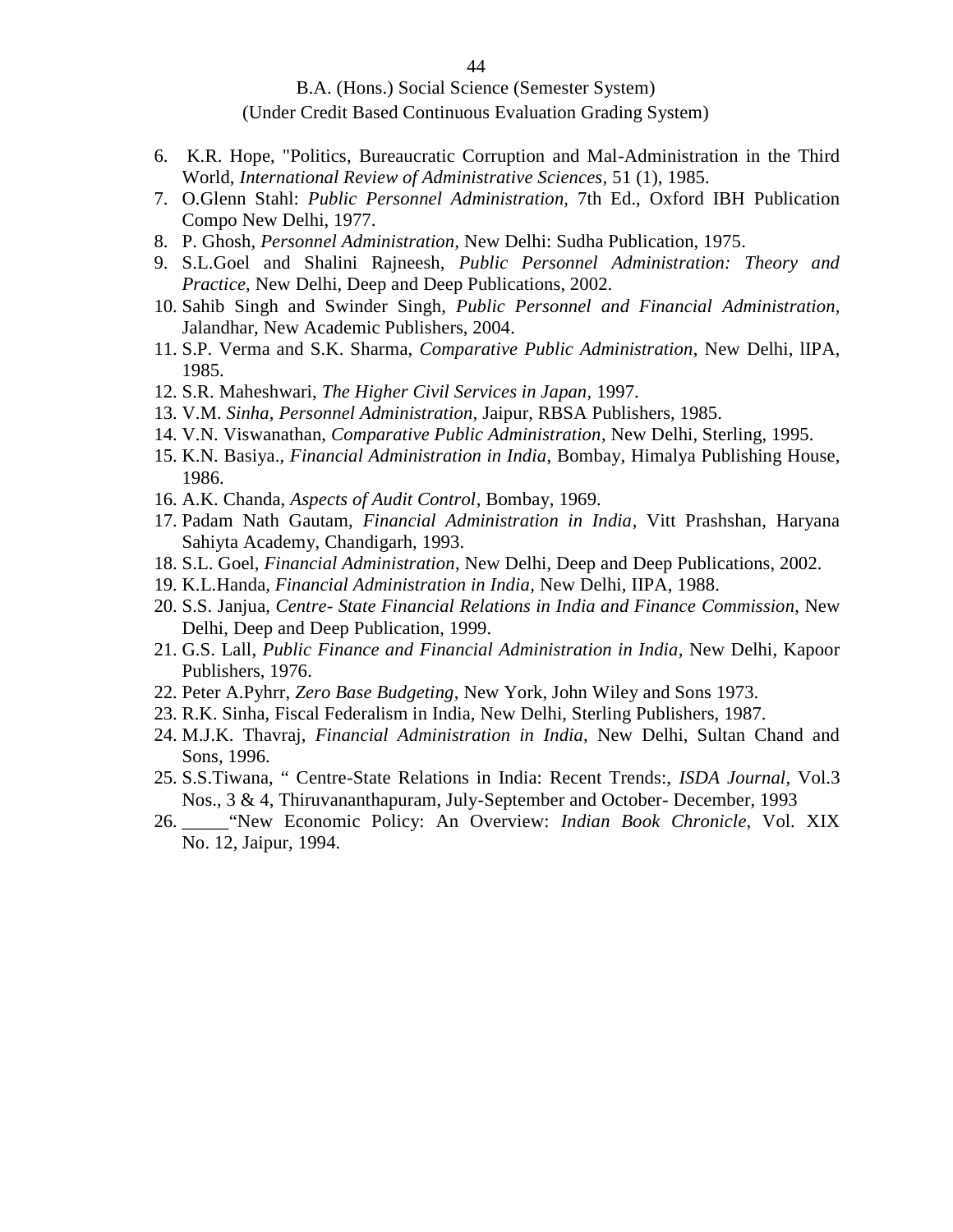- 6. K.R. Hope, "Politics, Bureaucratic Corruption and Mal-Administration in the Third World, *International Review of Administrative Sciences,* 51 (1), 1985.
- 7. O.Glenn Stahl: *Public Personnel Administration,* 7th Ed., Oxford IBH Publication Compo New Delhi, 1977.
- 8. P. Ghosh, *Personnel Administration,* New Delhi: Sudha Publication, 1975.
- 9. S.L.Goel and Shalini Rajneesh, *Public Personnel Administration: Theory and Practice,* New Delhi, Deep and Deep Publications, 2002.
- 10. Sahib Singh and Swinder Singh, *Public Personnel and Financial Administration,* Jalandhar, New Academic Publishers, 2004.
- 11. S.P. Verma and S.K. Sharma, *Comparative Public Administration*, New Delhi, lIPA, 1985.
- 12. S.R. Maheshwari, *The Higher Civil Services in Japan,* 1997.
- 13. V.M. *Sinha*, *Personnel Administration,* Jaipur, RBSA Publishers, 1985.
- 14. V.N. Viswanathan, *Comparative Public Administration*, New Delhi, Sterling, 1995.
- 15. K.N. Basiya., *Financial Administration in India*, Bombay, Himalya Publishing House, 1986.
- 16. A.K. Chanda, *Aspects of Audit Control*, Bombay, 1969.
- 17. Padam Nath Gautam, *Financial Administration in India*, Vitt Prashshan, Haryana Sahiyta Academy, Chandigarh, 1993.
- 18. S.L. Goel, *Financial Administration*, New Delhi, Deep and Deep Publications, 2002.
- 19. K.L.Handa, *Financial Administration in India*, New Delhi, IIPA, 1988.
- 20. S.S. Janjua, *Centre- State Financial Relations in India and Finance Commission*, New Delhi, Deep and Deep Publication, 1999.
- 21. G.S. Lall, *Public Finance and Financial Administration in India*, New Delhi, Kapoor Publishers, 1976.
- 22. Peter A.Pyhrr, *Zero Base Budgeting*, New York, John Wiley and Sons 1973.
- 23. R.K. Sinha, Fiscal Federalism in India, New Delhi, Sterling Publishers, 1987.
- 24. M.J.K. Thavraj, *Financial Administration in India*, New Delhi, Sultan Chand and Sons, 1996.
- 25. S.S.Tiwana, " Centre-State Relations in India: Recent Trends:, *ISDA Journal*, Vol.3 Nos., 3 & 4, Thiruvananthapuram, July-September and October- December, 1993
- 26. \_\_\_\_\_"New Economic Policy: An Overview: *Indian Book Chronicle*, Vol. XIX No. 12, Jaipur, 1994.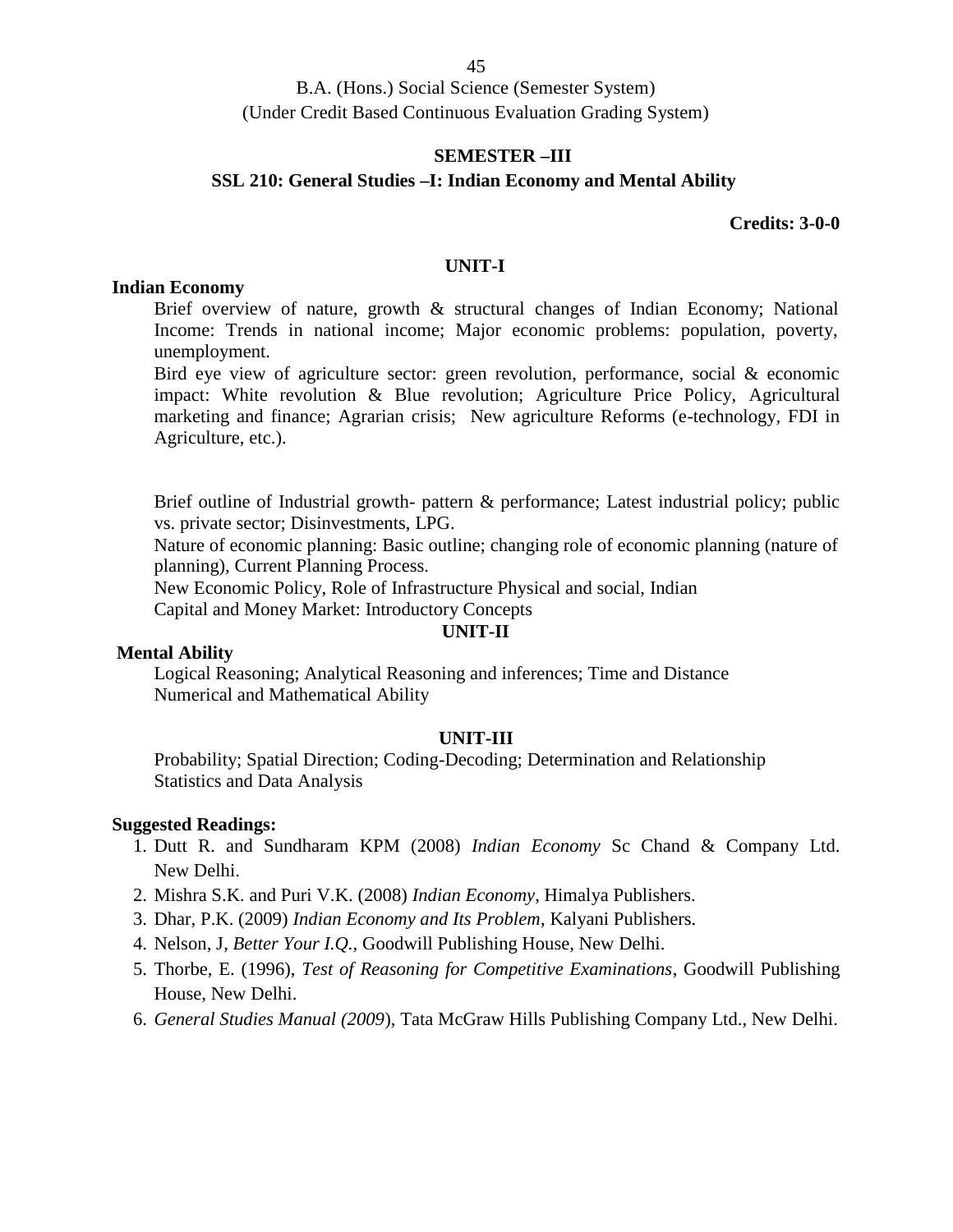### **SEMESTER –III**

## **SSL 210: General Studies –I: Indian Economy and Mental Ability**

### **Credits: 3-0-0**

### **UNIT-I**

#### **Indian Economy**

Brief overview of nature, growth & structural changes of Indian Economy; National Income: Trends in national income; Major economic problems: population, poverty, unemployment.

Bird eye view of agriculture sector: green revolution, performance, social & economic impact: White revolution & Blue revolution; Agriculture Price Policy, Agricultural marketing and finance; Agrarian crisis; New agriculture Reforms (e-technology, FDI in Agriculture, etc.).

Brief outline of Industrial growth- pattern & performance; Latest industrial policy; public vs. private sector; Disinvestments, LPG.

Nature of economic planning: Basic outline; changing role of economic planning (nature of planning), Current Planning Process.

New Economic Policy, Role of Infrastructure Physical and social, Indian

Capital and Money Market: Introductory Concepts

### **UNIT-II**

#### **Mental Ability**

Logical Reasoning; Analytical Reasoning and inferences; Time and Distance Numerical and Mathematical Ability

### **UNIT-III**

Probability; Spatial Direction; Coding-Decoding; Determination and Relationship Statistics and Data Analysis

- 1. Dutt R. and Sundharam KPM (2008) *Indian Economy* Sc Chand & Company Ltd. New Delhi.
- 2. Mishra S.K. and Puri V.K. (2008) *Indian Economy*, Himalya Publishers.
- 3. Dhar, P.K. (2009) *Indian Economy and Its Problem*, Kalyani Publishers.
- 4. Nelson, J, *Better Your I.Q.,* Goodwill Publishing House, New Delhi.
- 5. Thorbe, E. (1996), *Test of Reasoning for Competitive Examinations*, Goodwill Publishing House, New Delhi.
- 6. *General Studies Manual (2009*), Tata McGraw Hills Publishing Company Ltd., New Delhi.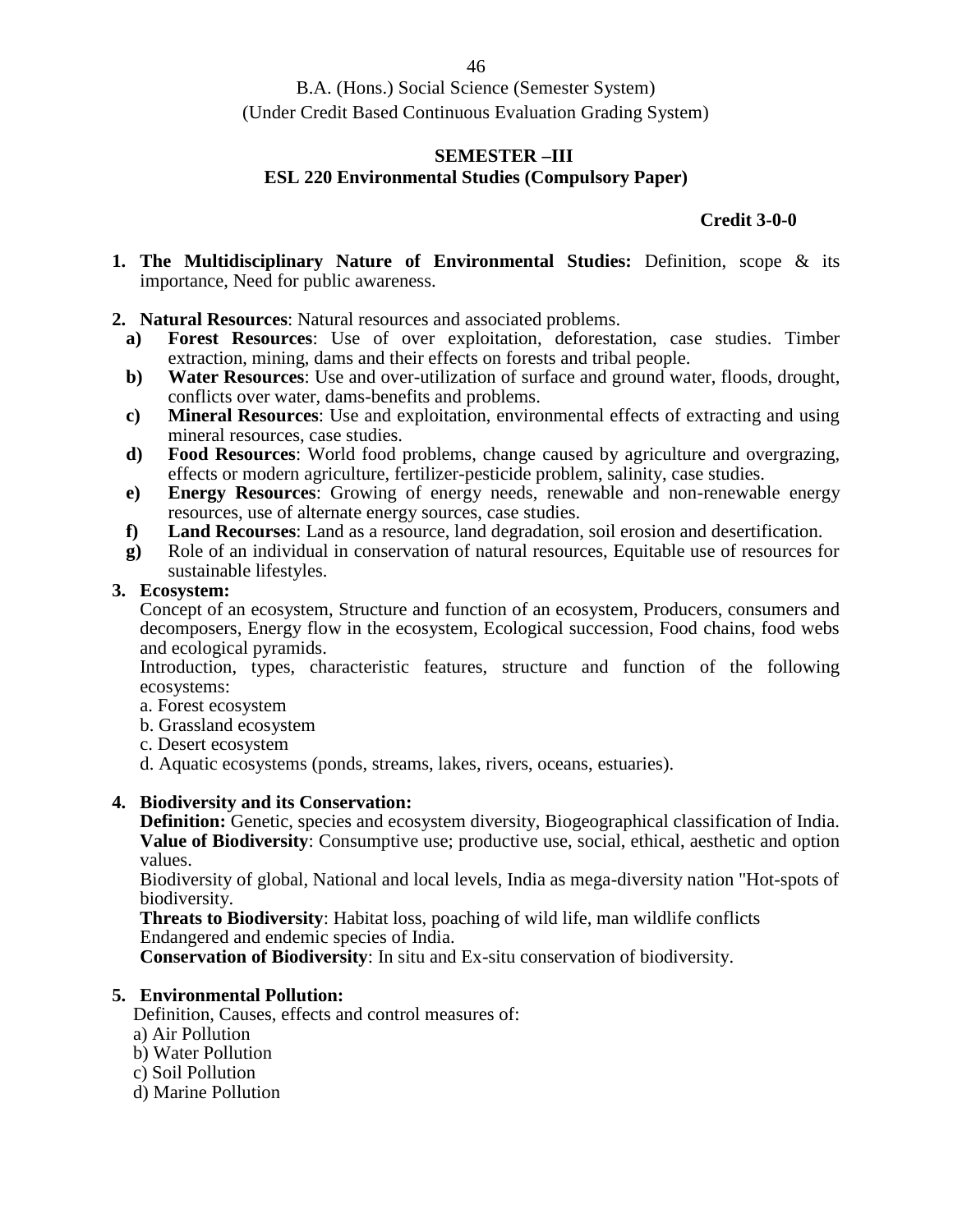### **SEMESTER –III ESL 220 Environmental Studies (Compulsory Paper)**

## **Credit 3-0-0**

- **1. The Multidisciplinary Nature of Environmental Studies:** Definition, scope & its importance, Need for public awareness.
- **2. Natural Resources**: Natural resources and associated problems.
	- **a) Forest Resources**: Use of over exploitation, deforestation, case studies. Timber extraction, mining, dams and their effects on forests and tribal people.
	- **b) Water Resources**: Use and over-utilization of surface and ground water, floods, drought, conflicts over water, dams-benefits and problems.
	- **c) Mineral Resources**: Use and exploitation, environmental effects of extracting and using mineral resources, case studies.
	- **d) Food Resources**: World food problems, change caused by agriculture and overgrazing, effects or modern agriculture, fertilizer-pesticide problem, salinity, case studies.
	- **e) Energy Resources**: Growing of energy needs, renewable and non-renewable energy resources, use of alternate energy sources, case studies.
	- **f) Land Recourses**: Land as a resource, land degradation, soil erosion and desertification.
	- **g)** Role of an individual in conservation of natural resources, Equitable use of resources for sustainable lifestyles.

## **3. Ecosystem:**

Concept of an ecosystem, Structure and function of an ecosystem, Producers, consumers and decomposers, Energy flow in the ecosystem, Ecological succession, Food chains, food webs and ecological pyramids.

Introduction, types, characteristic features, structure and function of the following ecosystems:

- a. Forest ecosystem
- b. Grassland ecosystem
- c. Desert ecosystem

d. Aquatic ecosystems (ponds, streams, lakes, rivers, oceans, estuaries).

## **4. Biodiversity and its Conservation:**

**Definition:** Genetic, species and ecosystem diversity, Biogeographical classification of India. **Value of Biodiversity**: Consumptive use; productive use, social, ethical, aesthetic and option values.

Biodiversity of global, National and local levels, India as mega-diversity nation "Hot-spots of biodiversity.

**Threats to Biodiversity**: Habitat loss, poaching of wild life, man wildlife conflicts Endangered and endemic species of India.

**Conservation of Biodiversity**: In situ and Ex-situ conservation of biodiversity.

## **5. Environmental Pollution:**

Definition, Causes, effects and control measures of:

- a) Air Pollution
- b) Water Pollution
- c) Soil Pollution
- d) Marine Pollution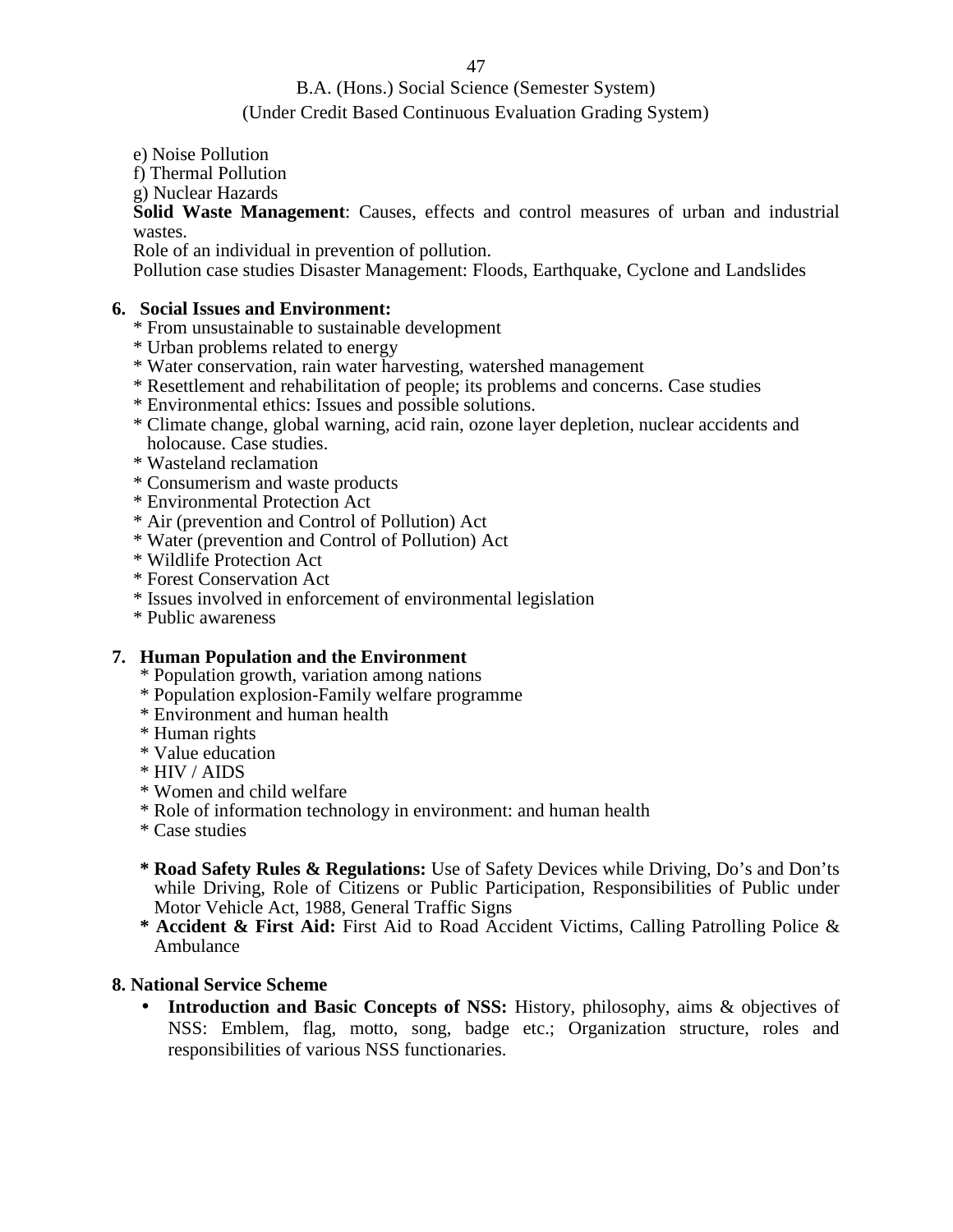## B.A. (Hons.) Social Science (Semester System)

## (Under Credit Based Continuous Evaluation Grading System)

e) Noise Pollution

f) Thermal Pollution

g) Nuclear Hazards

**Solid Waste Management**: Causes, effects and control measures of urban and industrial wastes.

Role of an individual in prevention of pollution.

Pollution case studies Disaster Management: Floods, Earthquake, Cyclone and Landslides

## **6. Social Issues and Environment:**

- \* From unsustainable to sustainable development
- \* Urban problems related to energy
- \* Water conservation, rain water harvesting, watershed management
- \* Resettlement and rehabilitation of people; its problems and concerns. Case studies
- \* Environmental ethics: Issues and possible solutions.
- \* Climate change, global warning, acid rain, ozone layer depletion, nuclear accidents and holocause. Case studies.
- \* Wasteland reclamation
- \* Consumerism and waste products
- \* Environmental Protection Act
- \* Air (prevention and Control of Pollution) Act
- \* Water (prevention and Control of Pollution) Act
- \* Wildlife Protection Act
- \* Forest Conservation Act
- \* Issues involved in enforcement of environmental legislation
- \* Public awareness

## **7. Human Population and the Environment**

- \* Population growth, variation among nations
- \* Population explosion-Family welfare programme
- \* Environment and human health
- \* Human rights
- \* Value education
- \* HIV / AIDS
- \* Women and child welfare
- \* Role of information technology in environment: and human health
- \* Case studies
- **\* Road Safety Rules & Regulations:** Use of Safety Devices while Driving, Do's and Don'ts while Driving, Role of Citizens or Public Participation, Responsibilities of Public under Motor Vehicle Act, 1988, General Traffic Signs
- **\* Accident & First Aid:** First Aid to Road Accident Victims, Calling Patrolling Police & Ambulance

## **8. National Service Scheme**

 **Introduction and Basic Concepts of NSS:** History, philosophy, aims & objectives of NSS: Emblem, flag, motto, song, badge etc.; Organization structure, roles and responsibilities of various NSS functionaries.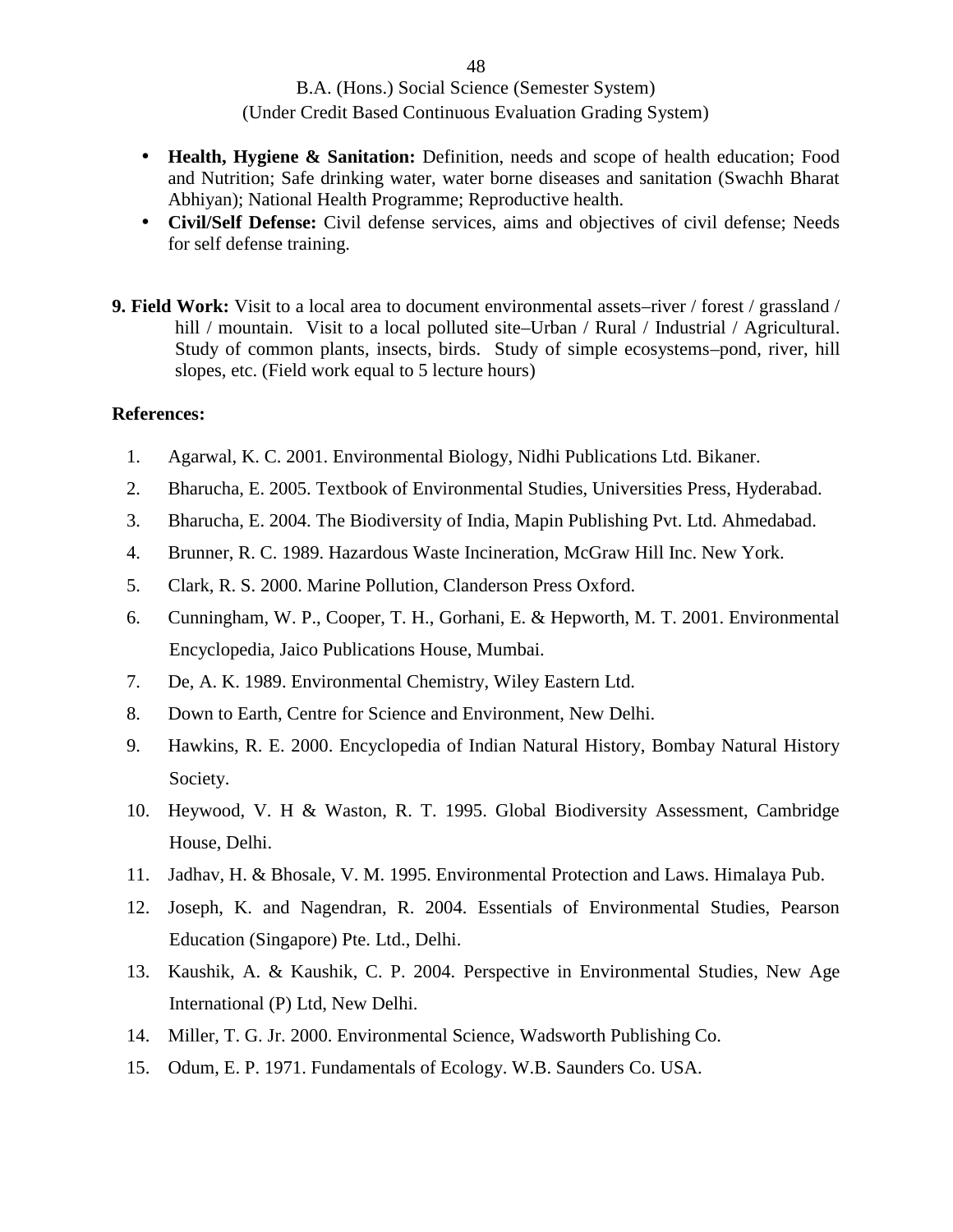- **Health, Hygiene & Sanitation:** Definition, needs and scope of health education; Food and Nutrition; Safe drinking water, water borne diseases and sanitation (Swachh Bharat Abhiyan); National Health Programme; Reproductive health.
- **Civil/Self Defense:** Civil defense services, aims and objectives of civil defense; Needs for self defense training.
- **9. Field Work:** Visit to a local area to document environmental assets–river / forest / grassland / hill / mountain. Visit to a local polluted site–Urban / Rural / Industrial / Agricultural. Study of common plants, insects, birds. Study of simple ecosystems–pond, river, hill slopes, etc. (Field work equal to 5 lecture hours)

### **References:**

- 1. Agarwal, K. C. 2001. Environmental Biology, Nidhi Publications Ltd. Bikaner.
- 2. Bharucha, E. 2005. Textbook of Environmental Studies, Universities Press, Hyderabad.
- 3. Bharucha, E. 2004. The Biodiversity of India, Mapin Publishing Pvt. Ltd. Ahmedabad.
- 4. Brunner, R. C. 1989. Hazardous Waste Incineration, McGraw Hill Inc. New York.
- 5. Clark, R. S. 2000. Marine Pollution, Clanderson Press Oxford.
- 6. Cunningham, W. P., Cooper, T. H., Gorhani, E. & Hepworth, M. T. 2001. Environmental Encyclopedia, Jaico Publications House, Mumbai.
- 7. De, A. K. 1989. Environmental Chemistry, Wiley Eastern Ltd.
- 8. Down to Earth, Centre for Science and Environment, New Delhi.
- 9. Hawkins, R. E. 2000. Encyclopedia of Indian Natural History, Bombay Natural History Society.
- 10. Heywood, V. H & Waston, R. T. 1995. Global Biodiversity Assessment, Cambridge House, Delhi.
- 11. Jadhav, H. & Bhosale, V. M. 1995. Environmental Protection and Laws. Himalaya Pub.
- 12. Joseph, K. and Nagendran, R. 2004. Essentials of Environmental Studies, Pearson Education (Singapore) Pte. Ltd., Delhi.
- 13. Kaushik, A. & Kaushik, C. P. 2004. Perspective in Environmental Studies, New Age International (P) Ltd, New Delhi.
- 14. Miller, T. G. Jr. 2000. Environmental Science, Wadsworth Publishing Co.
- 15. Odum, E. P. 1971. Fundamentals of Ecology. W.B. Saunders Co. USA.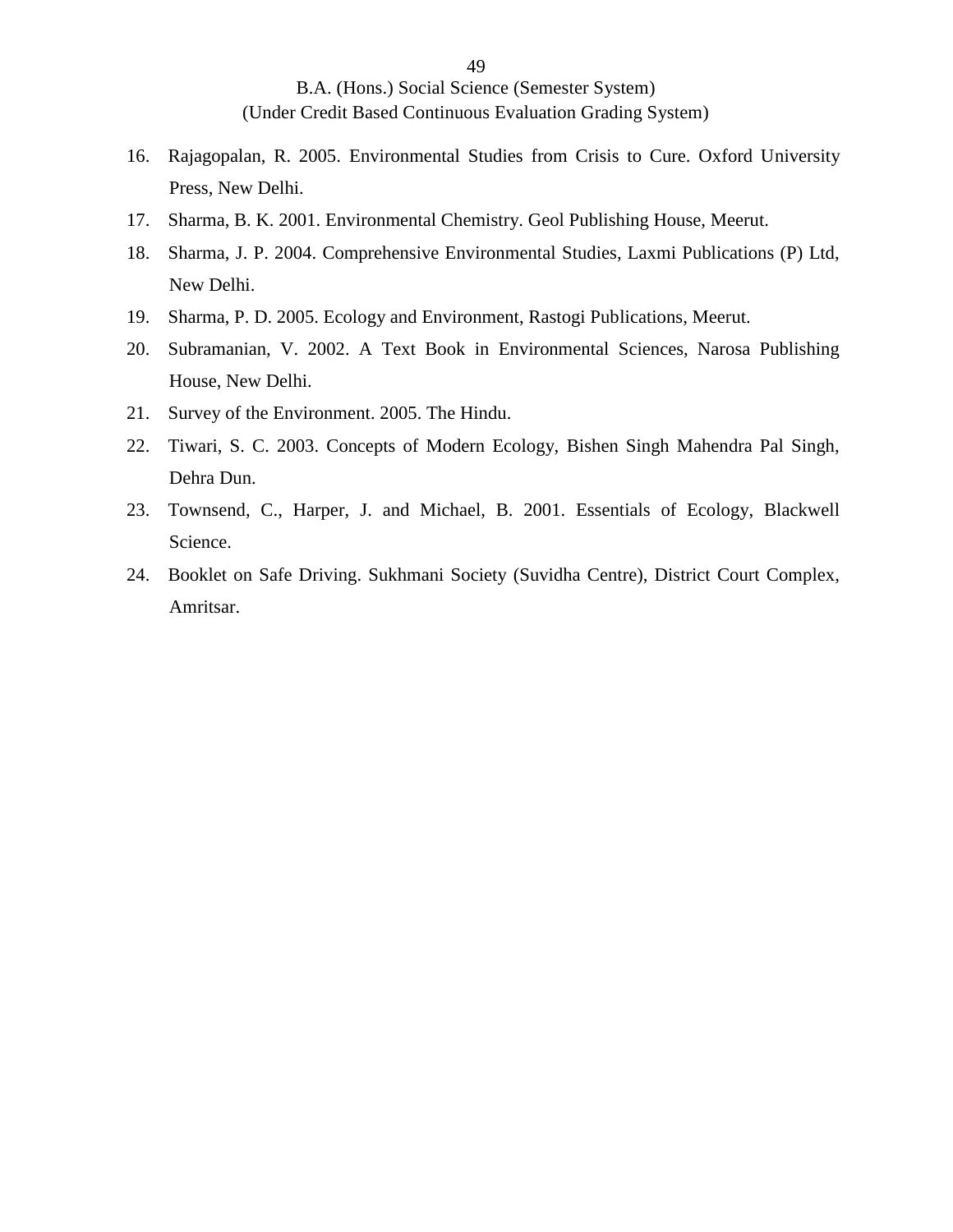- 16. Rajagopalan, R. 2005. Environmental Studies from Crisis to Cure. Oxford University Press, New Delhi.
- 17. Sharma, B. K. 2001. Environmental Chemistry. Geol Publishing House, Meerut.
- 18. Sharma, J. P. 2004. Comprehensive Environmental Studies, Laxmi Publications (P) Ltd, New Delhi.
- 19. Sharma, P. D. 2005. Ecology and Environment, Rastogi Publications, Meerut.
- 20. Subramanian, V. 2002. A Text Book in Environmental Sciences, Narosa Publishing House, New Delhi.
- 21. Survey of the Environment. 2005. The Hindu.
- 22. Tiwari, S. C. 2003. Concepts of Modern Ecology, Bishen Singh Mahendra Pal Singh, Dehra Dun.
- 23. Townsend, C., Harper, J. and Michael, B. 2001. Essentials of Ecology, Blackwell Science.
- 24. Booklet on Safe Driving. Sukhmani Society (Suvidha Centre), District Court Complex, Amritsar.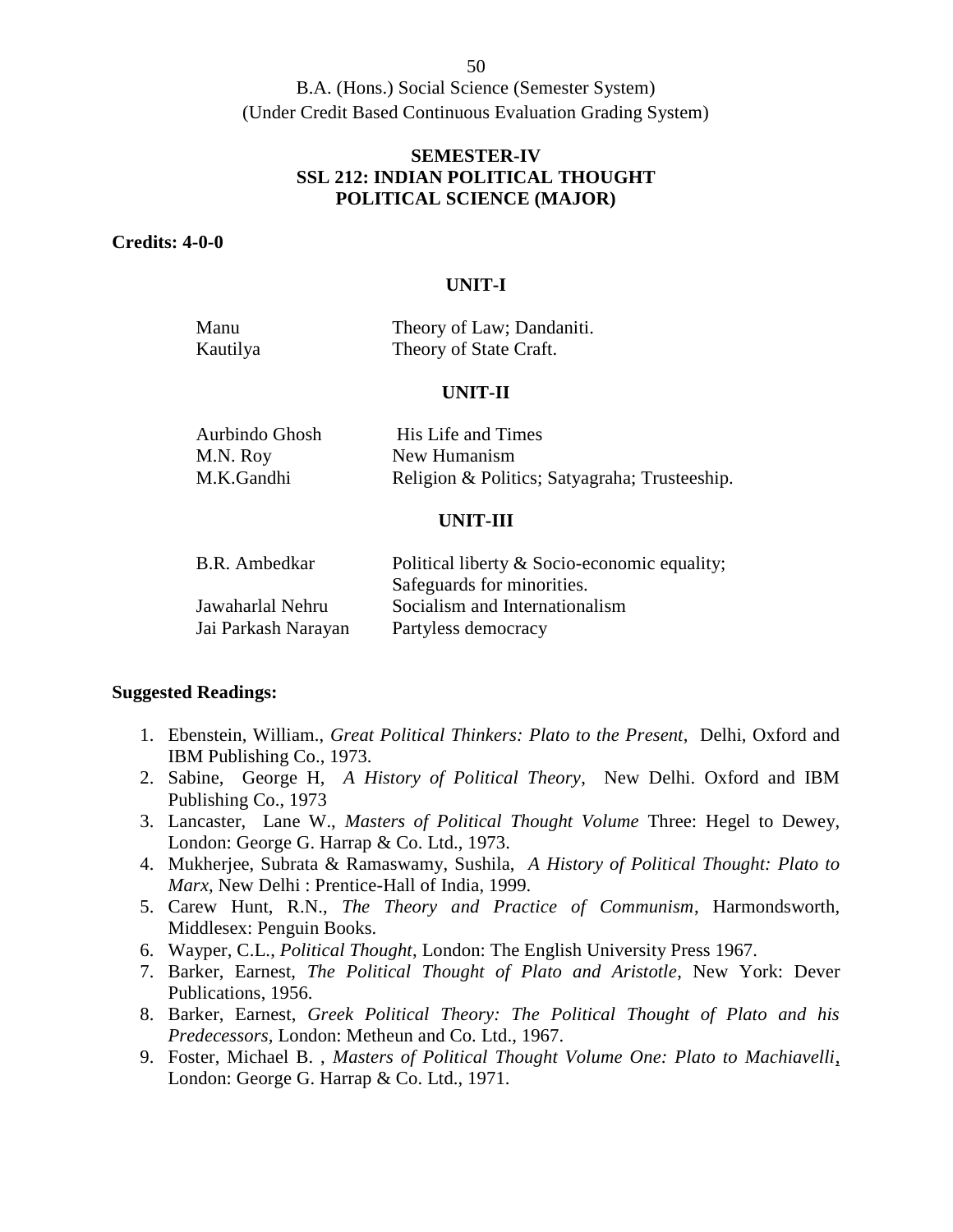## **SEMESTER-IV SSL 212: INDIAN POLITICAL THOUGHT POLITICAL SCIENCE (MAJOR)**

### **Credits: 4-0-0**

#### **UNIT-I**

| Manu     | Theory of Law; Dandaniti. |
|----------|---------------------------|
| Kautilya | Theory of State Craft.    |

#### **UNIT-II**

| Aurbindo Ghosh | His Life and Times                            |
|----------------|-----------------------------------------------|
| M.N. Roy       | New Humanism                                  |
| M.K.Gandhi     | Religion & Politics; Satyagraha; Trusteeship. |

### **UNIT-III**

| B.R. Ambedkar       | Political liberty & Socio-economic equality; |
|---------------------|----------------------------------------------|
|                     | Safeguards for minorities.                   |
| Jawaharlal Nehru    | Socialism and Internationalism               |
| Jai Parkash Narayan | Partyless democracy                          |

### **Suggested Readings:**

- 1. Ebenstein, William., *Great Political Thinkers: Plato to the Present*, Delhi, Oxford and IBM Publishing Co., 1973.
- 2. Sabine, George H, *A History of Political Theory*, New Delhi. Oxford and IBM Publishing Co., 1973
- 3. Lancaster, Lane W., *Masters of Political Thought Volume* Three: Hegel to Dewey, London: George G. Harrap & Co. Ltd., 1973.
- 4. Mukherjee, Subrata & Ramaswamy, Sushila, *A History of Political Thought: Plato to Marx,* New Delhi : Prentice-Hall of India, 1999.
- 5. Carew Hunt, R.N., *The Theory and Practice of Communism*, Harmondsworth, Middlesex: Penguin Books.
- 6. Wayper, C.L., *Political Thought*, London: The English University Press 1967.
- 7. Barker, Earnest, *The Political Thought of Plato and Aristotle*, New York: Dever Publications, 1956.
- 8. Barker, Earnest, *Greek Political Theory: The Political Thought of Plato and his Predecessors,* London: Metheun and Co. Ltd., 1967.
- 9. Foster, Michael B. , *Masters of Political Thought Volume One: Plato to Machiavelli*, London: George G. Harrap & Co. Ltd., 1971.

50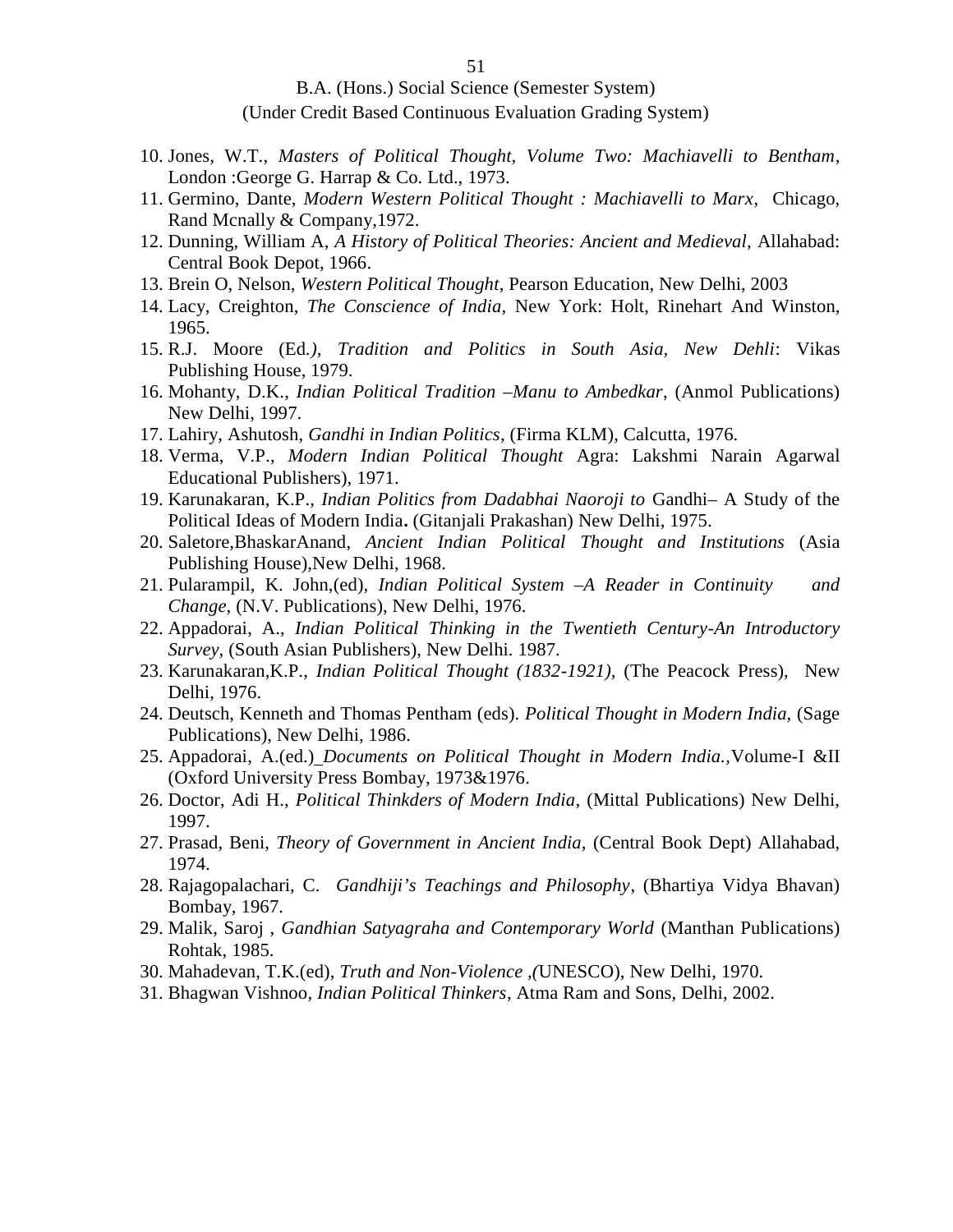- 10. Jones, W.T., *Masters of Political Thought, Volume Two: Machiavelli to Bentham*, London :George G. Harrap & Co. Ltd., 1973.
- 11. Germino, Dante, *Modern Western Political Thought : Machiavelli to Marx*, Chicago, Rand Mcnally & Company,1972.
- 12. Dunning, William A, *A History of Political Theories: Ancient and Medieval,* Allahabad: Central Book Depot, 1966.
- 13. Brein O, Nelson, *Western Political Thought*, Pearson Education, New Delhi, 2003
- 14. Lacy, Creighton, *The Conscience of India*, New York: Holt, Rinehart And Winston, 1965.
- 15. R.J. Moore (Ed*.), Tradition and Politics in South Asia, New Dehli*: Vikas Publishing House, 1979.
- 16. Mohanty, D.K., *Indian Political Tradition –Manu to Ambedkar*, (Anmol Publications) New Delhi, 1997.
- 17. Lahiry, Ashutosh, *Gandhi in Indian Politics*, (Firma KLM), Calcutta, 1976.
- 18. Verma, V.P., *Modern Indian Political Thought* Agra: Lakshmi Narain Agarwal Educational Publishers), 1971.
- 19. Karunakaran, K.P., *Indian Politics from Dadabhai Naoroji to* Gandhi– A Study of the Political Ideas of Modern India**.** (Gitanjali Prakashan) New Delhi, 1975.
- 20. Saletore,BhaskarAnand, *Ancient Indian Political Thought and Institutions* (Asia Publishing House),New Delhi, 1968.
- 21. Pularampil, K. John,(ed), *Indian Political System –A Reader in Continuity and Change,* (N.V. Publications), New Delhi, 1976.
- 22. Appadorai, A., *Indian Political Thinking in the Twentieth Century-An Introductory Survey,* (South Asian Publishers), New Delhi. 1987.
- 23. Karunakaran,K.P., *Indian Political Thought (1832-1921),* (The Peacock Press), New Delhi, 1976.
- 24. Deutsch, Kenneth and Thomas Pentham (eds). *Political Thought in Modern India,* (Sage Publications), New Delhi, 1986.
- 25. Appadorai, A.(ed.) *Documents on Political Thought in Modern India.,*Volume-I &II (Oxford University Press Bombay, 1973&1976.
- 26. Doctor, Adi H., *Political Thinkders of Modern India*, (Mittal Publications) New Delhi, 1997.
- 27. Prasad, Beni, *Theory of Government in Ancient India,* (Central Book Dept) Allahabad, 1974.
- 28. Rajagopalachari, C. *Gandhiji's Teachings and Philosophy*, (Bhartiya Vidya Bhavan) Bombay, 1967.
- 29. Malik, Saroj , *Gandhian Satyagraha and Contemporary World* (Manthan Publications) Rohtak, 1985.
- 30. Mahadevan, T.K.(ed), *Truth and Non-Violence ,(*UNESCO), New Delhi, 1970.
- 31. Bhagwan Vishnoo*, Indian Political Thinkers*, Atma Ram and Sons, Delhi, 2002.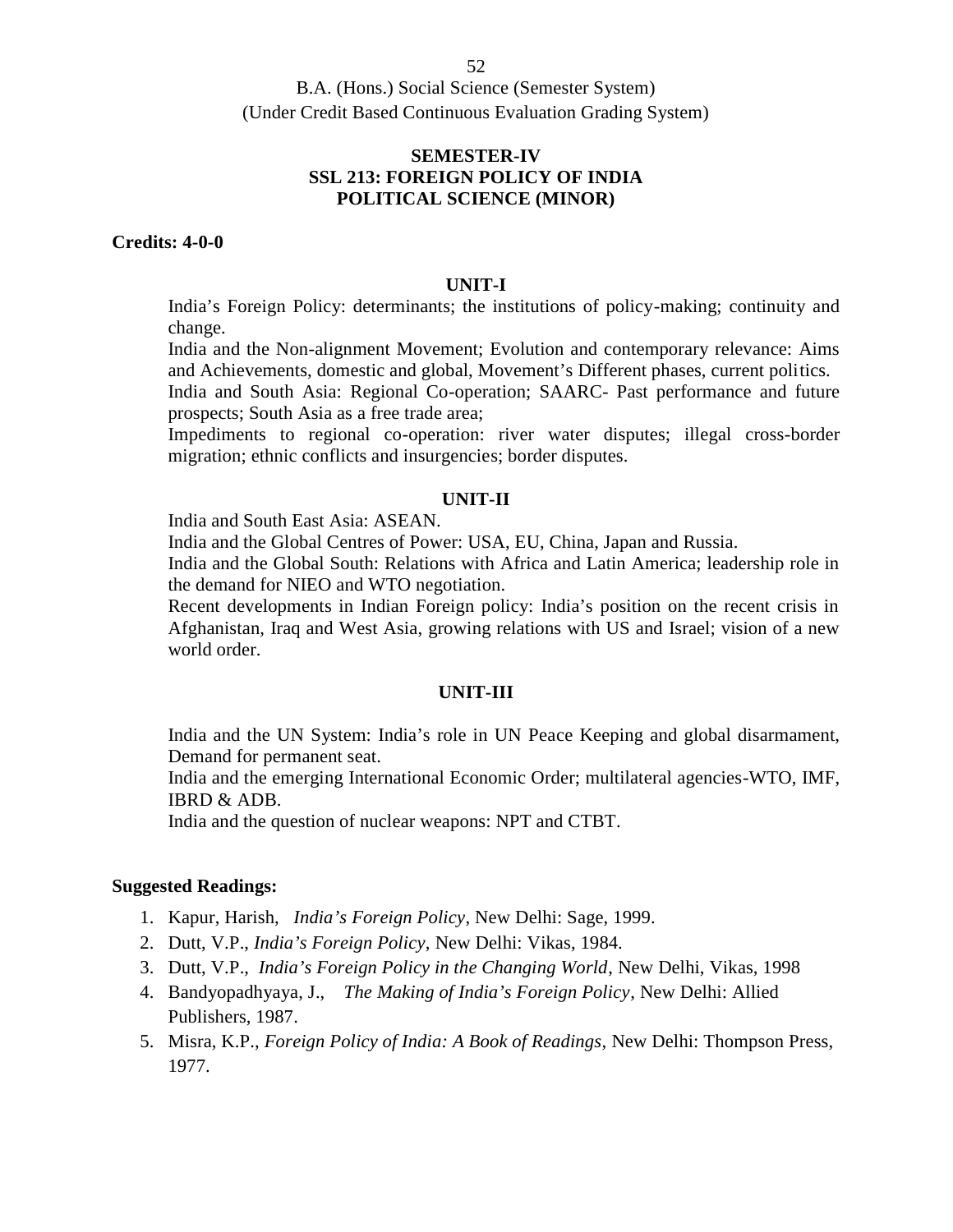## **SEMESTER-IV SSL 213: FOREIGN POLICY OF INDIA POLITICAL SCIENCE (MINOR)**

### **Credits: 4-0-0**

#### **UNIT-I**

India's Foreign Policy: determinants; the institutions of policy-making; continuity and change.

India and the Non-alignment Movement; Evolution and contemporary relevance: Aims and Achievements, domestic and global, Movement's Different phases, current politics.

India and South Asia: Regional Co-operation; SAARC- Past performance and future prospects; South Asia as a free trade area;

Impediments to regional co-operation: river water disputes; illegal cross-border migration; ethnic conflicts and insurgencies; border disputes.

### **UNIT-II**

India and South East Asia: ASEAN.

India and the Global Centres of Power: USA, EU, China, Japan and Russia.

India and the Global South: Relations with Africa and Latin America; leadership role in the demand for NIEO and WTO negotiation.

Recent developments in Indian Foreign policy: India's position on the recent crisis in Afghanistan, Iraq and West Asia, growing relations with US and Israel; vision of a new world order.

#### **UNIT-III**

India and the UN System: India's role in UN Peace Keeping and global disarmament, Demand for permanent seat.

India and the emerging International Economic Order; multilateral agencies-WTO, IMF, IBRD & ADB.

India and the question of nuclear weapons: NPT and CTBT.

- 1. Kapur, Harish, *India's Foreign Policy*, New Delhi: Sage, 1999.
- 2. Dutt, V.P., *India's Foreign Policy*, New Delhi: Vikas, 1984.
- 3. Dutt, V.P., *India's Foreign Policy in the Changing World*, New Delhi, Vikas, 1998
- 4. Bandyopadhyaya, J., *The Making of India's Foreign Policy*, New Delhi: Allied Publishers, 1987.
- 5. Misra, K.P., *Foreign Policy of India: A Book of Readings*, New Delhi: Thompson Press, 1977.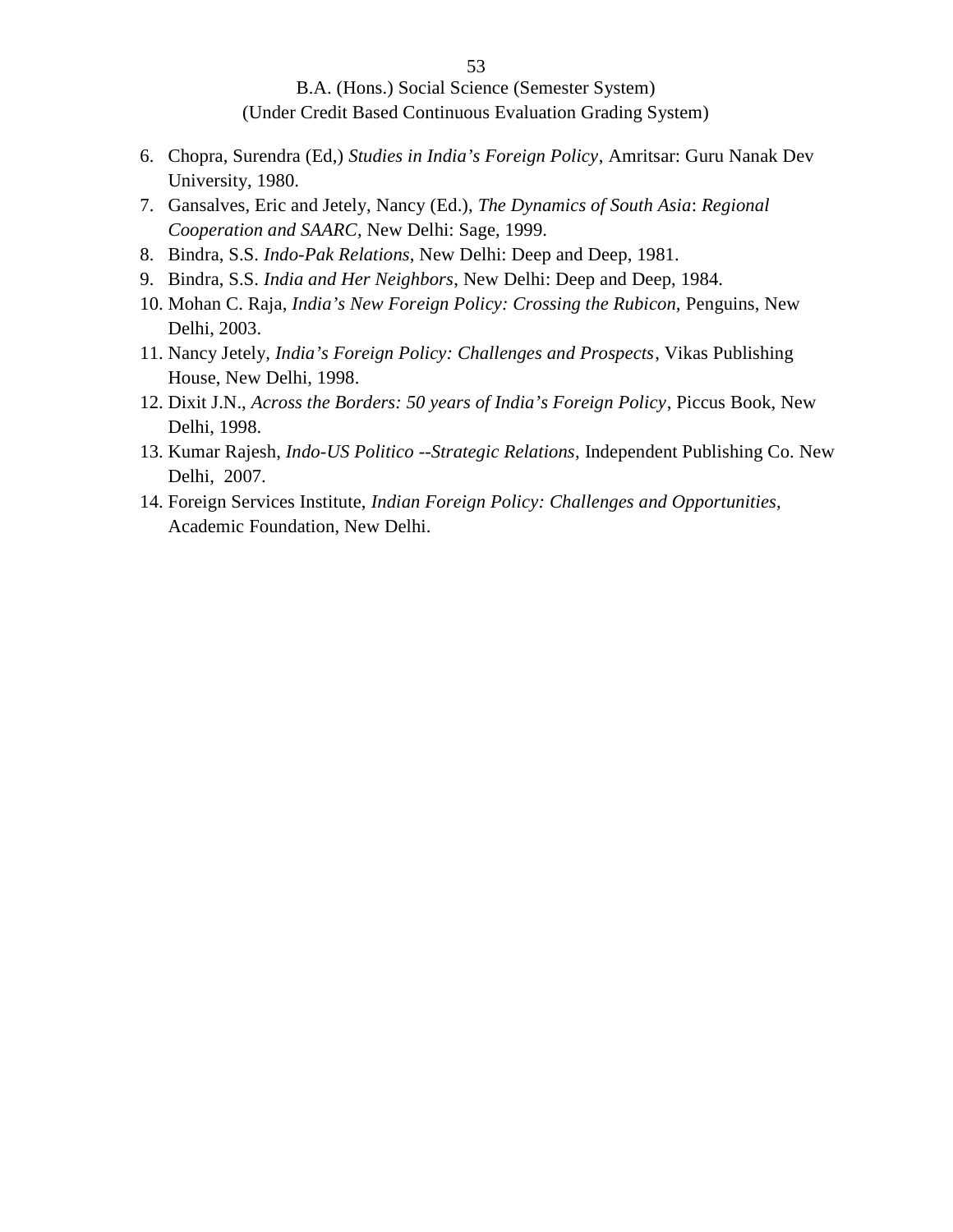- 6. Chopra, Surendra (Ed,) *Studies in India's Foreign Policy*, Amritsar: Guru Nanak Dev University, 1980.
- 7. Gansalves, Eric and Jetely, Nancy (Ed.), *The Dynamics of South Asia*: *Regional Cooperation and SAARC*, New Delhi: Sage, 1999.
- 8. Bindra, S.S. *Indo-Pak Relations*, New Delhi: Deep and Deep, 1981.
- 9. Bindra, S.S. *India and Her Neighbors*, New Delhi: Deep and Deep, 1984.
- 10. Mohan C. Raja, *India's New Foreign Policy: Crossing the Rubicon,* Penguins, New Delhi, 2003.
- 11. Nancy Jetely, *India's Foreign Policy: Challenges and Prospects*, Vikas Publishing House, New Delhi, 1998.
- 12. Dixit J.N., *Across the Borders: 50 years of India's Foreign Policy*, Piccus Book, New Delhi, 1998.
- 13. Kumar Rajesh, *Indo-US Politico --Strategic Relations*, Independent Publishing Co. New Delhi, 2007.
- 14. Foreign Services Institute, *Indian Foreign Policy: Challenges and Opportunities,* Academic Foundation, New Delhi.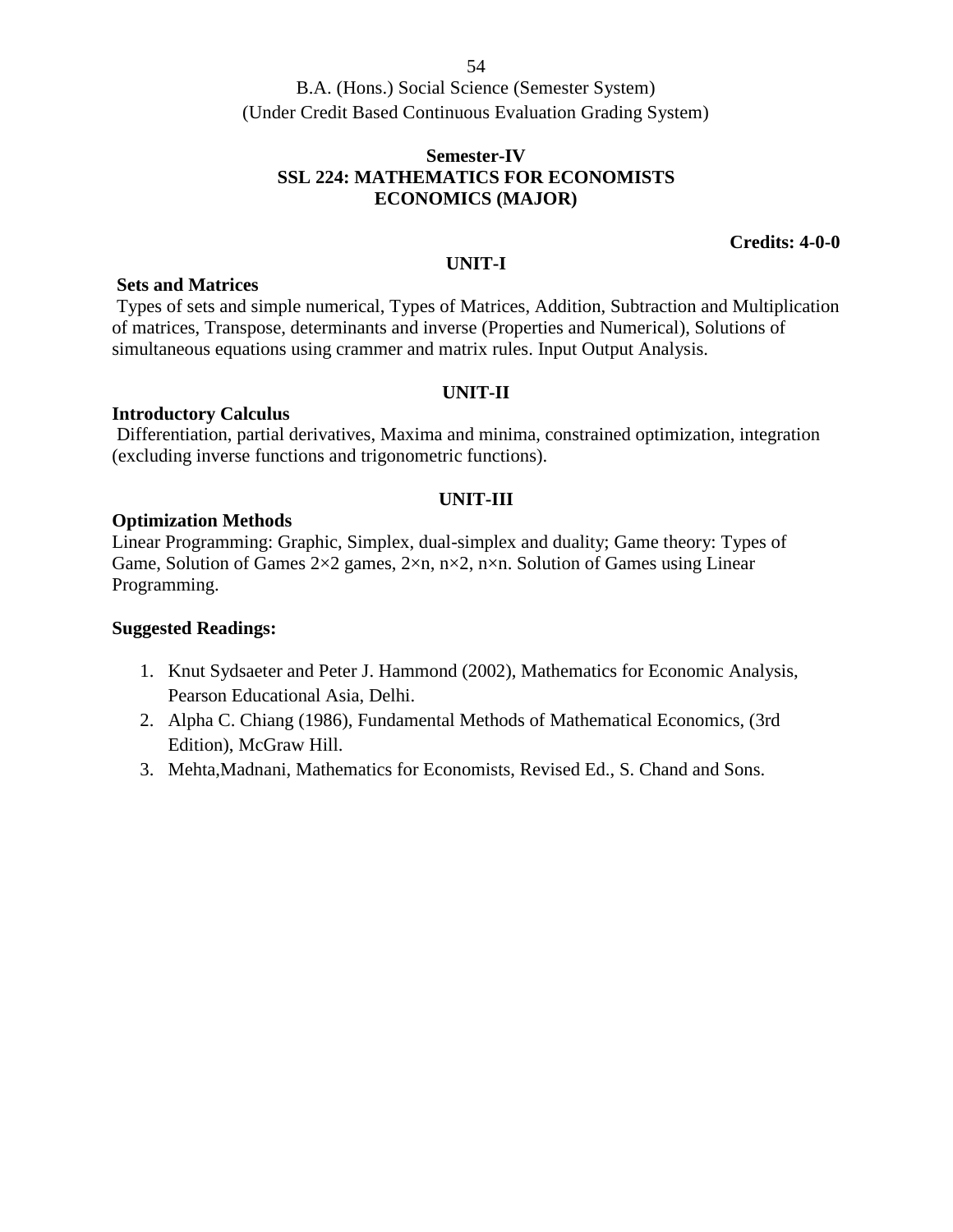## **Semester-IV SSL 224: MATHEMATICS FOR ECONOMISTS ECONOMICS (MAJOR)**

### **Credits: 4-0-0**

#### **UNIT-I**

### **Sets and Matrices**

Types of sets and simple numerical, Types of Matrices, Addition, Subtraction and Multiplication of matrices, Transpose, determinants and inverse (Properties and Numerical), Solutions of simultaneous equations using crammer and matrix rules. Input Output Analysis.

### **UNIT-II**

## **Introductory Calculus**

Differentiation, partial derivatives, Maxima and minima, constrained optimization, integration (excluding inverse functions and trigonometric functions).

## **UNIT-III**

### **Optimization Methods**

Linear Programming: Graphic, Simplex, dual-simplex and duality; Game theory: Types of Game, Solution of Games 2×2 games, 2×n, n×2, n×n. Solution of Games using Linear Programming.

- 1. Knut Sydsaeter and Peter J. Hammond (2002), Mathematics for Economic Analysis, Pearson Educational Asia, Delhi.
- 2. Alpha C. Chiang (1986), Fundamental Methods of Mathematical Economics, (3rd Edition), McGraw Hill.
- 3. Mehta,Madnani, Mathematics for Economists, Revised Ed., S. Chand and Sons.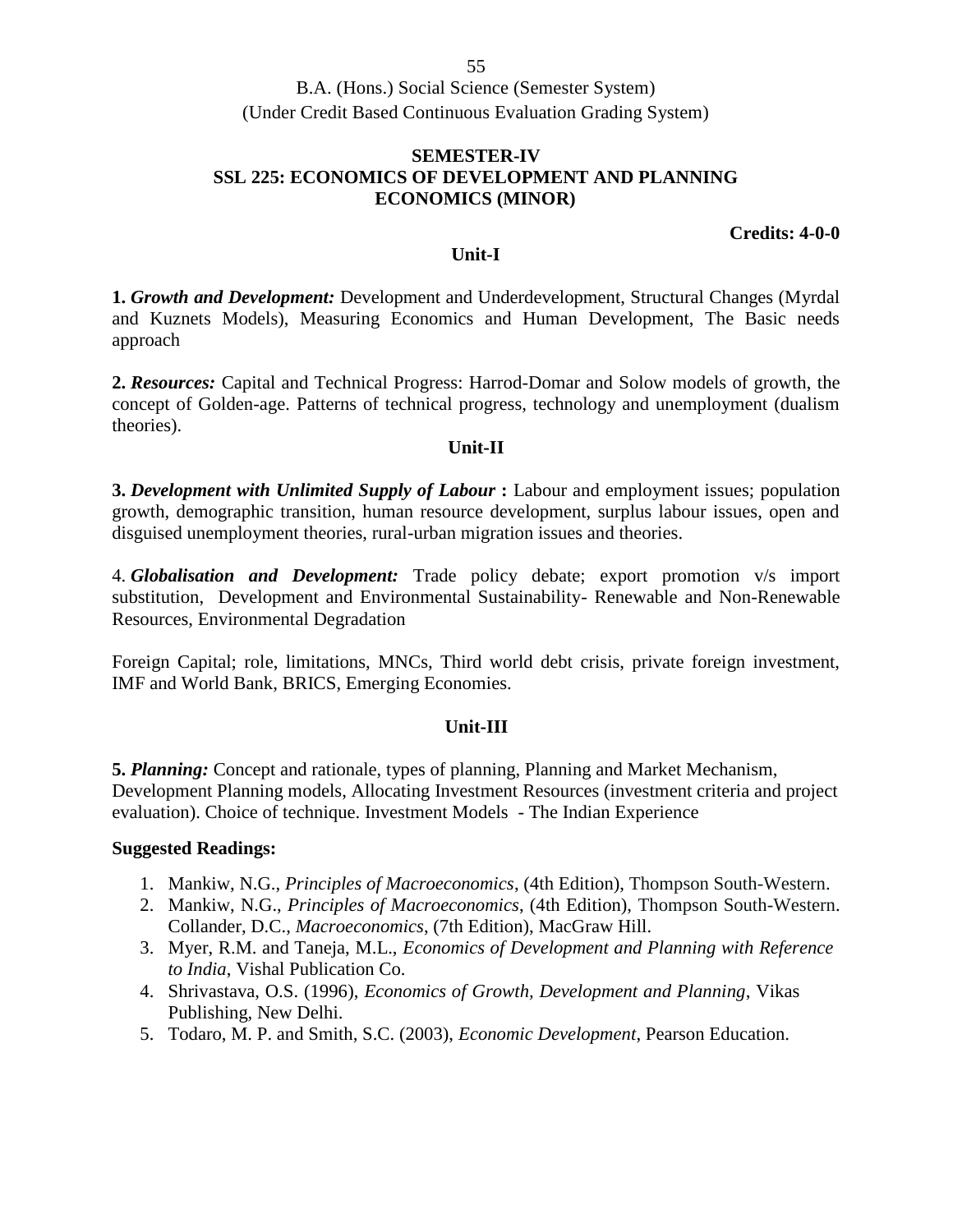## **SEMESTER-IV SSL 225: ECONOMICS OF DEVELOPMENT AND PLANNING ECONOMICS (MINOR)**

### **Credits: 4-0-0**

### **Unit-I**

**1.** *Growth and Development:* Development and Underdevelopment, Structural Changes (Myrdal and Kuznets Models), Measuring Economics and Human Development, The Basic needs approach

**2.** *Resources:* Capital and Technical Progress: Harrod-Domar and Solow models of growth, the concept of Golden-age. Patterns of technical progress, technology and unemployment (dualism theories).

### **Unit-II**

**3.** *Development with Unlimited Supply of Labour* **:** Labour and employment issues; population growth, demographic transition, human resource development, surplus labour issues, open and disguised unemployment theories, rural-urban migration issues and theories.

4. *Globalisation and Development:* Trade policy debate; export promotion v/s import substitution, Development and Environmental Sustainability- Renewable and Non-Renewable Resources, Environmental Degradation

Foreign Capital; role, limitations, MNCs, Third world debt crisis, private foreign investment, IMF and World Bank, BRICS, Emerging Economies.

### **Unit-III**

**5.** *Planning:* Concept and rationale, types of planning, Planning and Market Mechanism, Development Planning models, Allocating Investment Resources (investment criteria and project evaluation). Choice of technique. Investment Models - The Indian Experience

- 1. Mankiw, N.G., *Principles of Macroeconomics*, (4th Edition), Thompson South-Western.
- 2. Mankiw, N.G., *Principles of Macroeconomics*, (4th Edition), Thompson South-Western. Collander, D.C., *Macroeconomics*, (7th Edition), MacGraw Hill.
- 3. Myer, R.M. and Taneja, M.L., *Economics of Development and Planning with Reference to India*, Vishal Publication Co.
- 4. Shrivastava, O.S. (1996), *Economics of Growth, Development and Planning*, Vikas Publishing, New Delhi.
- 5. Todaro, M. P. and Smith, S.C. (2003), *Economic Development*, Pearson Education.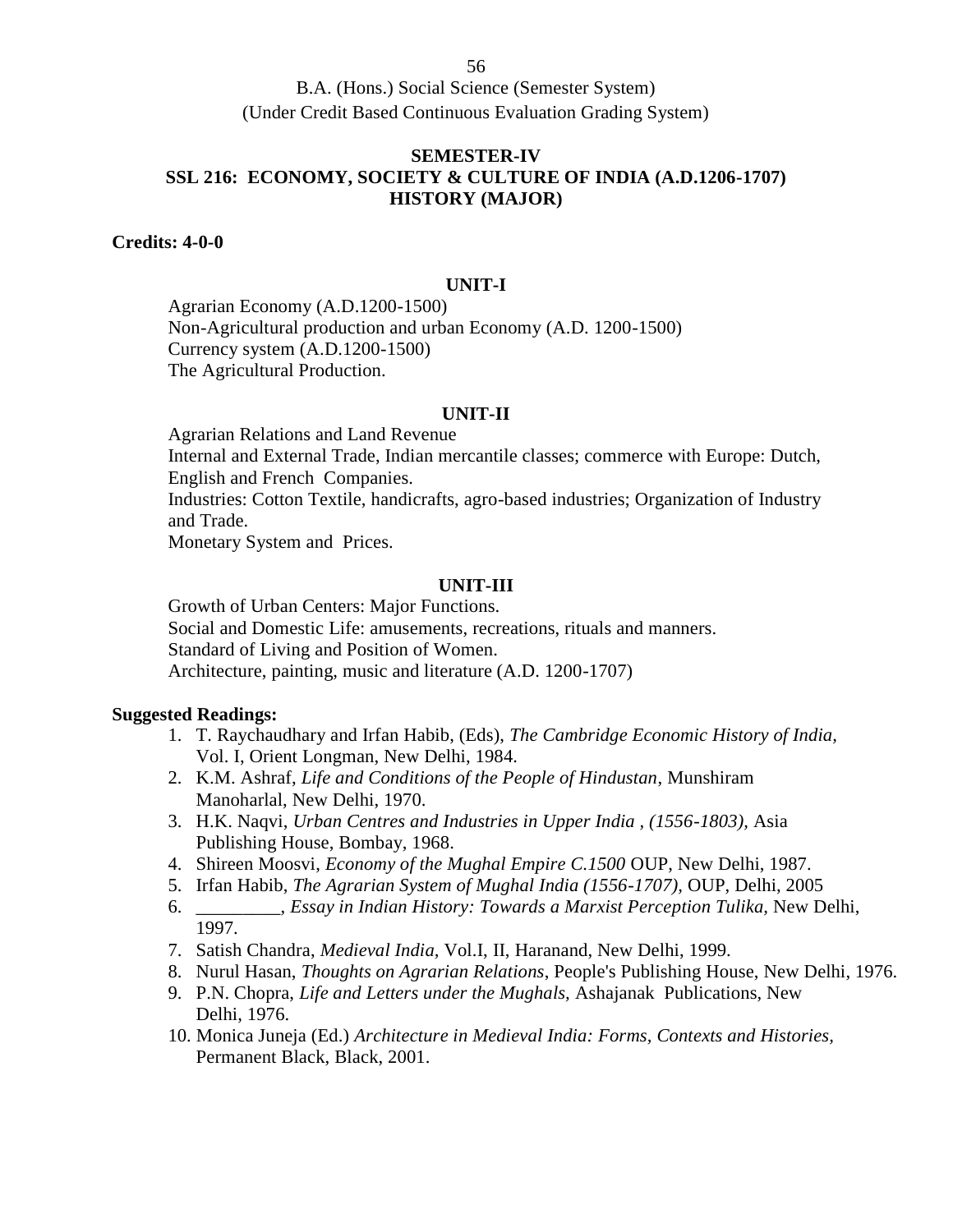## **SEMESTER-IV SSL 216: ECONOMY, SOCIETY & CULTURE OF INDIA (A.D.1206-1707) HISTORY (MAJOR)**

**Credits: 4-0-0**

### **UNIT-I**

Agrarian Economy (A.D.1200-1500) Non-Agricultural production and urban Economy (A.D. 1200-1500) Currency system (A.D.1200-1500) The Agricultural Production.

### **UNIT-II**

Agrarian Relations and Land Revenue Internal and External Trade, Indian mercantile classes; commerce with Europe: Dutch, English and French Companies. Industries: Cotton Textile, handicrafts, agro-based industries; Organization of Industry and Trade. Monetary System and Prices.

## **UNIT-III**

Growth of Urban Centers: Major Functions. Social and Domestic Life: amusements, recreations, rituals and manners. Standard of Living and Position of Women. Architecture, painting, music and literature (A.D. 1200-1707)

- 1. T. Raychaudhary and Irfan Habib, (Eds), *The Cambridge Economic History of India,* Vol. I, Orient Longman, New Delhi, 1984.
- 2. K.M. Ashraf, *Life and Conditions of the People of Hindustan*, Munshiram Manoharlal, New Delhi, 1970.
- 3. H.K. Naqvi, *Urban Centres and Industries in Upper India , (1556-1803),* Asia Publishing House, Bombay, 1968.
- 4. Shireen Moosvi, *Economy of the Mughal Empire C.1500* OUP, New Delhi, 1987.
- 5. Irfan Habib, *The Agrarian System of Mughal India (1556-1707),* OUP, Delhi, 2005
- 6. \_\_\_\_\_\_\_\_\_, *Essay in Indian History: Towards a Marxist Perception Tulika,* New Delhi, 1997.
- 7. Satish Chandra, *Medieval India,* Vol.I, II, Haranand, New Delhi, 1999.
- 8. Nurul Hasan, *Thoughts on Agrarian Relations*, People's Publishing House, New Delhi, 1976.
- 9. P.N. Chopra, *Life and Letters under the Mughals,* Ashajanak Publications, New Delhi, 1976.
- 10. Monica Juneja (Ed.) *Architecture in Medieval India: Forms, Contexts and Histories,* Permanent Black, Black, 2001.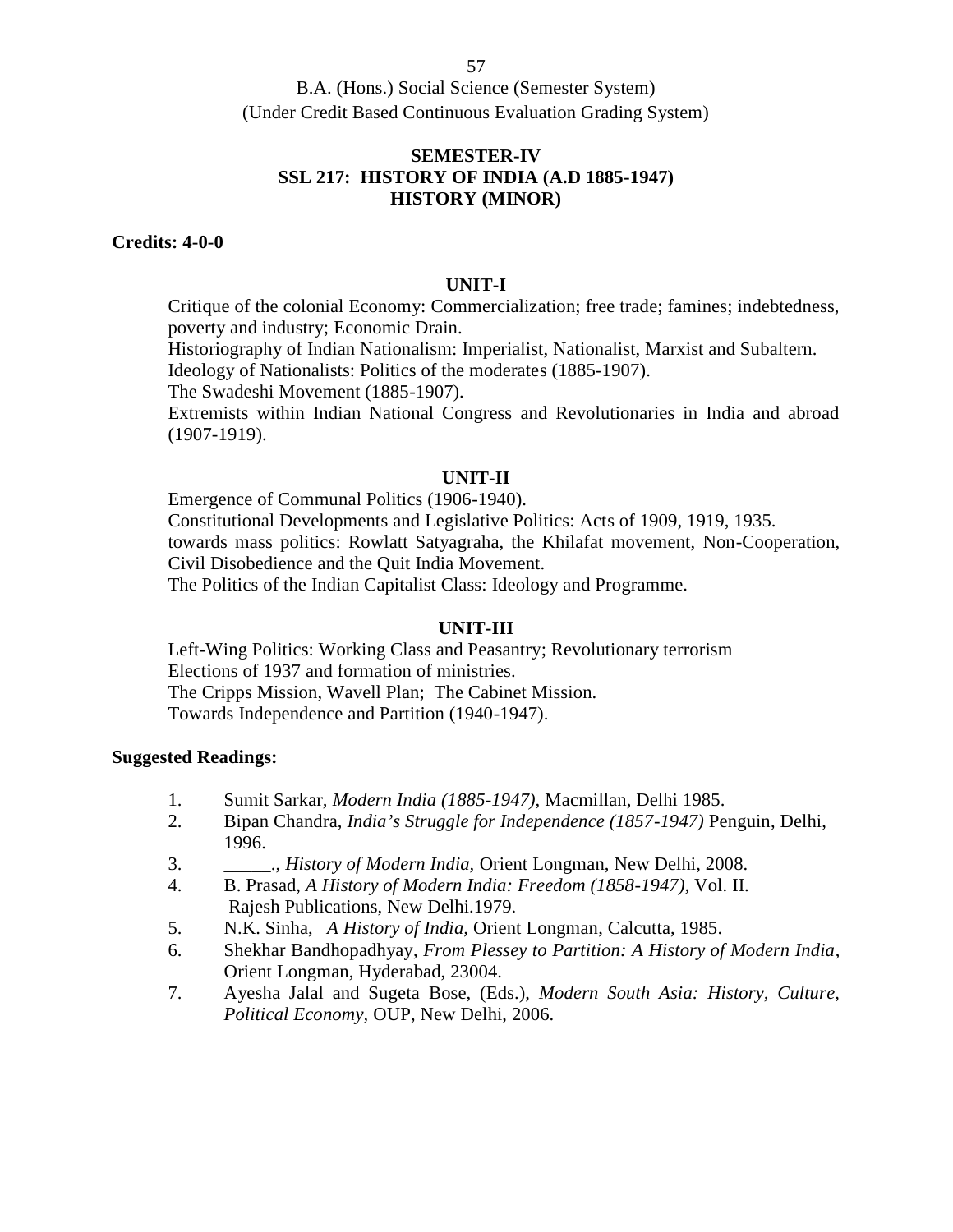## **SEMESTER-IV SSL 217: HISTORY OF INDIA (A.D 1885-1947) HISTORY (MINOR)**

#### **Credits: 4-0-0**

### **UNIT-I**

Critique of the colonial Economy: Commercialization; free trade; famines; indebtedness, poverty and industry; Economic Drain.

Historiography of Indian Nationalism: Imperialist, Nationalist, Marxist and Subaltern.

Ideology of Nationalists: Politics of the moderates (1885-1907).

The Swadeshi Movement (1885-1907).

Extremists within Indian National Congress and Revolutionaries in India and abroad (1907-1919).

### **UNIT-II**

Emergence of Communal Politics (1906-1940). Constitutional Developments and Legislative Politics: Acts of 1909, 1919, 1935. towards mass politics: Rowlatt Satyagraha, the Khilafat movement, Non-Cooperation, Civil Disobedience and the Quit India Movement. The Politics of the Indian Capitalist Class: Ideology and Programme.

### **UNIT-III**

Left-Wing Politics: Working Class and Peasantry; Revolutionary terrorism Elections of 1937 and formation of ministries. The Cripps Mission, Wavell Plan; The Cabinet Mission. Towards Independence and Partition (1940-1947).

- 1. Sumit Sarkar*, Modern India (1885-1947),* Macmillan, Delhi 1985.
- 2. Bipan Chandra, *India's Struggle for Independence (1857-1947)* Penguin, Delhi, 1996.
- 3. \_\_\_\_\_., *History of Modern India,* Orient Longman, New Delhi, 2008.
- 4. B. Prasad, *A History of Modern India: Freedom (1858-1947),* Vol. II. Rajesh Publications, New Delhi.1979.
- 5. N.K. Sinha, *A History of India,* Orient Longman, Calcutta, 1985.
- 6. Shekhar Bandhopadhyay, *From Plessey to Partition: A History of Modern India*, Orient Longman, Hyderabad, 23004.
- 7. Ayesha Jalal and Sugeta Bose, (Eds.), *Modern South Asia: History, Culture, Political Economy,* OUP, New Delhi, 2006.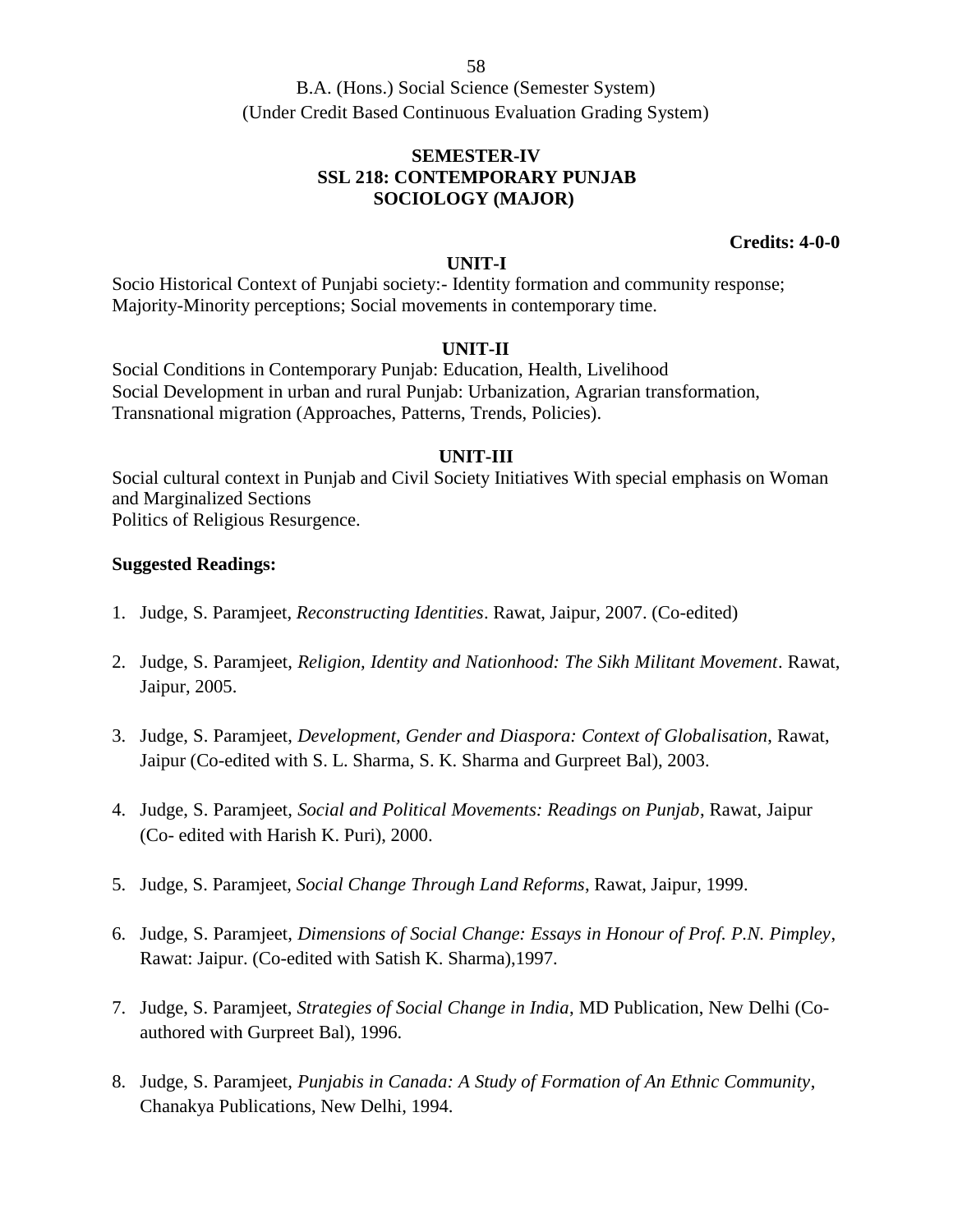B.A. (Hons.) Social Science (Semester System) (Under Credit Based Continuous Evaluation Grading System)

## **SEMESTER-IV SSL 218: CONTEMPORARY PUNJAB SOCIOLOGY (MAJOR)**

**Credits: 4-0-0**

### **UNIT-I**

Socio Historical Context of Punjabi society:- Identity formation and community response; Majority-Minority perceptions; Social movements in contemporary time.

## **UNIT-II**

Social Conditions in Contemporary Punjab: Education, Health, Livelihood Social Development in urban and rural Punjab: Urbanization, Agrarian transformation, Transnational migration (Approaches, Patterns, Trends, Policies).

## **UNIT-III**

Social cultural context in Punjab and Civil Society Initiatives With special emphasis on Woman and Marginalized Sections Politics of Religious Resurgence.

- 1. Judge, S. Paramjeet, *Reconstructing Identities*. Rawat, Jaipur, 2007. (Co-edited)
- 2. Judge, S. Paramjeet, *Religion, Identity and Nationhood: The Sikh Militant Movement*. Rawat, Jaipur, 2005.
- 3. Judge, S. Paramjeet, *Development, Gender and Diaspora: Context of Globalisation*, Rawat, Jaipur (Co-edited with S. L. Sharma, S. K. Sharma and Gurpreet Bal), 2003.
- 4. Judge, S. Paramjeet, *Social and Political Movements: Readings on Punjab*, Rawat, Jaipur (Co- edited with Harish K. Puri), 2000.
- 5. Judge, S. Paramjeet, *Social Change Through Land Reforms*, Rawat, Jaipur, 1999.
- 6. Judge, S. Paramjeet, *Dimensions of Social Change: Essays in Honour of Prof. P.N. Pimpley*, Rawat: Jaipur. (Co-edited with Satish K. Sharma),1997.
- 7. Judge, S. Paramjeet, *Strategies of Social Change in India*, MD Publication, New Delhi (Co authored with Gurpreet Bal), 1996.
- 8. Judge, S. Paramjeet, *Punjabis in Canada: A Study of Formation of An Ethnic Community*, Chanakya Publications, New Delhi, 1994.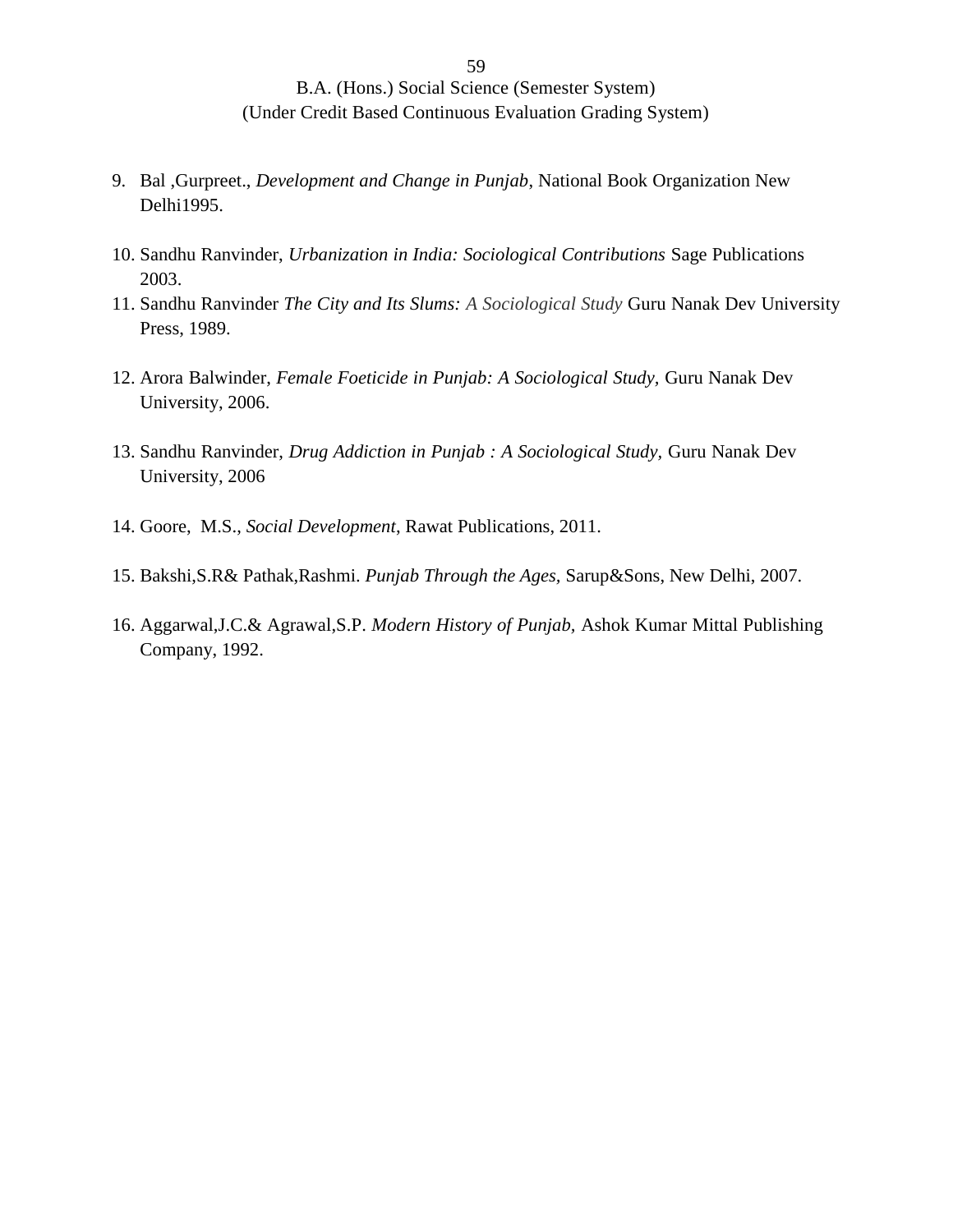- 9. Bal ,Gurpreet., *Development and Change in Punjab*, National Book Organization New Delhi1995.
- 10. Sandhu Ranvinder, *Urbanization in India: Sociological Contributions* Sage Publications 2003.
- 11. Sandhu Ranvinder *The City and Its Slums: A Sociological Study* Guru Nanak Dev University Press, 1989.
- 12. Arora Balwinder, *Female Foeticide in Punjab: A Sociological Study,* Guru Nanak Dev University, 2006.
- 13. Sandhu Ranvinder, *Drug Addiction in Punjab : A Sociological Study,* Guru Nanak Dev University, 2006
- 14. Goore, M.S., *Social Development*, Rawat Publications, 2011.
- 15. Bakshi,S.R& Pathak,Rashmi. *Punjab Through the Ages,* Sarup&Sons, New Delhi, 2007.
- 16. Aggarwal,J.C.& Agrawal,S.P. *Modern History of Punjab,* Ashok Kumar Mittal Publishing Company, 1992.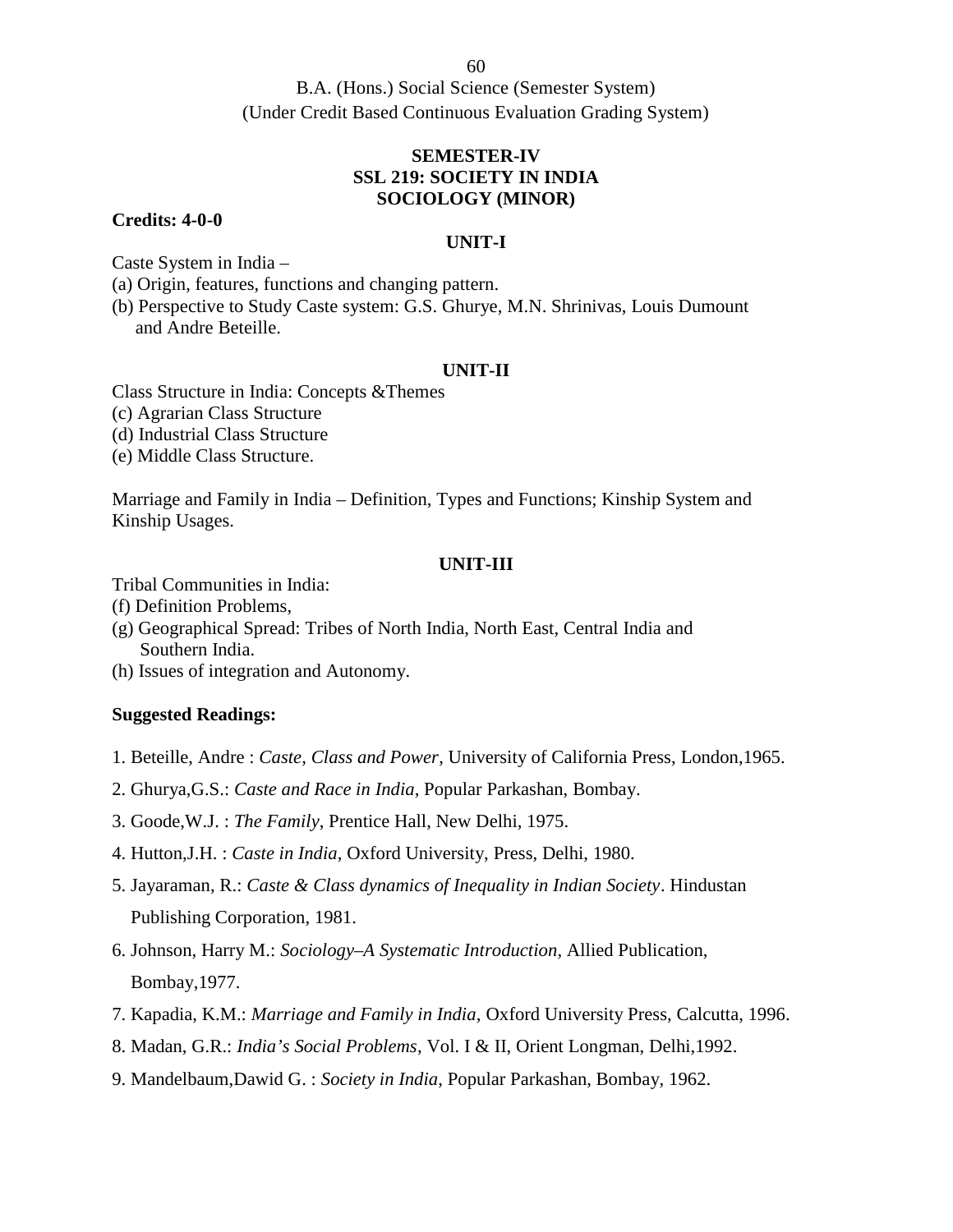B.A. (Hons.) Social Science (Semester System) (Under Credit Based Continuous Evaluation Grading System)

## **SEMESTER-IV SSL 219: SOCIETY IN INDIA SOCIOLOGY (MINOR)**

### **Credits: 4-0-0**

### **UNIT-I**

Caste System in India –

(a) Origin, features, functions and changing pattern.

(b) Perspective to Study Caste system: G.S. Ghurye, M.N. Shrinivas, Louis Dumount and Andre Beteille.

### **UNIT-II**

Class Structure in India: Concepts &Themes

(c) Agrarian Class Structure

(d) Industrial Class Structure

(e) Middle Class Structure.

Marriage and Family in India – Definition, Types and Functions; Kinship System and Kinship Usages.

## **UNIT-III**

Tribal Communities in India:

- (f) Definition Problems,
- (g) Geographical Spread: Tribes of North India, North East, Central India and Southern India.
- (h) Issues of integration and Autonomy.

## **Suggested Readings:**

1. Beteille, Andre : *Caste, Class and Power*, University of California Press, London,1965.

2. Ghurya,G.S.: *Caste and Race in India*, Popular Parkashan, Bombay.

3. Goode,W.J. : *The Family*, Prentice Hall, New Delhi, 1975.

4. Hutton,J.H. : *Caste in India*, Oxford University, Press, Delhi, 1980.

5. Jayaraman, R.: *Caste & Class dynamics of Inequality in Indian Society*. Hindustan Publishing Corporation, 1981.

6. Johnson, Harry M.: *Sociology–A Systematic Introduction*, Allied Publication, Bombay,1977.

- 7. Kapadia, K.M.: *Marriage and Family in India*, Oxford University Press, Calcutta, 1996.
- 8. Madan, G.R.: *India's Social Problems*, Vol. I & II, Orient Longman, Delhi,1992.
- 9. Mandelbaum,Dawid G. : *Society in India*, Popular Parkashan, Bombay, 1962.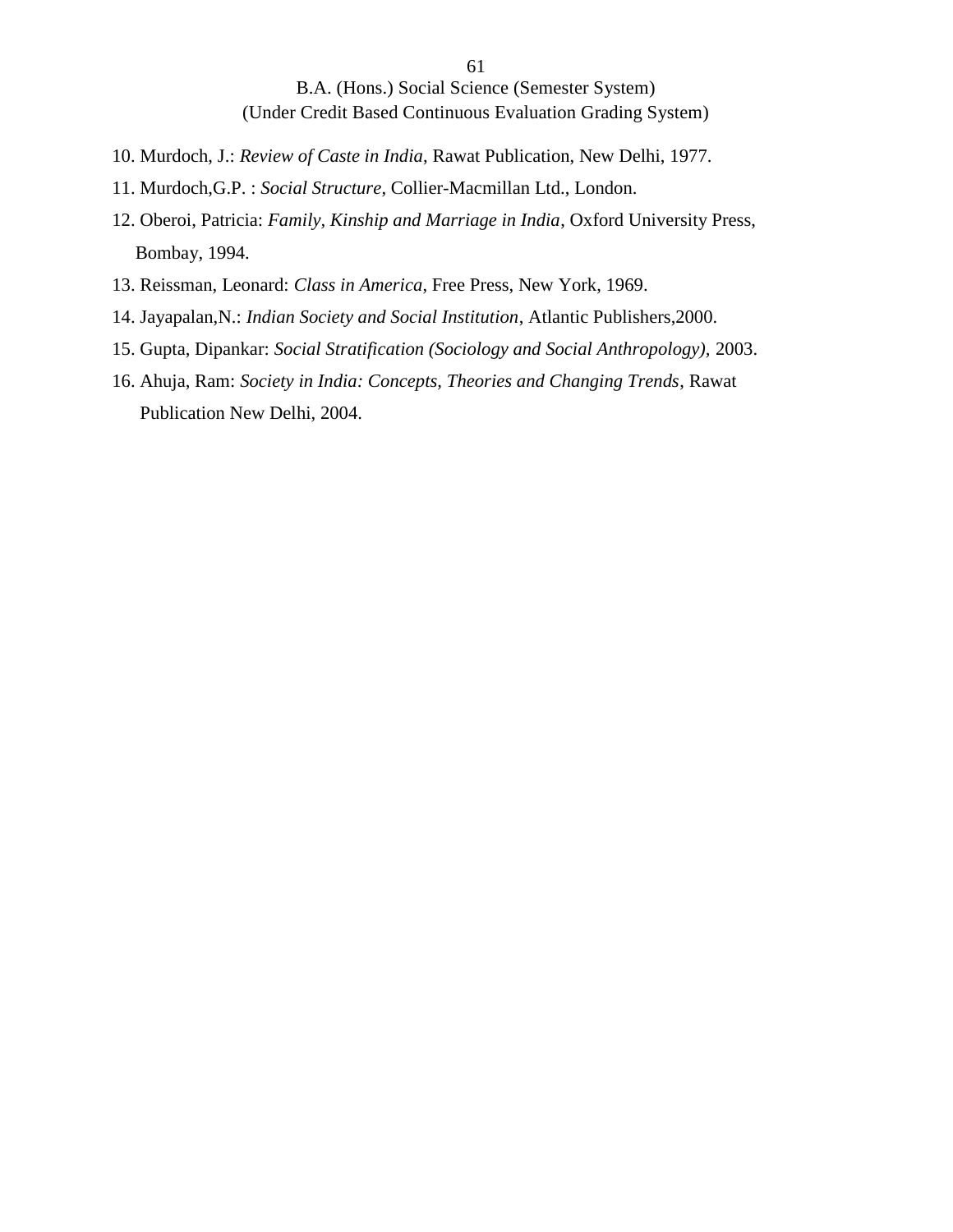- 10. Murdoch, J.: *Review of Caste in India*, Rawat Publication, New Delhi, 1977.
- 11. Murdoch,G.P. : *Social Structure*, Collier-Macmillan Ltd., London.
- 12. Oberoi, Patricia: *Family, Kinship and Marriage in India*, Oxford University Press, Bombay, 1994.
- 13. Reissman, Leonard: *Class in America*, Free Press, New York, 1969.
- 14. Jayapalan,N.: *Indian Society and Social Institution*, Atlantic Publishers,2000.
- 15. Gupta, Dipankar: *Social Stratification (Sociology and Social Anthropology),* 2003.
- 16. Ahuja, Ram: *Society in India: Concepts, Theories and Changing Trends*, Rawat Publication New Delhi, 2004.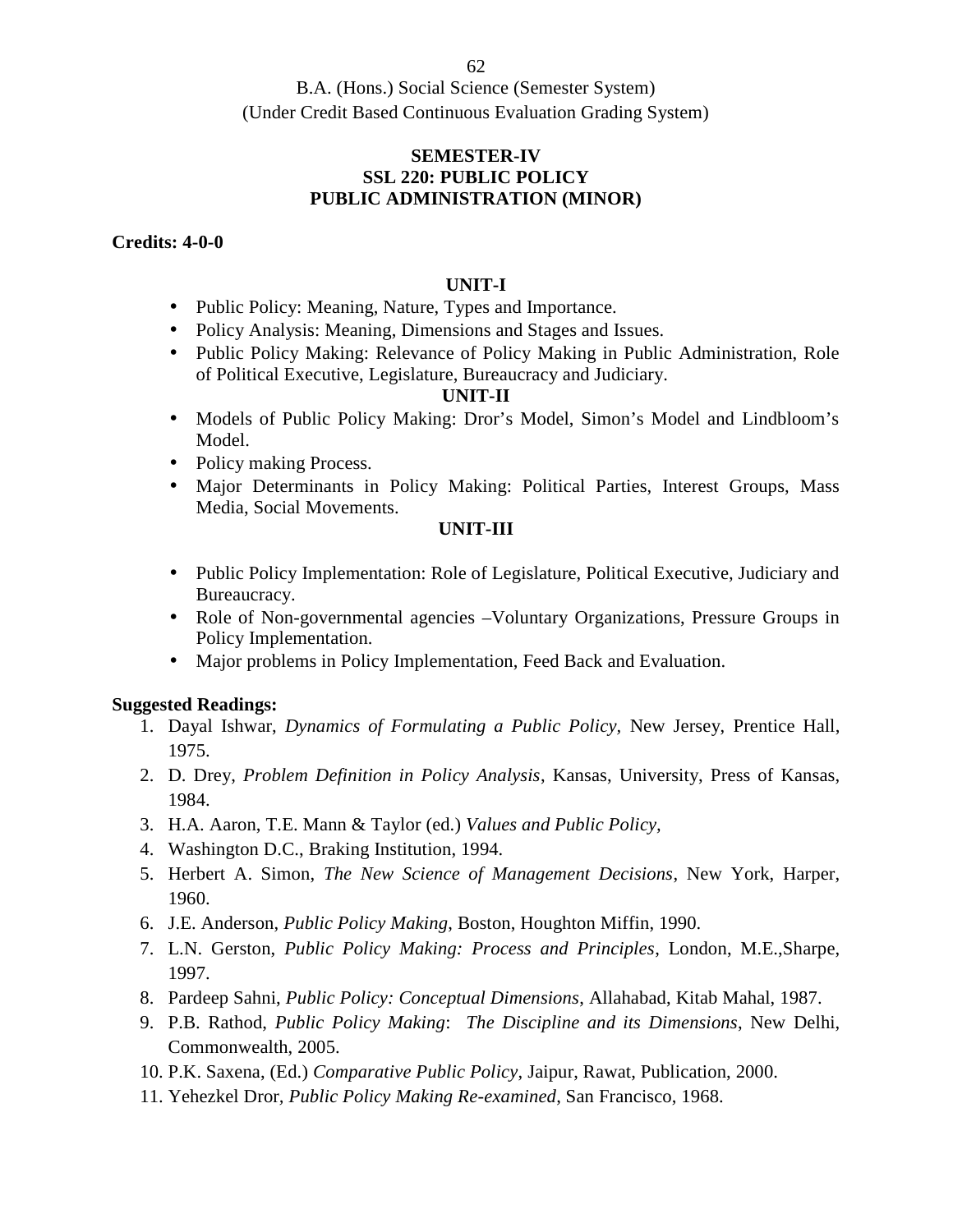## **SEMESTER-IV SSL 220: PUBLIC POLICY PUBLIC ADMINISTRATION (MINOR)**

## **Credits: 4-0-0**

## **UNIT-I**

- Public Policy: Meaning, Nature, Types and Importance.
- Policy Analysis: Meaning, Dimensions and Stages and Issues.
- Public Policy Making: Relevance of Policy Making in Public Administration, Role of Political Executive, Legislature, Bureaucracy and Judiciary.

## **UNIT-II**

- Models of Public Policy Making: Dror's Model, Simon's Model and Lindbloom's Model.
- Policy making Process.
- Major Determinants in Policy Making: Political Parties, Interest Groups, Mass Media, Social Movements.

## **UNIT-III**

- Public Policy Implementation: Role of Legislature, Political Executive, Judiciary and Bureaucracy.
- Role of Non-governmental agencies –Voluntary Organizations, Pressure Groups in Policy Implementation.
- Major problems in Policy Implementation, Feed Back and Evaluation.

- 1. Dayal Ishwar, *Dynamics of Formulating a Public Policy,* New Jersey, Prentice Hall, 1975.
- 2. D. Drey, *Problem Definition in Policy Analysis*, Kansas, University, Press of Kansas, 1984.
- 3. H.A. Aaron, T.E. Mann & Taylor (ed.) *Values and Public Policy,*
- 4. Washington D.C., Braking Institution, 1994.
- 5. Herbert A. Simon, *The New Science of Management Decisions*, New York, Harper, 1960.
- 6. J.E. Anderson, *Public Policy Making*, Boston, Houghton Miffin, 1990.
- 7. L.N. Gerston, *Public Policy Making: Process and Principles*, London, M.E.,Sharpe, 1997.
- 8. Pardeep Sahni, *Public Policy: Conceptual Dimensions*, Allahabad, Kitab Mahal, 1987.
- 9. P.B. Rathod, *Public Policy Making*: *The Discipline and its Dimensions*, New Delhi, Commonwealth, 2005.
- 10. P.K. Saxena, (Ed.) *Comparative Public Policy*, Jaipur, Rawat, Publication, 2000.
- 11. Yehezkel Dror*, Public Policy Making Re-examined*, San Francisco, 1968.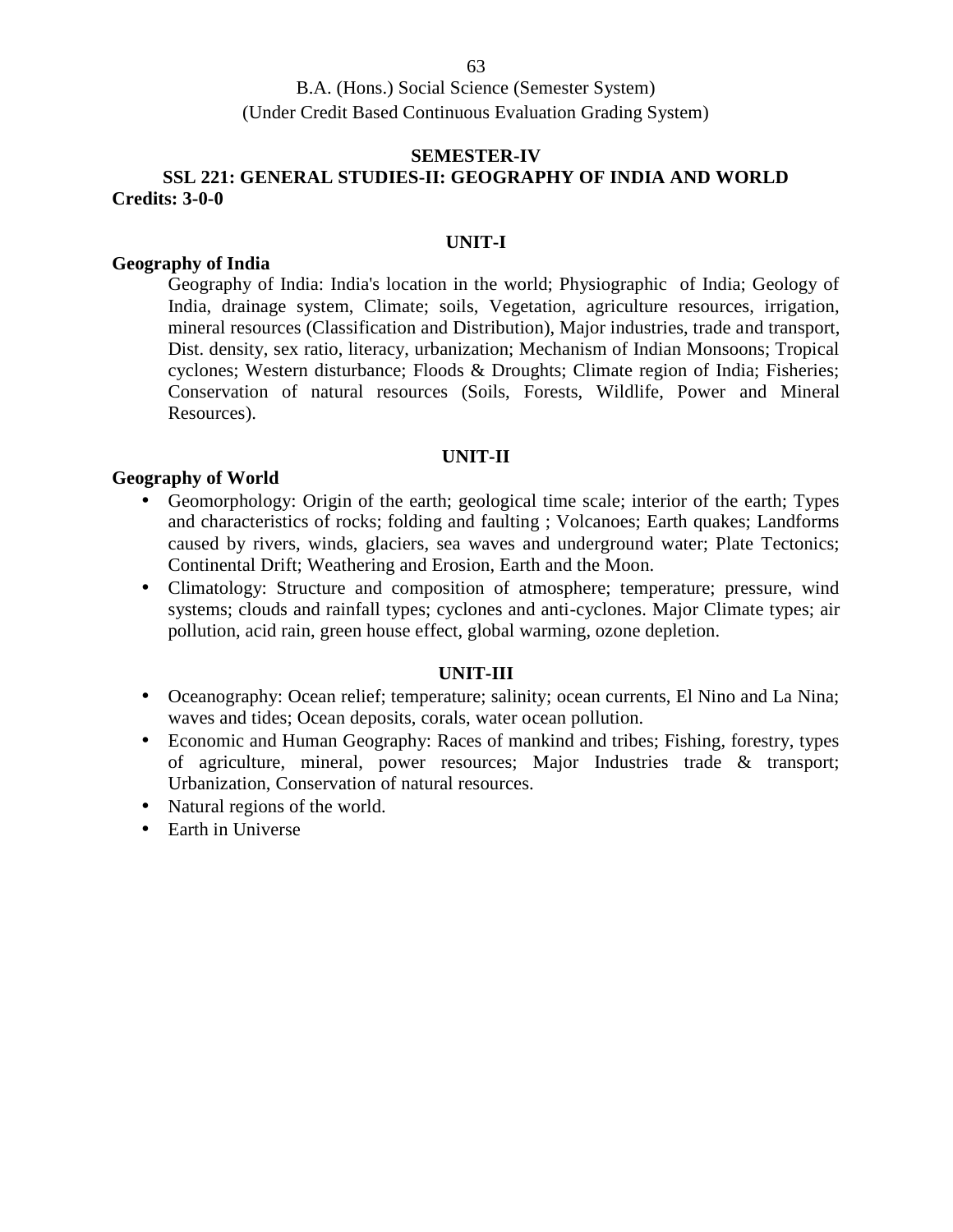## **SEMESTER-IV**

# **SSL 221: GENERAL STUDIES-II: GEOGRAPHY OF INDIA AND WORLD Credits: 3-0-0**

### **UNIT-I**

### **Geography of India**

Geography of India: India's location in the world; Physiographic of India; Geology of India, drainage system, Climate; soils, Vegetation, agriculture resources, irrigation, mineral resources (Classification and Distribution), Major industries, trade and transport, Dist. density, sex ratio, literacy, urbanization; Mechanism of Indian Monsoons; Tropical cyclones; Western disturbance; Floods & Droughts; Climate region of India; Fisheries; Conservation of natural resources (Soils, Forests, Wildlife, Power and Mineral Resources).

## **UNIT-II**

## **Geography of World**

- Geomorphology: Origin of the earth; geological time scale; interior of the earth; Types and characteristics of rocks; folding and faulting ; Volcanoes; Earth quakes; Landforms caused by rivers, winds, glaciers, sea waves and underground water; Plate Tectonics; Continental Drift; Weathering and Erosion, Earth and the Moon.
- Climatology: Structure and composition of atmosphere; temperature; pressure, wind systems; clouds and rainfall types; cyclones and anti-cyclones. Major Climate types; air pollution, acid rain, green house effect, global warming, ozone depletion.

## **UNIT-III**

- Oceanography: Ocean relief; temperature; salinity; ocean currents, El Nino and La Nina; waves and tides; Ocean deposits, corals, water ocean pollution.
- Economic and Human Geography: Races of mankind and tribes; Fishing, forestry, types of agriculture, mineral, power resources; Major Industries trade & transport; Urbanization, Conservation of natural resources.
- Natural regions of the world.
- Earth in Universe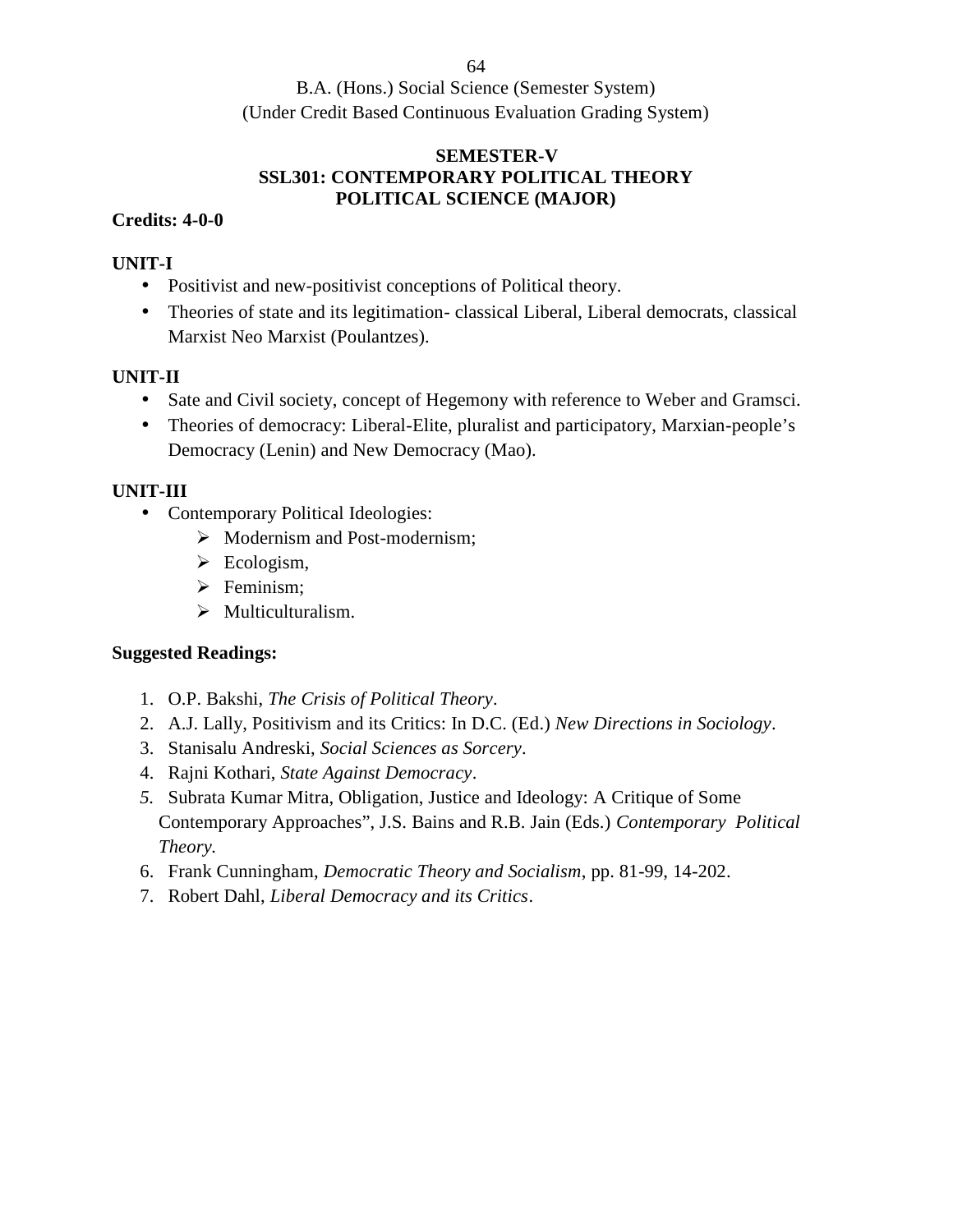B.A. (Hons.) Social Science (Semester System) (Under Credit Based Continuous Evaluation Grading System)

# **SEMESTER-V SSL301: CONTEMPORARY POLITICAL THEORY POLITICAL SCIENCE (MAJOR)**

# **Credits: 4-0-0**

# **UNIT-I**

- Positivist and new-positivist conceptions of Political theory.
- Theories of state and its legitimation- classical Liberal, Liberal democrats, classical Marxist Neo Marxist (Poulantzes).

# **UNIT-II**

- Sate and Civil society, concept of Hegemony with reference to Weber and Gramsci.
- Theories of democracy: Liberal-Elite, pluralist and participatory, Marxian-people's Democracy (Lenin) and New Democracy (Mao).

# **UNIT-III**

- Contemporary Political Ideologies:
	- $\triangleright$  Modernism and Post-modernism;
	- $\triangleright$  Ecologism,
	- $\triangleright$  Feminism:
	- $\triangleright$  Multiculturalism.

- 1. O.P. Bakshi, *The Crisis of Political Theory*.
- 2. A.J. Lally, Positivism and its Critics: In D.C. (Ed.) *New Directions in Sociology*.
- 3. Stanisalu Andreski, *Social Sciences as Sorcery*.
- 4. Rajni Kothari, *State Against Democracy*.
- *5.* Subrata Kumar Mitra, Obligation, Justice and Ideology: A Critique of Some Contemporary Approaches", J.S. Bains and R.B. Jain (Eds.) *Contemporary Political Theory.*
- 6. Frank Cunningham, *Democratic Theory and Socialism*, pp. 81-99, 14-202.
- 7. Robert Dahl, *Liberal Democracy and its Critics*.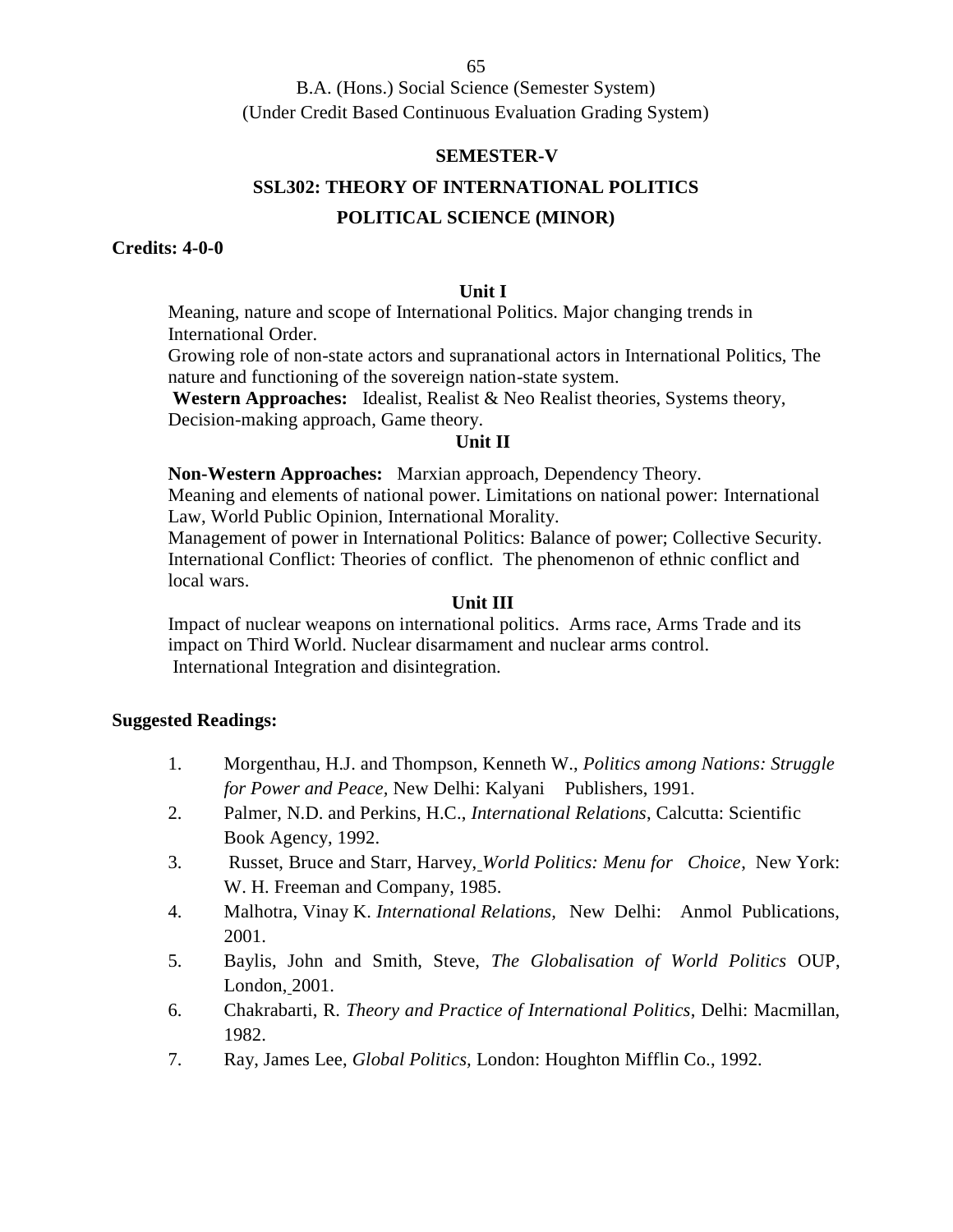B.A. (Hons.) Social Science (Semester System) (Under Credit Based Continuous Evaluation Grading System)

### **SEMESTER-V**

## **SSL302: THEORY OF INTERNATIONAL POLITICS**

## **POLITICAL SCIENCE (MINOR)**

### **Credits: 4-0-0**

### **Unit I**

Meaning, nature and scope of International Politics. Major changing trends in International Order.

Growing role of non-state actors and supranational actors in International Politics, The nature and functioning of the sovereign nation-state system.

**Western Approaches:** Idealist, Realist & Neo Realist theories, Systems theory, Decision-making approach, Game theory.

## **Unit II**

**Non-Western Approaches:** Marxian approach, Dependency Theory.

Meaning and elements of national power. Limitations on national power: International Law, World Public Opinion, International Morality.

Management of power in International Politics: Balance of power; Collective Security. International Conflict: Theories of conflict. The phenomenon of ethnic conflict and local wars.

## **Unit III**

Impact of nuclear weapons on international politics. Arms race, Arms Trade and its impact on Third World. Nuclear disarmament and nuclear arms control. International Integration and disintegration.

- 1. Morgenthau, H.J. and Thompson, Kenneth W., *Politics among Nations: Struggle for Power and Peace,* New Delhi: Kalyani Publishers, 1991.
- 2. Palmer, N.D. and Perkins, H.C., *International Relations*, Calcutta: Scientific Book Agency, 1992.
- 3. Russet, Bruce and Starr, Harvey, *World Politics: Menu for Choice*, New York: W. H. Freeman and Company, 1985.
- 4. Malhotra, Vinay K. *International Relations,* New Delhi: Anmol Publications, 2001.
- 5. Baylis, John and Smith, Steve, *The Globalisation of World Politics* OUP, London, 2001.
- 6. Chakrabarti, R. *Theory and Practice of International Politics*, Delhi: Macmillan, 1982.
- 7. Ray, James Lee, *Global Politics,* London: Houghton Mifflin Co., 1992.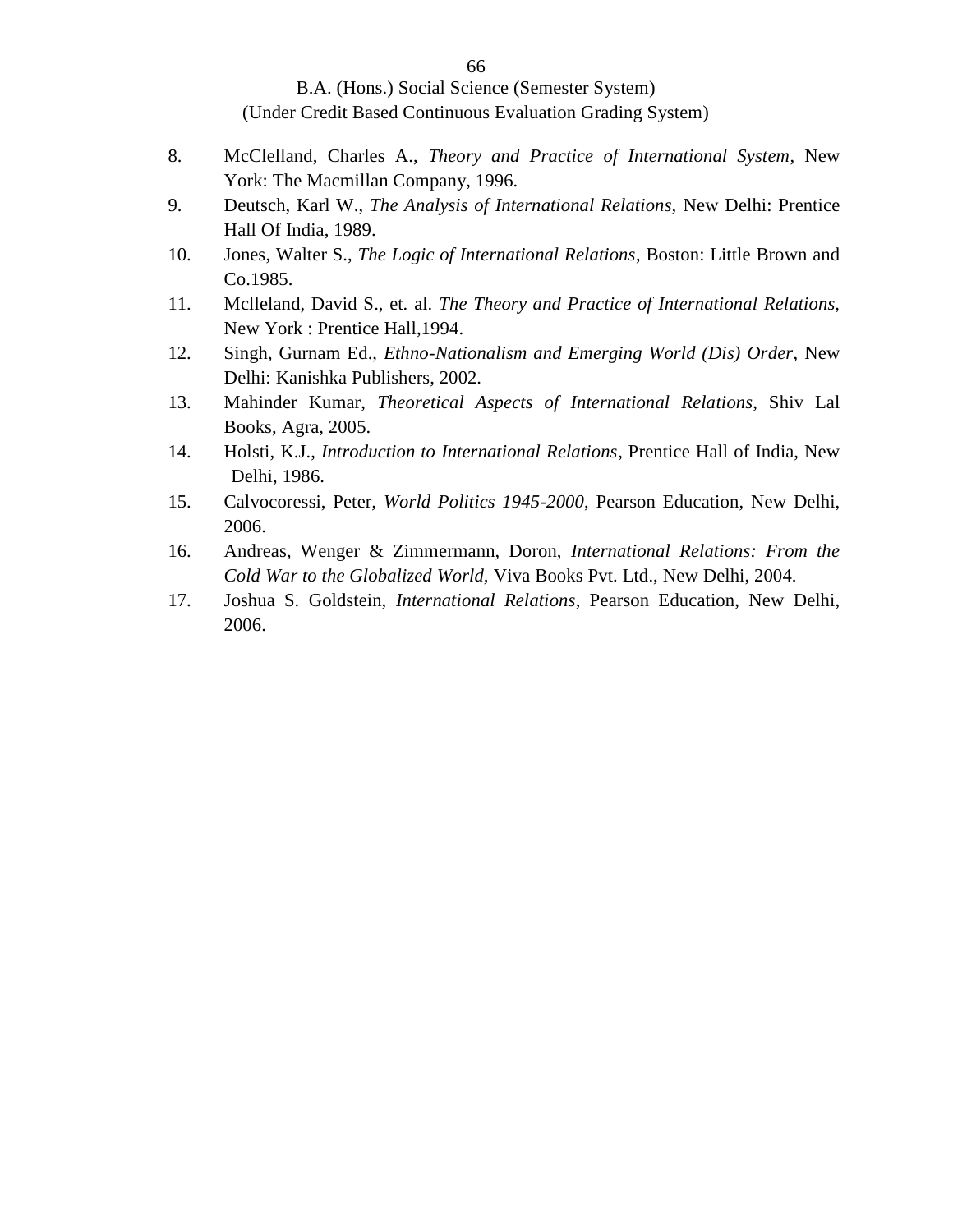- 8. McClelland, Charles A., *Theory and Practice of International System*, New York: The Macmillan Company, 1996.
- 9. Deutsch, Karl W., *The Analysis of International Relations,* New Delhi: Prentice Hall Of India, 1989.
- 10. Jones, Walter S., *The Logic of International Relations*, Boston: Little Brown and Co.1985.
- 11. Mclleland, David S., et. al. *The Theory and Practice of International Relations,* New York : Prentice Hall,1994.
- 12. Singh, Gurnam Ed., *Ethno-Nationalism and Emerging World (Dis) Order*, New Delhi: Kanishka Publishers, 2002.
- 13. Mahinder Kumar, *Theoretical Aspects of International Relations*, Shiv Lal Books, Agra, 2005.
- 14. Holsti, K.J., *Introduction to International Relations*, Prentice Hall of India, New Delhi, 1986.
- 15. Calvocoressi, Peter*, World Politics 1945-2000*, Pearson Education, New Delhi, 2006.
- 16. Andreas, Wenger & Zimmermann, Doron, *International Relations: From the Cold War to the Globalized World,* Viva Books Pvt. Ltd., New Delhi, 2004.
- 17. Joshua S. Goldstein, *International Relations*, Pearson Education, New Delhi, 2006.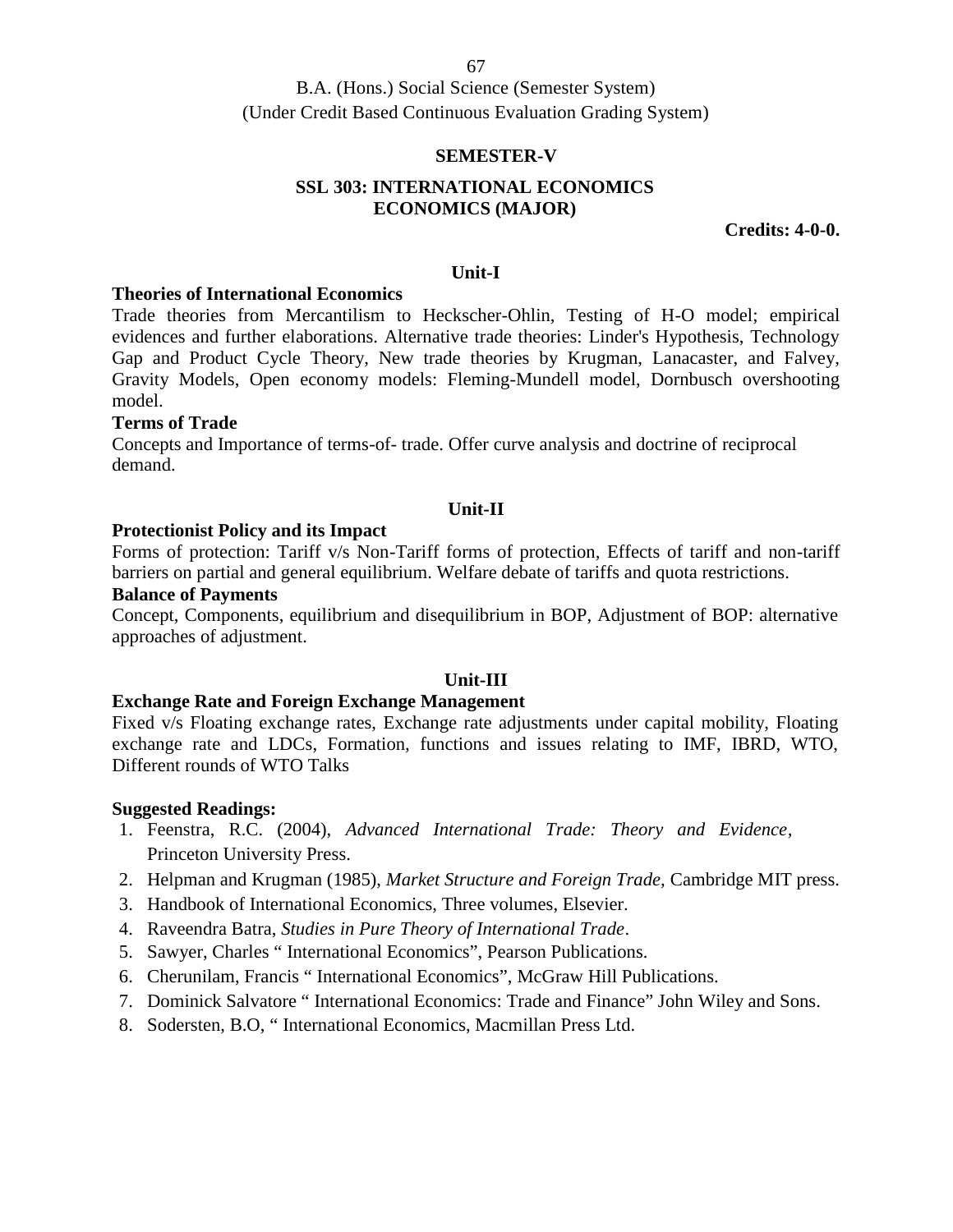### **SEMESTER-V**

# **SSL 303: INTERNATIONAL ECONOMICS ECONOMICS (MAJOR)**

**Credits: 4-0-0.**

#### **Unit-I**

#### **Theories of International Economics**

Trade theories from Mercantilism to Heckscher-Ohlin, Testing of H-O model; empirical evidences and further elaborations. Alternative trade theories: Linder's Hypothesis, Technology Gap and Product Cycle Theory, New trade theories by Krugman, Lanacaster, and Falvey, Gravity Models, Open economy models: Fleming-Mundell model, Dornbusch overshooting model.

### **Terms of Trade**

Concepts and Importance of terms-of- trade. Offer curve analysis and doctrine of reciprocal demand.

### **Unit-II**

### **Protectionist Policy and its Impact**

Forms of protection: Tariff v/s Non-Tariff forms of protection, Effects of tariff and non-tariff barriers on partial and general equilibrium. Welfare debate of tariffs and quota restrictions.

### **Balance of Payments**

Concept, Components, equilibrium and disequilibrium in BOP, Adjustment of BOP: alternative approaches of adjustment.

### **Unit-III**

### **Exchange Rate and Foreign Exchange Management**

Fixed v/s Floating exchange rates, Exchange rate adjustments under capital mobility, Floating exchange rate and LDCs, Formation, functions and issues relating to IMF, IBRD, WTO, Different rounds of WTO Talks

- 1. Feenstra, R.C. (2004), *Advanced International Trade: Theory and Evidence,* Princeton University Press.
- 2. Helpman and Krugman (1985), *Market Structure and Foreign Trade,* Cambridge MIT press.
- 3. Handbook of International Economics, Three volumes, Elsevier.
- 4. Raveendra Batra, *Studies in Pure Theory of International Trade*.
- 5. Sawyer, Charles " International Economics", Pearson Publications.
- 6. Cherunilam, Francis " International Economics", McGraw Hill Publications.
- 7. Dominick Salvatore " International Economics: Trade and Finance" John Wiley and Sons.
- 8. Sodersten, B.O, " International Economics, Macmillan Press Ltd.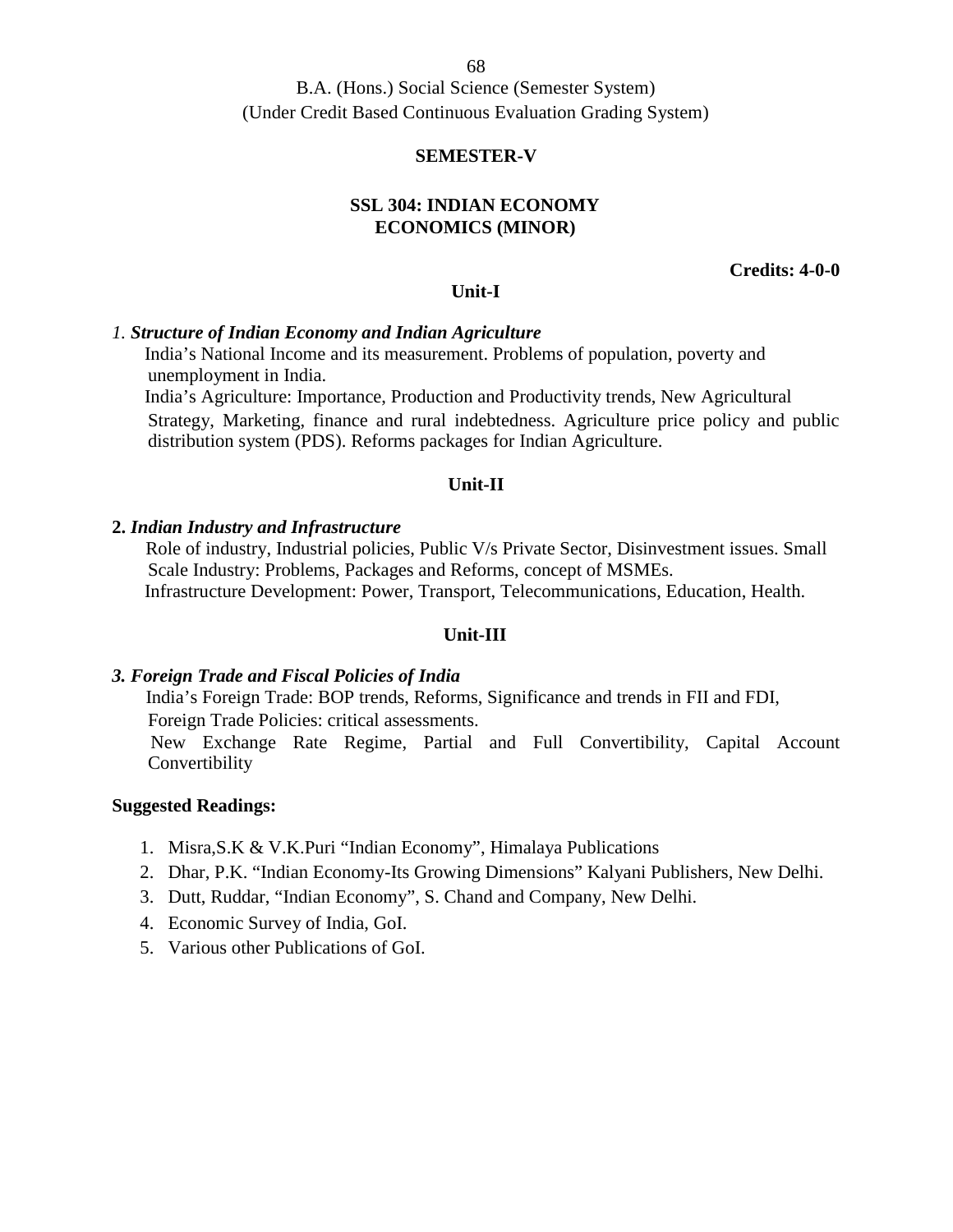B.A. (Hons.) Social Science (Semester System) (Under Credit Based Continuous Evaluation Grading System)

### **SEMESTER-V**

## **SSL 304: INDIAN ECONOMY ECONOMICS (MINOR)**

**Credits: 4-0-0**

### **Unit-I**

## *1. Structure of Indian Economy and Indian Agriculture*

India's National Income and its measurement. Problems of population, poverty and unemployment in India.

India's Agriculture: Importance, Production and Productivity trends, New Agricultural Strategy, Marketing, finance and rural indebtedness. Agriculture price policy and public distribution system (PDS). Reforms packages for Indian Agriculture.

### **Unit-II**

#### **2.** *Indian Industry and Infrastructure*

Role of industry, Industrial policies, Public V/s Private Sector, Disinvestment issues. Small Scale Industry: Problems, Packages and Reforms, concept of MSMEs. Infrastructure Development: Power, Transport, Telecommunications, Education, Health.

#### **Unit-III**

### *3. Foreign Trade and Fiscal Policies of India*

India's Foreign Trade: BOP trends, Reforms, Significance and trends in FII and FDI, Foreign Trade Policies: critical assessments.

New Exchange Rate Regime, Partial and Full Convertibility, Capital Account Convertibility

- 1. Misra,S.K & V.K.Puri "Indian Economy", Himalaya Publications
- 2. Dhar, P.K. "Indian Economy-Its Growing Dimensions" Kalyani Publishers, New Delhi.
- 3. Dutt, Ruddar, "Indian Economy", S. Chand and Company, New Delhi.
- 4. Economic Survey of India, GoI.
- 5. Various other Publications of GoI.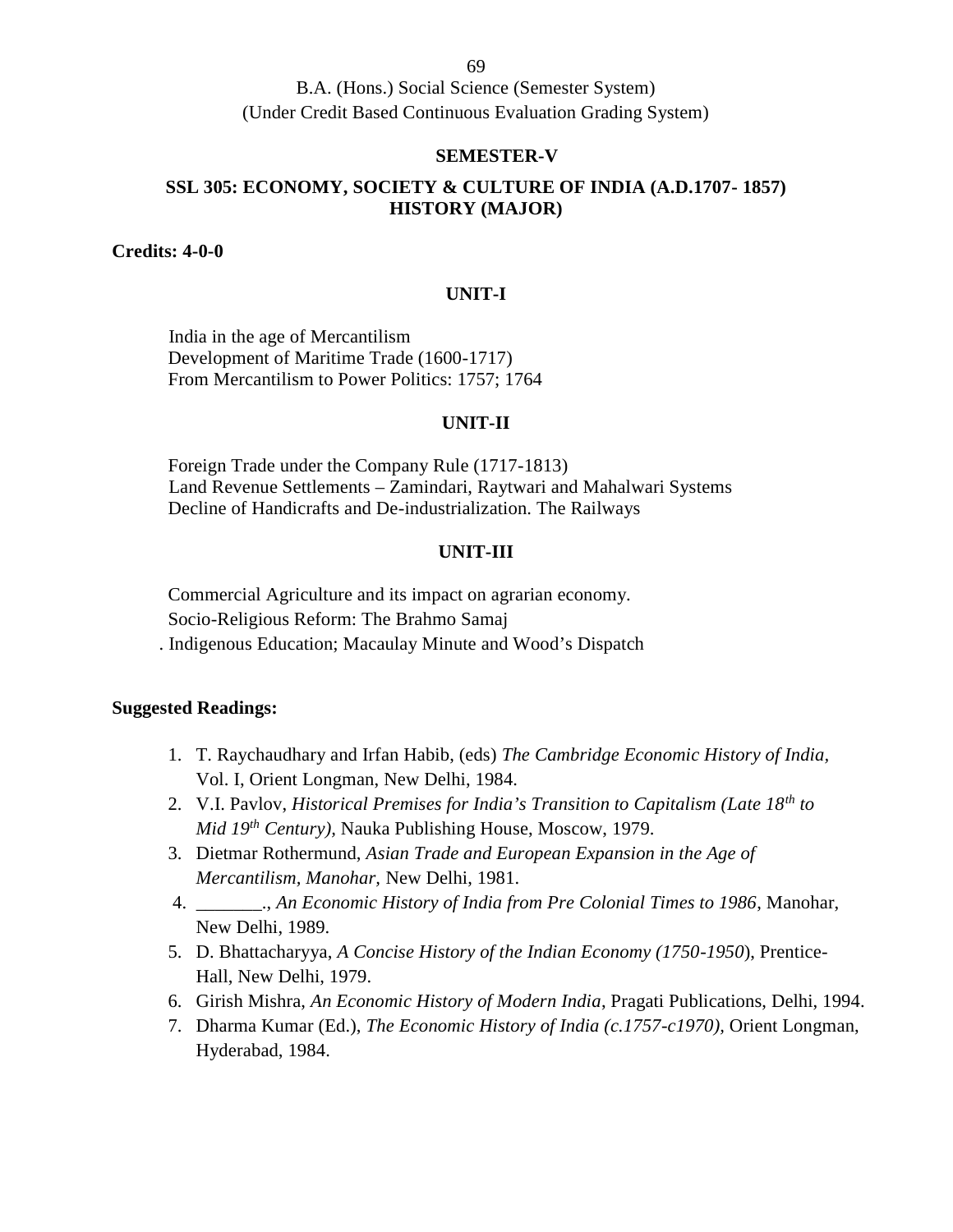#### **SEMESTER-V**

## **SSL 305: ECONOMY, SOCIETY & CULTURE OF INDIA (A.D.1707- 1857) HISTORY (MAJOR)**

**Credits: 4-0-0**

### **UNIT-I**

India in the age of Mercantilism Development of Maritime Trade (1600-1717) From Mercantilism to Power Politics: 1757; 1764

#### **UNIT-II**

Foreign Trade under the Company Rule (1717-1813) Land Revenue Settlements – Zamindari, Raytwari and Mahalwari Systems Decline of Handicrafts and De-industrialization. The Railways

### **UNIT-III**

Commercial Agriculture and its impact on agrarian economy. Socio-Religious Reform: The Brahmo Samaj . Indigenous Education; Macaulay Minute and Wood's Dispatch

- 1. T. Raychaudhary and Irfan Habib, (eds) *The Cambridge Economic History of India,* Vol. I, Orient Longman, New Delhi, 1984.
- 2. V.I. Pavlov, *Historical Premises for India's Transition to Capitalism (Late 18th to Mid 19th Century),* Nauka Publishing House, Moscow, 1979.
- 3. Dietmar Rothermund, *Asian Trade and European Expansion in the Age of Mercantilism, Manohar,* New Delhi, 1981.
- 4. \_\_\_\_\_\_\_., *An Economic History of India from Pre Colonial Times to 1986*, Manohar, New Delhi, 1989.
- 5. D. Bhattacharyya, *A Concise History of the Indian Economy (1750-1950*), Prentice- Hall, New Delhi, 1979.
- 6. Girish Mishra, *An Economic History of Modern India*, Pragati Publications, Delhi, 1994.
- 7. Dharma Kumar (Ed.), *The Economic History of India (c.1757-c1970),* Orient Longman, Hyderabad, 1984.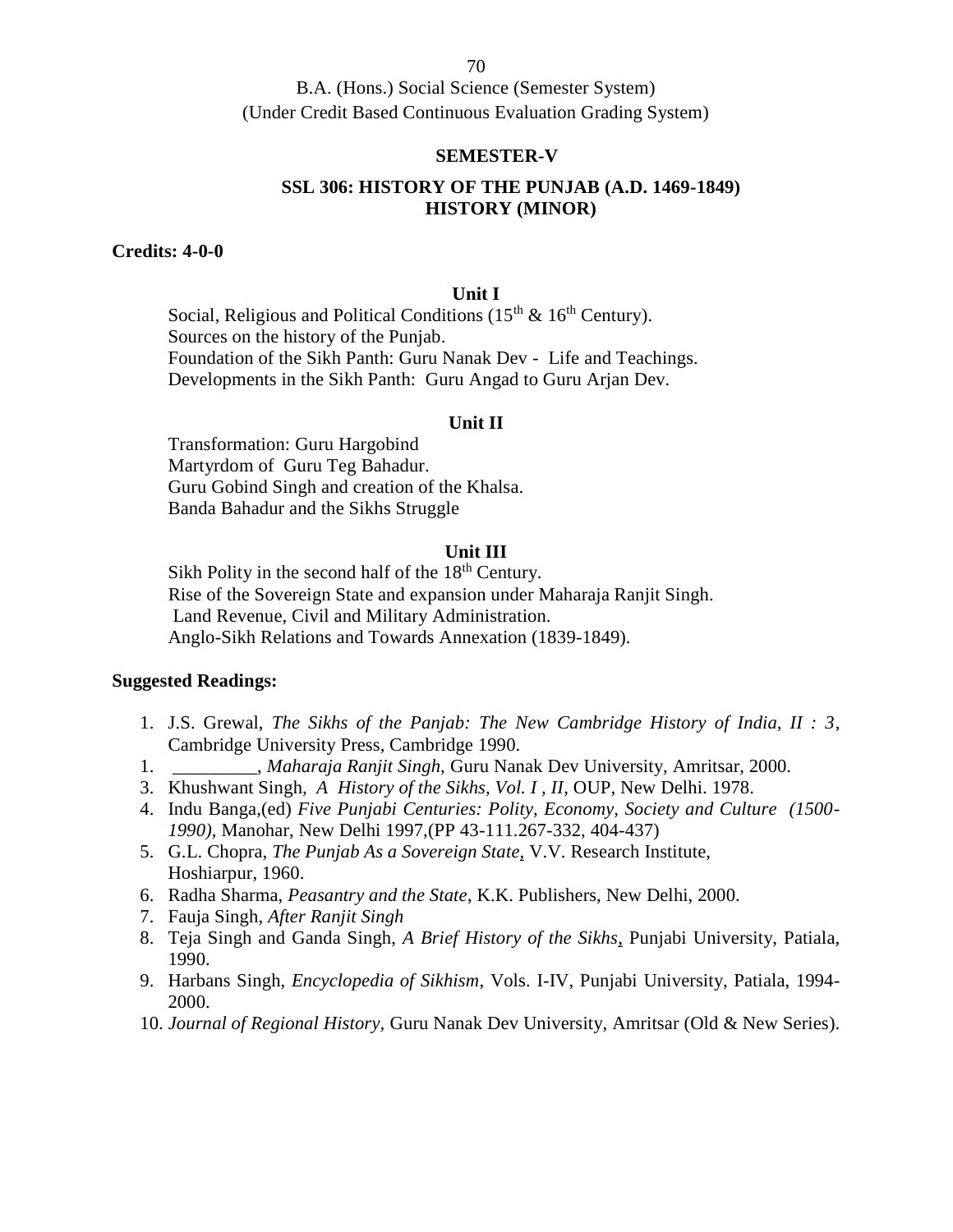B.A. (Hons.) Social Science (Semester System) (Under Credit Based Continuous Evaluation Grading System)

### **SEMESTER-V**

# **SSL 306: HISTORY OF THE PUNJAB (A.D. 1469-1849) HISTORY (MINOR)**

### **Credits: 4-0-0**

### **Unit I**

Social, Religious and Political Conditions ( $15<sup>th</sup>$  &  $16<sup>th</sup>$  Century). Sources on the history of the Punjab. Foundation of the Sikh Panth: Guru Nanak Dev - Life and Teachings. Developments in the Sikh Panth: Guru Angad to Guru Arjan Dev.

#### **Unit II**

Transformation: Guru Hargobind Martyrdom of Guru Teg Bahadur. Guru Gobind Singh and creation of the Khalsa. Banda Bahadur and the Sikhs Struggle

### **Unit III**

Sikh Polity in the second half of the  $18<sup>th</sup>$  Century. Rise of the Sovereign State and expansion under Maharaja Ranjit Singh. Land Revenue, Civil and Military Administration. Anglo-Sikh Relations and Towards Annexation (1839-1849).

- 1. J.S. Grewal, *The Sikhs of the Panjab: The New Cambridge History of India, II : 3*, Cambridge University Press, Cambridge 1990.
- 1. \_\_\_\_\_\_\_\_\_, *Maharaja Ranjit Singh,* Guru Nanak Dev University, Amritsar, 2000.
- 3. Khushwant Singh*, A History of the Sikhs, Vol. I , II*, OUP, New Delhi. 1978.
- 4. Indu Banga,(ed) *Five Punjabi Centuries: Polity, Economy, Society and Culture (1500- 1990),* Manohar, New Delhi 1997,(PP 43-111.267-332, 404-437)
- 5. G.L. Chopra, *The Punjab As a Sovereign State*, V.V. Research Institute, Hoshiarpur, 1960.
- 6. Radha Sharma, *Peasantry and the State*, K.K. Publishers, New Delhi, 2000.
- 7. Fauja Singh, *After Ranjit Singh*
- 8. Teja Singh and Ganda Singh, *A Brief History of the Sikhs*, Punjabi University, Patiala, 1990.
- 9. Harbans Singh, *Encyclopedia of Sikhism*, Vols. I-IV, Punjabi University, Patiala, 1994- 2000.
- 10. *Journal of Regional History,* Guru Nanak Dev University, Amritsar (Old & New Series).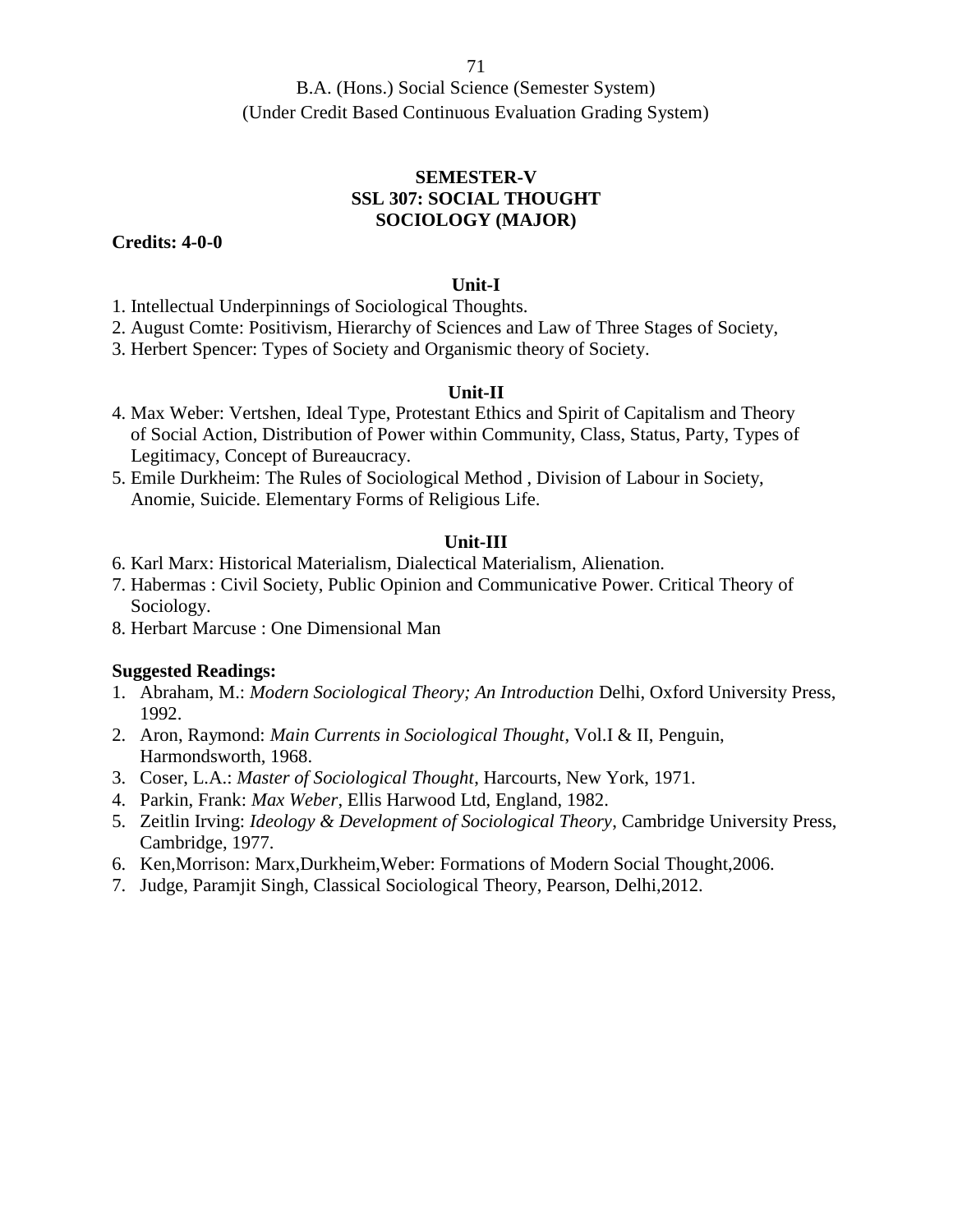B.A. (Hons.) Social Science (Semester System) (Under Credit Based Continuous Evaluation Grading System)

## **SEMESTER-V SSL 307: SOCIAL THOUGHT SOCIOLOGY (MAJOR)**

**Credits: 4-0-0**

### **Unit-I**

1. Intellectual Underpinnings of Sociological Thoughts.

2. August Comte: Positivism, Hierarchy of Sciences and Law of Three Stages of Society,

3. Herbert Spencer: Types of Society and Organismic theory of Society.

## **Unit-II**

- 4. Max Weber: Vertshen, Ideal Type, Protestant Ethics and Spirit of Capitalism and Theory of Social Action, Distribution of Power within Community, Class, Status, Party, Types of Legitimacy, Concept of Bureaucracy.
- 5. Emile Durkheim: The Rules of Sociological Method , Division of Labour in Society, Anomie, Suicide. Elementary Forms of Religious Life.

## **Unit-III**

- 6. Karl Marx: Historical Materialism, Dialectical Materialism, Alienation.
- 7. Habermas : Civil Society, Public Opinion and Communicative Power. Critical Theory of Sociology.
- 8. Herbart Marcuse : One Dimensional Man

- 1. Abraham, M.: *Modern Sociological Theory; An Introduction* Delhi, Oxford University Press, 1992.
- 2. Aron, Raymond: *Main Currents in Sociological Thought*, Vol.I & II, Penguin, Harmondsworth, 1968.
- 3. Coser, L.A.: *Master of Sociological Thought*, Harcourts, New York, 1971.
- 4. Parkin, Frank: *Max Weber*, Ellis Harwood Ltd, England, 1982.
- 5. Zeitlin Irving: *Ideology & Development of Sociological Theory*, Cambridge University Press, Cambridge, 1977.
- 6. Ken,Morrison: Marx,Durkheim,Weber: Formations of Modern Social Thought,2006.
- 7. Judge, Paramjit Singh, Classical Sociological Theory, Pearson, Delhi,2012.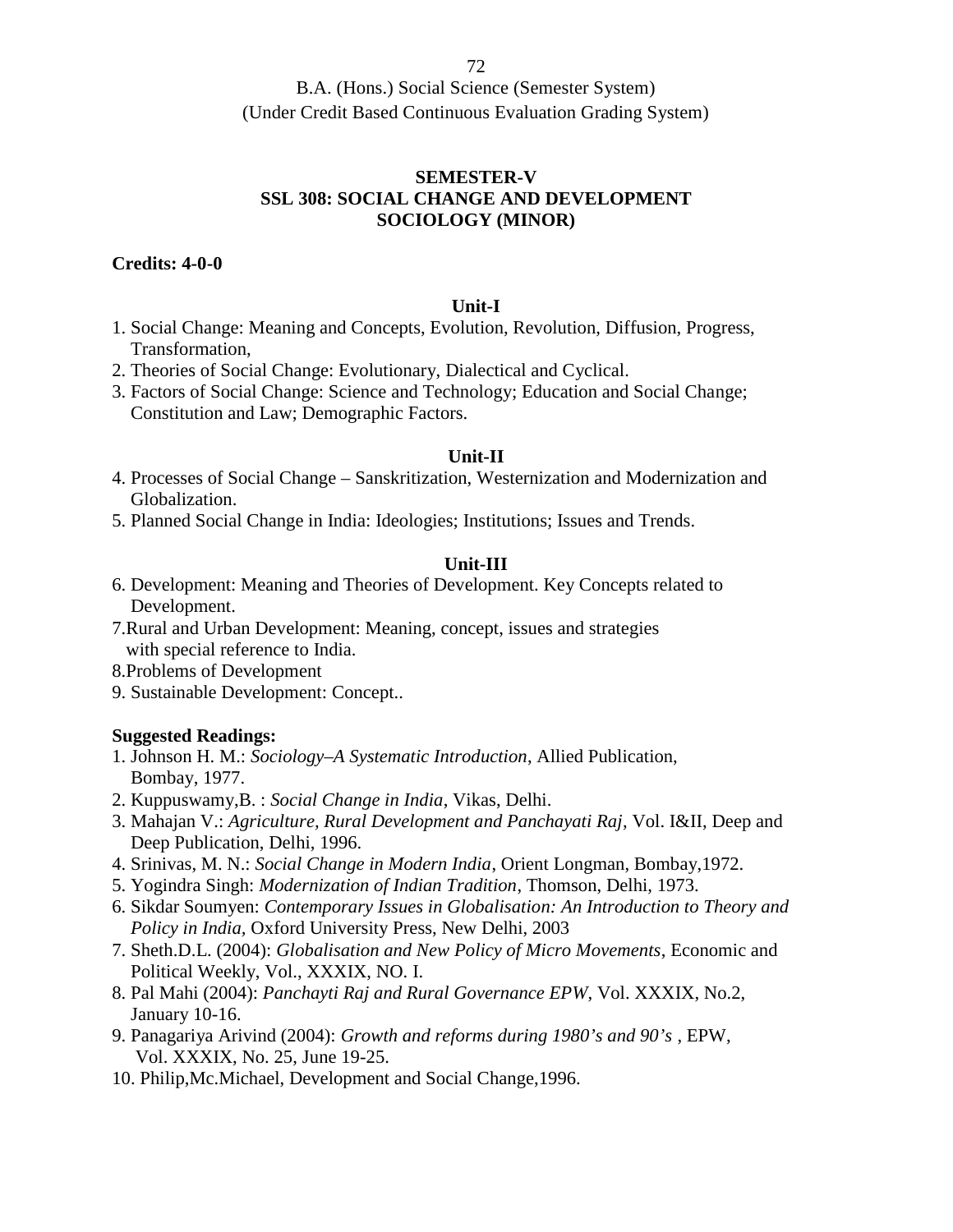B.A. (Hons.) Social Science (Semester System) (Under Credit Based Continuous Evaluation Grading System)

## **SEMESTER-V SSL 308: SOCIAL CHANGE AND DEVELOPMENT SOCIOLOGY (MINOR)**

## **Credits: 4-0-0**

#### **Unit-I**

- 1. Social Change: Meaning and Concepts, Evolution, Revolution, Diffusion, Progress, Transformation,
- 2. Theories of Social Change: Evolutionary, Dialectical and Cyclical.
- 3. Factors of Social Change: Science and Technology; Education and Social Change; Constitution and Law; Demographic Factors.

#### **Unit-II**

- 4. Processes of Social Change Sanskritization, Westernization and Modernization and Globalization.
- 5. Planned Social Change in India: Ideologies; Institutions; Issues and Trends.

## **Unit-III**

- 6. Development: Meaning and Theories of Development. Key Concepts related to Development.
- 7.Rural and Urban Development: Meaning, concept, issues and strategies with special reference to India.
- 8.Problems of Development
- 9. Sustainable Development: Concept..

- 1. Johnson H. M.: *Sociology–A Systematic Introduction*, Allied Publication, Bombay, 1977.
- 2. Kuppuswamy,B. : *Social Change in India*, Vikas, Delhi.
- 3. Mahajan V.: *Agriculture, Rural Development and Panchayati Raj*, Vol. I&II, Deep and Deep Publication, Delhi, 1996.
- 4. Srinivas, M. N.: *Social Change in Modern India*, Orient Longman, Bombay,1972.
- 5. Yogindra Singh: *Modernization of Indian Tradition*, Thomson, Delhi, 1973.
- 6. Sikdar Soumyen: *Contemporary Issues in Globalisation: An Introduction to Theory and Policy in India,* Oxford University Press, New Delhi, 2003
- 7. Sheth.D.L. (2004): *Globalisation and New Policy of Micro Movements*, Economic and Political Weekly, Vol., XXXIX, NO. I.
- 8. Pal Mahi (2004): *Panchayti Raj and Rural Governance EPW*, Vol. XXXIX, No.2, January 10-16.
- 9. Panagariya Arivind (2004): *Growth and reforms during 1980's and 90's* , EPW, Vol. XXXIX, No. 25, June 19-25.
- 10. Philip,Mc.Michael, Development and Social Change,1996.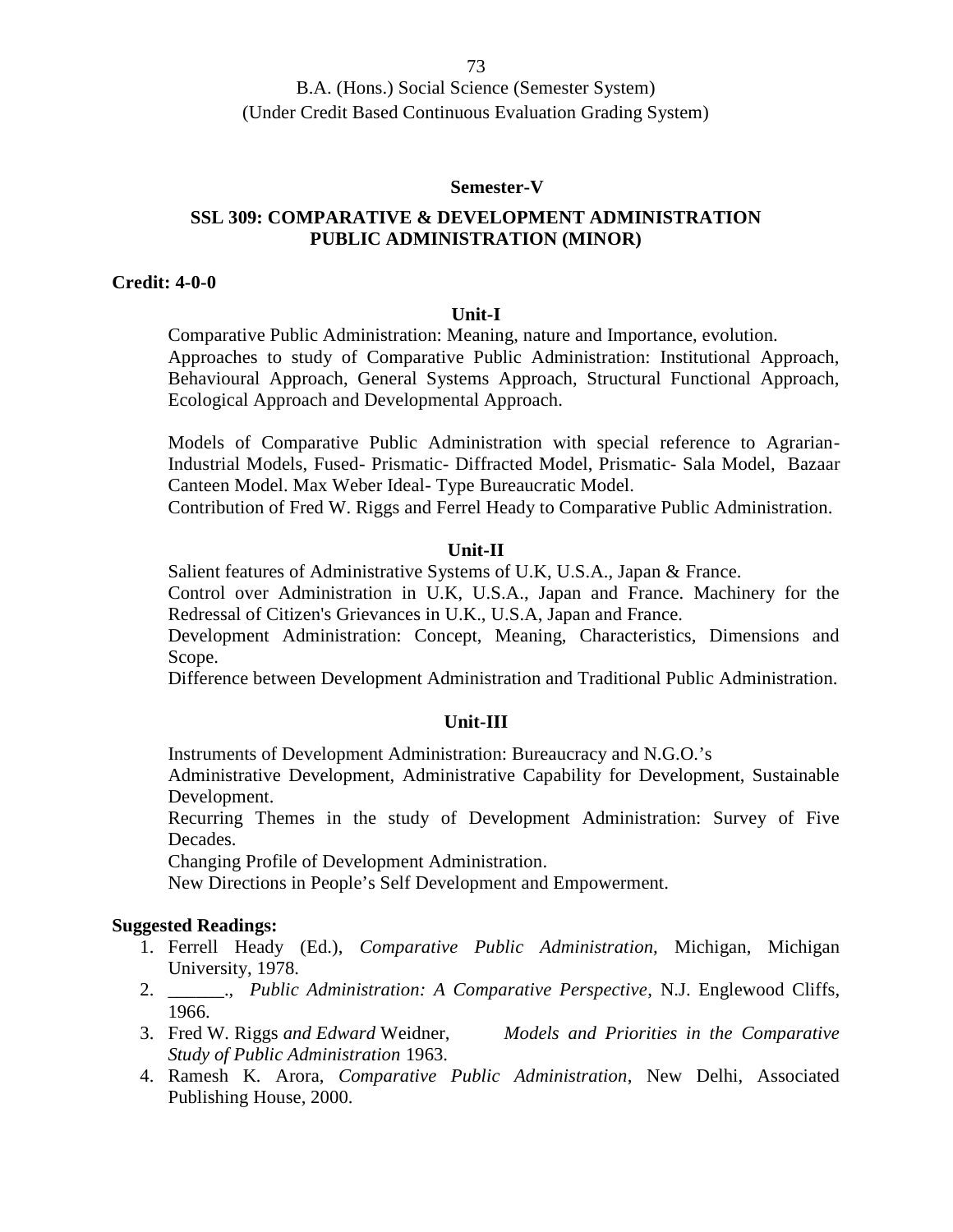#### **Semester-V**

## **SSL 309: COMPARATIVE & DEVELOPMENT ADMINISTRATION PUBLIC ADMINISTRATION (MINOR)**

#### **Credit: 4-0-0**

#### **Unit-I**

Comparative Public Administration: Meaning, nature and Importance, evolution. Approaches to study of Comparative Public Administration: Institutional Approach, Behavioural Approach, General Systems Approach, Structural Functional Approach, Ecological Approach and Developmental Approach.

Models of Comparative Public Administration with special reference to Agrarian-Industrial Models, Fused- Prismatic- Diffracted Model, Prismatic- Sala Model, Bazaar Canteen Model. Max Weber Ideal- Type Bureaucratic Model.

Contribution of Fred W. Riggs and Ferrel Heady to Comparative Public Administration.

#### **Unit-II**

Salient features of Administrative Systems of U.K, U.S.A., Japan & France.

Control over Administration in U.K, U.S.A., Japan and France. Machinery for the Redressal of Citizen's Grievances in U.K., U.S.A, Japan and France.

Development Administration: Concept, Meaning, Characteristics, Dimensions and Scope.

Difference between Development Administration and Traditional Public Administration.

#### **Unit-III**

Instruments of Development Administration: Bureaucracy and N.G.O.'s

Administrative Development, Administrative Capability for Development, Sustainable Development.

Recurring Themes in the study of Development Administration: Survey of Five Decades.

Changing Profile of Development Administration.

New Directions in People's Self Development and Empowerment.

- 1. Ferrell Heady (Ed.), *Comparative Public Administration,* Michigan, Michigan University, 1978.
- 2. \_\_\_\_\_\_., *Public Administration: A Comparative Perspective*, N.J. Englewood Cliffs, 1966.
- 3. Fred W*.* Riggs *and Edward* Weidner, *Models and Priorities in the Comparative Study of Public Administration* 1963.
- 4. Ramesh K*.* Arora, *Comparative Public Administration*, New Delhi, Associated Publishing House, 2000.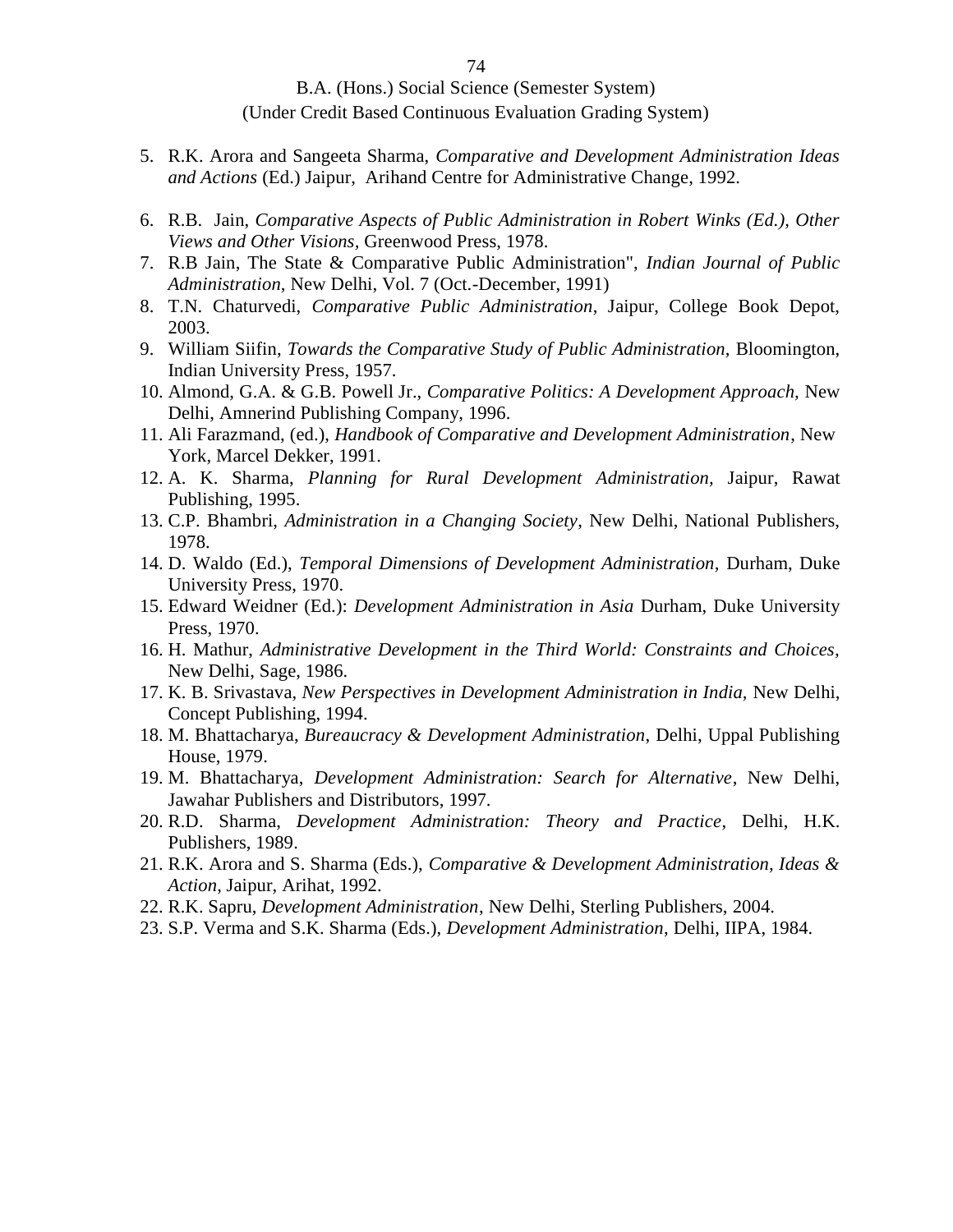- 5. R.K. Arora and Sangeeta Sharma, *Comparative and Development Administration Ideas and Actions* (Ed.) Jaipur, Arihand Centre for Administrative Change, 1992.
- 6. R.B. Jain, *Comparative Aspects of Public Administration in Robert Winks (Ed.), Other Views and Other Visions,* Greenwood Press, 1978.
- 7. R.B Jain, The State & Comparative Public Administration", *Indian Journal of Public Administration,* New Delhi, Vol. 7 (Oct.-December, 1991)
- 8. T.N. Chaturvedi, *Comparative Public Administration*, Jaipur, College Book Depot, 2003.
- 9. William Siifin, *Towards the Comparative Study of Public Administration,* Bloomington, Indian University Press, 1957.
- 10. Almond, G.A. & G.B. Powell Jr., *Comparative Politics: A Development Approach,* New Delhi, Amnerind Publishing Company, 1996*.*
- 11. Ali Farazmand, (ed.), *Handbook of Comparative and Development Administration*, New York, Marcel Dekker, 1991.
- 12. A. K. Sharma, *Planning for Rural Development Administration,* Jaipur, Rawat Publishing, 1995.
- 13. C.P. Bhambri, *Administration in a Changing Society*, New Delhi, National Publishers, 1978.
- 14. D. Waldo (Ed.), *Temporal Dimensions of Development Administration,* Durham, Duke University Press, 1970.
- 15. Edward Weidner (Ed.): *Development Administration in Asia* Durham, Duke University Press, 1970.
- 16. H. Mathur, *Administrative Development in the Third World: Constraints and Choices,* New Delhi, Sage, 1986.
- 17. K. B. Srivastava, *New Perspectives in Development Administration in India,* New Delhi, Concept Publishing, 1994.
- 18. M. Bhattacharya, *Bureaucracy & Development Administration*, Delhi, Uppal Publishing House, 1979.
- 19. M. Bhattacharya, *Development Administration: Search for Alternative*, New Delhi, Jawahar Publishers and Distributors, 1997.
- 20. R.D. Sharma, *Development Administration: Theory and Practice*, Delhi, H.K. Publishers, 1989.
- 21. R.K. Arora and S. Sharma (Eds.), *Comparative & Development Administration, Ideas & Action*, Jaipur, Arihat, 1992.
- 22. R.K. Sapru, *Development Administration*, New Delhi, Sterling Publishers, 2004.
- 23. S.P. Verma and S.K. Sharma (Eds.), *Development Administration*, Delhi, IIPA, 1984.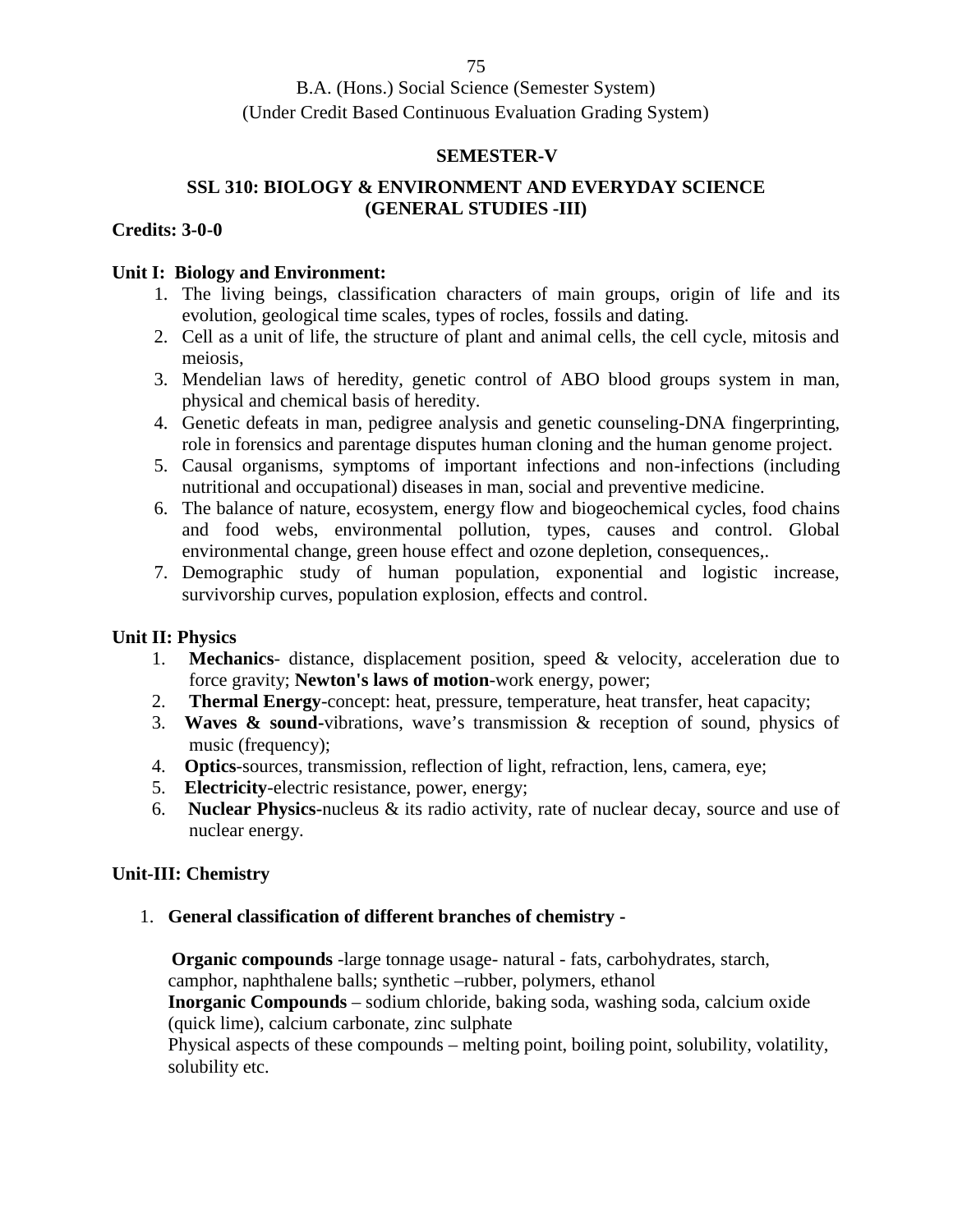## **SEMESTER-V**

# **SSL 310: BIOLOGY & ENVIRONMENT AND EVERYDAY SCIENCE (GENERAL STUDIES -III)**

## **Credits: 3-0-0**

## **Unit I: Biology and Environment:**

- 1. The living beings, classification characters of main groups, origin of life and its evolution, geological time scales, types of rocles, fossils and dating.
- 2. Cell as a unit of life, the structure of plant and animal cells, the cell cycle, mitosis and meiosis,
- 3. Mendelian laws of heredity, genetic control of ABO blood groups system in man, physical and chemical basis of heredity.
- 4. Genetic defeats in man, pedigree analysis and genetic counseling-DNA fingerprinting, role in forensics and parentage disputes human cloning and the human genome project.
- 5. Causal organisms, symptoms of important infections and non-infections (including nutritional and occupational) diseases in man, social and preventive medicine.
- 6. The balance of nature, ecosystem, energy flow and biogeochemical cycles, food chains and food webs, environmental pollution, types, causes and control. Global environmental change, green house effect and ozone depletion, consequences,.
- 7. Demographic study of human population, exponential and logistic increase, survivorship curves, population explosion, effects and control.

# **Unit II: Physics**

- 1. **Mechanics** distance, displacement position, speed & velocity, acceleration due to force gravity; **Newton's laws of motion**-work energy, power;
- 2. **Thermal Energy**-concept: heat, pressure, temperature, heat transfer, heat capacity;
- 3. **Waves & sound-**vibrations, wave's transmission & reception of sound, physics of music (frequency);
- 4. **Optics**-sources, transmission, reflection of light, refraction, lens, camera, eye;
- 5. **Electricity**-electric resistance, power, energy;
- 6. **Nuclear Physics-**nucleus & its radio activity, rate of nuclear decay, source and use of nuclear energy.

# **Unit-III: Chemistry**

1. **General classification of different branches of chemistry -**

**Organic compounds** -large tonnage usage- natural - fats, carbohydrates, starch, camphor, naphthalene balls; synthetic –rubber, polymers, ethanol **Inorganic Compounds** – sodium chloride, baking soda, washing soda, calcium oxide (quick lime), calcium carbonate, zinc sulphate

Physical aspects of these compounds – melting point, boiling point, solubility, volatility, solubility etc.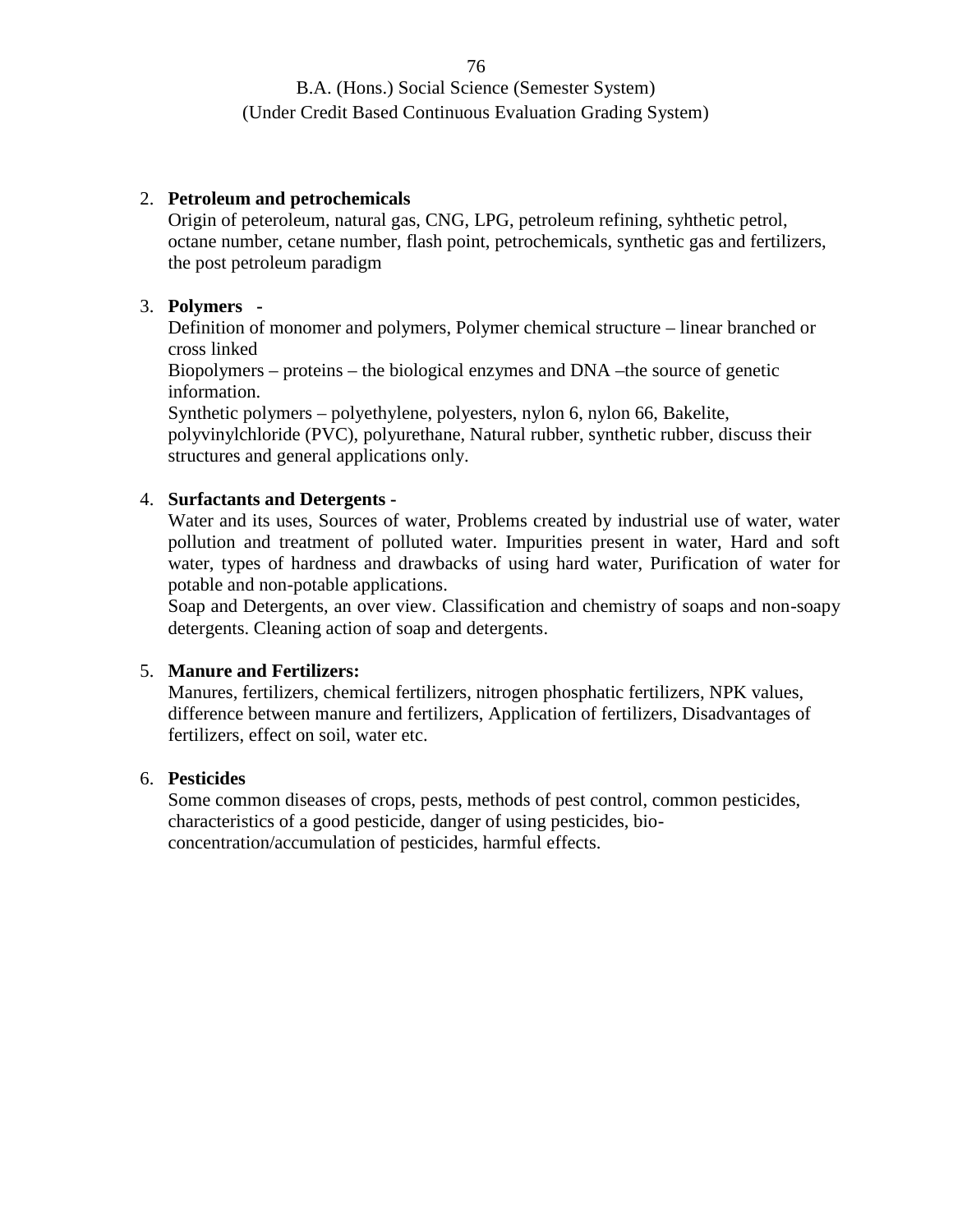## 2. **Petroleum and petrochemicals**

Origin of peteroleum, natural gas, CNG, LPG, petroleum refining, syhthetic petrol, octane number, cetane number, flash point, petrochemicals, synthetic gas and fertilizers, the post petroleum paradigm

## 3. **Polymers -**

Definition of monomer and polymers, Polymer chemical structure – linear branched or cross linked

Biopolymers – proteins – the biological enzymes and DNA –the source of genetic information.

Synthetic polymers – polyethylene, polyesters, nylon 6, nylon 66, Bakelite, polyvinylchloride (PVC), polyurethane, Natural rubber, synthetic rubber, discuss their structures and general applications only.

#### 4. **Surfactants and Detergents -**

Water and its uses, Sources of water, Problems created by industrial use of water, water pollution and treatment of polluted water. Impurities present in water, Hard and soft water, types of hardness and drawbacks of using hard water, Purification of water for potable and non-potable applications.

Soap and Detergents, an over view. Classification and chemistry of soaps and non-soapy detergents. Cleaning action of soap and detergents.

#### 5. **Manure and Fertilizers:**

Manures, fertilizers, chemical fertilizers, nitrogen phosphatic fertilizers, NPK values, difference between manure and fertilizers, Application of fertilizers, Disadvantages of fertilizers, effect on soil, water etc.

## 6. **Pesticides**

Some common diseases of crops, pests, methods of pest control, common pesticides, characteristics of a good pesticide, danger of using pesticides, bio concentration/accumulation of pesticides, harmful effects.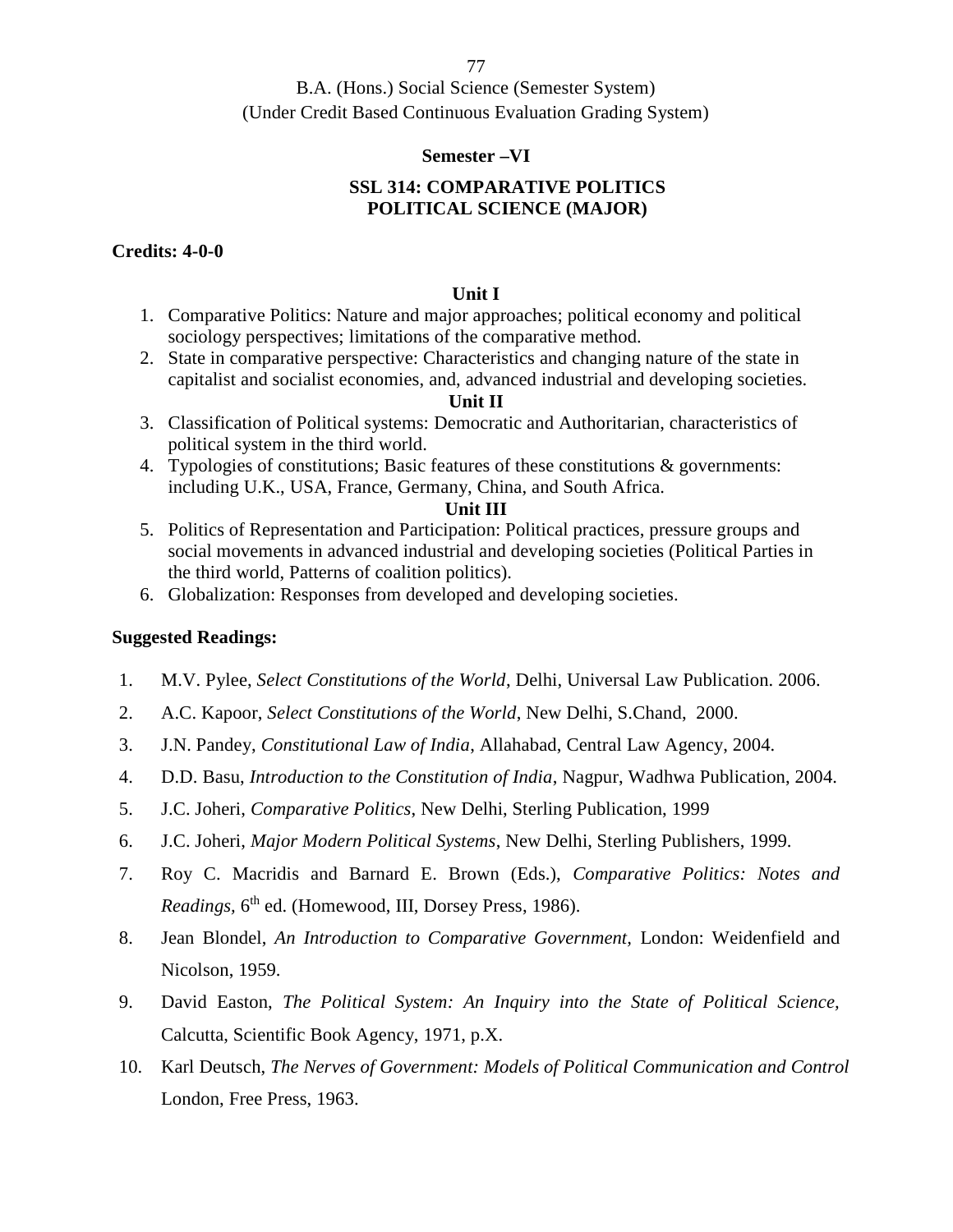#### **Semester –VI**

# **SSL 314: COMPARATIVE POLITICS POLITICAL SCIENCE (MAJOR)**

## **Credits: 4-0-0**

#### **Unit I**

- 1. Comparative Politics: Nature and major approaches; political economy and political sociology perspectives; limitations of the comparative method.
- 2. State in comparative perspective: Characteristics and changing nature of the state in capitalist and socialist economies, and, advanced industrial and developing societies.

## **Unit II**

- 3. Classification of Political systems: Democratic and Authoritarian, characteristics of political system in the third world.
- 4. Typologies of constitutions; Basic features of these constitutions & governments: including U.K., USA, France, Germany, China, and South Africa.

#### **Unit III**

- 5. Politics of Representation and Participation: Political practices, pressure groups and social movements in advanced industrial and developing societies (Political Parties in the third world, Patterns of coalition politics).
- 6. Globalization: Responses from developed and developing societies.

- 1. M.V. Pylee, *Select Constitutions of the World*, Delhi, Universal Law Publication. 2006.
- 2. A.C. Kapoor, *Select Constitutions of the World*, New Delhi, S.Chand, 2000.
- 3. J.N. Pandey, *Constitutional Law of India*, Allahabad, Central Law Agency, 2004.
- 4. D.D. Basu, *Introduction to the Constitution of India*, Nagpur, Wadhwa Publication, 2004.
- 5. J.C. Joheri, *Comparative Politics*, New Delhi, Sterling Publication, 1999
- 6. J.C. Joheri, *Major Modern Political Systems*, New Delhi, Sterling Publishers, 1999.
- 7. Roy C. Macridis and Barnard E. Brown (Eds.), *Comparative Politics: Notes and Readings,* 6 th ed. (Homewood, III, Dorsey Press, 1986).
- 8. Jean Blondel, *An Introduction to Comparative Government,* London: Weidenfield and Nicolson, 1959.
- 9. David Easton, *The Political System: An Inquiry into the State of Political Science,* Calcutta, Scientific Book Agency, 1971, p.X.
- 10. Karl Deutsch, *The Nerves of Government: Models of Political Communication and Control* London, Free Press, 1963.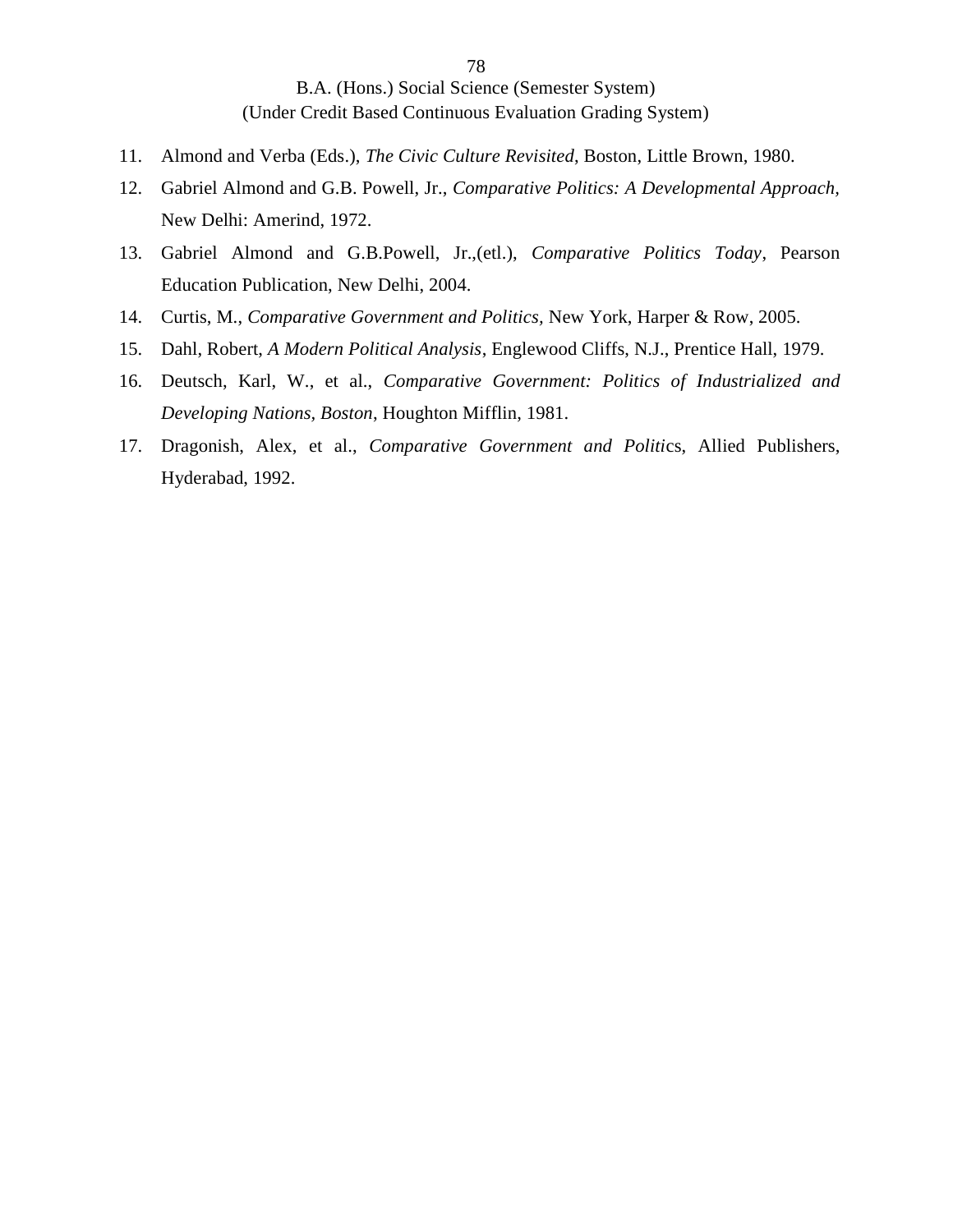- 11. Almond and Verba (Eds.), *The Civic Culture Revisited*, Boston, Little Brown, 1980.
- 12. Gabriel Almond and G.B. Powell, Jr., *Comparative Politics: A Developmental Approach,* New Delhi: Amerind, 1972.
- 13. Gabriel Almond and G.B.Powell, Jr.,(etl.), *Comparative Politics Today*, Pearson Education Publication, New Delhi, 2004.
- 14. Curtis, M., *Comparative Government and Politics,* New York, Harper & Row, 2005.
- 15. Dahl, Robert, *A Modern Political Analysis*, Englewood Cliffs, N.J., Prentice Hall, 1979.
- 16. Deutsch, Karl, W., et al., *Comparative Government: Politics of Industrialized and Developing Nations, Boston*, Houghton Mifflin, 1981.
- 17. Dragonish, Alex, et al., *Comparative Government and Politi*cs, Allied Publishers, Hyderabad, 1992.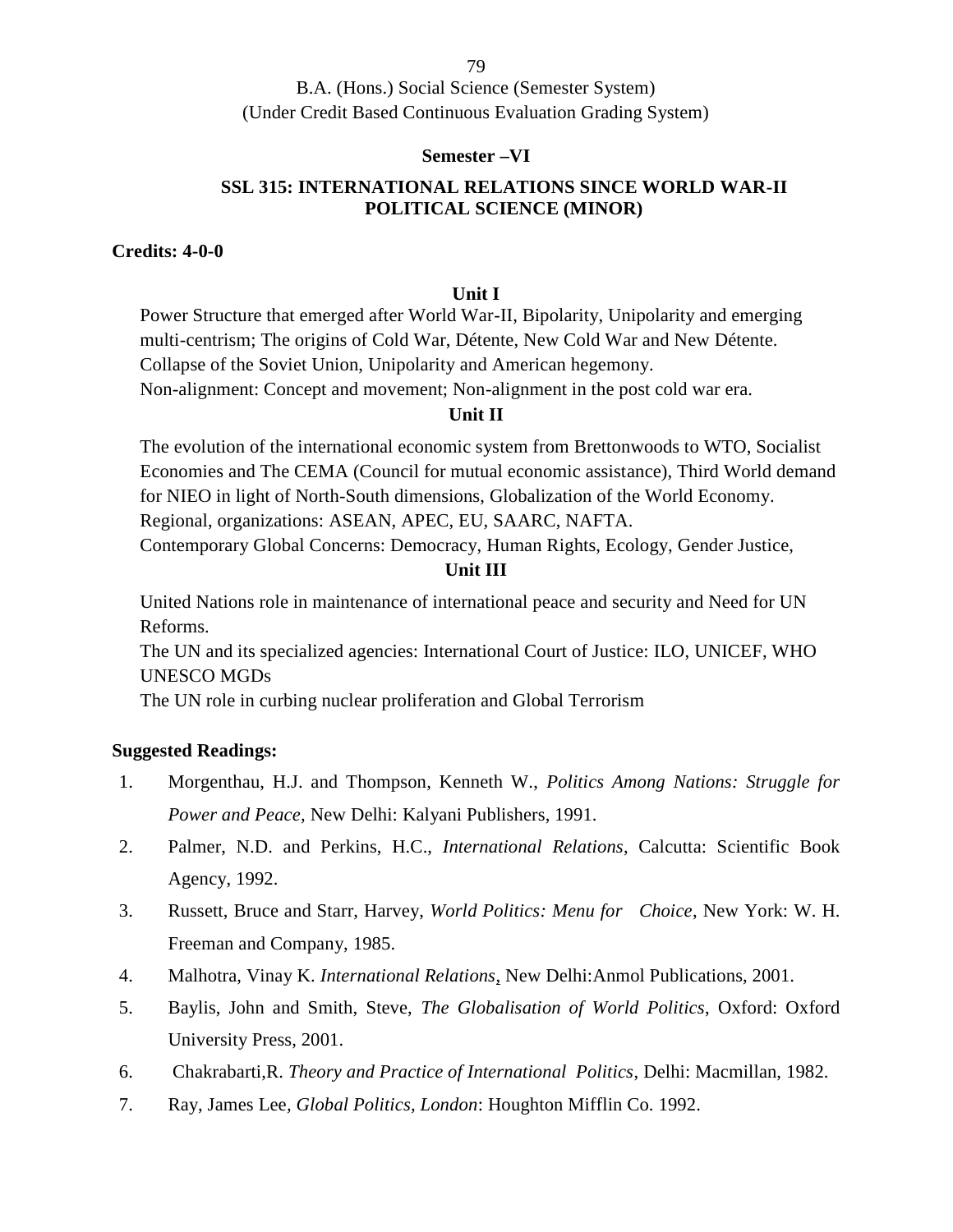B.A. (Hons.) Social Science (Semester System) (Under Credit Based Continuous Evaluation Grading System)

## **Semester –VI**

# **SSL 315: INTERNATIONAL RELATIONS SINCE WORLD WAR-II POLITICAL SCIENCE (MINOR)**

**Credits: 4-0-0**

## **Unit I**

Power Structure that emerged after World War-II, Bipolarity, Unipolarity and emerging multi-centrism; The origins of Cold War, Détente, New Cold War and New Détente. Collapse of the Soviet Union, Unipolarity and American hegemony. Non-alignment: Concept and movement; Non-alignment in the post cold war era.

## **Unit II**

The evolution of the international economic system from Brettonwoods to WTO, Socialist Economies and The CEMA (Council for mutual economic assistance), Third World demand for NIEO in light of North-South dimensions, Globalization of the World Economy. Regional, organizations: ASEAN, APEC, EU, SAARC, NAFTA.

Contemporary Global Concerns: Democracy, Human Rights, Ecology, Gender Justice, **Unit III**

United Nations role in maintenance of international peace and security and Need for UN Reforms.

The UN and its specialized agencies: International Court of Justice: ILO, UNICEF, WHO UNESCO MGDs

The UN role in curbing nuclear proliferation and Global Terrorism

- 1. Morgenthau, H.J. and Thompson, Kenneth W., *Politics Among Nations: Struggle for Power and Peace,* New Delhi: Kalyani Publishers, 1991.
- 2. Palmer, N.D. and Perkins, H.C., *International Relations*, Calcutta: Scientific Book Agency, 1992.
- 3. Russett, Bruce and Starr, Harvey, *World Politics: Menu for Choice*, New York: W. H. Freeman and Company, 1985.
- 4. Malhotra, Vinay K. *International Relations*, New Delhi:Anmol Publications, 2001.
- 5. Baylis, John and Smith, Steve, *The Globalisation of World Politics*, Oxford: Oxford University Press, 2001.
- 6. Chakrabarti,R. *Theory and Practice of International Politics*, Delhi: Macmillan, 1982.
- 7. Ray, James Lee*, Global Politics, London*: Houghton Mifflin Co. 1992.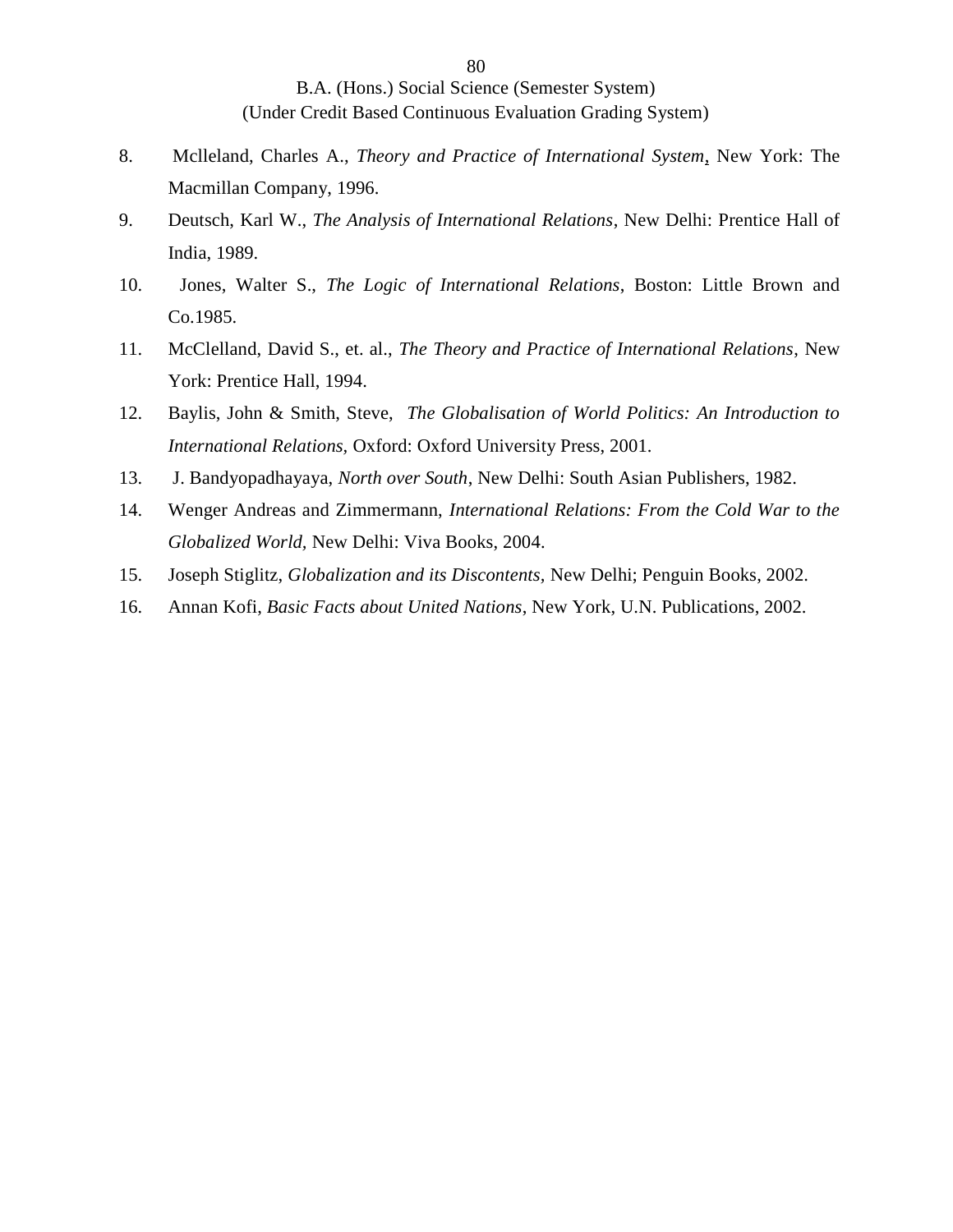- 8. Mclleland, Charles A., *Theory and Practice of International System*, New York: The Macmillan Company, 1996.
- 9. Deutsch, Karl W., *The Analysis of International Relations*, New Delhi: Prentice Hall of India, 1989.
- 10. Jones, Walter S., *The Logic of International Relations*, Boston: Little Brown and Co.1985.
- 11. McClelland, David S., et. al., *The Theory and Practice of International Relations*, New York: Prentice Hall, 1994.
- 12. Baylis, John & Smith, Steve, *The Globalisation of World Politics: An Introduction to International Relations,* Oxford: Oxford University Press, 2001.
- 13. J. Bandyopadhayaya, *North over South*, New Delhi: South Asian Publishers, 1982.
- 14. Wenger Andreas and Zimmermann, *International Relations: From the Cold War to the Globalized World,* New Delhi: Viva Books, 2004.
- 15. Joseph Stiglitz, *Globalization and its Discontents,* New Delhi; Penguin Books, 2002.
- 16. Annan Kofi, *Basic Facts about United Nations*, New York, U.N. Publications, 2002.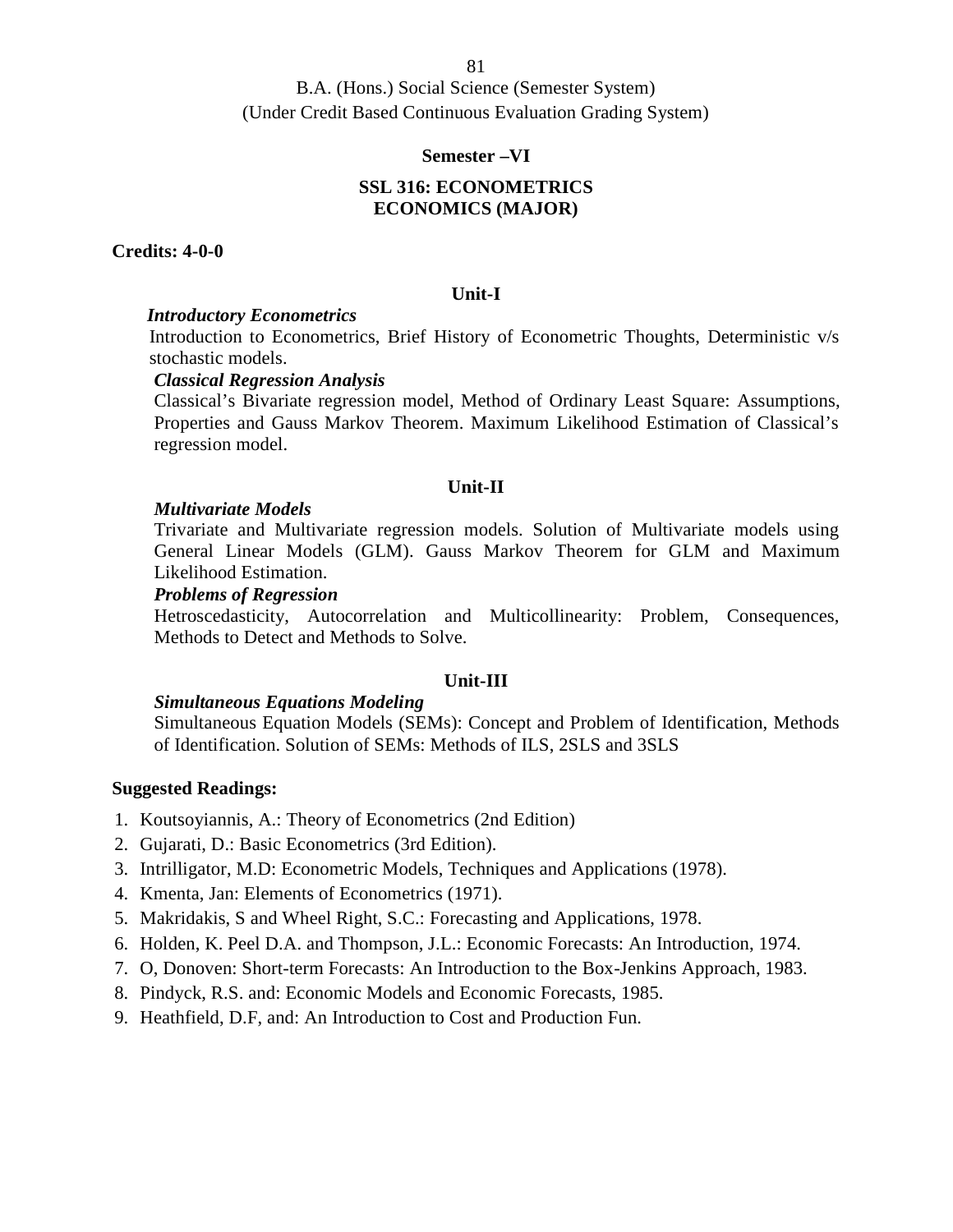B.A. (Hons.) Social Science (Semester System) (Under Credit Based Continuous Evaluation Grading System)

#### **Semester –VI**

# **SSL 316: ECONOMETRICS ECONOMICS (MAJOR)**

#### **Credits: 4-0-0**

#### **Unit-I**

#### *Introductory Econometrics*

Introduction to Econometrics, Brief History of Econometric Thoughts, Deterministic v/s stochastic models.

#### *Classical Regression Analysis*

Classical's Bivariate regression model, Method of Ordinary Least Square: Assumptions, Properties and Gauss Markov Theorem. Maximum Likelihood Estimation of Classical's regression model.

#### **Unit-II**

#### *Multivariate Models*

Trivariate and Multivariate regression models. Solution of Multivariate models using General Linear Models (GLM). Gauss Markov Theorem for GLM and Maximum Likelihood Estimation.

#### *Problems of Regression*

Hetroscedasticity, Autocorrelation and Multicollinearity: Problem, Consequences, Methods to Detect and Methods to Solve.

#### **Unit-III**

#### *Simultaneous Equations Modeling*

Simultaneous Equation Models (SEMs): Concept and Problem of Identification, Methods of Identification. Solution of SEMs: Methods of ILS, 2SLS and 3SLS

- 1. Koutsoyiannis, A.: Theory of Econometrics (2nd Edition)
- 2. Gujarati, D.: Basic Econometrics (3rd Edition).
- 3. Intrilligator, M.D: Econometric Models, Techniques and Applications (1978).
- 4. Kmenta, Jan: Elements of Econometrics (1971).
- 5. Makridakis, S and Wheel Right, S.C.: Forecasting and Applications, 1978.
- 6. Holden, K. Peel D.A. and Thompson, J.L.: Economic Forecasts: An Introduction, 1974.
- 7. O, Donoven: Short-term Forecasts: An Introduction to the Box-Jenkins Approach, 1983.
- 8. Pindyck, R.S. and: Economic Models and Economic Forecasts, 1985.
- 9. Heathfield, D.F, and: An Introduction to Cost and Production Fun.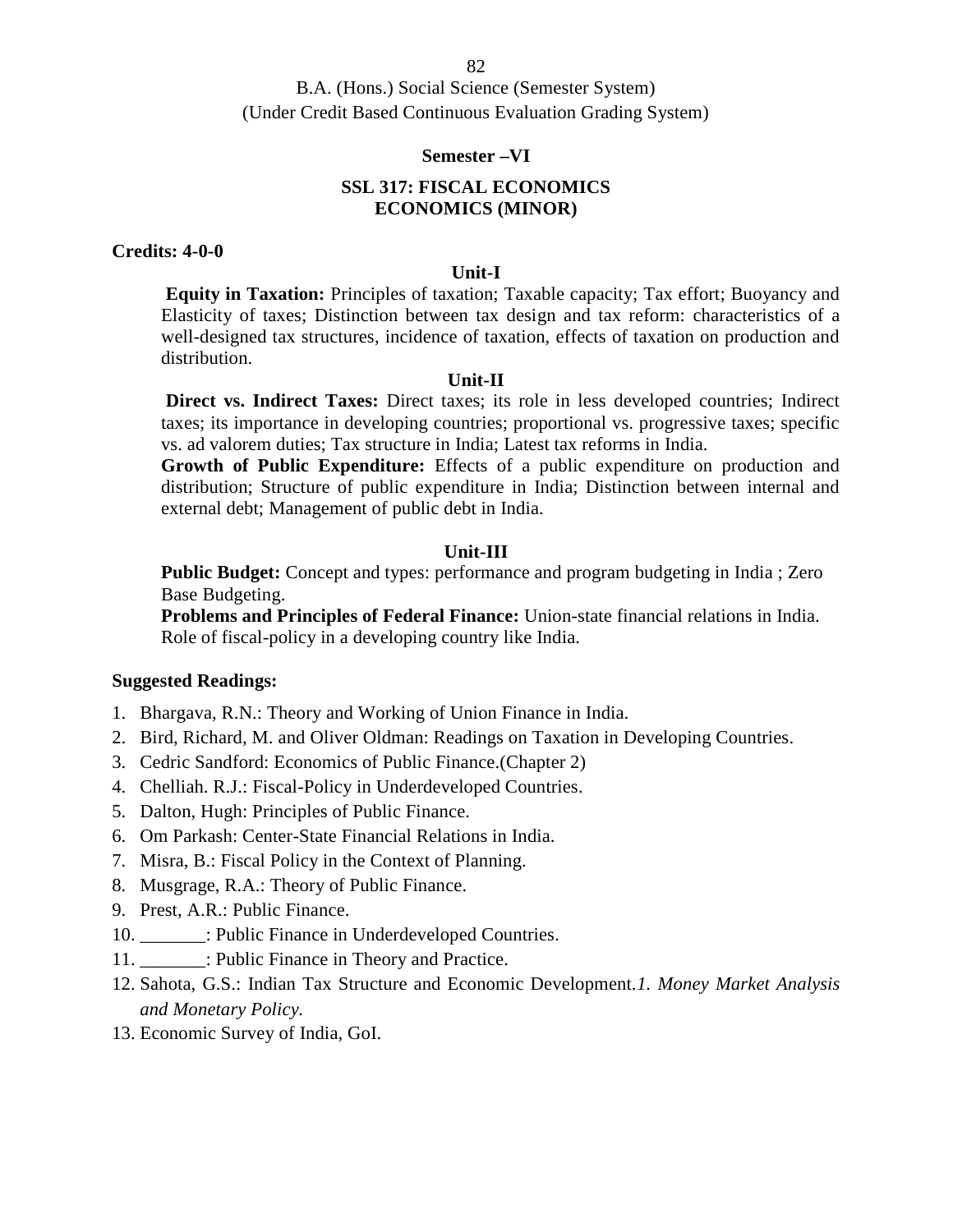#### **Semester –VI**

## **SSL 317: FISCAL ECONOMICS ECONOMICS (MINOR)**

# **Credits: 4-0-0**

#### **Unit-I**

**Equity in Taxation:** Principles of taxation; Taxable capacity; Tax effort; Buoyancy and Elasticity of taxes; Distinction between tax design and tax reform: characteristics of a well-designed tax structures, incidence of taxation, effects of taxation on production and distribution.

#### **Unit-II**

**Direct vs. Indirect Taxes:** Direct taxes; its role in less developed countries; Indirect taxes; its importance in developing countries; proportional vs. progressive taxes; specific vs. ad valorem duties; Tax structure in India; Latest tax reforms in India.

**Growth of Public Expenditure:** Effects of a public expenditure on production and distribution; Structure of public expenditure in India; Distinction between internal and external debt; Management of public debt in India.

#### **Unit-III**

**Public Budget:** Concept and types: performance and program budgeting in India ; Zero Base Budgeting.

**Problems and Principles of Federal Finance:** Union-state financial relations in India. Role of fiscal-policy in a developing country like India.

- 1. Bhargava, R.N.: Theory and Working of Union Finance in India.
- 2. Bird, Richard, M. and Oliver Oldman: Readings on Taxation in Developing Countries.
- 3. Cedric Sandford: Economics of Public Finance.(Chapter 2)
- 4. Chelliah. R.J.: Fiscal-Policy in Underdeveloped Countries.
- 5. Dalton, Hugh: Principles of Public Finance.
- 6. Om Parkash: Center-State Financial Relations in India.
- 7. Misra, B.: Fiscal Policy in the Context of Planning.
- 8. Musgrage, R.A.: Theory of Public Finance.
- 9. Prest, A.R.: Public Finance.
- 10. \_\_\_\_\_\_\_: Public Finance in Underdeveloped Countries.
- 11. \_\_\_\_\_\_\_: Public Finance in Theory and Practice.
- 12. Sahota, G.S.: Indian Tax Structure and Economic Development.*1. Money Market Analysis and Monetary Policy.*
- 13. Economic Survey of India, GoI.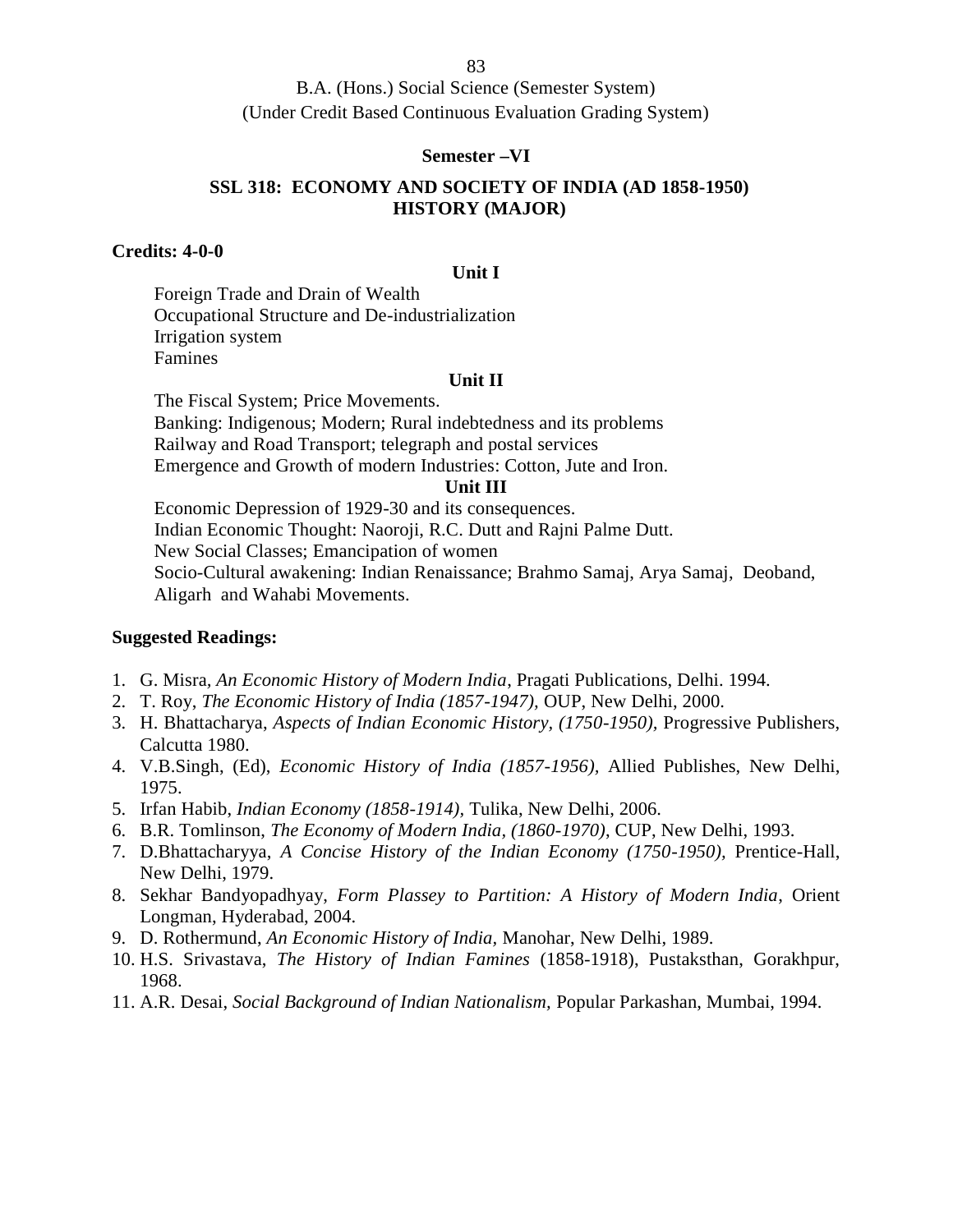B.A. (Hons.) Social Science (Semester System) (Under Credit Based Continuous Evaluation Grading System)

#### **Semester –VI**

## **SSL 318: ECONOMY AND SOCIETY OF INDIA (AD 1858-1950) HISTORY (MAJOR)**

## **Credits: 4-0-0**

#### **Unit I**

Foreign Trade and Drain of Wealth Occupational Structure and De-industrialization Irrigation system Famines

#### **Unit II**

The Fiscal System; Price Movements. Banking: Indigenous; Modern; Rural indebtedness and its problems Railway and Road Transport; telegraph and postal services Emergence and Growth of modern Industries: Cotton, Jute and Iron.

#### **Unit III**

Economic Depression of 1929-30 and its consequences. Indian Economic Thought: Naoroji, R.C. Dutt and Rajni Palme Dutt. New Social Classes; Emancipation of women Socio-Cultural awakening: Indian Renaissance; Brahmo Samaj, Arya Samaj, Deoband, Aligarh and Wahabi Movements.

- 1. G. Misra*, An Economic History of Modern India*, Pragati Publications, Delhi. 1994.
- 2. T. Roy, *The Economic History of India (1857-1947),* OUP, New Delhi, 2000.
- 3. H. Bhattacharya, *Aspects of Indian Economic History, (1750-1950),* Progressive Publishers, Calcutta 1980.
- 4. V.B.Singh, (Ed), *Economic History of India (1857-1956),* Allied Publishes, New Delhi, 1975.
- 5. Irfan Habib, *Indian Economy (1858-1914),* Tulika, New Delhi, 2006.
- 6. B.R. Tomlinson, *The Economy of Modern India, (1860-1970)*, CUP, New Delhi, 1993.
- 7. D.Bhattacharyya, *A Concise History of the Indian Economy (1750-1950),* Prentice-Hall, New Delhi, 1979.
- 8. Sekhar Bandyopadhyay, *Form Plassey to Partition: A History of Modern India*, Orient Longman, Hyderabad, 2004.
- 9. D. Rothermund, *An Economic History of India,* Manohar, New Delhi, 1989.
- 10. H.S. Srivastava, *The History of Indian Famines* (1858-1918), Pustaksthan, Gorakhpur, 1968.
- 11. A.R. Desai, *Social Background of Indian Nationalism,* Popular Parkashan, Mumbai, 1994.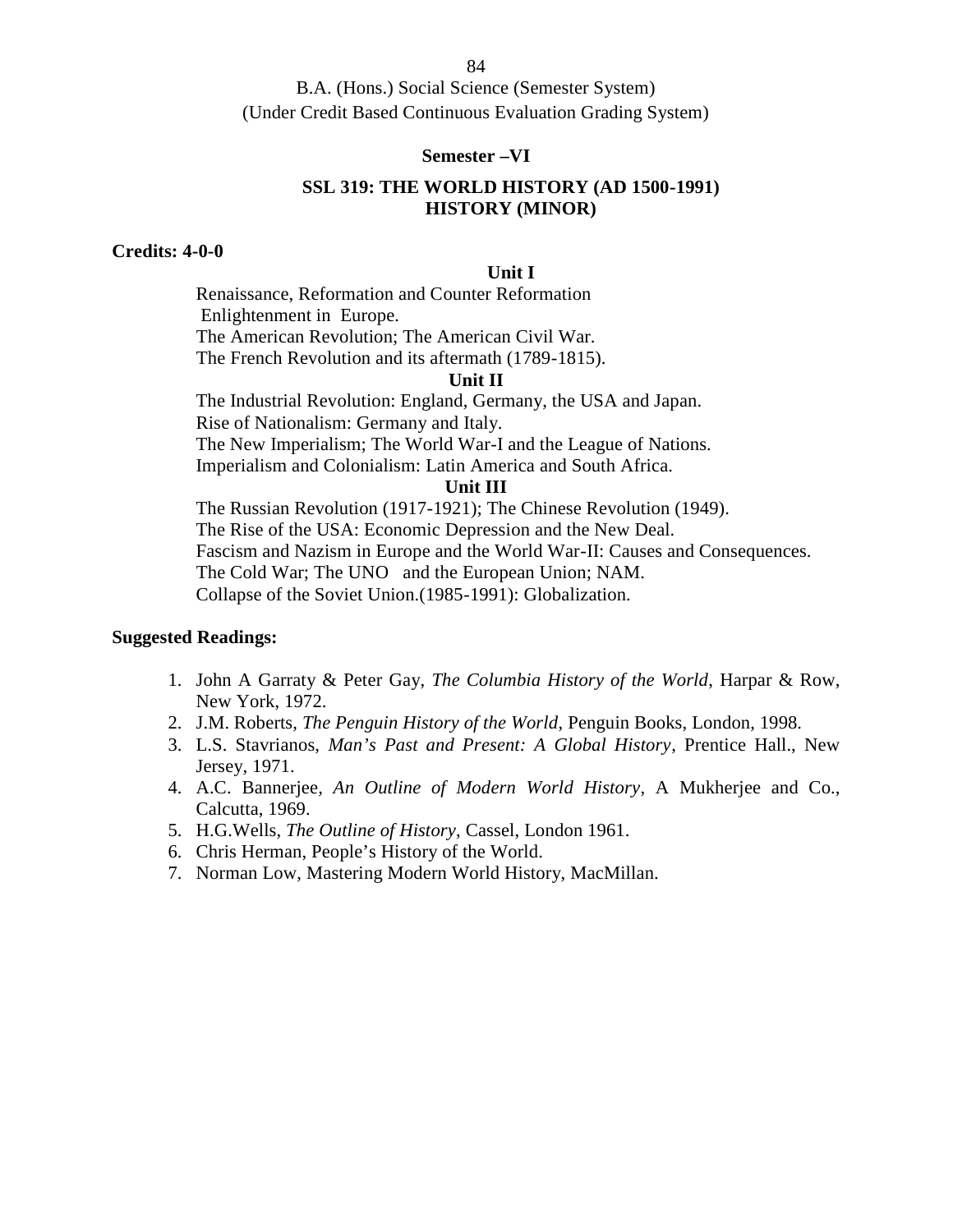#### **Semester –VI**

## **SSL 319: THE WORLD HISTORY (AD 1500-1991) HISTORY (MINOR)**

## **Credits: 4-0-0**

#### **Unit I**

Renaissance, Reformation and Counter Reformation Enlightenment in Europe. The American Revolution; The American Civil War. The French Revolution and its aftermath (1789-1815).

## **Unit II**

The Industrial Revolution: England, Germany, the USA and Japan. Rise of Nationalism: Germany and Italy. The New Imperialism; The World War-I and the League of Nations. Imperialism and Colonialism: Latin America and South Africa.

#### **Unit III**

The Russian Revolution (1917-1921); The Chinese Revolution (1949). The Rise of the USA: Economic Depression and the New Deal. Fascism and Nazism in Europe and the World War-II: Causes and Consequences. The Cold War; The UNO and the European Union; NAM. Collapse of the Soviet Union.(1985-1991): Globalization.

- 1. John A Garraty & Peter Gay, *The Columbia History of the World*, Harpar & Row, New York, 1972.
- 2. J.M. Roberts*, The Penguin History of the World*, Penguin Books, London, 1998.
- 3. L.S. Stavrianos, *Man's Past and Present: A Global History*, Prentice Hall., New Jersey, 1971.
- 4. A.C. Bannerjee*, An Outline of Modern World History*, A Mukherjee and Co., Calcutta, 1969.
- 5. H.G.Wells*, The Outline of History*, Cassel, London 1961.
- 6. Chris Herman, People's History of the World.
- 7. Norman Low, Mastering Modern World History, MacMillan.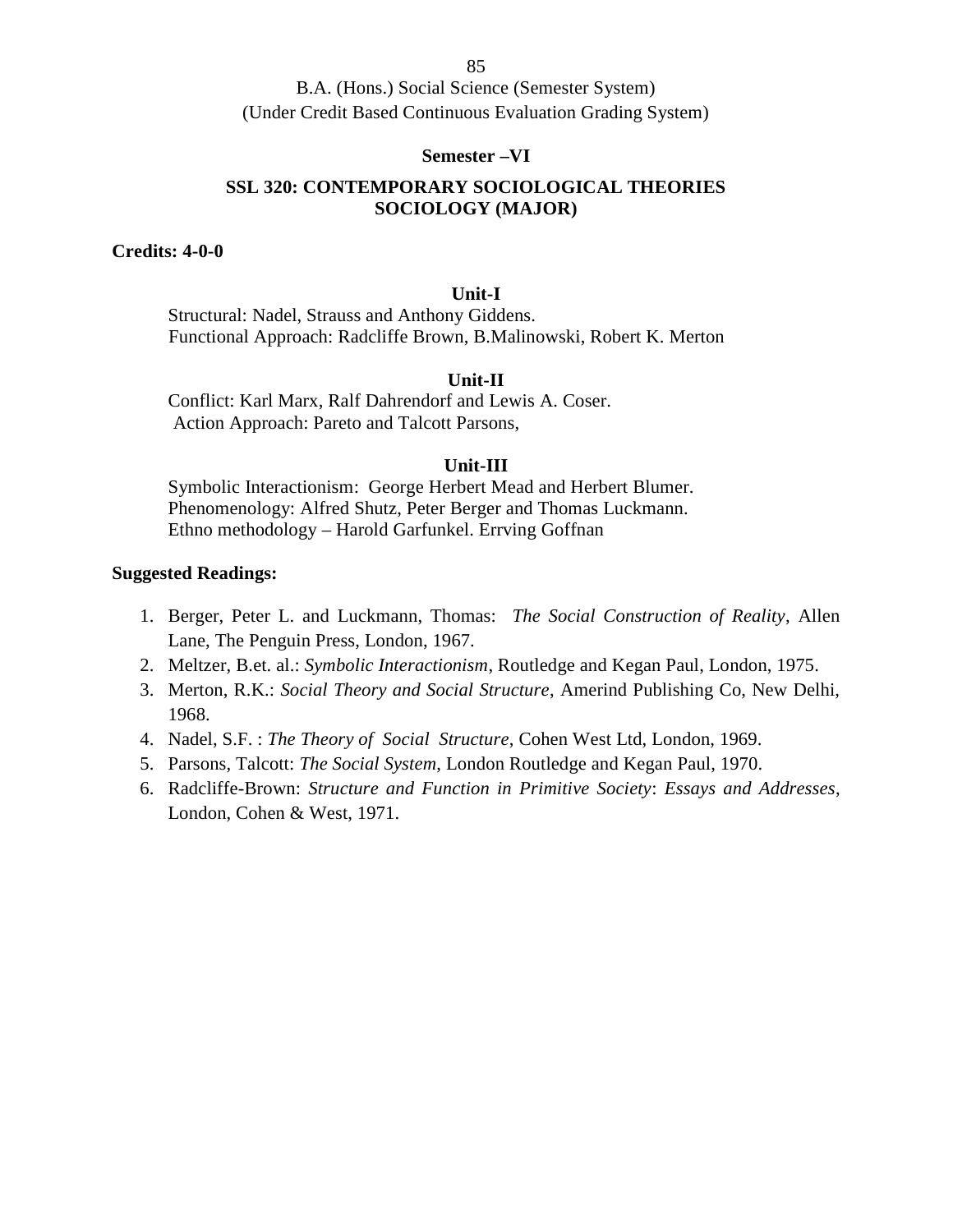B.A. (Hons.) Social Science (Semester System) (Under Credit Based Continuous Evaluation Grading System)

#### **Semester –VI**

## **SSL 320: CONTEMPORARY SOCIOLOGICAL THEORIES SOCIOLOGY (MAJOR)**

**Credits: 4-0-0**

#### **Unit-I**

Structural: Nadel, Strauss and Anthony Giddens. Functional Approach: Radcliffe Brown, B.Malinowski, Robert K. Merton

## **Unit-II**

Conflict: Karl Marx, Ralf Dahrendorf and Lewis A. Coser. Action Approach: Pareto and Talcott Parsons,

#### **Unit-III**

Symbolic Interactionism: George Herbert Mead and Herbert Blumer. Phenomenology: Alfred Shutz, Peter Berger and Thomas Luckmann. Ethno methodology – Harold Garfunkel. Errving Goffnan

- 1. Berger, Peter L. and Luckmann, Thomas: *The Social Construction of Reality*, Allen Lane, The Penguin Press, London, 1967.
- 2. Meltzer, B.et. al.: *Symbolic Interactionism*, Routledge and Kegan Paul, London, 1975.
- 3. Merton, R.K.: *Social Theory and Social Structure*, Amerind Publishing Co, New Delhi, 1968.
- 4. Nadel, S.F. : *The Theory of Social Structure*, Cohen West Ltd, London, 1969.
- 5. Parsons, Talcott: *The Social System*, London Routledge and Kegan Paul, 1970.
- 6. Radcliffe-Brown: *Structure and Function in Primitive Society*: *Essays and Addresses*, London, Cohen & West, 1971.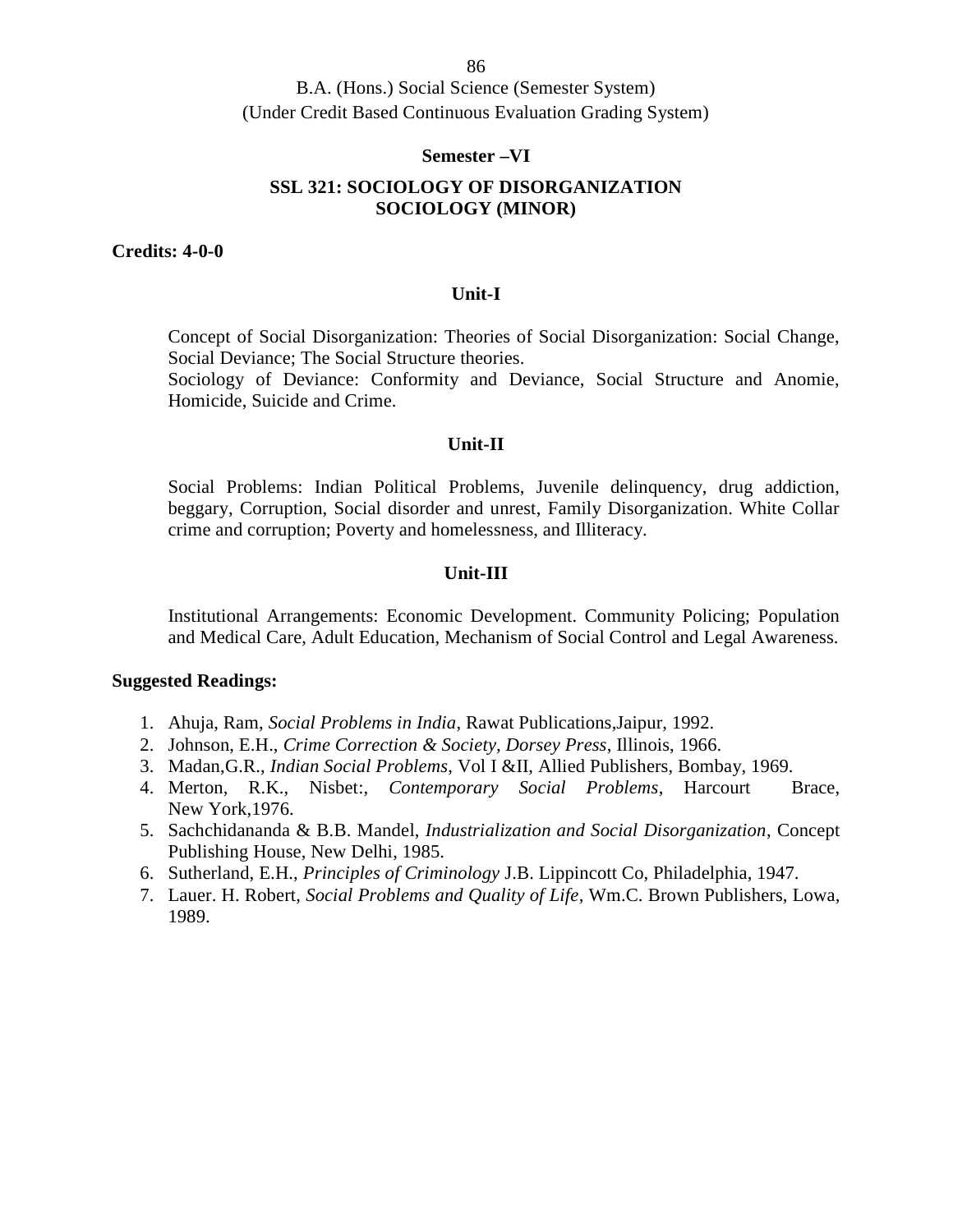B.A. (Hons.) Social Science (Semester System) (Under Credit Based Continuous Evaluation Grading System)

#### **Semester –VI**

# **SSL 321: SOCIOLOGY OF DISORGANIZATION SOCIOLOGY (MINOR)**

**Credits: 4-0-0**

#### **Unit-I**

Concept of Social Disorganization: Theories of Social Disorganization: Social Change, Social Deviance; The Social Structure theories.

Sociology of Deviance: Conformity and Deviance, Social Structure and Anomie, Homicide, Suicide and Crime.

#### **Unit-II**

Social Problems: Indian Political Problems, Juvenile delinquency, drug addiction, beggary, Corruption, Social disorder and unrest, Family Disorganization. White Collar crime and corruption; Poverty and homelessness, and Illiteracy.

#### **Unit-III**

Institutional Arrangements: Economic Development. Community Policing; Population and Medical Care, Adult Education, Mechanism of Social Control and Legal Awareness.

- 1. Ahuja, Ram, *Social Problems in India*, Rawat Publications,Jaipur, 1992.
- 2. Johnson, E.H., *Crime Correction & Society, Dorsey Press*, Illinois, 1966.
- 3. Madan,G.R., *Indian Social Problems*, Vol I &II, Allied Publishers, Bombay, 1969.
- 4. Merton, R.K., Nisbet:, *Contemporary Social Problems*, Harcourt Brace, New York,1976.
- 5. Sachchidananda & B.B. Mandel, *Industrialization and Social Disorganization*, Concept Publishing House, New Delhi, 1985.
- 6. Sutherland, E.H., *Principles of Criminology* J.B. Lippincott Co, Philadelphia, 1947.
- 7. Lauer. H. Robert, *Social Problems and Quality of Life*, Wm.C. Brown Publishers, Lowa, 1989.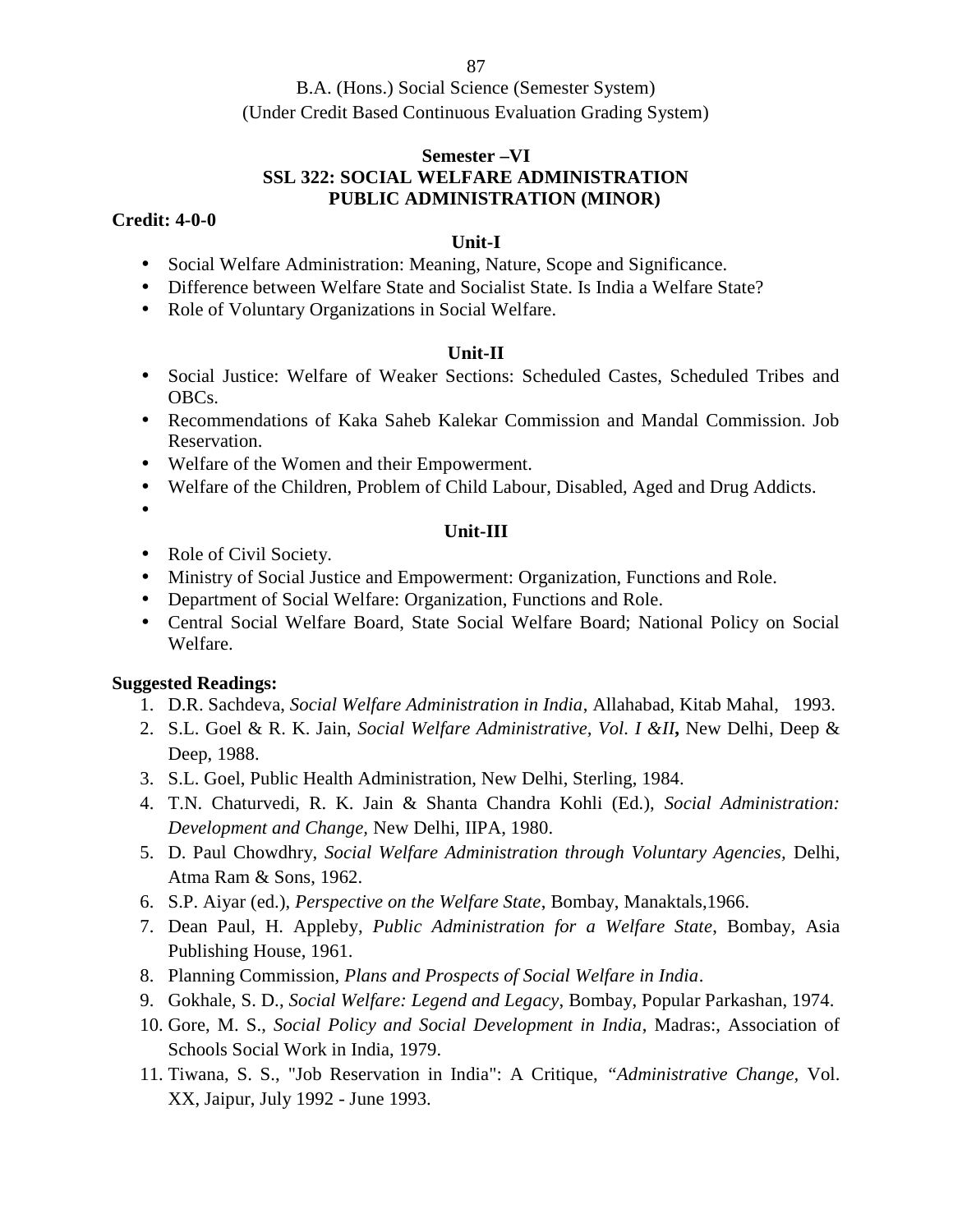B.A. (Hons.) Social Science (Semester System) (Under Credit Based Continuous Evaluation Grading System)

## **Semester –VI**

# **SSL 322: SOCIAL WELFARE ADMINISTRATION**

# **PUBLIC ADMINISTRATION (MINOR)**

## **Credit: 4-0-0**

## **Unit-I**

- Social Welfare Administration: Meaning, Nature, Scope and Significance.
- Difference between Welfare State and Socialist State. Is India a Welfare State?
- Role of Voluntary Organizations in Social Welfare.

## **Unit-II**

- Social Justice: Welfare of Weaker Sections: Scheduled Castes, Scheduled Tribes and OBCs.
- Recommendations of Kaka Saheb Kalekar Commission and Mandal Commission. Job Reservation.
- Welfare of the Women and their Empowerment.
- Welfare of the Children, Problem of Child Labour, Disabled, Aged and Drug Addicts.
- $\bullet$

## **Unit-III**

- Role of Civil Society.
- Ministry of Social Justice and Empowerment: Organization, Functions and Role.
- Department of Social Welfare: Organization, Functions and Role.
- Central Social Welfare Board, State Social Welfare Board; National Policy on Social Welfare.

- 1. D.R. Sachdeva, *Social Welfare Administration in India*, Allahabad, Kitab Mahal, 1993.
- 2. S.L. Goel & R. K. Jain, *Social Welfare Administrative, Vol. I &II***,** New Delhi, Deep & Deep, 1988.
- 3. S.L. Goel, Public Health Administration, New Delhi, Sterling, 1984.
- 4. T.N. Chaturvedi, R. K. Jain & Shanta Chandra Kohli (Ed.), *Social Administration: Development and Change,* New Delhi, IIPA, 1980.
- 5. D. Paul Chowdhry, *Social Welfare Administration through Voluntary Agencies,* Delhi, Atma Ram & Sons, 1962.
- 6. S.P. Aiyar (ed.), *Perspective on the Welfare State*, Bombay, Manaktals,1966.
- 7. Dean Paul, H. Appleby, *Public Administration for a Welfare State*, Bombay, Asia Publishing House, 1961.
- 8. Planning Commission*, Plans and Prospects of Social Welfare in India*.
- 9. Gokhale, S. D., *Social Welfare: Legend and Legacy*, Bombay, Popular Parkashan, 1974.
- 10. Gore, M. S., *Social Policy and Social Development in India*, Madras:, Association of Schools Social Work in India, 1979.
- 11. Tiwana, S. S., "Job Reservation in India": A Critique, *"Administrative Change,* Vol. XX, Jaipur, July 1992 - June 1993.